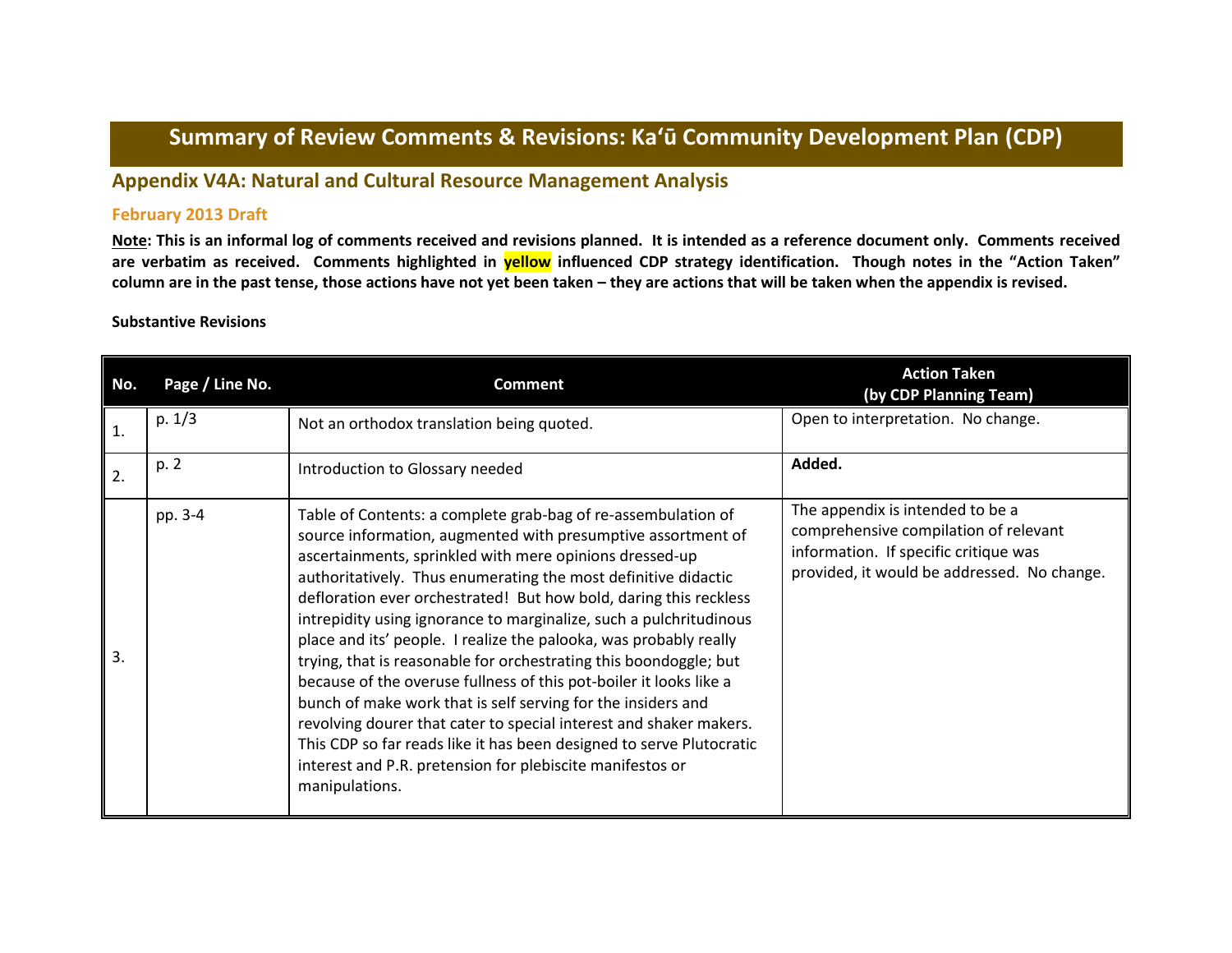## **Summary of Review Comments & Revisions: Ka'ū Community Development Plan (CDP)**

## **Appendix V4A: Natural and Cultural Resource Management Analysis**

## **February 2013 Draft**

**Note: This is an informal log of comments received and revisions planned. It is intended as a reference document only. Comments received are verbatim as received. Comments highlighted in yellow influenced CDP strategy identification. Though notes in the "Action Taken" column are in the past tense, those actions have not yet been taken – they are actions that will be taken when the appendix is revised.**

## **Substantive Revisions**

| No.          | Page / Line No. | <b>Comment</b>                                                                                                                                                                                                                                                                                                                                                                                                                                                                                                                                                                                                                                                                                                                                                                                                                                                                                                     | <b>Action Taken</b><br>(by CDP Planning Team)                                                                                                                     |
|--------------|-----------------|--------------------------------------------------------------------------------------------------------------------------------------------------------------------------------------------------------------------------------------------------------------------------------------------------------------------------------------------------------------------------------------------------------------------------------------------------------------------------------------------------------------------------------------------------------------------------------------------------------------------------------------------------------------------------------------------------------------------------------------------------------------------------------------------------------------------------------------------------------------------------------------------------------------------|-------------------------------------------------------------------------------------------------------------------------------------------------------------------|
| $\mathbf{1}$ | p. 1/3          | Not an orthodox translation being quoted.                                                                                                                                                                                                                                                                                                                                                                                                                                                                                                                                                                                                                                                                                                                                                                                                                                                                          | Open to interpretation. No change.                                                                                                                                |
| 2.           | p. 2            | Introduction to Glossary needed                                                                                                                                                                                                                                                                                                                                                                                                                                                                                                                                                                                                                                                                                                                                                                                                                                                                                    | Added.                                                                                                                                                            |
| 3.           | pp. 3-4         | Table of Contents: a complete grab-bag of re-assembulation of<br>source information, augmented with presumptive assortment of<br>ascertainments, sprinkled with mere opinions dressed-up<br>authoritatively. Thus enumerating the most definitive didactic<br>defloration ever orchestrated! But how bold, daring this reckless<br>intrepidity using ignorance to marginalize, such a pulchritudinous<br>place and its' people. I realize the palooka, was probably really<br>trying, that is reasonable for orchestrating this boondoggle; but<br>because of the overuse fullness of this pot-boiler it looks like a<br>bunch of make work that is self serving for the insiders and<br>revolving dourer that cater to special interest and shaker makers.<br>This CDP so far reads like it has been designed to serve Plutocratic<br>interest and P.R. pretension for plebiscite manifestos or<br>manipulations. | The appendix is intended to be a<br>comprehensive compilation of relevant<br>information. If specific critique was<br>provided, it would be addressed. No change. |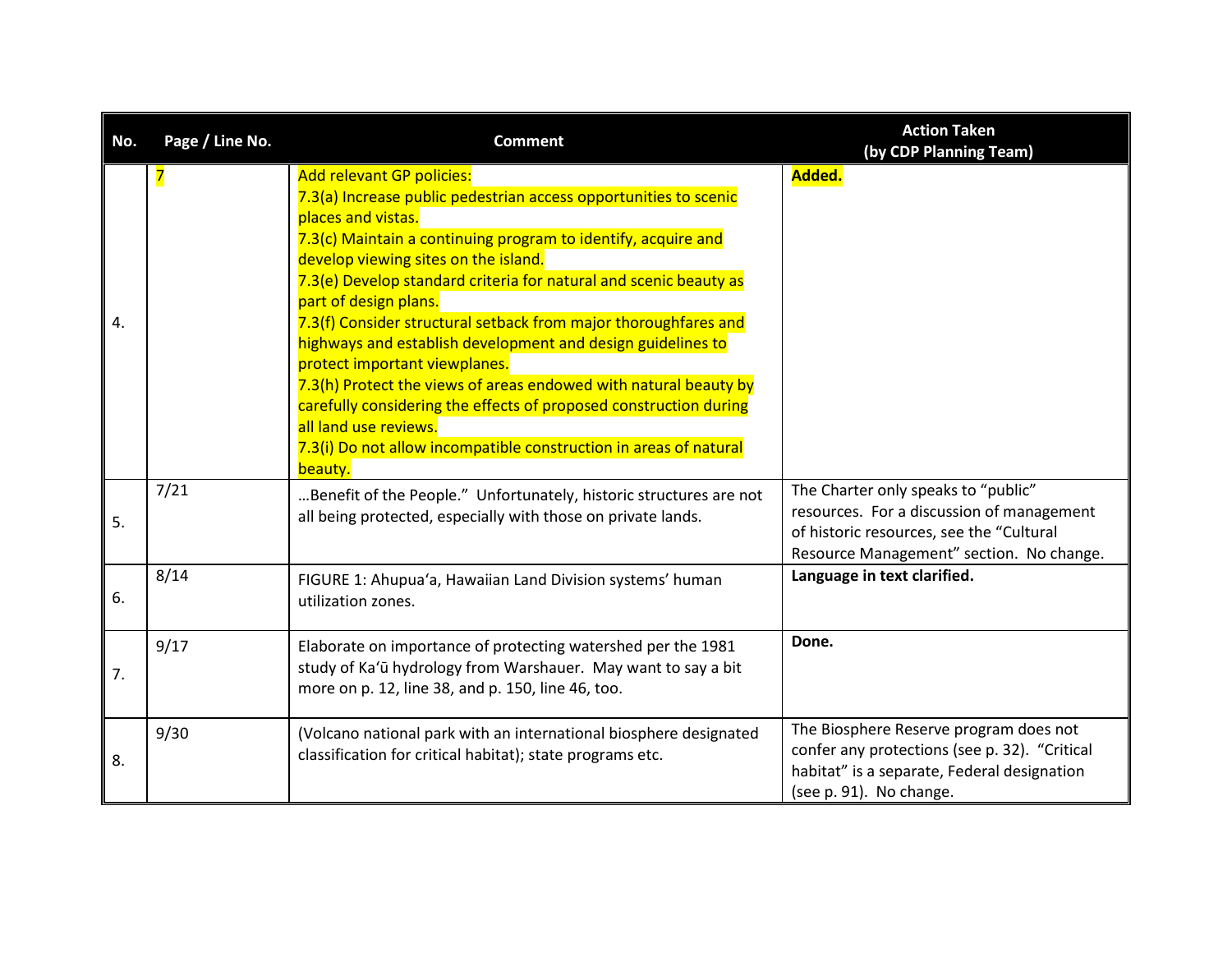| No. | Page / Line No. | <b>Comment</b>                                                                                                                                                                                                                                                                                                                                                                                                                                                                                                                                                                                                                                                                                                                                         | <b>Action Taken</b><br>(by CDP Planning Team)                                                                                                                            |
|-----|-----------------|--------------------------------------------------------------------------------------------------------------------------------------------------------------------------------------------------------------------------------------------------------------------------------------------------------------------------------------------------------------------------------------------------------------------------------------------------------------------------------------------------------------------------------------------------------------------------------------------------------------------------------------------------------------------------------------------------------------------------------------------------------|--------------------------------------------------------------------------------------------------------------------------------------------------------------------------|
| 4.  | 7               | <b>Add relevant GP policies:</b><br>7.3(a) Increase public pedestrian access opportunities to scenic<br>places and vistas.<br>7.3(c) Maintain a continuing program to identify, acquire and<br>develop viewing sites on the island.<br>7.3(e) Develop standard criteria for natural and scenic beauty as<br>part of design plans.<br>7.3(f) Consider structural setback from major thoroughfares and<br>highways and establish development and design guidelines to<br>protect important viewplanes.<br>7.3(h) Protect the views of areas endowed with natural beauty by<br>carefully considering the effects of proposed construction during<br>all land use reviews.<br>7.3(i) Do not allow incompatible construction in areas of natural<br>beauty. | Added.                                                                                                                                                                   |
| 5.  | 7/21            | Benefit of the People." Unfortunately, historic structures are not<br>all being protected, especially with those on private lands.                                                                                                                                                                                                                                                                                                                                                                                                                                                                                                                                                                                                                     | The Charter only speaks to "public"<br>resources. For a discussion of management<br>of historic resources, see the "Cultural<br>Resource Management" section. No change. |
| 6.  | 8/14            | FIGURE 1: Ahupua'a, Hawaiian Land Division systems' human<br>utilization zones.                                                                                                                                                                                                                                                                                                                                                                                                                                                                                                                                                                                                                                                                        | Language in text clarified.                                                                                                                                              |
| 7.  | 9/17            | Elaborate on importance of protecting watershed per the 1981<br>study of Ka'ū hydrology from Warshauer. May want to say a bit<br>more on p. 12, line 38, and p. 150, line 46, too.                                                                                                                                                                                                                                                                                                                                                                                                                                                                                                                                                                     | Done.                                                                                                                                                                    |
| 8.  | 9/30            | (Volcano national park with an international biosphere designated<br>classification for critical habitat); state programs etc.                                                                                                                                                                                                                                                                                                                                                                                                                                                                                                                                                                                                                         | The Biosphere Reserve program does not<br>confer any protections (see p. 32). "Critical<br>habitat" is a separate, Federal designation<br>(see p. 91). No change.        |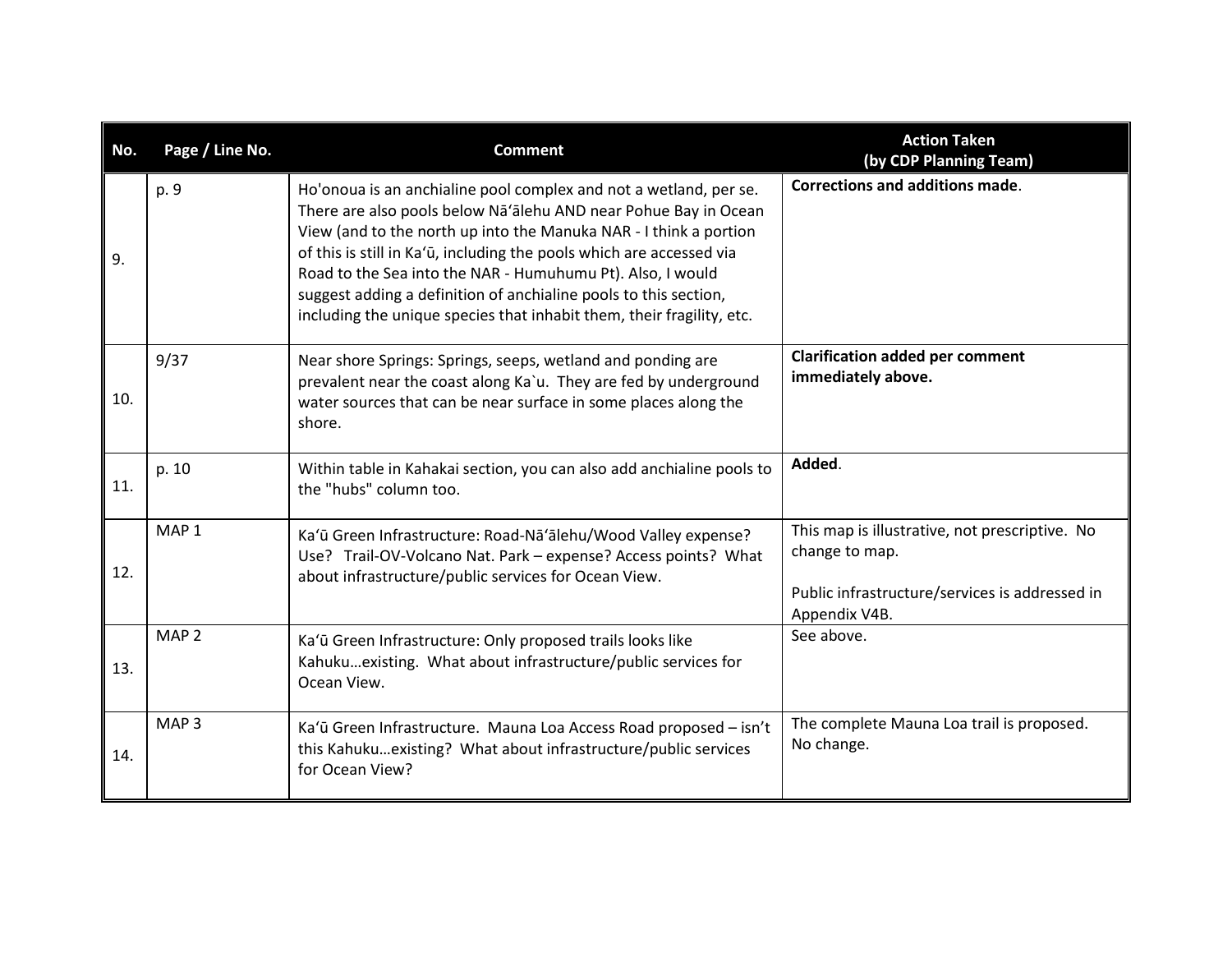| No. | Page / Line No.  | <b>Comment</b>                                                                                                                                                                                                                                                                                                                                                                                                                                                                               | <b>Action Taken</b><br>(by CDP Planning Team)                                                                                       |
|-----|------------------|----------------------------------------------------------------------------------------------------------------------------------------------------------------------------------------------------------------------------------------------------------------------------------------------------------------------------------------------------------------------------------------------------------------------------------------------------------------------------------------------|-------------------------------------------------------------------------------------------------------------------------------------|
| 9.  | p. 9             | Ho'onoua is an anchialine pool complex and not a wetland, per se.<br>There are also pools below Na'alehu AND near Pohue Bay in Ocean<br>View (and to the north up into the Manuka NAR - I think a portion<br>of this is still in Ka'ū, including the pools which are accessed via<br>Road to the Sea into the NAR - Humuhumu Pt). Also, I would<br>suggest adding a definition of anchialine pools to this section,<br>including the unique species that inhabit them, their fragility, etc. | <b>Corrections and additions made.</b>                                                                                              |
| 10. | 9/37             | Near shore Springs: Springs, seeps, wetland and ponding are<br>prevalent near the coast along Ka'u. They are fed by underground<br>water sources that can be near surface in some places along the<br>shore.                                                                                                                                                                                                                                                                                 | <b>Clarification added per comment</b><br>immediately above.                                                                        |
| 11. | p. 10            | Within table in Kahakai section, you can also add anchialine pools to<br>the "hubs" column too.                                                                                                                                                                                                                                                                                                                                                                                              | Added.                                                                                                                              |
| 12. | MAP <sub>1</sub> | Ka'ū Green Infrastructure: Road-Nā'ālehu/Wood Valley expense?<br>Use? Trail-OV-Volcano Nat. Park - expense? Access points? What<br>about infrastructure/public services for Ocean View.                                                                                                                                                                                                                                                                                                      | This map is illustrative, not prescriptive. No<br>change to map.<br>Public infrastructure/services is addressed in<br>Appendix V4B. |
| 13. | MAP <sub>2</sub> | Ka'ū Green Infrastructure: Only proposed trails looks like<br>Kahukuexisting. What about infrastructure/public services for<br>Ocean View.                                                                                                                                                                                                                                                                                                                                                   | See above.                                                                                                                          |
| 14. | MAP <sub>3</sub> | Ka'ū Green Infrastructure. Mauna Loa Access Road proposed - isn't<br>this Kahukuexisting? What about infrastructure/public services<br>for Ocean View?                                                                                                                                                                                                                                                                                                                                       | The complete Mauna Loa trail is proposed.<br>No change.                                                                             |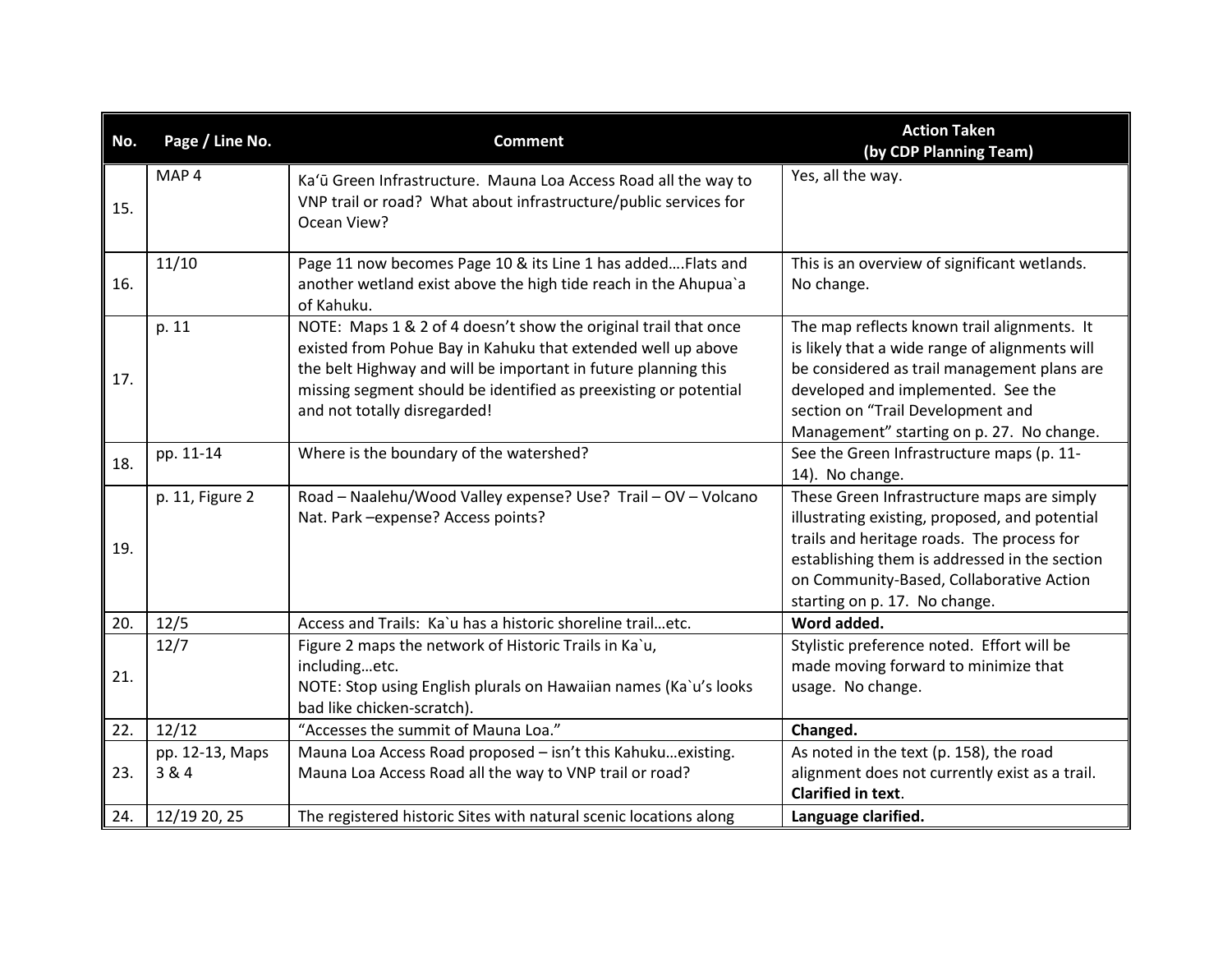| No. | Page / Line No.          | <b>Comment</b>                                                                                                                                                                                                                                                                                        | <b>Action Taken</b><br>(by CDP Planning Team)                                                                                                                                                                                                                            |
|-----|--------------------------|-------------------------------------------------------------------------------------------------------------------------------------------------------------------------------------------------------------------------------------------------------------------------------------------------------|--------------------------------------------------------------------------------------------------------------------------------------------------------------------------------------------------------------------------------------------------------------------------|
| 15. | MAP <sub>4</sub>         | Ka'ū Green Infrastructure. Mauna Loa Access Road all the way to<br>VNP trail or road? What about infrastructure/public services for<br>Ocean View?                                                                                                                                                    | Yes, all the way.                                                                                                                                                                                                                                                        |
| 16. | 11/10                    | Page 11 now becomes Page 10 & its Line 1 has added Flats and<br>another wetland exist above the high tide reach in the Ahupua'a<br>of Kahuku.                                                                                                                                                         | This is an overview of significant wetlands.<br>No change.                                                                                                                                                                                                               |
| 17. | p. 11                    | NOTE: Maps 1 & 2 of 4 doesn't show the original trail that once<br>existed from Pohue Bay in Kahuku that extended well up above<br>the belt Highway and will be important in future planning this<br>missing segment should be identified as preexisting or potential<br>and not totally disregarded! | The map reflects known trail alignments. It<br>is likely that a wide range of alignments will<br>be considered as trail management plans are<br>developed and implemented. See the<br>section on "Trail Development and<br>Management" starting on p. 27. No change.     |
| 18. | pp. 11-14                | Where is the boundary of the watershed?                                                                                                                                                                                                                                                               | See the Green Infrastructure maps (p. 11-<br>14). No change.                                                                                                                                                                                                             |
| 19. | p. 11, Figure 2          | Road - Naalehu/Wood Valley expense? Use? Trail - OV - Volcano<br>Nat. Park - expense? Access points?                                                                                                                                                                                                  | These Green Infrastructure maps are simply<br>illustrating existing, proposed, and potential<br>trails and heritage roads. The process for<br>establishing them is addressed in the section<br>on Community-Based, Collaborative Action<br>starting on p. 17. No change. |
| 20. | 12/5                     | Access and Trails: Ka'u has a historic shoreline trailetc.                                                                                                                                                                                                                                            | Word added.                                                                                                                                                                                                                                                              |
| 21. | 12/7                     | Figure 2 maps the network of Historic Trails in Ka`u,<br>includingetc.<br>NOTE: Stop using English plurals on Hawaiian names (Ka`u's looks<br>bad like chicken-scratch).                                                                                                                              | Stylistic preference noted. Effort will be<br>made moving forward to minimize that<br>usage. No change.                                                                                                                                                                  |
| 22. | 12/12                    | "Accesses the summit of Mauna Loa."                                                                                                                                                                                                                                                                   | Changed.                                                                                                                                                                                                                                                                 |
| 23. | pp. 12-13, Maps<br>3 & 4 | Mauna Loa Access Road proposed - isn't this Kahukuexisting.<br>Mauna Loa Access Road all the way to VNP trail or road?                                                                                                                                                                                | As noted in the text (p. 158), the road<br>alignment does not currently exist as a trail.<br><b>Clarified in text.</b>                                                                                                                                                   |
| 24. | 12/19 20, 25             | The registered historic Sites with natural scenic locations along                                                                                                                                                                                                                                     | Language clarified.                                                                                                                                                                                                                                                      |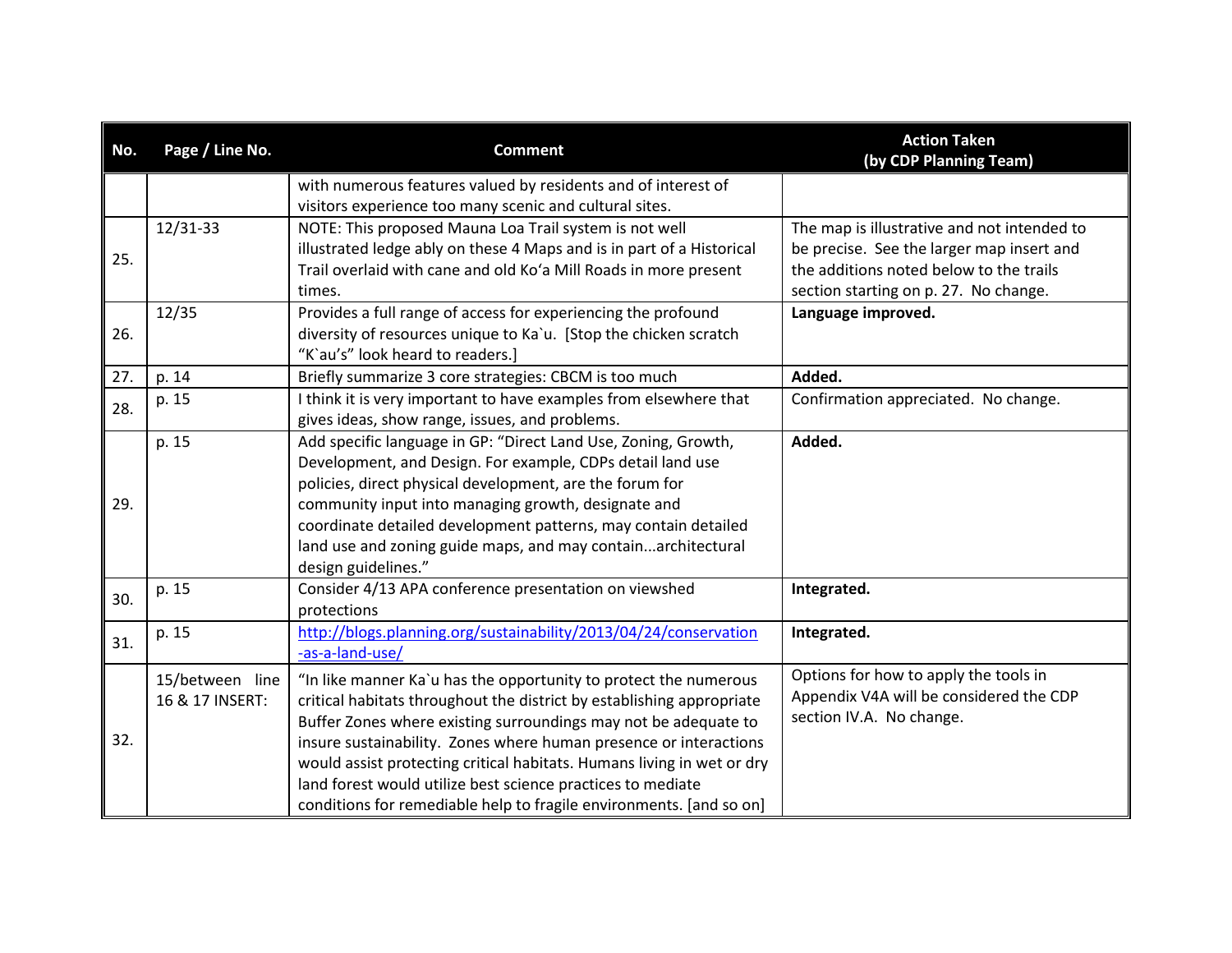| No. | Page / Line No. | <b>Comment</b>                                                         | <b>Action Taken</b><br>(by CDP Planning Team) |
|-----|-----------------|------------------------------------------------------------------------|-----------------------------------------------|
|     |                 | with numerous features valued by residents and of interest of          |                                               |
|     |                 | visitors experience too many scenic and cultural sites.                |                                               |
|     | 12/31-33        | NOTE: This proposed Mauna Loa Trail system is not well                 | The map is illustrative and not intended to   |
| 25. |                 | illustrated ledge ably on these 4 Maps and is in part of a Historical  | be precise. See the larger map insert and     |
|     |                 | Trail overlaid with cane and old Ko'a Mill Roads in more present       | the additions noted below to the trails       |
|     |                 | times.                                                                 | section starting on p. 27. No change.         |
|     | 12/35           | Provides a full range of access for experiencing the profound          | Language improved.                            |
| 26. |                 | diversity of resources unique to Ka`u. [Stop the chicken scratch       |                                               |
|     |                 | "K'au's" look heard to readers.]                                       |                                               |
| 27. | p. 14           | Briefly summarize 3 core strategies: CBCM is too much                  | Added.                                        |
| 28. | p. 15           | I think it is very important to have examples from elsewhere that      | Confirmation appreciated. No change.          |
|     |                 | gives ideas, show range, issues, and problems.                         |                                               |
|     | p. 15           | Add specific language in GP: "Direct Land Use, Zoning, Growth,         | Added.                                        |
|     |                 | Development, and Design. For example, CDPs detail land use             |                                               |
|     |                 | policies, direct physical development, are the forum for               |                                               |
| 29. |                 | community input into managing growth, designate and                    |                                               |
|     |                 | coordinate detailed development patterns, may contain detailed         |                                               |
|     |                 | land use and zoning guide maps, and may containarchitectural           |                                               |
|     |                 | design guidelines."                                                    |                                               |
| 30. | p. 15           | Consider 4/13 APA conference presentation on viewshed                  | Integrated.                                   |
|     |                 | protections                                                            |                                               |
| 31. | p. 15           | http://blogs.planning.org/sustainability/2013/04/24/conservation       | Integrated.                                   |
|     |                 | -as-a-land-use/                                                        |                                               |
|     | 15/between line | "In like manner Ka'u has the opportunity to protect the numerous       | Options for how to apply the tools in         |
|     | 16 & 17 INSERT: | critical habitats throughout the district by establishing appropriate  | Appendix V4A will be considered the CDP       |
|     |                 | Buffer Zones where existing surroundings may not be adequate to        | section IV.A. No change.                      |
| 32. |                 | insure sustainability. Zones where human presence or interactions      |                                               |
|     |                 | would assist protecting critical habitats. Humans living in wet or dry |                                               |
|     |                 | land forest would utilize best science practices to mediate            |                                               |
|     |                 | conditions for remediable help to fragile environments. [and so on]    |                                               |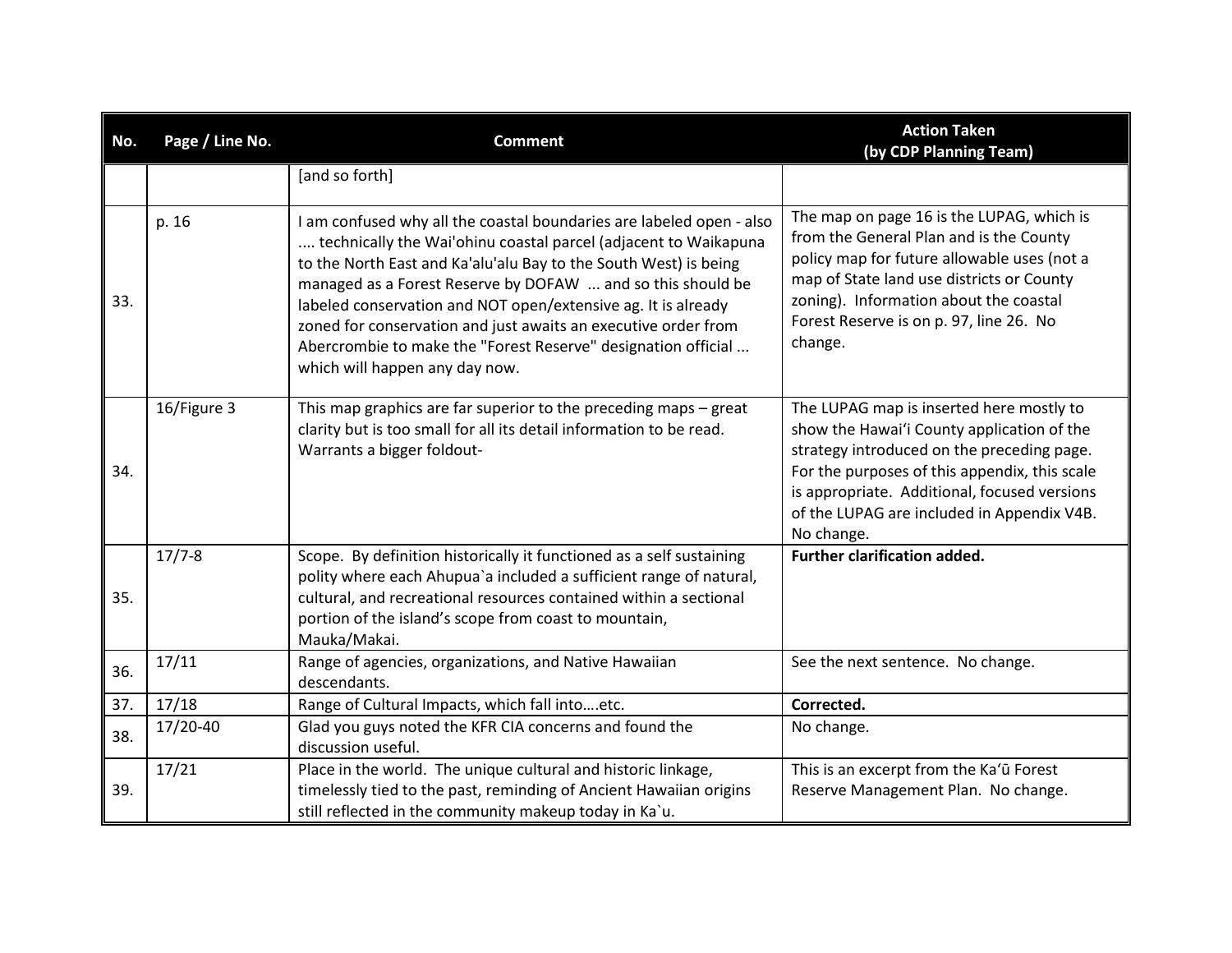| No. | Page / Line No. | <b>Comment</b>                                                                                                                                                                                                                                                                                                                                                                                                                                                                                                   | <b>Action Taken</b><br>(by CDP Planning Team)                                                                                                                                                                                                                                                     |
|-----|-----------------|------------------------------------------------------------------------------------------------------------------------------------------------------------------------------------------------------------------------------------------------------------------------------------------------------------------------------------------------------------------------------------------------------------------------------------------------------------------------------------------------------------------|---------------------------------------------------------------------------------------------------------------------------------------------------------------------------------------------------------------------------------------------------------------------------------------------------|
|     |                 | [and so forth]                                                                                                                                                                                                                                                                                                                                                                                                                                                                                                   |                                                                                                                                                                                                                                                                                                   |
| 33. | p. 16           | I am confused why all the coastal boundaries are labeled open - also<br>technically the Wai'ohinu coastal parcel (adjacent to Waikapuna<br>to the North East and Ka'alu'alu Bay to the South West) is being<br>managed as a Forest Reserve by DOFAW  and so this should be<br>labeled conservation and NOT open/extensive ag. It is already<br>zoned for conservation and just awaits an executive order from<br>Abercrombie to make the "Forest Reserve" designation official<br>which will happen any day now. | The map on page 16 is the LUPAG, which is<br>from the General Plan and is the County<br>policy map for future allowable uses (not a<br>map of State land use districts or County<br>zoning). Information about the coastal<br>Forest Reserve is on p. 97, line 26. No<br>change.                  |
| 34. | 16/Figure 3     | This map graphics are far superior to the preceding maps $-$ great<br>clarity but is too small for all its detail information to be read.<br>Warrants a bigger foldout-                                                                                                                                                                                                                                                                                                                                          | The LUPAG map is inserted here mostly to<br>show the Hawai'i County application of the<br>strategy introduced on the preceding page.<br>For the purposes of this appendix, this scale<br>is appropriate. Additional, focused versions<br>of the LUPAG are included in Appendix V4B.<br>No change. |
| 35. | $17/7 - 8$      | Scope. By definition historically it functioned as a self sustaining<br>polity where each Ahupua'a included a sufficient range of natural,<br>cultural, and recreational resources contained within a sectional<br>portion of the island's scope from coast to mountain,<br>Mauka/Makai.                                                                                                                                                                                                                         | <b>Further clarification added.</b>                                                                                                                                                                                                                                                               |
| 36. | 17/11           | Range of agencies, organizations, and Native Hawaiian<br>descendants.                                                                                                                                                                                                                                                                                                                                                                                                                                            | See the next sentence. No change.                                                                                                                                                                                                                                                                 |
| 37. | 17/18           | Range of Cultural Impacts, which fall intoetc.                                                                                                                                                                                                                                                                                                                                                                                                                                                                   | Corrected.                                                                                                                                                                                                                                                                                        |
| 38. | 17/20-40        | Glad you guys noted the KFR CIA concerns and found the<br>discussion useful.                                                                                                                                                                                                                                                                                                                                                                                                                                     | No change.                                                                                                                                                                                                                                                                                        |
| 39. | 17/21           | Place in the world. The unique cultural and historic linkage,<br>timelessly tied to the past, reminding of Ancient Hawaiian origins<br>still reflected in the community makeup today in Ka`u.                                                                                                                                                                                                                                                                                                                    | This is an excerpt from the Ka'u Forest<br>Reserve Management Plan. No change.                                                                                                                                                                                                                    |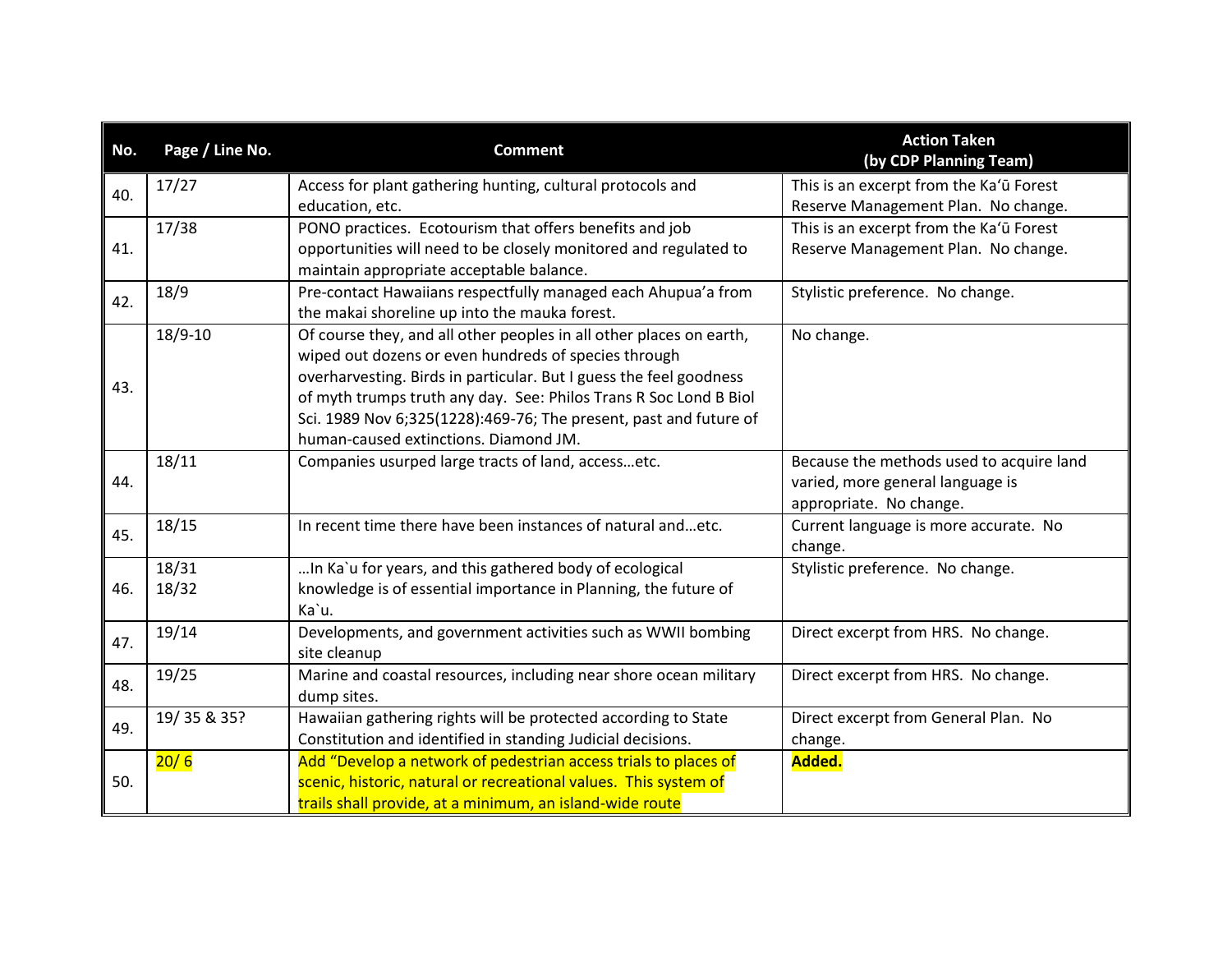| No. | Page / Line No. | <b>Comment</b>                                                      | <b>Action Taken</b><br>(by CDP Planning Team) |
|-----|-----------------|---------------------------------------------------------------------|-----------------------------------------------|
| 40. | 17/27           | Access for plant gathering hunting, cultural protocols and          | This is an excerpt from the Ka'u Forest       |
|     |                 | education, etc.                                                     | Reserve Management Plan. No change.           |
|     | 17/38           | PONO practices. Ecotourism that offers benefits and job             | This is an excerpt from the Ka'u Forest       |
| 41. |                 | opportunities will need to be closely monitored and regulated to    | Reserve Management Plan. No change.           |
|     |                 | maintain appropriate acceptable balance.                            |                                               |
| 42. | 18/9            | Pre-contact Hawaiians respectfully managed each Ahupua'a from       | Stylistic preference. No change.              |
|     |                 | the makai shoreline up into the mauka forest.                       |                                               |
|     | 18/9-10         | Of course they, and all other peoples in all other places on earth, | No change.                                    |
|     |                 | wiped out dozens or even hundreds of species through                |                                               |
| 43. |                 | overharvesting. Birds in particular. But I guess the feel goodness  |                                               |
|     |                 | of myth trumps truth any day. See: Philos Trans R Soc Lond B Biol   |                                               |
|     |                 | Sci. 1989 Nov 6;325(1228):469-76; The present, past and future of   |                                               |
|     |                 | human-caused extinctions. Diamond JM.                               |                                               |
|     | 18/11           | Companies usurped large tracts of land, accessetc.                  | Because the methods used to acquire land      |
| 44. |                 |                                                                     | varied, more general language is              |
|     |                 |                                                                     | appropriate. No change.                       |
| 45. | 18/15           | In recent time there have been instances of natural andetc.         | Current language is more accurate. No         |
|     |                 |                                                                     | change.                                       |
|     | 18/31           | In Ka'u for years, and this gathered body of ecological             | Stylistic preference. No change.              |
| 46. | 18/32           | knowledge is of essential importance in Planning, the future of     |                                               |
|     |                 | Ka'u.                                                               |                                               |
| 47. | 19/14           | Developments, and government activities such as WWII bombing        | Direct excerpt from HRS. No change.           |
|     |                 | site cleanup                                                        |                                               |
| 48. | 19/25           | Marine and coastal resources, including near shore ocean military   | Direct excerpt from HRS. No change.           |
|     |                 | dump sites.                                                         |                                               |
| 49. | 19/35 & 35?     | Hawaiian gathering rights will be protected according to State      | Direct excerpt from General Plan. No          |
|     |                 | Constitution and identified in standing Judicial decisions.         | change.                                       |
|     | 20/6            | Add "Develop a network of pedestrian access trials to places of     | Added.                                        |
| 50. |                 | scenic, historic, natural or recreational values. This system of    |                                               |
|     |                 | trails shall provide, at a minimum, an island-wide route            |                                               |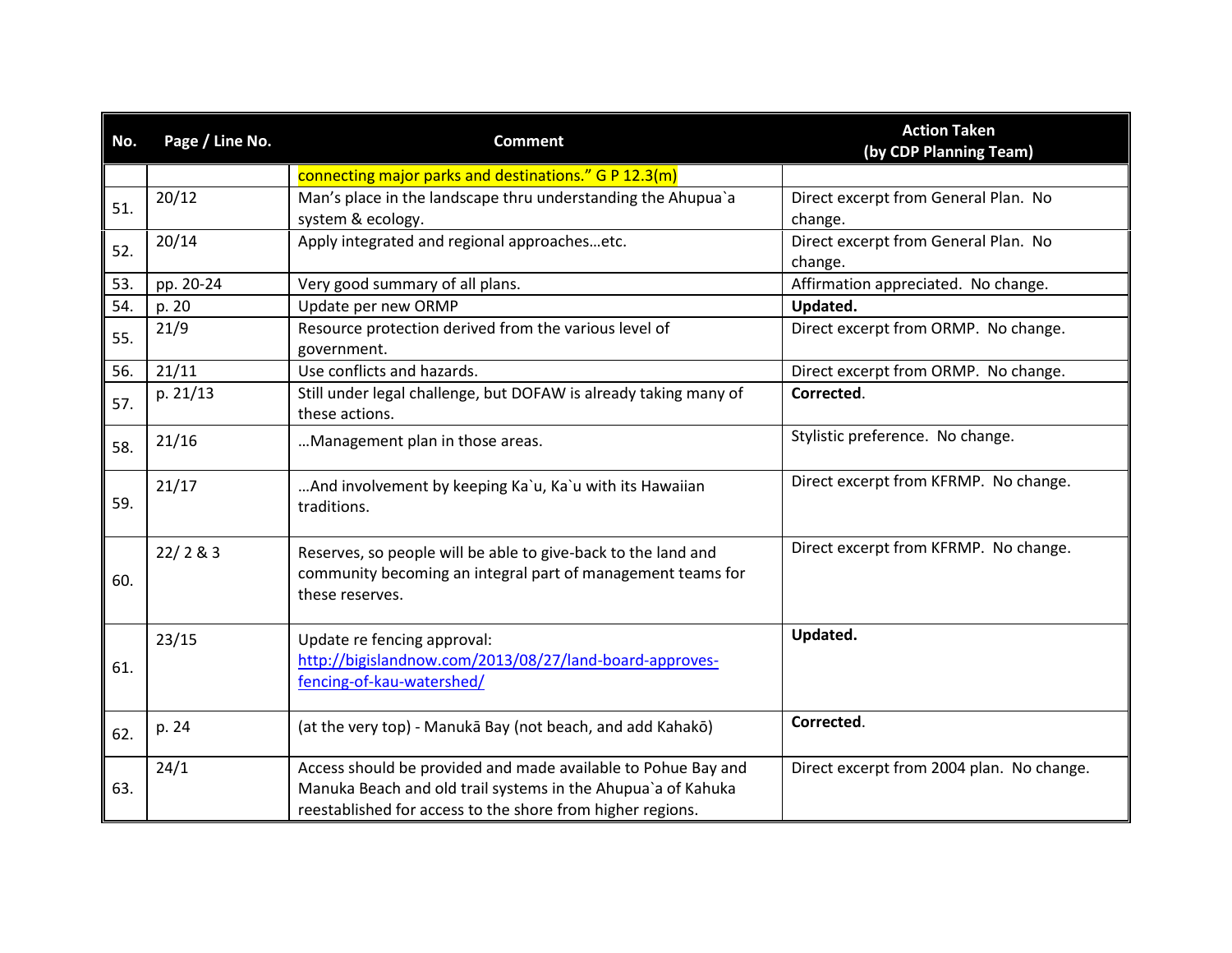| No. | Page / Line No. | <b>Comment</b>                                                                                                                                                                              | <b>Action Taken</b><br>(by CDP Planning Team) |
|-----|-----------------|---------------------------------------------------------------------------------------------------------------------------------------------------------------------------------------------|-----------------------------------------------|
|     |                 | connecting major parks and destinations." G P 12.3(m)                                                                                                                                       |                                               |
| 51. | 20/12           | Man's place in the landscape thru understanding the Ahupua'a                                                                                                                                | Direct excerpt from General Plan. No          |
|     |                 | system & ecology.                                                                                                                                                                           | change.                                       |
| 52. | 20/14           | Apply integrated and regional approachesetc.                                                                                                                                                | Direct excerpt from General Plan. No          |
|     |                 |                                                                                                                                                                                             | change.                                       |
| 53. | pp. 20-24       | Very good summary of all plans.                                                                                                                                                             | Affirmation appreciated. No change.           |
| 54. | p. 20           | Update per new ORMP                                                                                                                                                                         | Updated.                                      |
| 55. | 21/9            | Resource protection derived from the various level of<br>government.                                                                                                                        | Direct excerpt from ORMP. No change.          |
| 56. | 21/11           | Use conflicts and hazards.                                                                                                                                                                  | Direct excerpt from ORMP. No change.          |
| 57. | p. 21/13        | Still under legal challenge, but DOFAW is already taking many of<br>these actions.                                                                                                          | Corrected.                                    |
| 58. | 21/16           | Management plan in those areas.                                                                                                                                                             | Stylistic preference. No change.              |
| 59. | 21/17           | And involvement by keeping Ka`u, Ka`u with its Hawaiian<br>traditions.                                                                                                                      | Direct excerpt from KFRMP. No change.         |
| 60. | 22/283          | Reserves, so people will be able to give-back to the land and<br>community becoming an integral part of management teams for<br>these reserves.                                             | Direct excerpt from KFRMP. No change.         |
| 61. | 23/15           | Update re fencing approval:<br>http://bigislandnow.com/2013/08/27/land-board-approves-<br>fencing-of-kau-watershed/                                                                         | Updated.                                      |
| 62. | p. 24           | (at the very top) - Manukā Bay (not beach, and add Kahakō)                                                                                                                                  | Corrected.                                    |
| 63. | 24/1            | Access should be provided and made available to Pohue Bay and<br>Manuka Beach and old trail systems in the Ahupua'a of Kahuka<br>reestablished for access to the shore from higher regions. | Direct excerpt from 2004 plan. No change.     |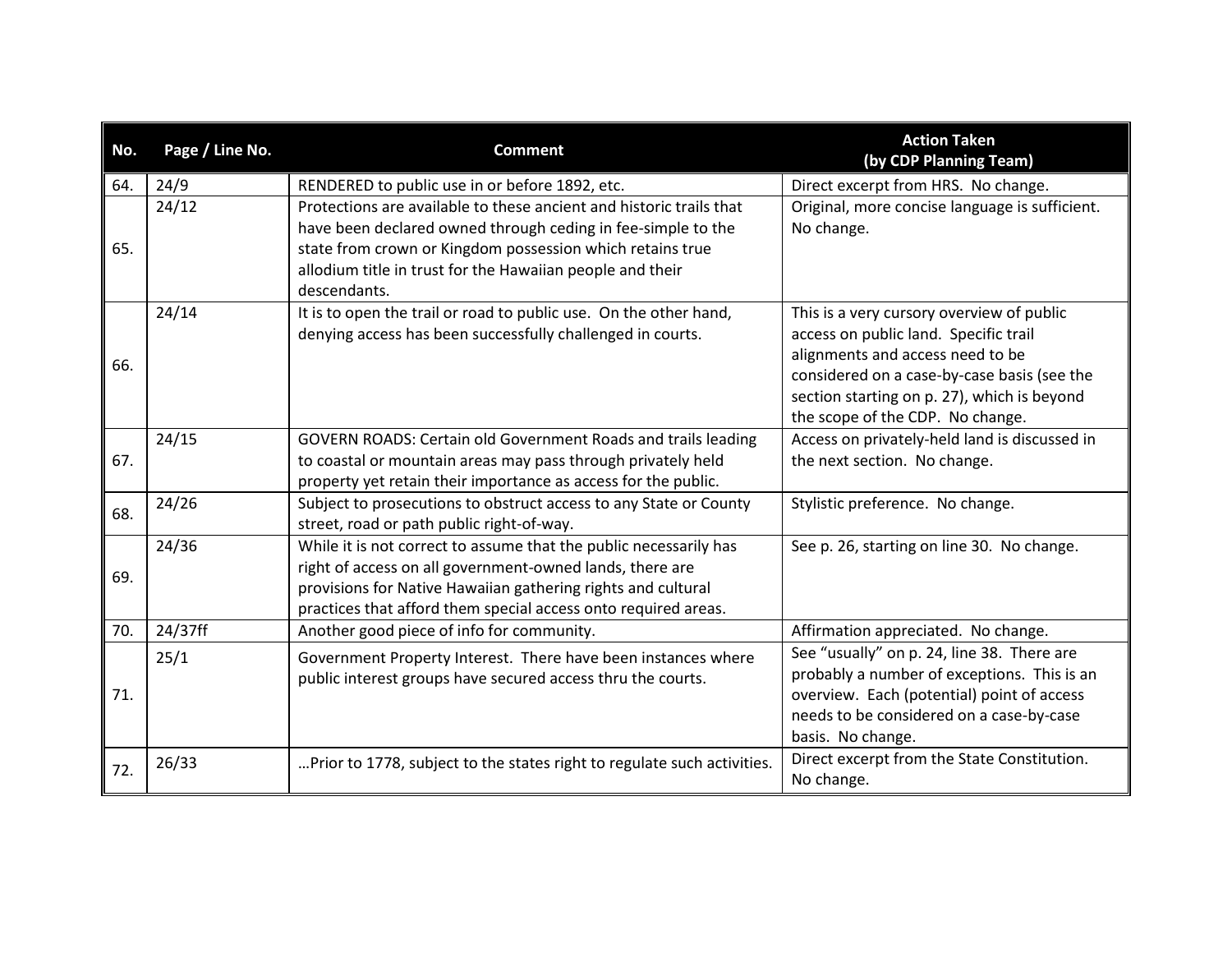| No. | Page / Line No. | <b>Comment</b>                                                                                                                                                                                                                                                                | <b>Action Taken</b><br>(by CDP Planning Team)                                                                                                                                                                                                            |
|-----|-----------------|-------------------------------------------------------------------------------------------------------------------------------------------------------------------------------------------------------------------------------------------------------------------------------|----------------------------------------------------------------------------------------------------------------------------------------------------------------------------------------------------------------------------------------------------------|
| 64. | 24/9            | RENDERED to public use in or before 1892, etc.                                                                                                                                                                                                                                | Direct excerpt from HRS. No change.                                                                                                                                                                                                                      |
| 65. | 24/12           | Protections are available to these ancient and historic trails that<br>have been declared owned through ceding in fee-simple to the<br>state from crown or Kingdom possession which retains true<br>allodium title in trust for the Hawaiian people and their<br>descendants. | Original, more concise language is sufficient.<br>No change.                                                                                                                                                                                             |
| 66. | 24/14           | It is to open the trail or road to public use. On the other hand,<br>denying access has been successfully challenged in courts.                                                                                                                                               | This is a very cursory overview of public<br>access on public land. Specific trail<br>alignments and access need to be<br>considered on a case-by-case basis (see the<br>section starting on p. 27), which is beyond<br>the scope of the CDP. No change. |
| 67. | 24/15           | GOVERN ROADS: Certain old Government Roads and trails leading<br>to coastal or mountain areas may pass through privately held<br>property yet retain their importance as access for the public.                                                                               | Access on privately-held land is discussed in<br>the next section. No change.                                                                                                                                                                            |
| 68. | 24/26           | Subject to prosecutions to obstruct access to any State or County<br>street, road or path public right-of-way.                                                                                                                                                                | Stylistic preference. No change.                                                                                                                                                                                                                         |
| 69. | 24/36           | While it is not correct to assume that the public necessarily has<br>right of access on all government-owned lands, there are<br>provisions for Native Hawaiian gathering rights and cultural<br>practices that afford them special access onto required areas.               | See p. 26, starting on line 30. No change.                                                                                                                                                                                                               |
| 70. | 24/37ff         | Another good piece of info for community.                                                                                                                                                                                                                                     | Affirmation appreciated. No change.                                                                                                                                                                                                                      |
| 71. | 25/1            | Government Property Interest. There have been instances where<br>public interest groups have secured access thru the courts.                                                                                                                                                  | See "usually" on p. 24, line 38. There are<br>probably a number of exceptions. This is an<br>overview. Each (potential) point of access<br>needs to be considered on a case-by-case<br>basis. No change.                                                 |
| 72. | 26/33           | Prior to 1778, subject to the states right to regulate such activities.                                                                                                                                                                                                       | Direct excerpt from the State Constitution.<br>No change.                                                                                                                                                                                                |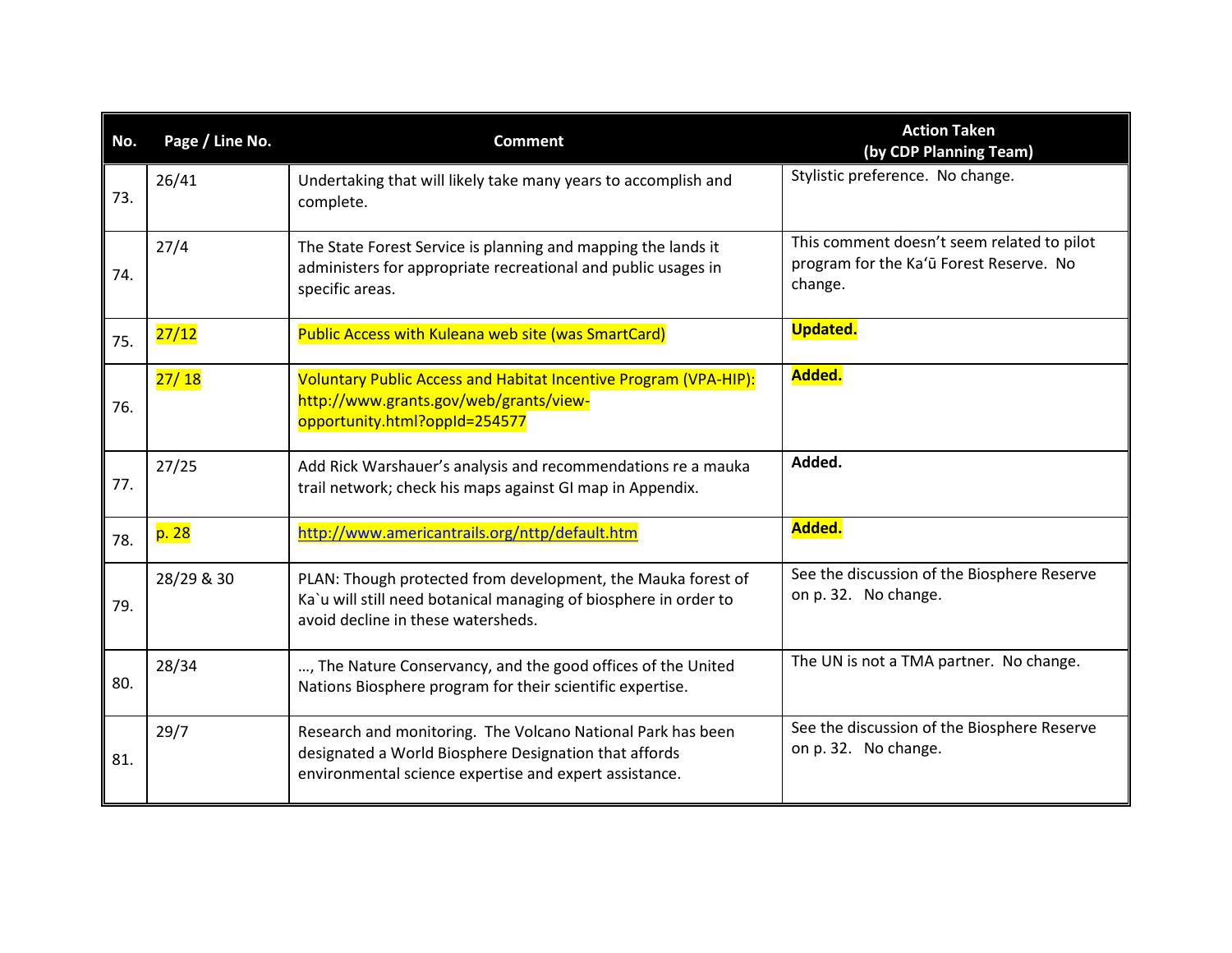| No. | Page / Line No. | <b>Comment</b>                                                                                                                                                                 | <b>Action Taken</b><br>(by CDP Planning Team)                                                    |
|-----|-----------------|--------------------------------------------------------------------------------------------------------------------------------------------------------------------------------|--------------------------------------------------------------------------------------------------|
| 73. | 26/41           | Undertaking that will likely take many years to accomplish and<br>complete.                                                                                                    | Stylistic preference. No change.                                                                 |
| 74. | 27/4            | The State Forest Service is planning and mapping the lands it<br>administers for appropriate recreational and public usages in<br>specific areas.                              | This comment doesn't seem related to pilot<br>program for the Ka'ū Forest Reserve. No<br>change. |
| 75. | 27/12           | Public Access with Kuleana web site (was SmartCard)                                                                                                                            | <b>Updated.</b>                                                                                  |
| 76. | 27/18           | Voluntary Public Access and Habitat Incentive Program (VPA-HIP):<br>http://www.grants.gov/web/grants/view-<br>opportunity.html?oppId=254577                                    | Added.                                                                                           |
| 77. | 27/25           | Add Rick Warshauer's analysis and recommendations re a mauka<br>trail network; check his maps against GI map in Appendix.                                                      | Added.                                                                                           |
| 78. | p. 28           | http://www.americantrails.org/nttp/default.htm                                                                                                                                 | Added.                                                                                           |
| 79. | 28/29 & 30      | PLAN: Though protected from development, the Mauka forest of<br>Ka'u will still need botanical managing of biosphere in order to<br>avoid decline in these watersheds.         | See the discussion of the Biosphere Reserve<br>on p. 32. No change.                              |
| 80. | 28/34           | , The Nature Conservancy, and the good offices of the United<br>Nations Biosphere program for their scientific expertise.                                                      | The UN is not a TMA partner. No change.                                                          |
| 81. | 29/7            | Research and monitoring. The Volcano National Park has been<br>designated a World Biosphere Designation that affords<br>environmental science expertise and expert assistance. | See the discussion of the Biosphere Reserve<br>on p. 32. No change.                              |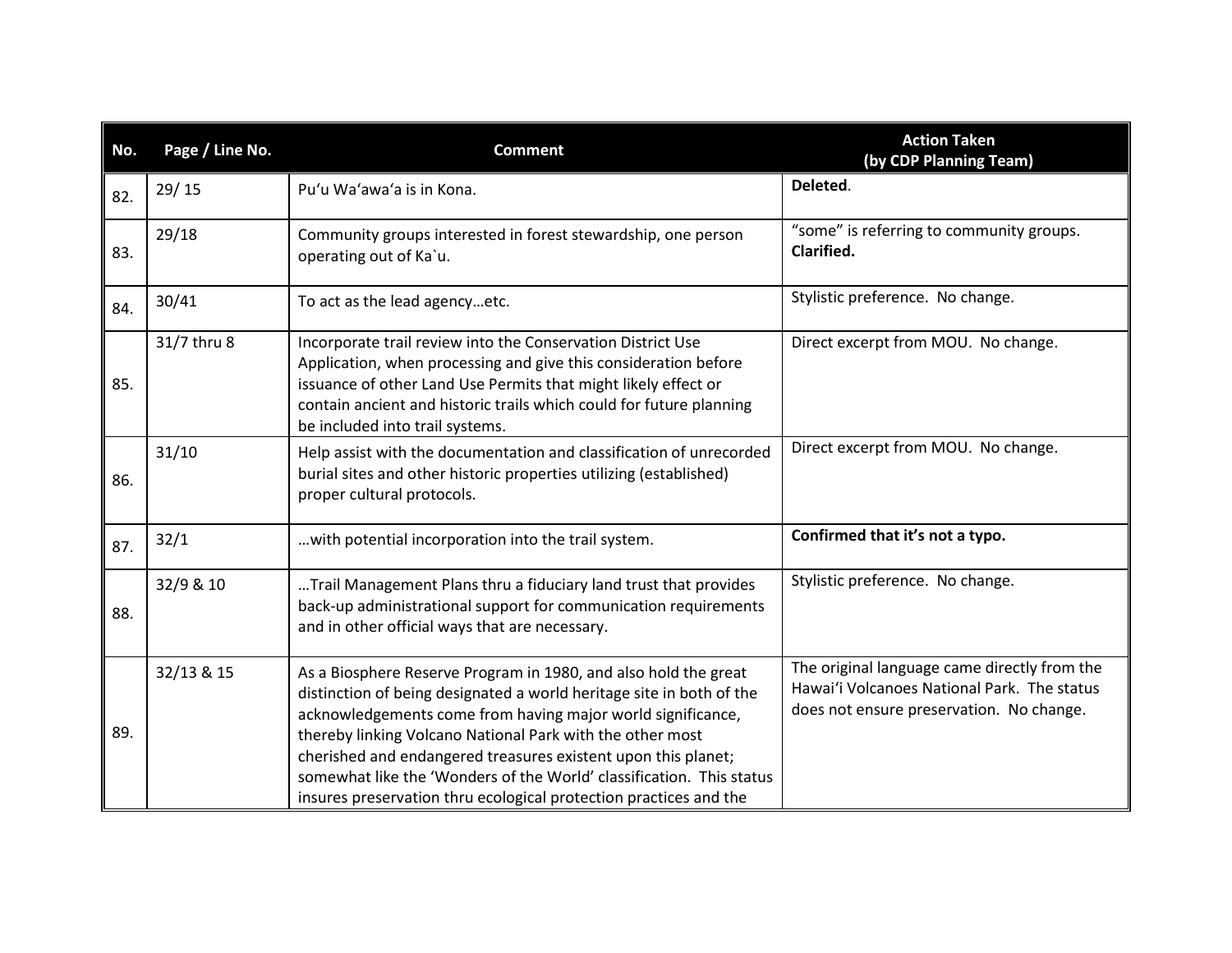| No. | Page / Line No. | <b>Comment</b>                                                                                                                                                                                                                                                                                                                                                                                                                                                                    | <b>Action Taken</b><br>(by CDP Planning Team)                                                                                           |
|-----|-----------------|-----------------------------------------------------------------------------------------------------------------------------------------------------------------------------------------------------------------------------------------------------------------------------------------------------------------------------------------------------------------------------------------------------------------------------------------------------------------------------------|-----------------------------------------------------------------------------------------------------------------------------------------|
| 82. | 29/15           | Pu'u Wa'awa'a is in Kona.                                                                                                                                                                                                                                                                                                                                                                                                                                                         | Deleted.                                                                                                                                |
| 83. | 29/18           | Community groups interested in forest stewardship, one person<br>operating out of Ka'u.                                                                                                                                                                                                                                                                                                                                                                                           | "some" is referring to community groups.<br>Clarified.                                                                                  |
| 84. | 30/41           | To act as the lead agencyetc.                                                                                                                                                                                                                                                                                                                                                                                                                                                     | Stylistic preference. No change.                                                                                                        |
| 85. | 31/7 thru 8     | Incorporate trail review into the Conservation District Use<br>Application, when processing and give this consideration before<br>issuance of other Land Use Permits that might likely effect or<br>contain ancient and historic trails which could for future planning<br>be included into trail systems.                                                                                                                                                                        | Direct excerpt from MOU. No change.                                                                                                     |
| 86. | 31/10           | Help assist with the documentation and classification of unrecorded<br>burial sites and other historic properties utilizing (established)<br>proper cultural protocols.                                                                                                                                                                                                                                                                                                           | Direct excerpt from MOU. No change.                                                                                                     |
| 87. | 32/1            | with potential incorporation into the trail system.                                                                                                                                                                                                                                                                                                                                                                                                                               | Confirmed that it's not a typo.                                                                                                         |
| 88. | 32/9 & 10       | Trail Management Plans thru a fiduciary land trust that provides<br>back-up administrational support for communication requirements<br>and in other official ways that are necessary.                                                                                                                                                                                                                                                                                             | Stylistic preference. No change.                                                                                                        |
| 89. | 32/13 & 15      | As a Biosphere Reserve Program in 1980, and also hold the great<br>distinction of being designated a world heritage site in both of the<br>acknowledgements come from having major world significance,<br>thereby linking Volcano National Park with the other most<br>cherished and endangered treasures existent upon this planet;<br>somewhat like the 'Wonders of the World' classification. This status<br>insures preservation thru ecological protection practices and the | The original language came directly from the<br>Hawai'i Volcanoes National Park. The status<br>does not ensure preservation. No change. |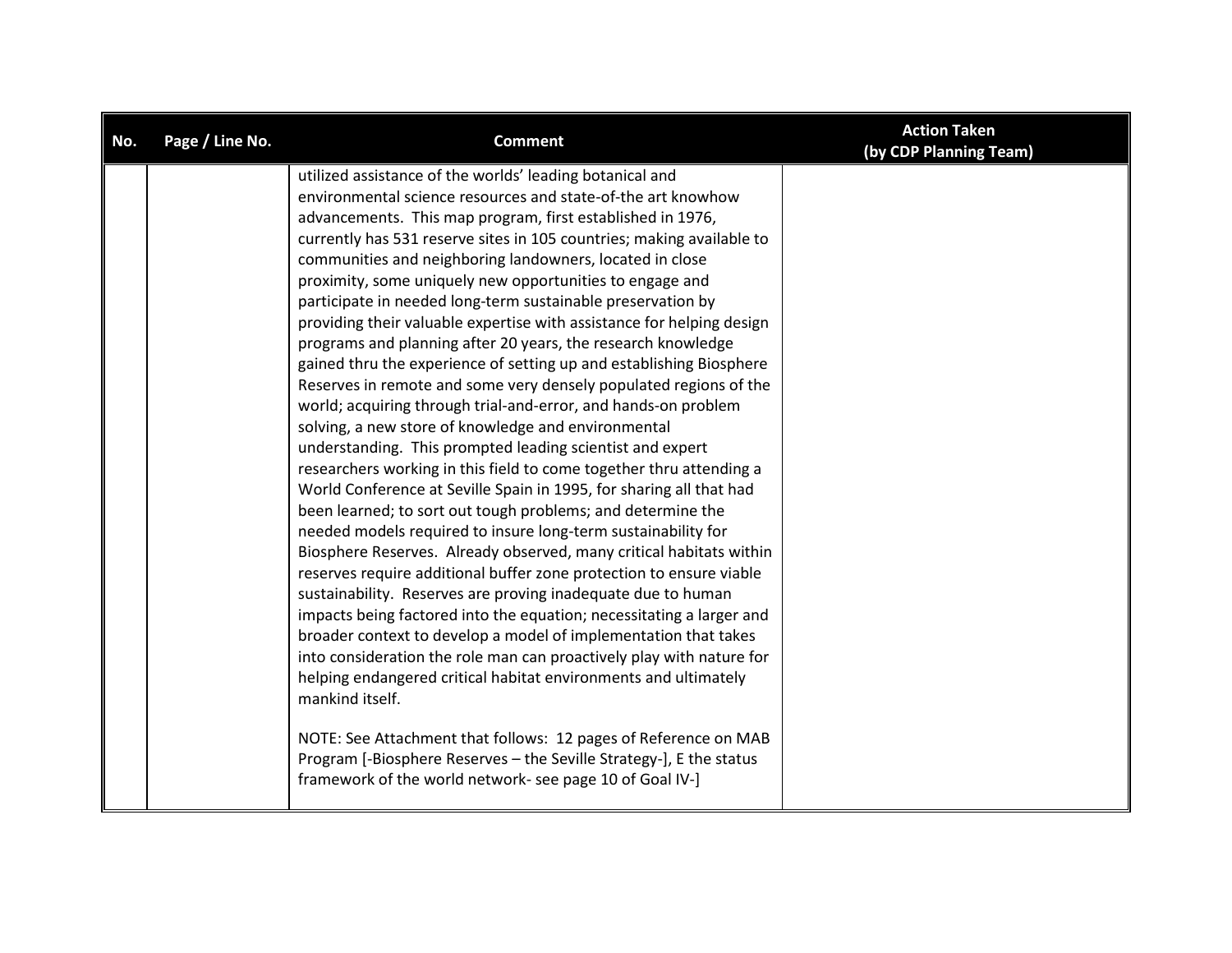| No. | Page / Line No. | <b>Comment</b>                                                        | <b>Action Taken</b><br>(by CDP Planning Team) |
|-----|-----------------|-----------------------------------------------------------------------|-----------------------------------------------|
|     |                 | utilized assistance of the worlds' leading botanical and              |                                               |
|     |                 | environmental science resources and state-of-the art knowhow          |                                               |
|     |                 | advancements. This map program, first established in 1976,            |                                               |
|     |                 | currently has 531 reserve sites in 105 countries; making available to |                                               |
|     |                 | communities and neighboring landowners, located in close              |                                               |
|     |                 | proximity, some uniquely new opportunities to engage and              |                                               |
|     |                 | participate in needed long-term sustainable preservation by           |                                               |
|     |                 | providing their valuable expertise with assistance for helping design |                                               |
|     |                 | programs and planning after 20 years, the research knowledge          |                                               |
|     |                 | gained thru the experience of setting up and establishing Biosphere   |                                               |
|     |                 | Reserves in remote and some very densely populated regions of the     |                                               |
|     |                 | world; acquiring through trial-and-error, and hands-on problem        |                                               |
|     |                 | solving, a new store of knowledge and environmental                   |                                               |
|     |                 | understanding. This prompted leading scientist and expert             |                                               |
|     |                 | researchers working in this field to come together thru attending a   |                                               |
|     |                 | World Conference at Seville Spain in 1995, for sharing all that had   |                                               |
|     |                 | been learned; to sort out tough problems; and determine the           |                                               |
|     |                 | needed models required to insure long-term sustainability for         |                                               |
|     |                 | Biosphere Reserves. Already observed, many critical habitats within   |                                               |
|     |                 | reserves require additional buffer zone protection to ensure viable   |                                               |
|     |                 | sustainability. Reserves are proving inadequate due to human          |                                               |
|     |                 | impacts being factored into the equation; necessitating a larger and  |                                               |
|     |                 | broader context to develop a model of implementation that takes       |                                               |
|     |                 | into consideration the role man can proactively play with nature for  |                                               |
|     |                 | helping endangered critical habitat environments and ultimately       |                                               |
|     |                 | mankind itself.                                                       |                                               |
|     |                 | NOTE: See Attachment that follows: 12 pages of Reference on MAB       |                                               |
|     |                 | Program [-Biosphere Reserves - the Seville Strategy-], E the status   |                                               |
|     |                 | framework of the world network- see page 10 of Goal IV-]              |                                               |
|     |                 |                                                                       |                                               |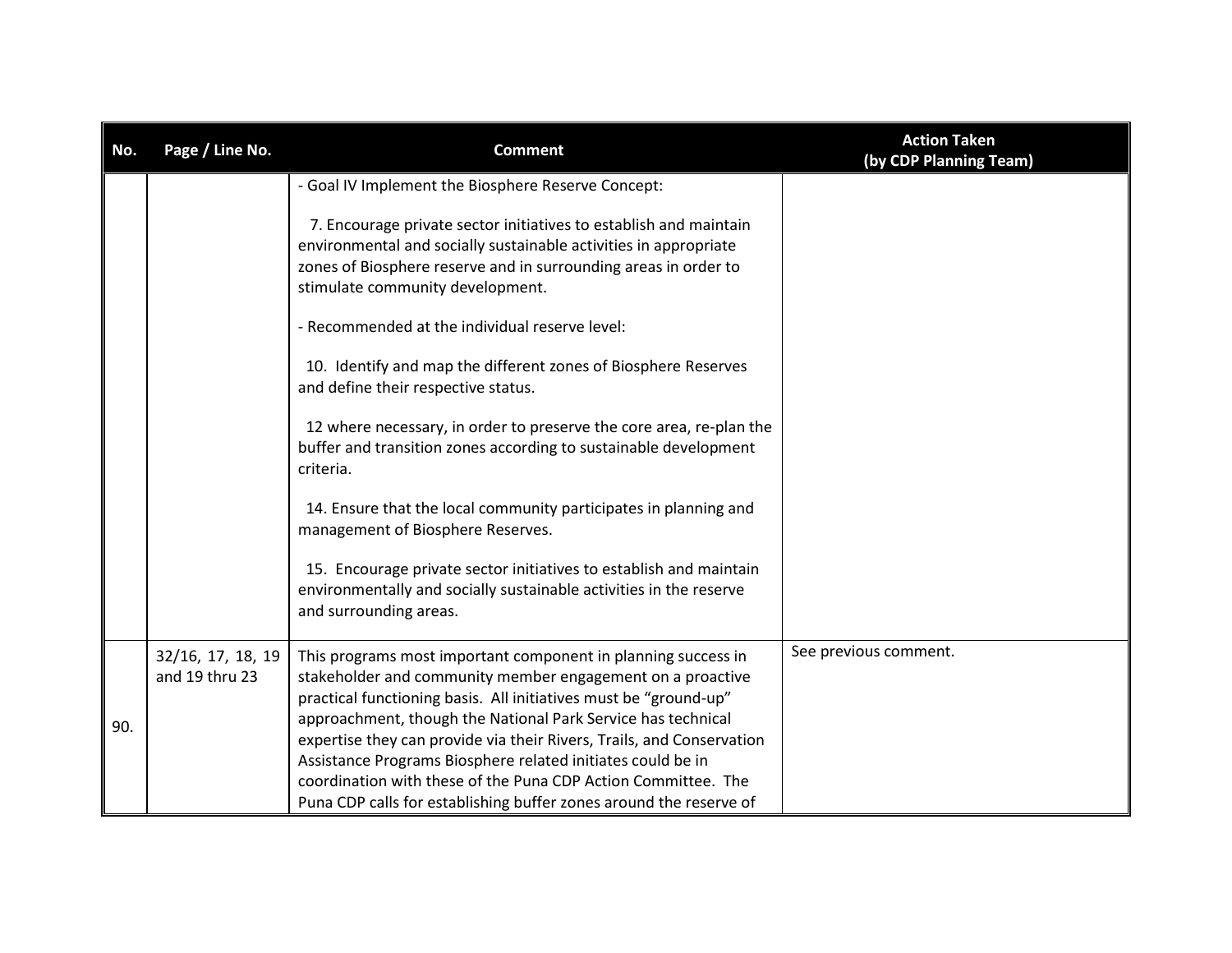| No. | Page / Line No.                     | <b>Comment</b>                                                                                                                                                                                                                                                                                                                                                                                                                                                                                                                                                                                                                                                                                                                                                                                                                                                             | <b>Action Taken</b><br>(by CDP Planning Team) |
|-----|-------------------------------------|----------------------------------------------------------------------------------------------------------------------------------------------------------------------------------------------------------------------------------------------------------------------------------------------------------------------------------------------------------------------------------------------------------------------------------------------------------------------------------------------------------------------------------------------------------------------------------------------------------------------------------------------------------------------------------------------------------------------------------------------------------------------------------------------------------------------------------------------------------------------------|-----------------------------------------------|
|     |                                     | - Goal IV Implement the Biosphere Reserve Concept:<br>7. Encourage private sector initiatives to establish and maintain<br>environmental and socially sustainable activities in appropriate<br>zones of Biosphere reserve and in surrounding areas in order to<br>stimulate community development.<br>- Recommended at the individual reserve level:<br>10. Identify and map the different zones of Biosphere Reserves<br>and define their respective status.<br>12 where necessary, in order to preserve the core area, re-plan the<br>buffer and transition zones according to sustainable development<br>criteria.<br>14. Ensure that the local community participates in planning and<br>management of Biosphere Reserves.<br>15. Encourage private sector initiatives to establish and maintain<br>environmentally and socially sustainable activities in the reserve |                                               |
| 90. | 32/16, 17, 18, 19<br>and 19 thru 23 | and surrounding areas.<br>This programs most important component in planning success in<br>stakeholder and community member engagement on a proactive<br>practical functioning basis. All initiatives must be "ground-up"<br>approachment, though the National Park Service has technical<br>expertise they can provide via their Rivers, Trails, and Conservation<br>Assistance Programs Biosphere related initiates could be in<br>coordination with these of the Puna CDP Action Committee. The<br>Puna CDP calls for establishing buffer zones around the reserve of                                                                                                                                                                                                                                                                                                   | See previous comment.                         |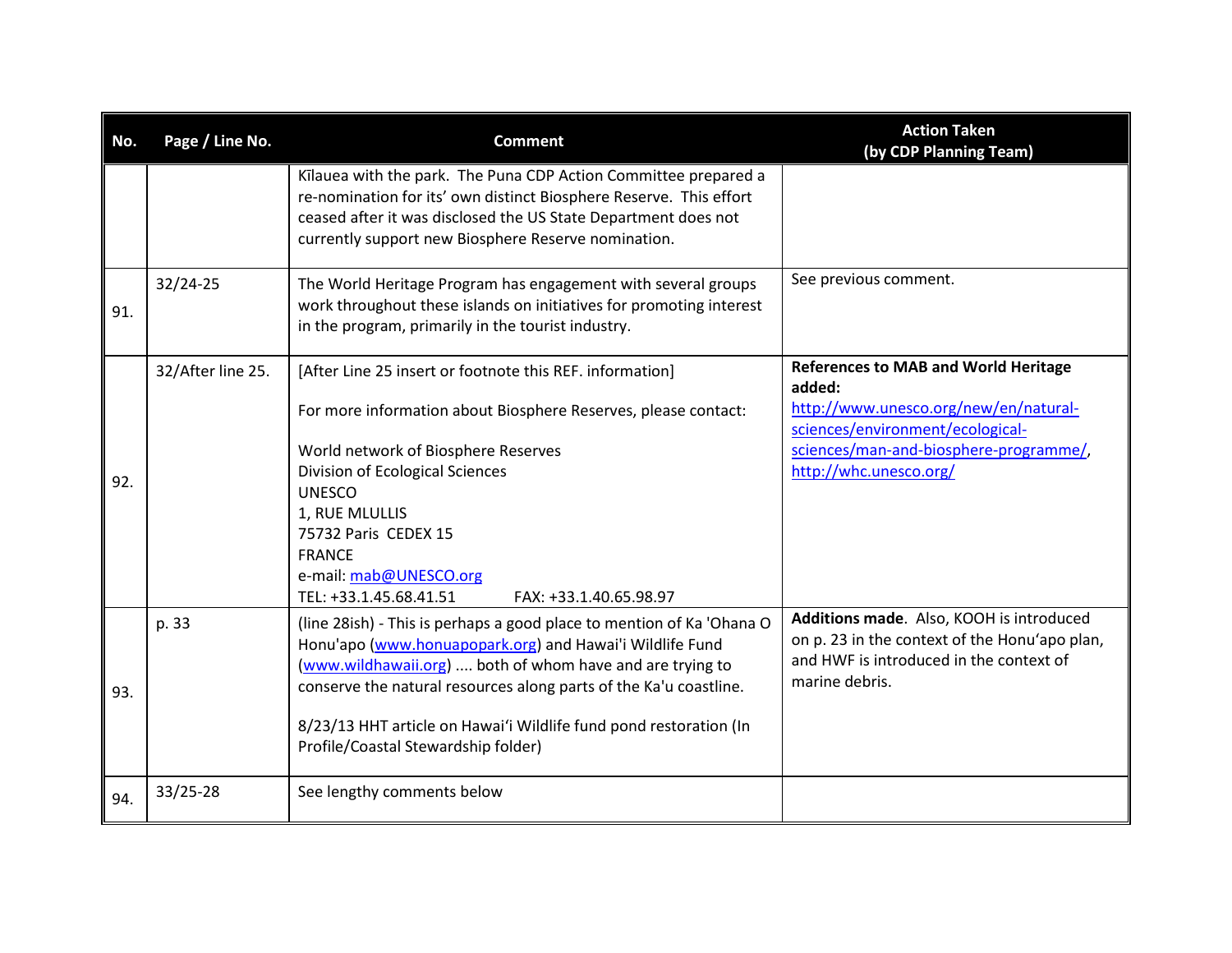| No. | Page / Line No.   | <b>Comment</b>                                                                                                                                                                                                                                                      | <b>Action Taken</b><br>(by CDP Planning Team)                                                                                                          |
|-----|-------------------|---------------------------------------------------------------------------------------------------------------------------------------------------------------------------------------------------------------------------------------------------------------------|--------------------------------------------------------------------------------------------------------------------------------------------------------|
|     |                   | Kilauea with the park. The Puna CDP Action Committee prepared a<br>re-nomination for its' own distinct Biosphere Reserve. This effort<br>ceased after it was disclosed the US State Department does not<br>currently support new Biosphere Reserve nomination.      |                                                                                                                                                        |
| 91. | 32/24-25          | The World Heritage Program has engagement with several groups<br>work throughout these islands on initiatives for promoting interest<br>in the program, primarily in the tourist industry.                                                                          | See previous comment.                                                                                                                                  |
|     | 32/After line 25. | [After Line 25 insert or footnote this REF. information]                                                                                                                                                                                                            | <b>References to MAB and World Heritage</b><br>added:                                                                                                  |
|     |                   | For more information about Biosphere Reserves, please contact:                                                                                                                                                                                                      | http://www.unesco.org/new/en/natural-<br>sciences/environment/ecological-                                                                              |
|     |                   | World network of Biosphere Reserves                                                                                                                                                                                                                                 | sciences/man-and-biosphere-programme/,                                                                                                                 |
| 92. |                   | Division of Ecological Sciences                                                                                                                                                                                                                                     | http://whc.unesco.org/                                                                                                                                 |
|     |                   | <b>UNESCO</b>                                                                                                                                                                                                                                                       |                                                                                                                                                        |
|     |                   | 1, RUE MLULLIS                                                                                                                                                                                                                                                      |                                                                                                                                                        |
|     |                   | 75732 Paris CEDEX 15                                                                                                                                                                                                                                                |                                                                                                                                                        |
|     |                   | <b>FRANCE</b>                                                                                                                                                                                                                                                       |                                                                                                                                                        |
|     |                   | e-mail: mab@UNESCO.org                                                                                                                                                                                                                                              |                                                                                                                                                        |
|     |                   | TEL: +33.1.45.68.41.51<br>FAX: +33.1.40.65.98.97                                                                                                                                                                                                                    |                                                                                                                                                        |
| 93. | p. 33             | (line 28ish) - This is perhaps a good place to mention of Ka 'Ohana O<br>Honu'apo (www.honuapopark.org) and Hawai'i Wildlife Fund<br>(www.wildhawaii.org)  both of whom have and are trying to<br>conserve the natural resources along parts of the Ka'u coastline. | Additions made. Also, KOOH is introduced<br>on p. 23 in the context of the Honu'apo plan,<br>and HWF is introduced in the context of<br>marine debris. |
|     |                   | 8/23/13 HHT article on Hawai'i Wildlife fund pond restoration (In<br>Profile/Coastal Stewardship folder)                                                                                                                                                            |                                                                                                                                                        |
| 94. | 33/25-28          | See lengthy comments below                                                                                                                                                                                                                                          |                                                                                                                                                        |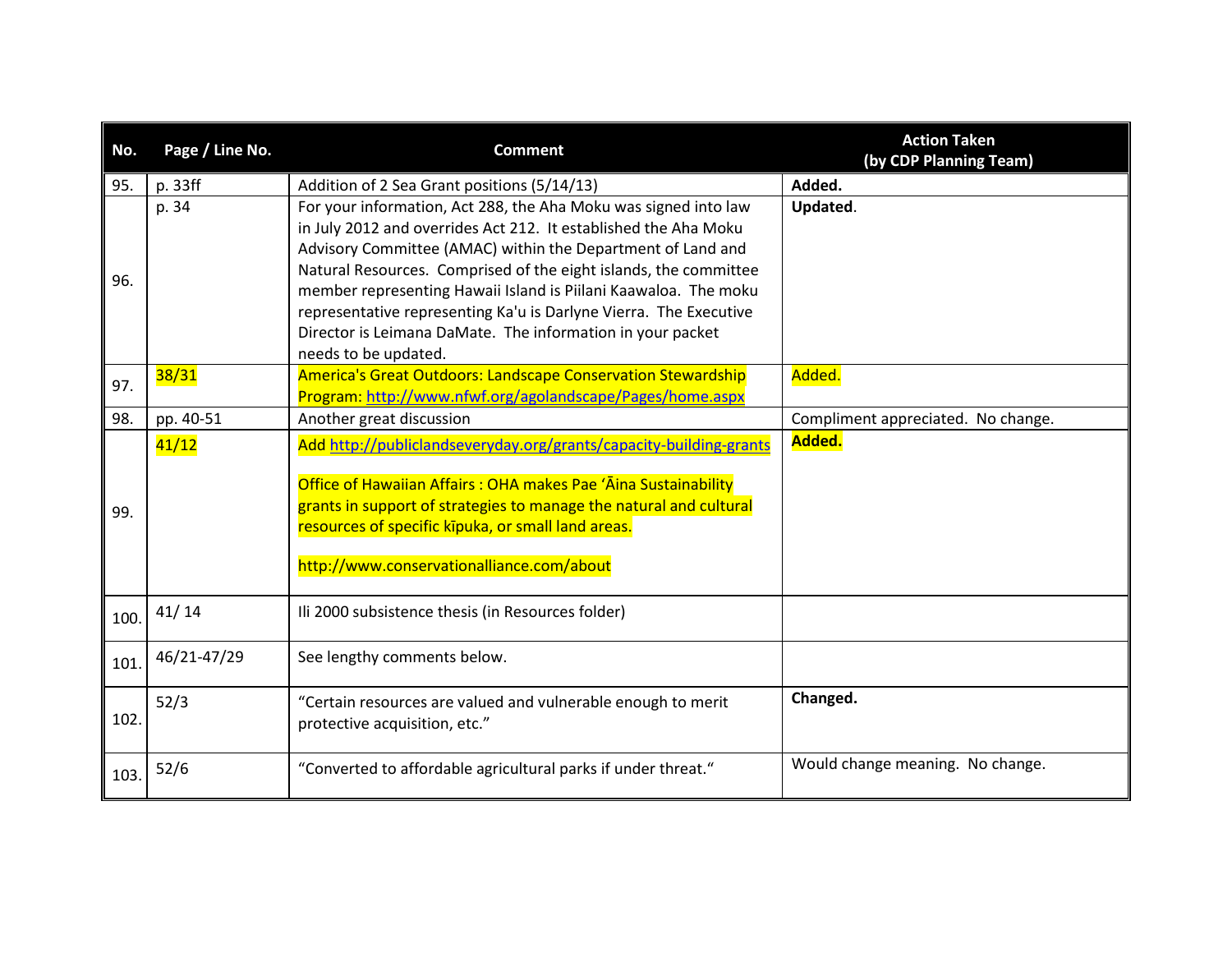| No.  | Page / Line No. | <b>Comment</b>                                                                                                                                                                                                                                                                                                                                                                                                                                                                                      | <b>Action Taken</b><br>(by CDP Planning Team) |
|------|-----------------|-----------------------------------------------------------------------------------------------------------------------------------------------------------------------------------------------------------------------------------------------------------------------------------------------------------------------------------------------------------------------------------------------------------------------------------------------------------------------------------------------------|-----------------------------------------------|
| 95.  | p. 33ff         | Addition of 2 Sea Grant positions (5/14/13)                                                                                                                                                                                                                                                                                                                                                                                                                                                         | Added.                                        |
| 96.  | p. 34           | For your information, Act 288, the Aha Moku was signed into law<br>in July 2012 and overrides Act 212. It established the Aha Moku<br>Advisory Committee (AMAC) within the Department of Land and<br>Natural Resources. Comprised of the eight islands, the committee<br>member representing Hawaii Island is Piilani Kaawaloa. The moku<br>representative representing Ka'u is Darlyne Vierra. The Executive<br>Director is Leimana DaMate. The information in your packet<br>needs to be updated. | Updated.                                      |
| 97.  | 38/31           | America's Great Outdoors: Landscape Conservation Stewardship<br>Program: http://www.nfwf.org/agolandscape/Pages/home.aspx                                                                                                                                                                                                                                                                                                                                                                           | Added.                                        |
| 98.  | pp. 40-51       | Another great discussion                                                                                                                                                                                                                                                                                                                                                                                                                                                                            | Compliment appreciated. No change.            |
| 99.  | 41/12           | Add http://publiclandseveryday.org/grants/capacity-building-grants<br>Office of Hawaiian Affairs: OHA makes Pae 'Aina Sustainability<br>grants in support of strategies to manage the natural and cultural<br>resources of specific kipuka, or small land areas.<br>http://www.conservationalliance.com/about                                                                                                                                                                                       | Added.                                        |
| 100. | 41/14           | Ili 2000 subsistence thesis (in Resources folder)                                                                                                                                                                                                                                                                                                                                                                                                                                                   |                                               |
| 101. | 46/21-47/29     | See lengthy comments below.                                                                                                                                                                                                                                                                                                                                                                                                                                                                         |                                               |
| 102  | 52/3            | "Certain resources are valued and vulnerable enough to merit<br>protective acquisition, etc."                                                                                                                                                                                                                                                                                                                                                                                                       | Changed.                                      |
| 103. | 52/6            | "Converted to affordable agricultural parks if under threat."                                                                                                                                                                                                                                                                                                                                                                                                                                       | Would change meaning. No change.              |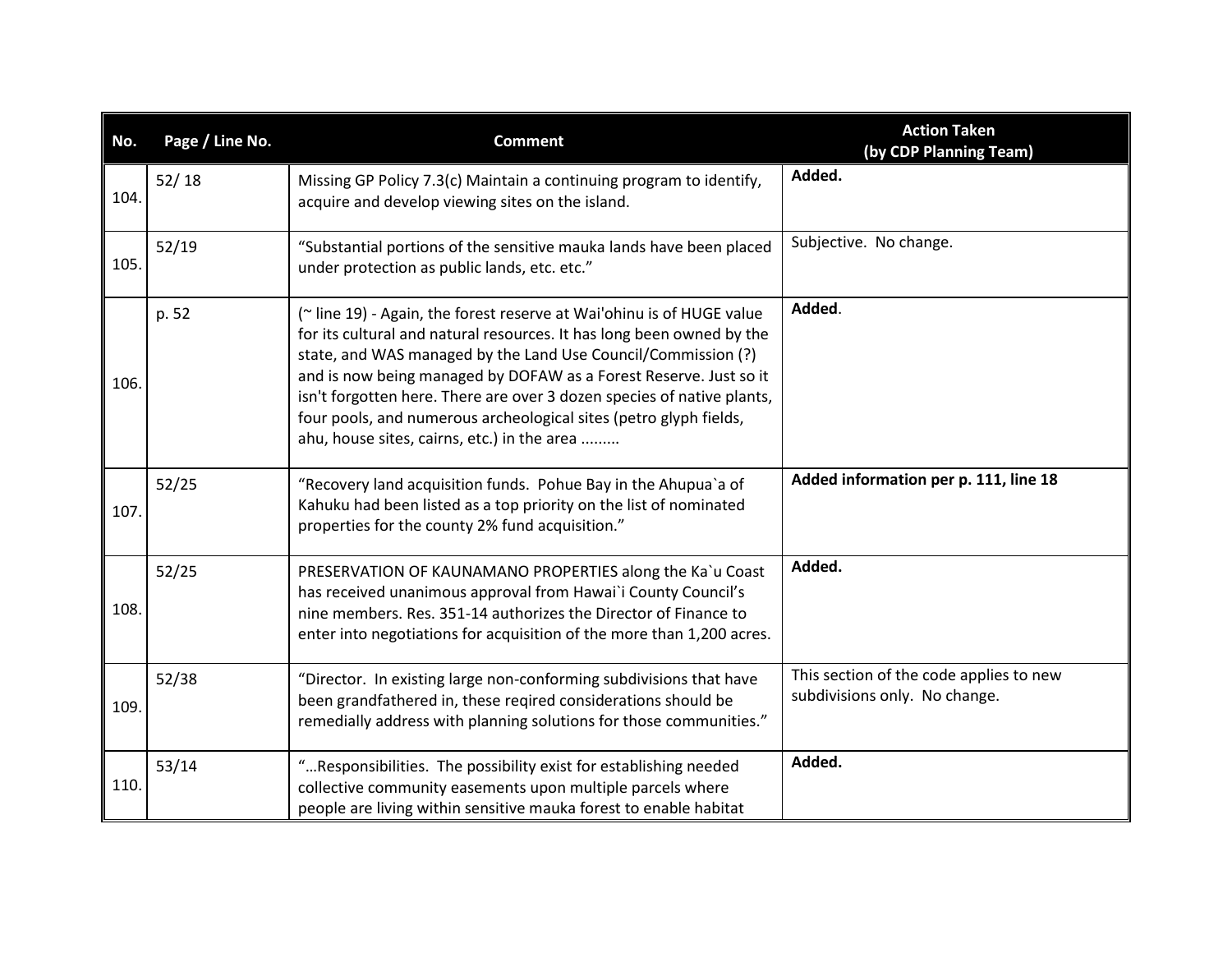| No.  | Page / Line No. | <b>Comment</b>                                                                                                                                                                                                                                                                                                                                                                                                                                                                     | <b>Action Taken</b><br>(by CDP Planning Team)                            |
|------|-----------------|------------------------------------------------------------------------------------------------------------------------------------------------------------------------------------------------------------------------------------------------------------------------------------------------------------------------------------------------------------------------------------------------------------------------------------------------------------------------------------|--------------------------------------------------------------------------|
| 104. | 52/18           | Missing GP Policy 7.3(c) Maintain a continuing program to identify,<br>acquire and develop viewing sites on the island.                                                                                                                                                                                                                                                                                                                                                            | Added.                                                                   |
| 105. | 52/19           | "Substantial portions of the sensitive mauka lands have been placed<br>under protection as public lands, etc. etc."                                                                                                                                                                                                                                                                                                                                                                | Subjective. No change.                                                   |
| 106. | p. 52           | (~ line 19) - Again, the forest reserve at Wai'ohinu is of HUGE value<br>for its cultural and natural resources. It has long been owned by the<br>state, and WAS managed by the Land Use Council/Commission (?)<br>and is now being managed by DOFAW as a Forest Reserve. Just so it<br>isn't forgotten here. There are over 3 dozen species of native plants,<br>four pools, and numerous archeological sites (petro glyph fields,<br>ahu, house sites, cairns, etc.) in the area | Added.                                                                   |
| 107. | 52/25           | "Recovery land acquisition funds. Pohue Bay in the Ahupua'a of<br>Kahuku had been listed as a top priority on the list of nominated<br>properties for the county 2% fund acquisition."                                                                                                                                                                                                                                                                                             | Added information per p. 111, line 18                                    |
| 108. | 52/25           | PRESERVATION OF KAUNAMANO PROPERTIES along the Ka`u Coast<br>has received unanimous approval from Hawai'i County Council's<br>nine members. Res. 351-14 authorizes the Director of Finance to<br>enter into negotiations for acquisition of the more than 1,200 acres.                                                                                                                                                                                                             | Added.                                                                   |
| 109. | 52/38           | "Director. In existing large non-conforming subdivisions that have<br>been grandfathered in, these reqired considerations should be<br>remedially address with planning solutions for those communities."                                                                                                                                                                                                                                                                          | This section of the code applies to new<br>subdivisions only. No change. |
| 110. | 53/14           | "Responsibilities. The possibility exist for establishing needed<br>collective community easements upon multiple parcels where<br>people are living within sensitive mauka forest to enable habitat                                                                                                                                                                                                                                                                                | Added.                                                                   |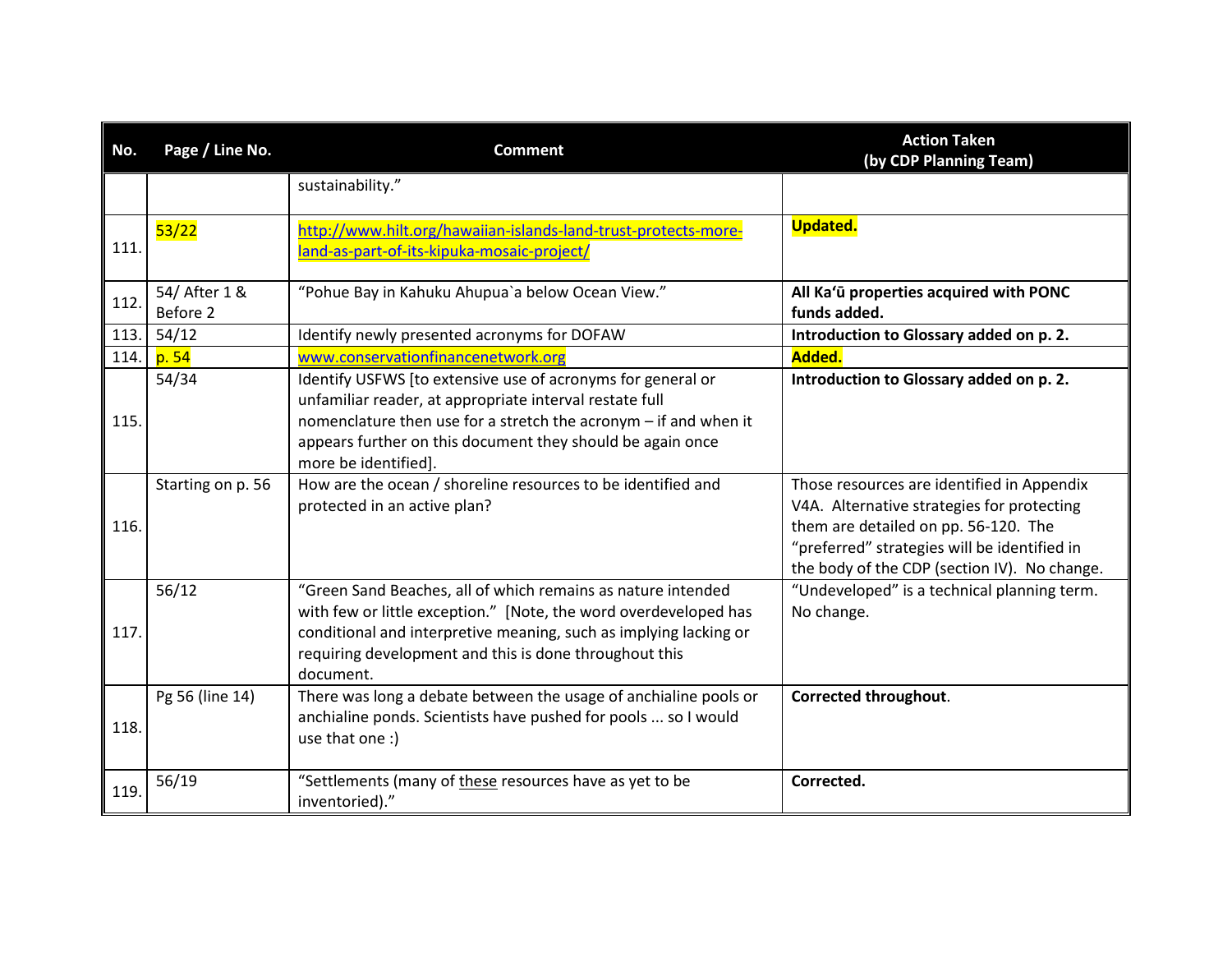| No.  | Page / Line No.           | <b>Comment</b>                                                                                                                                                                                                                                                                   | <b>Action Taken</b><br>(by CDP Planning Team)                                                                                                                                                                                    |
|------|---------------------------|----------------------------------------------------------------------------------------------------------------------------------------------------------------------------------------------------------------------------------------------------------------------------------|----------------------------------------------------------------------------------------------------------------------------------------------------------------------------------------------------------------------------------|
|      |                           | sustainability."                                                                                                                                                                                                                                                                 |                                                                                                                                                                                                                                  |
| 111. | 53/22                     | http://www.hilt.org/hawaiian-islands-land-trust-protects-more-<br>land-as-part-of-its-kipuka-mosaic-project/                                                                                                                                                                     | <b>Updated.</b>                                                                                                                                                                                                                  |
| 112. | 54/ After 1 &<br>Before 2 | "Pohue Bay in Kahuku Ahupua'a below Ocean View."                                                                                                                                                                                                                                 | All Ka'ū properties acquired with PONC<br>funds added.                                                                                                                                                                           |
| 113. | 54/12                     | Identify newly presented acronyms for DOFAW                                                                                                                                                                                                                                      | Introduction to Glossary added on p. 2.                                                                                                                                                                                          |
| 114. | p. 54                     | www.conservationfinancenetwork.org                                                                                                                                                                                                                                               | Added.                                                                                                                                                                                                                           |
| 115. | 54/34                     | Identify USFWS [to extensive use of acronyms for general or<br>unfamiliar reader, at appropriate interval restate full<br>nomenclature then use for a stretch the acronym - if and when it<br>appears further on this document they should be again once<br>more be identified]. | Introduction to Glossary added on p. 2.                                                                                                                                                                                          |
| 116. | Starting on p. 56         | How are the ocean / shoreline resources to be identified and<br>protected in an active plan?                                                                                                                                                                                     | Those resources are identified in Appendix<br>V4A. Alternative strategies for protecting<br>them are detailed on pp. 56-120. The<br>"preferred" strategies will be identified in<br>the body of the CDP (section IV). No change. |
| 117. | 56/12                     | "Green Sand Beaches, all of which remains as nature intended<br>with few or little exception." [Note, the word overdeveloped has<br>conditional and interpretive meaning, such as implying lacking or<br>requiring development and this is done throughout this<br>document.     | "Undeveloped" is a technical planning term.<br>No change.                                                                                                                                                                        |
| 118. | Pg 56 (line 14)           | There was long a debate between the usage of anchialine pools or<br>anchialine ponds. Scientists have pushed for pools  so I would<br>use that one :)                                                                                                                            | Corrected throughout.                                                                                                                                                                                                            |
| 119. | 56/19                     | "Settlements (many of these resources have as yet to be<br>inventoried)."                                                                                                                                                                                                        | Corrected.                                                                                                                                                                                                                       |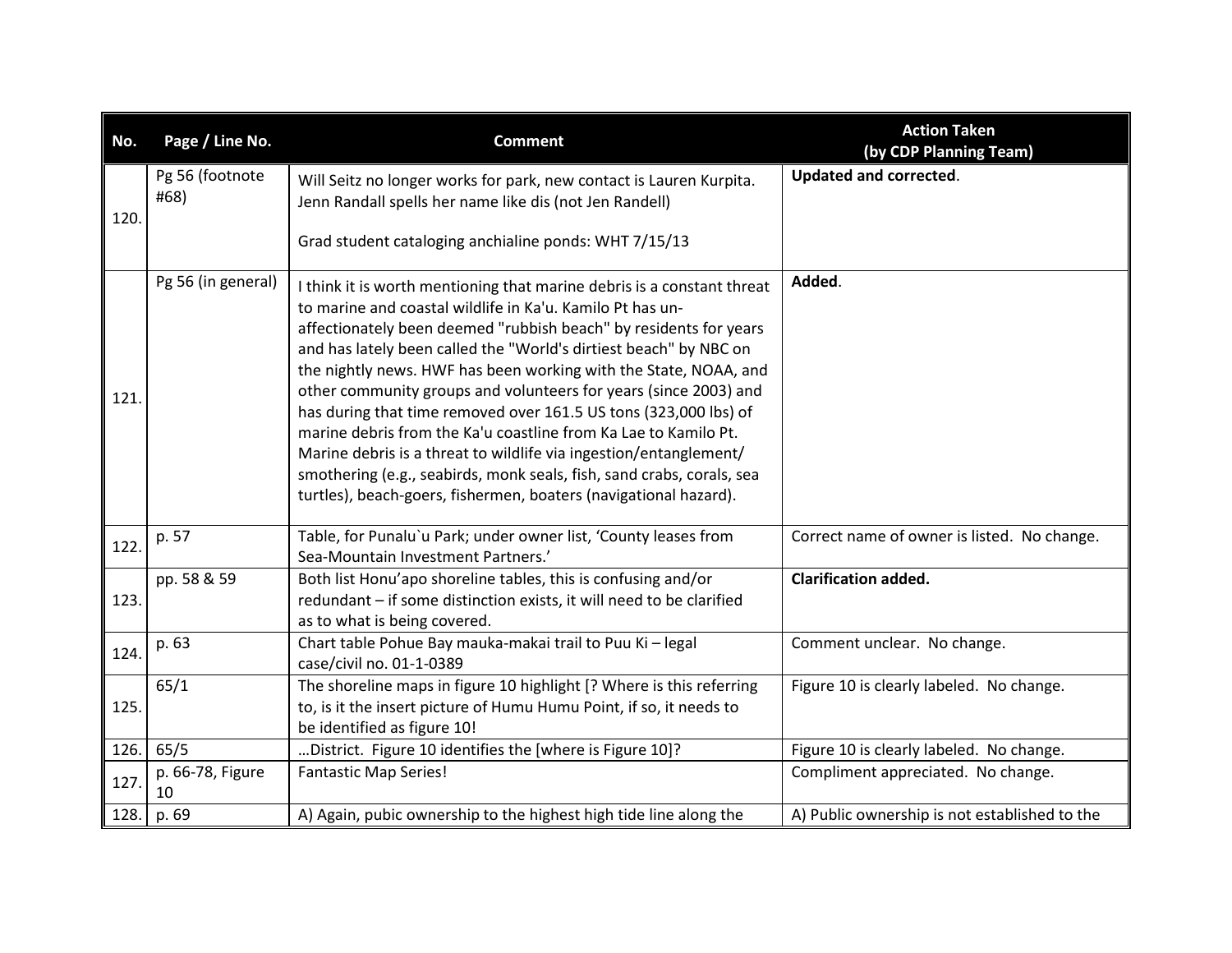| No.  | Page / Line No.         | <b>Comment</b>                                                                                                                                                                                                                                                                                                                                                                                                                                                                                                                                                                                                                                                                                                                                                                 | <b>Action Taken</b><br>(by CDP Planning Team) |
|------|-------------------------|--------------------------------------------------------------------------------------------------------------------------------------------------------------------------------------------------------------------------------------------------------------------------------------------------------------------------------------------------------------------------------------------------------------------------------------------------------------------------------------------------------------------------------------------------------------------------------------------------------------------------------------------------------------------------------------------------------------------------------------------------------------------------------|-----------------------------------------------|
| 120. | Pg 56 (footnote<br>#68) | Will Seitz no longer works for park, new contact is Lauren Kurpita.<br>Jenn Randall spells her name like dis (not Jen Randell)                                                                                                                                                                                                                                                                                                                                                                                                                                                                                                                                                                                                                                                 | <b>Updated and corrected.</b>                 |
|      |                         | Grad student cataloging anchialine ponds: WHT 7/15/13                                                                                                                                                                                                                                                                                                                                                                                                                                                                                                                                                                                                                                                                                                                          |                                               |
| 121. | Pg 56 (in general)      | I think it is worth mentioning that marine debris is a constant threat<br>to marine and coastal wildlife in Ka'u. Kamilo Pt has un-<br>affectionately been deemed "rubbish beach" by residents for years<br>and has lately been called the "World's dirtiest beach" by NBC on<br>the nightly news. HWF has been working with the State, NOAA, and<br>other community groups and volunteers for years (since 2003) and<br>has during that time removed over 161.5 US tons (323,000 lbs) of<br>marine debris from the Ka'u coastline from Ka Lae to Kamilo Pt.<br>Marine debris is a threat to wildlife via ingestion/entanglement/<br>smothering (e.g., seabirds, monk seals, fish, sand crabs, corals, sea<br>turtles), beach-goers, fishermen, boaters (navigational hazard). | Added.                                        |
| 122. | p. 57                   | Table, for Punalu'u Park; under owner list, 'County leases from<br>Sea-Mountain Investment Partners.'                                                                                                                                                                                                                                                                                                                                                                                                                                                                                                                                                                                                                                                                          | Correct name of owner is listed. No change.   |
| 123. | pp. 58 & 59             | Both list Honu'apo shoreline tables, this is confusing and/or<br>redundant - if some distinction exists, it will need to be clarified<br>as to what is being covered.                                                                                                                                                                                                                                                                                                                                                                                                                                                                                                                                                                                                          | <b>Clarification added.</b>                   |
| 124. | p. 63                   | Chart table Pohue Bay mauka-makai trail to Puu Ki - legal<br>case/civil no. 01-1-0389                                                                                                                                                                                                                                                                                                                                                                                                                                                                                                                                                                                                                                                                                          | Comment unclear. No change.                   |
| 125. | 65/1                    | The shoreline maps in figure 10 highlight [? Where is this referring<br>to, is it the insert picture of Humu Humu Point, if so, it needs to<br>be identified as figure 10!                                                                                                                                                                                                                                                                                                                                                                                                                                                                                                                                                                                                     | Figure 10 is clearly labeled. No change.      |
| 126. | 65/5                    | District. Figure 10 identifies the [where is Figure 10]?                                                                                                                                                                                                                                                                                                                                                                                                                                                                                                                                                                                                                                                                                                                       | Figure 10 is clearly labeled. No change.      |
| 127. | p. 66-78, Figure<br>10  | <b>Fantastic Map Series!</b>                                                                                                                                                                                                                                                                                                                                                                                                                                                                                                                                                                                                                                                                                                                                                   | Compliment appreciated. No change.            |
| 128. | p. 69                   | A) Again, pubic ownership to the highest high tide line along the                                                                                                                                                                                                                                                                                                                                                                                                                                                                                                                                                                                                                                                                                                              | A) Public ownership is not established to the |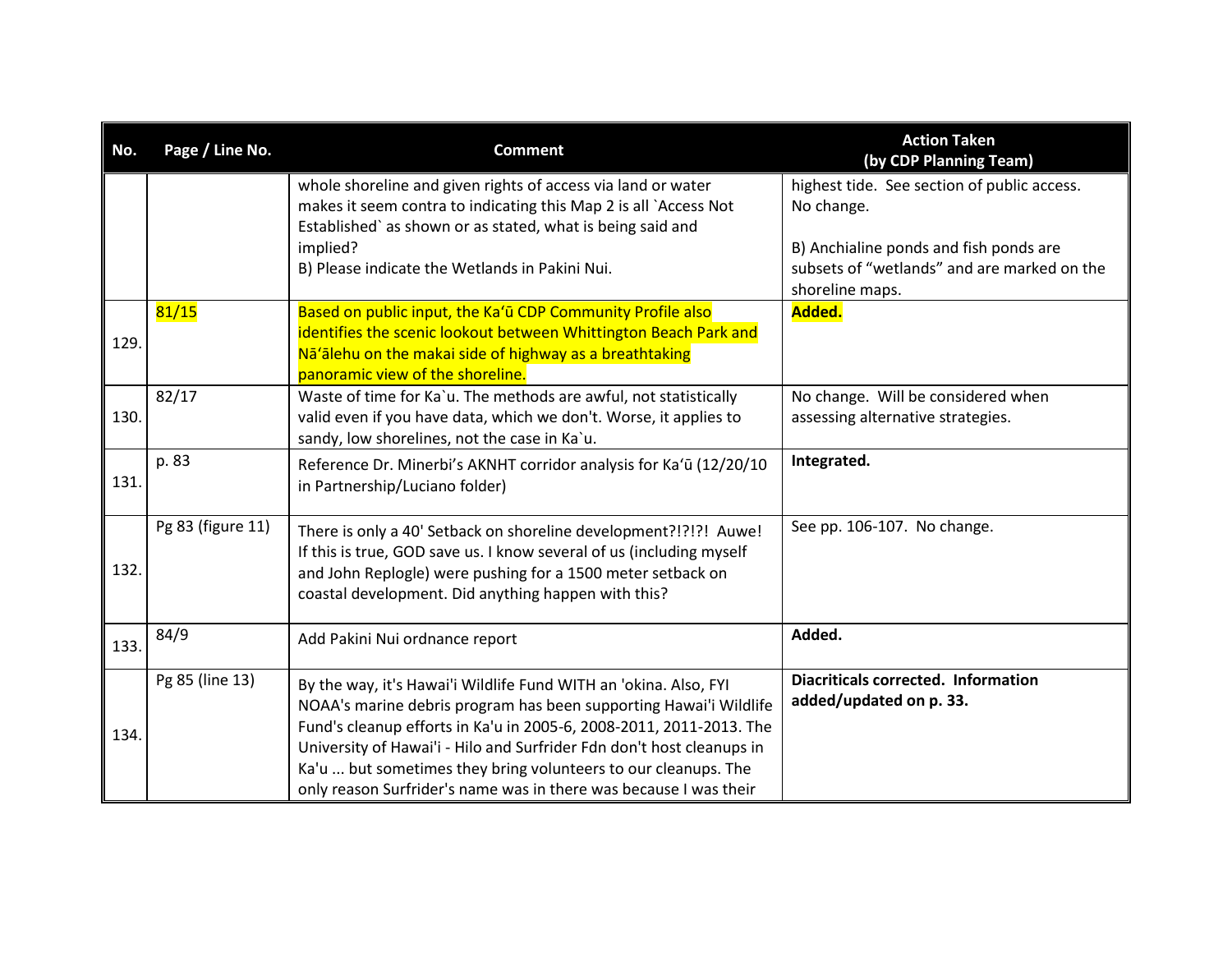| No.  | Page / Line No.   | <b>Comment</b>                                                                                                                                                                                                                                                                                                                                                                                                               | <b>Action Taken</b><br>(by CDP Planning Team)                                                                                                                         |
|------|-------------------|------------------------------------------------------------------------------------------------------------------------------------------------------------------------------------------------------------------------------------------------------------------------------------------------------------------------------------------------------------------------------------------------------------------------------|-----------------------------------------------------------------------------------------------------------------------------------------------------------------------|
|      |                   | whole shoreline and given rights of access via land or water<br>makes it seem contra to indicating this Map 2 is all `Access Not<br>Established' as shown or as stated, what is being said and<br>implied?<br>B) Please indicate the Wetlands in Pakini Nui.                                                                                                                                                                 | highest tide. See section of public access.<br>No change.<br>B) Anchialine ponds and fish ponds are<br>subsets of "wetlands" and are marked on the<br>shoreline maps. |
| 129. | 81/15             | Based on public input, the Ka'ū CDP Community Profile also<br>identifies the scenic lookout between Whittington Beach Park and<br>Nā'alehu on the makai side of highway as a breathtaking<br>panoramic view of the shoreline.                                                                                                                                                                                                | Added.                                                                                                                                                                |
| 130. | 82/17             | Waste of time for Ka`u. The methods are awful, not statistically<br>valid even if you have data, which we don't. Worse, it applies to<br>sandy, low shorelines, not the case in Ka'u.                                                                                                                                                                                                                                        | No change. Will be considered when<br>assessing alternative strategies.                                                                                               |
| 131. | p. 83             | Reference Dr. Minerbi's AKNHT corridor analysis for Ka'ū (12/20/10<br>in Partnership/Luciano folder)                                                                                                                                                                                                                                                                                                                         | Integrated.                                                                                                                                                           |
| 132. | Pg 83 (figure 11) | There is only a 40' Setback on shoreline development?!?!?! Auwe!<br>If this is true, GOD save us. I know several of us (including myself<br>and John Replogle) were pushing for a 1500 meter setback on<br>coastal development. Did anything happen with this?                                                                                                                                                               | See pp. 106-107. No change.                                                                                                                                           |
| 133. | 84/9              | Add Pakini Nui ordnance report                                                                                                                                                                                                                                                                                                                                                                                               | Added.                                                                                                                                                                |
| 134. | Pg 85 (line 13)   | By the way, it's Hawai'i Wildlife Fund WITH an 'okina. Also, FYI<br>NOAA's marine debris program has been supporting Hawai'i Wildlife<br>Fund's cleanup efforts in Ka'u in 2005-6, 2008-2011, 2011-2013. The<br>University of Hawai'i - Hilo and Surfrider Fdn don't host cleanups in<br>Ka'u  but sometimes they bring volunteers to our cleanups. The<br>only reason Surfrider's name was in there was because I was their | <b>Diacriticals corrected. Information</b><br>added/updated on p. 33.                                                                                                 |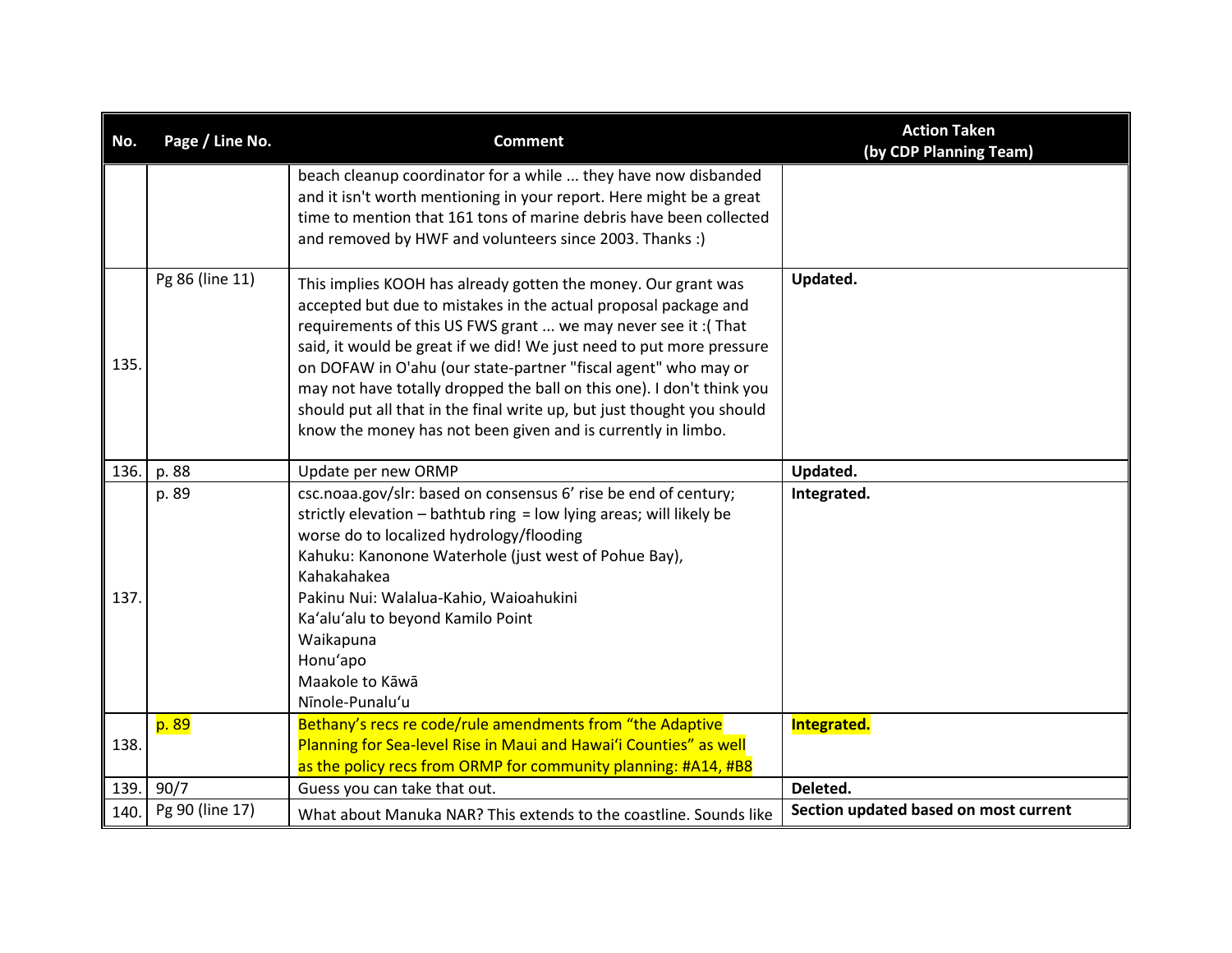| No.  | Page / Line No. | <b>Comment</b>                                                                                                                                                                                                                                                                                                                                                                                                                                                                                                                                                 | <b>Action Taken</b><br>(by CDP Planning Team) |
|------|-----------------|----------------------------------------------------------------------------------------------------------------------------------------------------------------------------------------------------------------------------------------------------------------------------------------------------------------------------------------------------------------------------------------------------------------------------------------------------------------------------------------------------------------------------------------------------------------|-----------------------------------------------|
|      |                 | beach cleanup coordinator for a while  they have now disbanded<br>and it isn't worth mentioning in your report. Here might be a great<br>time to mention that 161 tons of marine debris have been collected<br>and removed by HWF and volunteers since 2003. Thanks :)                                                                                                                                                                                                                                                                                         |                                               |
| 135. | Pg 86 (line 11) | This implies KOOH has already gotten the money. Our grant was<br>accepted but due to mistakes in the actual proposal package and<br>requirements of this US FWS grant  we may never see it: (That<br>said, it would be great if we did! We just need to put more pressure<br>on DOFAW in O'ahu (our state-partner "fiscal agent" who may or<br>may not have totally dropped the ball on this one). I don't think you<br>should put all that in the final write up, but just thought you should<br>know the money has not been given and is currently in limbo. | Updated.                                      |
| 136. | p. 88           | Update per new ORMP                                                                                                                                                                                                                                                                                                                                                                                                                                                                                                                                            | Updated.                                      |
| 137. | p. 89           | csc.noaa.gov/slr: based on consensus 6' rise be end of century;<br>strictly elevation - bathtub ring = low lying areas; will likely be<br>worse do to localized hydrology/flooding<br>Kahuku: Kanonone Waterhole (just west of Pohue Bay),<br>Kahakahakea<br>Pakinu Nui: Walalua-Kahio, Waioahukini<br>Ka'alu'alu to beyond Kamilo Point<br>Waikapuna<br>Honu'apo<br>Maakole to Kāwā<br>Nīnole-Punalu'u                                                                                                                                                        | Integrated.                                   |
| 138. | p. 89           | Bethany's recs re code/rule amendments from "the Adaptive<br>Planning for Sea-level Rise in Maui and Hawai'i Counties" as well<br>as the policy recs from ORMP for community planning: #A14, #B8                                                                                                                                                                                                                                                                                                                                                               | <b>Integrated.</b>                            |
| 139. | 90/7            | Guess you can take that out.                                                                                                                                                                                                                                                                                                                                                                                                                                                                                                                                   | Deleted.                                      |
| 140. | Pg 90 (line 17) | What about Manuka NAR? This extends to the coastline. Sounds like                                                                                                                                                                                                                                                                                                                                                                                                                                                                                              | Section updated based on most current         |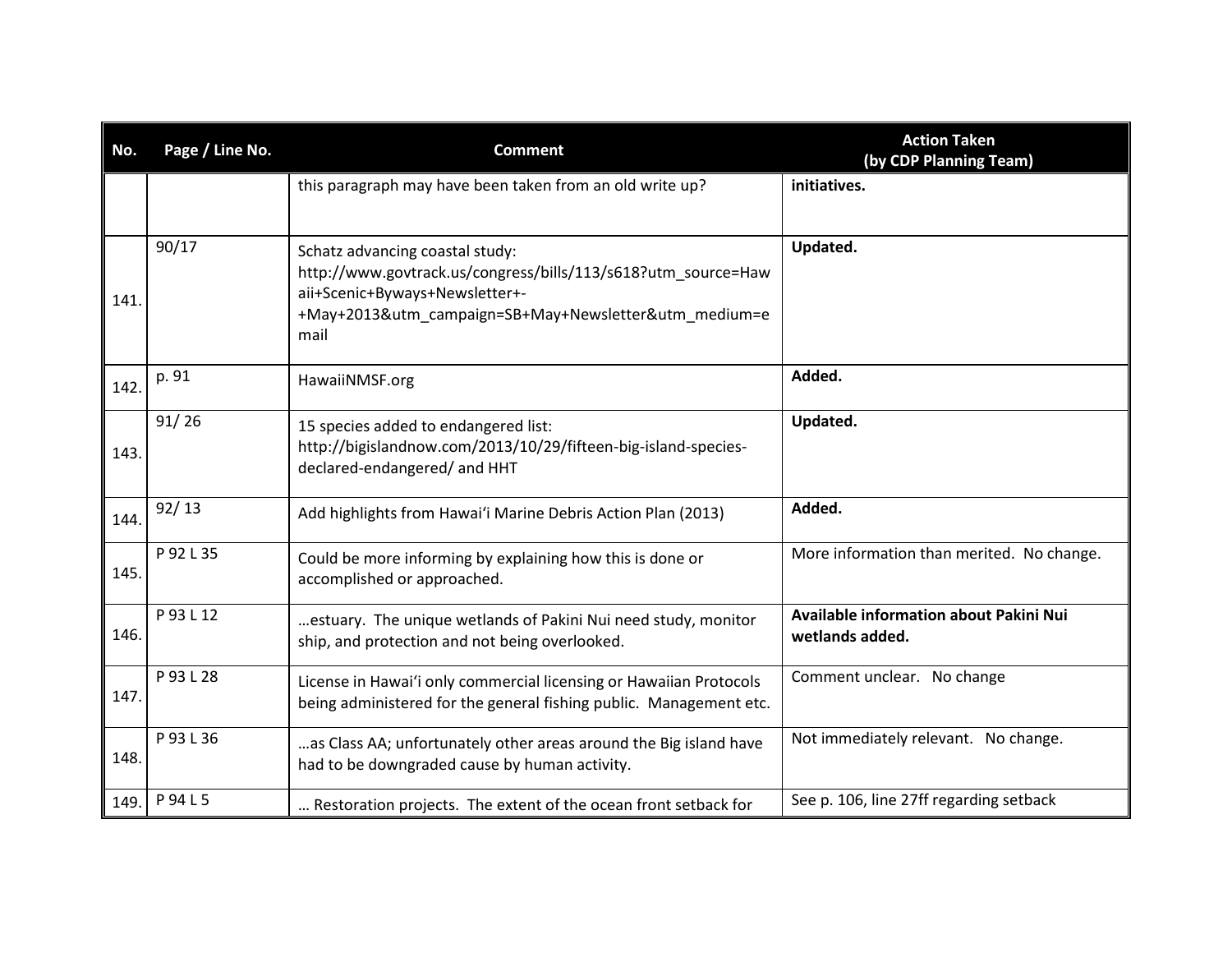| No.  | Page / Line No. | <b>Comment</b>                                                                                                                                                                                      | <b>Action Taken</b><br>(by CDP Planning Team)             |
|------|-----------------|-----------------------------------------------------------------------------------------------------------------------------------------------------------------------------------------------------|-----------------------------------------------------------|
|      |                 | this paragraph may have been taken from an old write up?                                                                                                                                            | initiatives.                                              |
| 141. | 90/17           | Schatz advancing coastal study:<br>http://www.govtrack.us/congress/bills/113/s618?utm_source=Haw<br>aii+Scenic+Byways+Newsletter+-<br>+May+2013&utm_campaign=SB+May+Newsletter&utm_medium=e<br>mail | Updated.                                                  |
| 142. | p. 91           | HawaiiNMSF.org                                                                                                                                                                                      | Added.                                                    |
| 143. | 91/26           | 15 species added to endangered list:<br>http://bigislandnow.com/2013/10/29/fifteen-big-island-species-<br>declared-endangered/ and HHT                                                              | Updated.                                                  |
| 144. | 92/13           | Add highlights from Hawai'i Marine Debris Action Plan (2013)                                                                                                                                        | Added.                                                    |
| 145. | P 92 L 35       | Could be more informing by explaining how this is done or<br>accomplished or approached.                                                                                                            | More information than merited. No change.                 |
| 146. | P 93 L 12       | estuary. The unique wetlands of Pakini Nui need study, monitor<br>ship, and protection and not being overlooked.                                                                                    | Available information about Pakini Nui<br>wetlands added. |
| 147. | P 93 L 28       | License in Hawai'i only commercial licensing or Hawaiian Protocols<br>being administered for the general fishing public. Management etc.                                                            | Comment unclear. No change                                |
| 148. | P 93 L 36       | as Class AA; unfortunately other areas around the Big island have<br>had to be downgraded cause by human activity.                                                                                  | Not immediately relevant. No change.                      |
| 149. | P 94 L 5        | Restoration projects. The extent of the ocean front setback for                                                                                                                                     | See p. 106, line 27ff regarding setback                   |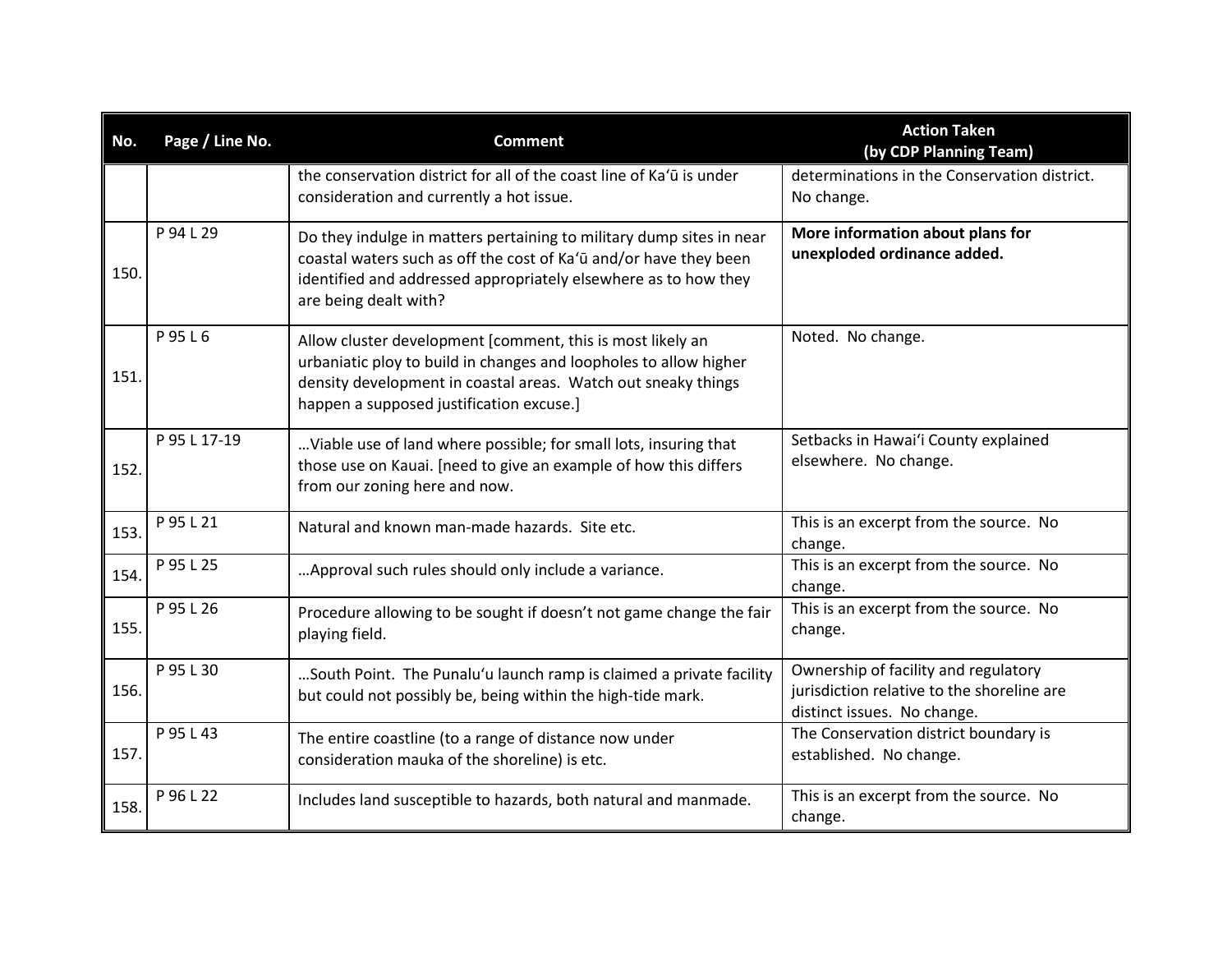| No.  | Page / Line No. | <b>Comment</b>                                                                                                                                                                                                                               | <b>Action Taken</b><br>(by CDP Planning Team)                                                                     |
|------|-----------------|----------------------------------------------------------------------------------------------------------------------------------------------------------------------------------------------------------------------------------------------|-------------------------------------------------------------------------------------------------------------------|
|      |                 | the conservation district for all of the coast line of Ka'ū is under<br>consideration and currently a hot issue.                                                                                                                             | determinations in the Conservation district.<br>No change.                                                        |
| 150. | P 94 L 29       | Do they indulge in matters pertaining to military dump sites in near<br>coastal waters such as off the cost of Ka'ū and/or have they been<br>identified and addressed appropriately elsewhere as to how they<br>are being dealt with?        | More information about plans for<br>unexploded ordinance added.                                                   |
| 151. | P 95 L 6        | Allow cluster development [comment, this is most likely an<br>urbaniatic ploy to build in changes and loopholes to allow higher<br>density development in coastal areas. Watch out sneaky things<br>happen a supposed justification excuse.] | Noted. No change.                                                                                                 |
| 152. | P 95 L 17-19    | Viable use of land where possible; for small lots, insuring that<br>those use on Kauai. [need to give an example of how this differs<br>from our zoning here and now.                                                                        | Setbacks in Hawai'i County explained<br>elsewhere. No change.                                                     |
| 153. | P 95 L 21       | Natural and known man-made hazards. Site etc.                                                                                                                                                                                                | This is an excerpt from the source. No<br>change.                                                                 |
| 154. | P 95 L 25       | Approval such rules should only include a variance.                                                                                                                                                                                          | This is an excerpt from the source. No<br>change.                                                                 |
| 155. | P 95 L 26       | Procedure allowing to be sought if doesn't not game change the fair<br>playing field.                                                                                                                                                        | This is an excerpt from the source. No<br>change.                                                                 |
| 156. | P 95 L 30       | South Point. The Punalu'u launch ramp is claimed a private facility<br>but could not possibly be, being within the high-tide mark.                                                                                                           | Ownership of facility and regulatory<br>jurisdiction relative to the shoreline are<br>distinct issues. No change. |
| 157. | P 95 L 43       | The entire coastline (to a range of distance now under<br>consideration mauka of the shoreline) is etc.                                                                                                                                      | The Conservation district boundary is<br>established. No change.                                                  |
| 158. | P 96 L 22       | Includes land susceptible to hazards, both natural and manmade.                                                                                                                                                                              | This is an excerpt from the source. No<br>change.                                                                 |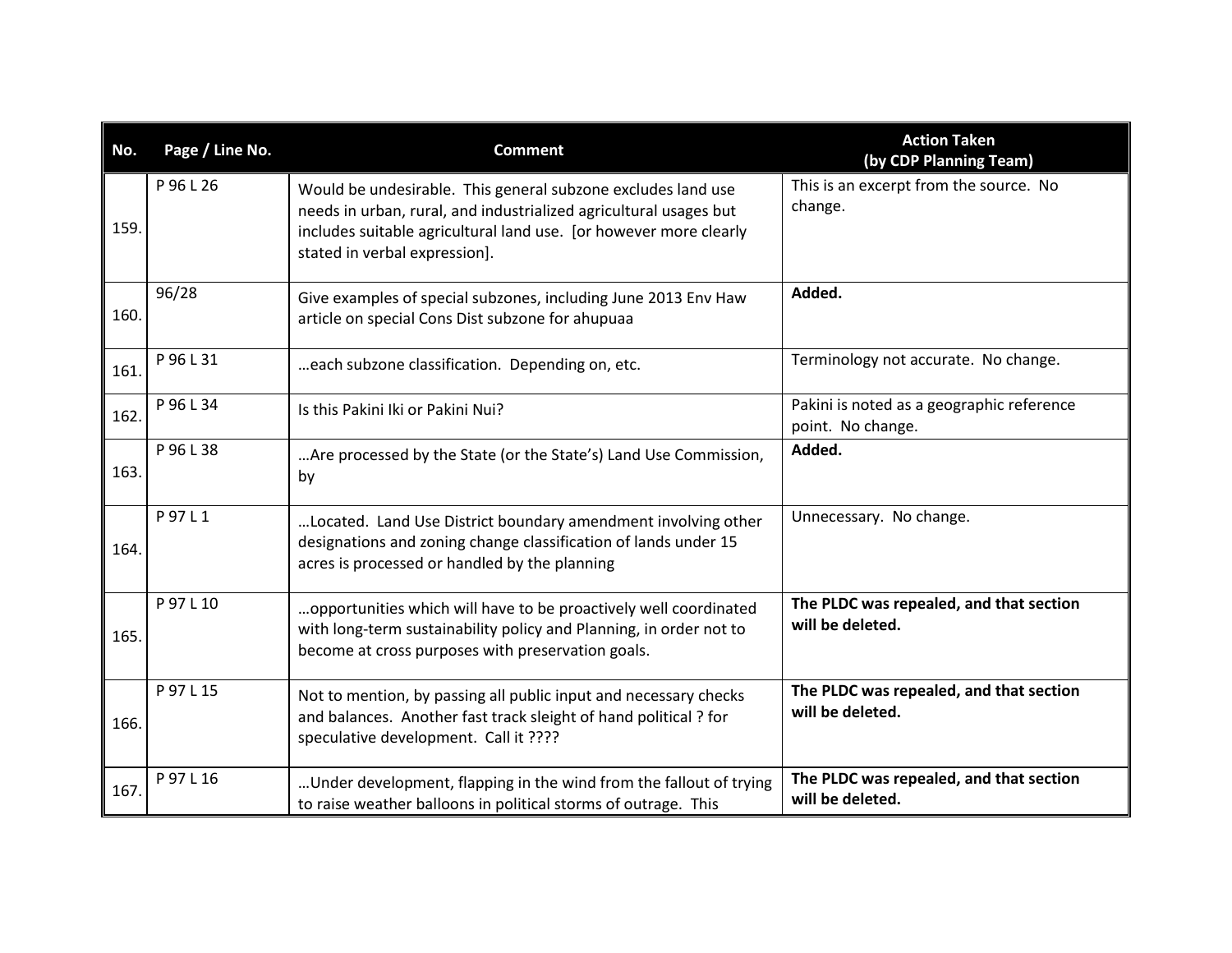| No.  | Page / Line No. | <b>Comment</b>                                                                                                                                                                                                                          | <b>Action Taken</b><br>(by CDP Planning Team)                  |
|------|-----------------|-----------------------------------------------------------------------------------------------------------------------------------------------------------------------------------------------------------------------------------------|----------------------------------------------------------------|
| 159. | P 96 L 26       | Would be undesirable. This general subzone excludes land use<br>needs in urban, rural, and industrialized agricultural usages but<br>includes suitable agricultural land use. [or however more clearly<br>stated in verbal expression]. | This is an excerpt from the source. No<br>change.              |
| 160. | 96/28           | Give examples of special subzones, including June 2013 Env Haw<br>article on special Cons Dist subzone for ahupuaa                                                                                                                      | Added.                                                         |
| 161. | P 96 L 31       | each subzone classification. Depending on, etc.                                                                                                                                                                                         | Terminology not accurate. No change.                           |
| 162. | P 96 L 34       | Is this Pakini Iki or Pakini Nui?                                                                                                                                                                                                       | Pakini is noted as a geographic reference<br>point. No change. |
| 163. | P 96 L 38       | Are processed by the State (or the State's) Land Use Commission,<br>by                                                                                                                                                                  | Added.                                                         |
| 164. | P 97 L 1        | Located. Land Use District boundary amendment involving other<br>designations and zoning change classification of lands under 15<br>acres is processed or handled by the planning                                                       | Unnecessary. No change.                                        |
| 165. | P 97 L 10       | opportunities which will have to be proactively well coordinated<br>with long-term sustainability policy and Planning, in order not to<br>become at cross purposes with preservation goals.                                             | The PLDC was repealed, and that section<br>will be deleted.    |
| 166. | P 97 L 15       | Not to mention, by passing all public input and necessary checks<br>and balances. Another fast track sleight of hand political ? for<br>speculative development. Call it ????                                                           | The PLDC was repealed, and that section<br>will be deleted.    |
| 167. | P 97 L 16       | Under development, flapping in the wind from the fallout of trying<br>to raise weather balloons in political storms of outrage. This                                                                                                    | The PLDC was repealed, and that section<br>will be deleted.    |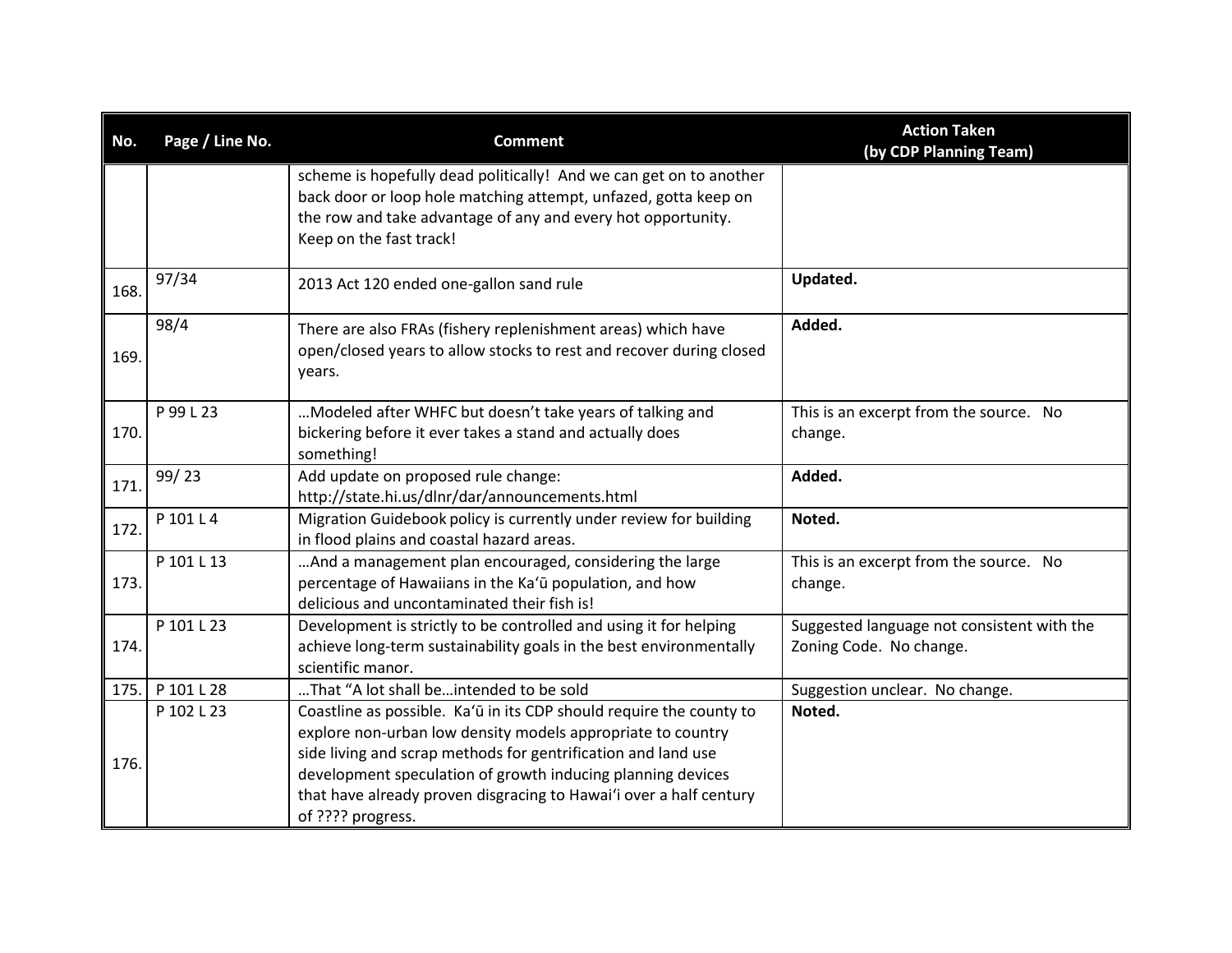| No.  | Page / Line No. | <b>Comment</b>                                                                                                                                                                                                                                                                                                                                                | <b>Action Taken</b><br>(by CDP Planning Team)                         |
|------|-----------------|---------------------------------------------------------------------------------------------------------------------------------------------------------------------------------------------------------------------------------------------------------------------------------------------------------------------------------------------------------------|-----------------------------------------------------------------------|
|      |                 | scheme is hopefully dead politically! And we can get on to another<br>back door or loop hole matching attempt, unfazed, gotta keep on<br>the row and take advantage of any and every hot opportunity.<br>Keep on the fast track!                                                                                                                              |                                                                       |
| 168. | 97/34           | 2013 Act 120 ended one-gallon sand rule                                                                                                                                                                                                                                                                                                                       | Updated.                                                              |
| 169. | 98/4            | There are also FRAs (fishery replenishment areas) which have<br>open/closed years to allow stocks to rest and recover during closed<br>years.                                                                                                                                                                                                                 | Added.                                                                |
| 170. | P 99 L 23       | Modeled after WHFC but doesn't take years of talking and<br>bickering before it ever takes a stand and actually does<br>something!                                                                                                                                                                                                                            | This is an excerpt from the source. No<br>change.                     |
| 171. | 99/23           | Add update on proposed rule change:<br>http://state.hi.us/dlnr/dar/announcements.html                                                                                                                                                                                                                                                                         | Added.                                                                |
| 172. | P 101 L 4       | Migration Guidebook policy is currently under review for building<br>in flood plains and coastal hazard areas.                                                                                                                                                                                                                                                | Noted.                                                                |
| 173. | P 101 L 13      | And a management plan encouraged, considering the large<br>percentage of Hawaiians in the Ka'ū population, and how<br>delicious and uncontaminated their fish is!                                                                                                                                                                                             | This is an excerpt from the source. No<br>change.                     |
| 174. | P 101 L 23      | Development is strictly to be controlled and using it for helping<br>achieve long-term sustainability goals in the best environmentally<br>scientific manor.                                                                                                                                                                                                  | Suggested language not consistent with the<br>Zoning Code. No change. |
| 175. | P 101 L 28      | That "A lot shall beintended to be sold                                                                                                                                                                                                                                                                                                                       | Suggestion unclear. No change.                                        |
| 176. | P 102 L 23      | Coastline as possible. Ka'ū in its CDP should require the county to<br>explore non-urban low density models appropriate to country<br>side living and scrap methods for gentrification and land use<br>development speculation of growth inducing planning devices<br>that have already proven disgracing to Hawai'i over a half century<br>of ???? progress. | Noted.                                                                |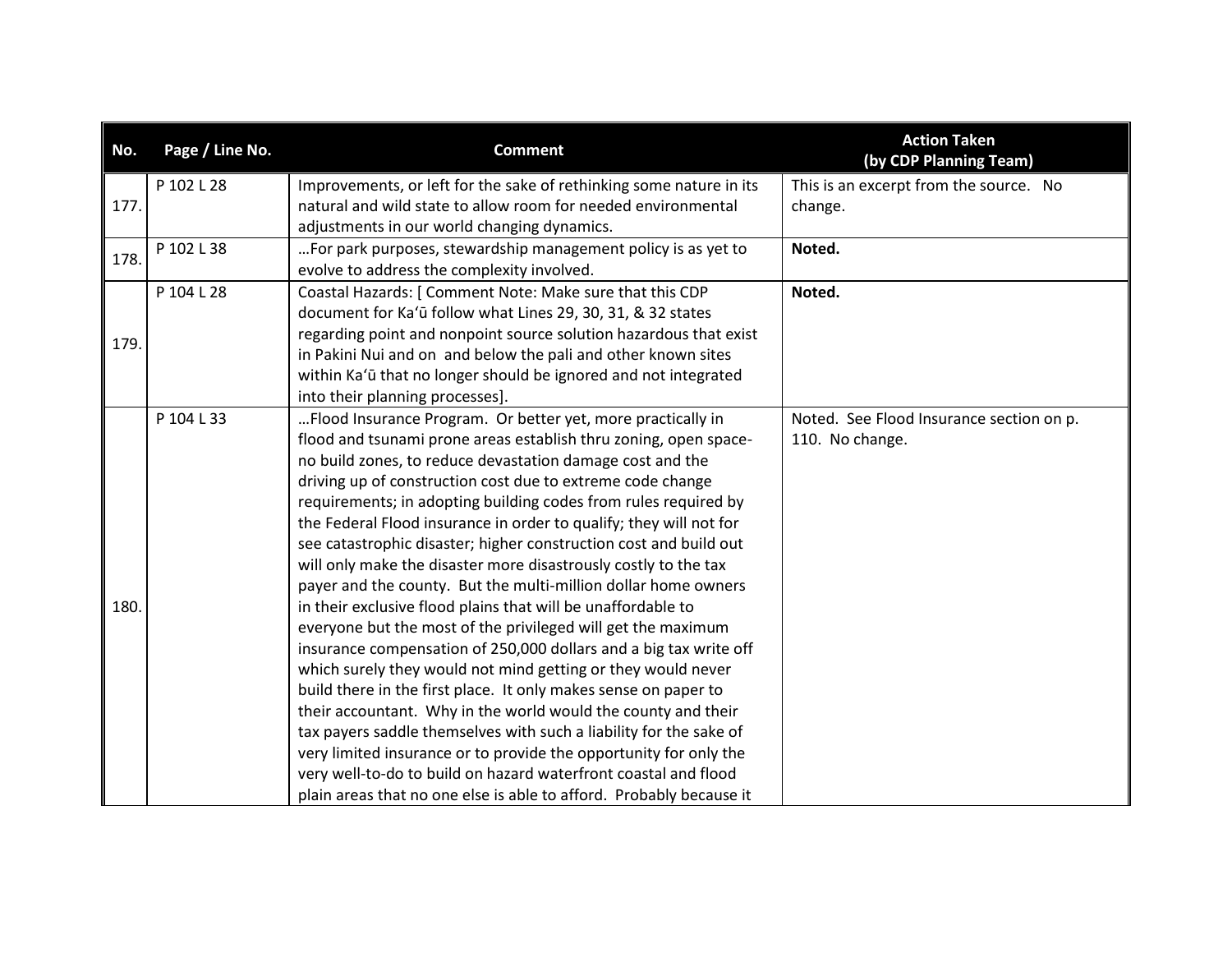| No.  | Page / Line No. | <b>Comment</b>                                                      | <b>Action Taken</b><br>(by CDP Planning Team) |
|------|-----------------|---------------------------------------------------------------------|-----------------------------------------------|
|      | P 102 L 28      | Improvements, or left for the sake of rethinking some nature in its | This is an excerpt from the source. No        |
| 177. |                 | natural and wild state to allow room for needed environmental       | change.                                       |
|      |                 | adjustments in our world changing dynamics.                         |                                               |
| 178. | P 102 L 38      | For park purposes, stewardship management policy is as yet to       | Noted.                                        |
|      |                 | evolve to address the complexity involved.                          |                                               |
|      | P 104 L 28      | Coastal Hazards: [ Comment Note: Make sure that this CDP            | Noted.                                        |
|      |                 | document for Ka'ū follow what Lines 29, 30, 31, & 32 states         |                                               |
| 179. |                 | regarding point and nonpoint source solution hazardous that exist   |                                               |
|      |                 | in Pakini Nui and on and below the pali and other known sites       |                                               |
|      |                 | within Ka'ū that no longer should be ignored and not integrated     |                                               |
|      |                 | into their planning processes].                                     |                                               |
|      | P 104 L 33      | Flood Insurance Program. Or better yet, more practically in         | Noted. See Flood Insurance section on p.      |
|      |                 | flood and tsunami prone areas establish thru zoning, open space-    | 110. No change.                               |
|      |                 | no build zones, to reduce devastation damage cost and the           |                                               |
|      |                 | driving up of construction cost due to extreme code change          |                                               |
|      |                 | requirements; in adopting building codes from rules required by     |                                               |
|      |                 | the Federal Flood insurance in order to qualify; they will not for  |                                               |
|      |                 | see catastrophic disaster; higher construction cost and build out   |                                               |
|      |                 | will only make the disaster more disastrously costly to the tax     |                                               |
|      |                 | payer and the county. But the multi-million dollar home owners      |                                               |
| 180. |                 | in their exclusive flood plains that will be unaffordable to        |                                               |
|      |                 | everyone but the most of the privileged will get the maximum        |                                               |
|      |                 | insurance compensation of 250,000 dollars and a big tax write off   |                                               |
|      |                 | which surely they would not mind getting or they would never        |                                               |
|      |                 | build there in the first place. It only makes sense on paper to     |                                               |
|      |                 | their accountant. Why in the world would the county and their       |                                               |
|      |                 | tax payers saddle themselves with such a liability for the sake of  |                                               |
|      |                 | very limited insurance or to provide the opportunity for only the   |                                               |
|      |                 | very well-to-do to build on hazard waterfront coastal and flood     |                                               |
|      |                 | plain areas that no one else is able to afford. Probably because it |                                               |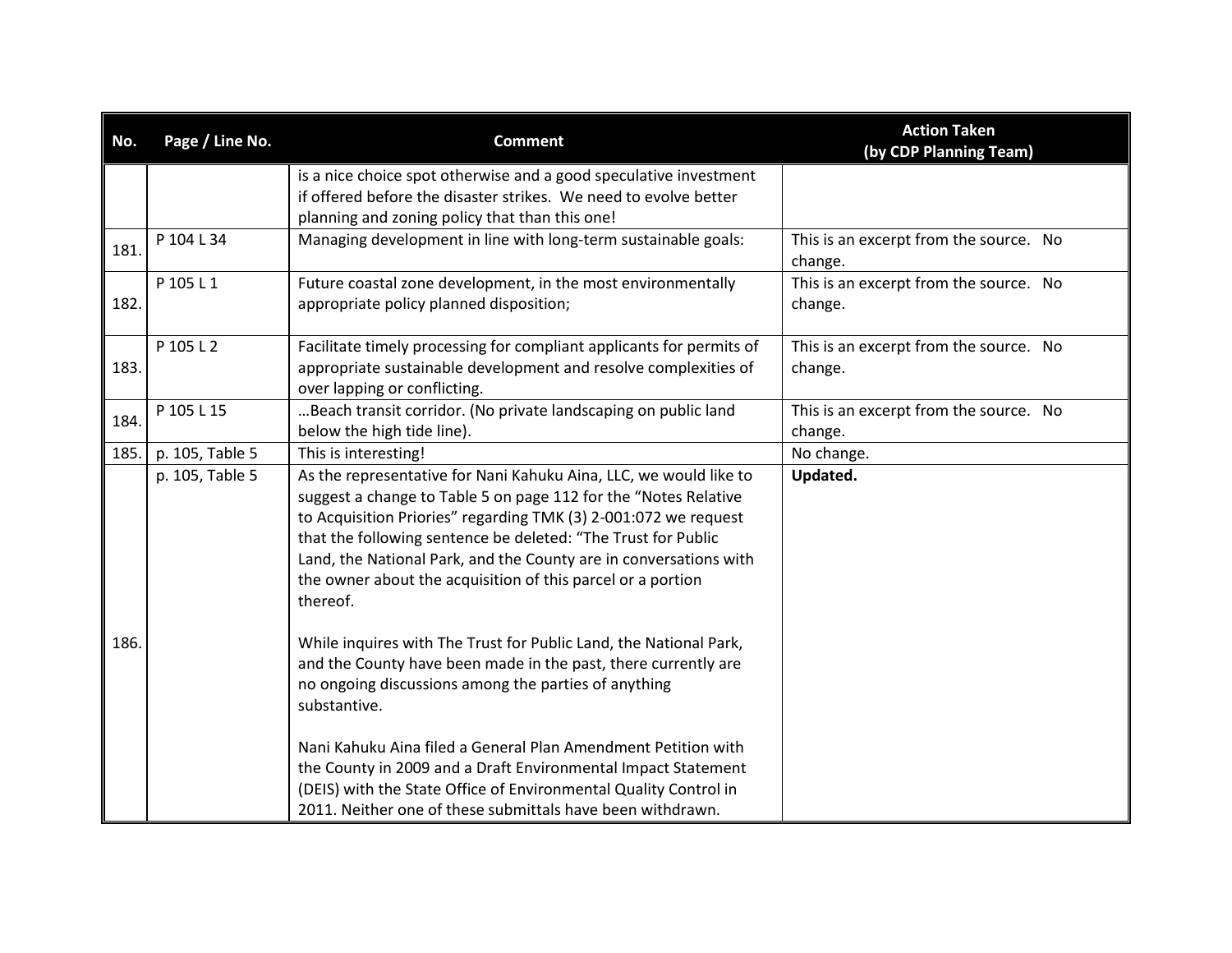| No.  | Page / Line No. | <b>Comment</b>                                                                                                                                                                                                                                                                                                                                                                                                           | <b>Action Taken</b><br>(by CDP Planning Team)     |
|------|-----------------|--------------------------------------------------------------------------------------------------------------------------------------------------------------------------------------------------------------------------------------------------------------------------------------------------------------------------------------------------------------------------------------------------------------------------|---------------------------------------------------|
|      |                 | is a nice choice spot otherwise and a good speculative investment<br>if offered before the disaster strikes. We need to evolve better<br>planning and zoning policy that than this one!                                                                                                                                                                                                                                  |                                                   |
| 181. | P 104 L 34      | Managing development in line with long-term sustainable goals:                                                                                                                                                                                                                                                                                                                                                           | This is an excerpt from the source. No<br>change. |
| 182. | P 105 L 1       | Future coastal zone development, in the most environmentally<br>appropriate policy planned disposition;                                                                                                                                                                                                                                                                                                                  | This is an excerpt from the source. No<br>change. |
| 183. | P 105 L 2       | Facilitate timely processing for compliant applicants for permits of<br>appropriate sustainable development and resolve complexities of<br>over lapping or conflicting.                                                                                                                                                                                                                                                  | This is an excerpt from the source. No<br>change. |
| 184. | P 105 L 15      | Beach transit corridor. (No private landscaping on public land<br>below the high tide line).                                                                                                                                                                                                                                                                                                                             | This is an excerpt from the source. No<br>change. |
| 185. | p. 105, Table 5 | This is interesting!                                                                                                                                                                                                                                                                                                                                                                                                     | No change.                                        |
|      | p. 105, Table 5 | As the representative for Nani Kahuku Aina, LLC, we would like to<br>suggest a change to Table 5 on page 112 for the "Notes Relative<br>to Acquisition Priories" regarding TMK (3) 2-001:072 we request<br>that the following sentence be deleted: "The Trust for Public<br>Land, the National Park, and the County are in conversations with<br>the owner about the acquisition of this parcel or a portion<br>thereof. | Updated.                                          |
| 186. |                 | While inquires with The Trust for Public Land, the National Park,<br>and the County have been made in the past, there currently are<br>no ongoing discussions among the parties of anything<br>substantive.                                                                                                                                                                                                              |                                                   |
|      |                 | Nani Kahuku Aina filed a General Plan Amendment Petition with<br>the County in 2009 and a Draft Environmental Impact Statement<br>(DEIS) with the State Office of Environmental Quality Control in<br>2011. Neither one of these submittals have been withdrawn.                                                                                                                                                         |                                                   |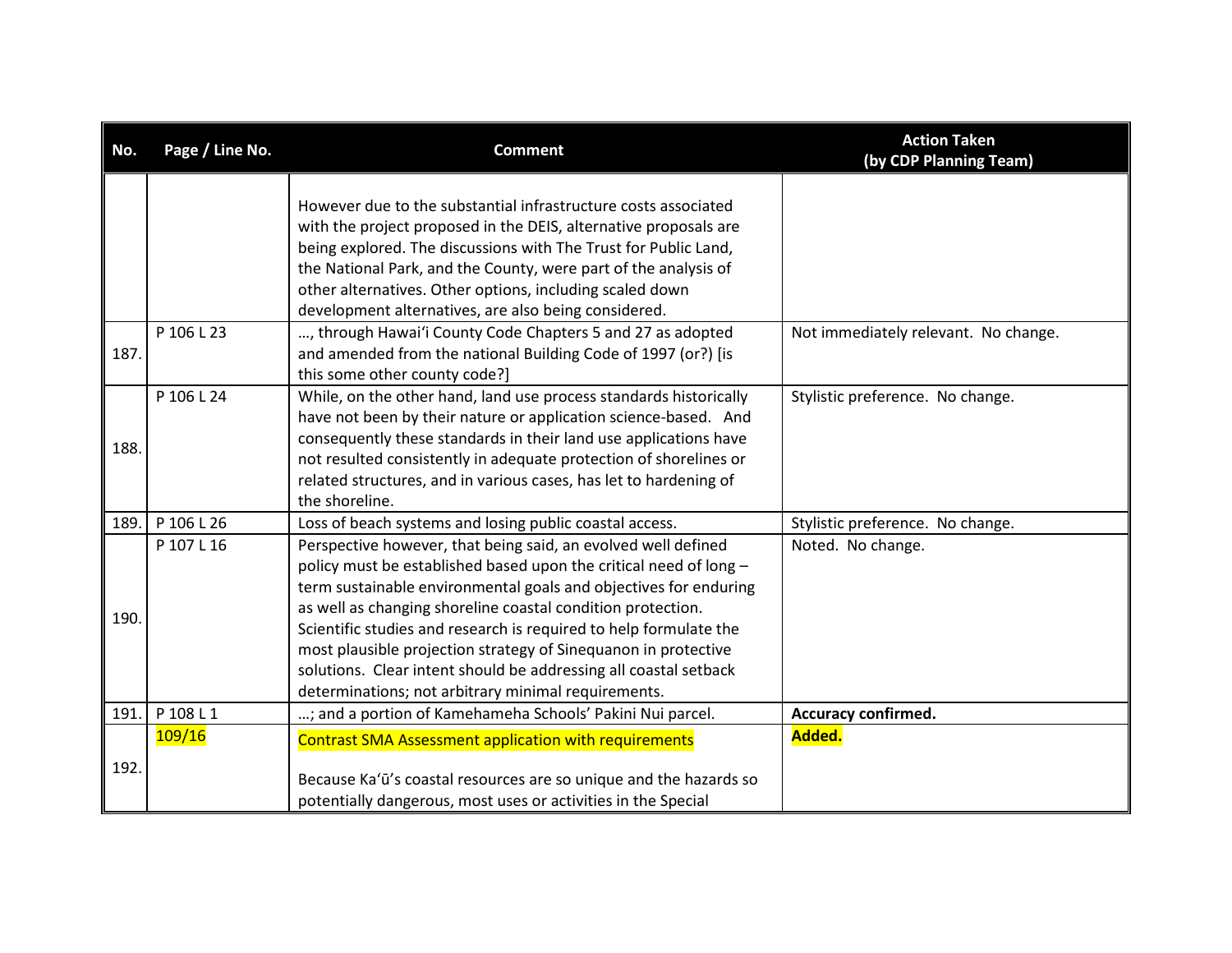| No.  | Page / Line No. | <b>Comment</b>                                                                                                                                                                                                                                                                                                                                                                                                                                                                                                                          | <b>Action Taken</b><br>(by CDP Planning Team) |
|------|-----------------|-----------------------------------------------------------------------------------------------------------------------------------------------------------------------------------------------------------------------------------------------------------------------------------------------------------------------------------------------------------------------------------------------------------------------------------------------------------------------------------------------------------------------------------------|-----------------------------------------------|
|      |                 | However due to the substantial infrastructure costs associated<br>with the project proposed in the DEIS, alternative proposals are<br>being explored. The discussions with The Trust for Public Land,<br>the National Park, and the County, were part of the analysis of<br>other alternatives. Other options, including scaled down<br>development alternatives, are also being considered.                                                                                                                                            |                                               |
| 187. | P 106 L 23      | , through Hawai'i County Code Chapters 5 and 27 as adopted<br>and amended from the national Building Code of 1997 (or?) [is<br>this some other county code?]                                                                                                                                                                                                                                                                                                                                                                            | Not immediately relevant. No change.          |
| 188. | P 106 L 24      | While, on the other hand, land use process standards historically<br>have not been by their nature or application science-based. And<br>consequently these standards in their land use applications have<br>not resulted consistently in adequate protection of shorelines or<br>related structures, and in various cases, has let to hardening of<br>the shoreline.                                                                                                                                                                    | Stylistic preference. No change.              |
| 189. | P 106 L 26      | Loss of beach systems and losing public coastal access.                                                                                                                                                                                                                                                                                                                                                                                                                                                                                 | Stylistic preference. No change.              |
| 190. | P 107 L 16      | Perspective however, that being said, an evolved well defined<br>policy must be established based upon the critical need of long -<br>term sustainable environmental goals and objectives for enduring<br>as well as changing shoreline coastal condition protection.<br>Scientific studies and research is required to help formulate the<br>most plausible projection strategy of Sinequanon in protective<br>solutions. Clear intent should be addressing all coastal setback<br>determinations; not arbitrary minimal requirements. | Noted. No change.                             |
| 191. | P 108 L 1       | ; and a portion of Kamehameha Schools' Pakini Nui parcel.                                                                                                                                                                                                                                                                                                                                                                                                                                                                               | <b>Accuracy confirmed.</b>                    |
| 192. | 109/16          | <b>Contrast SMA Assessment application with requirements</b><br>Because Ka'ū's coastal resources are so unique and the hazards so<br>potentially dangerous, most uses or activities in the Special                                                                                                                                                                                                                                                                                                                                      | Added.                                        |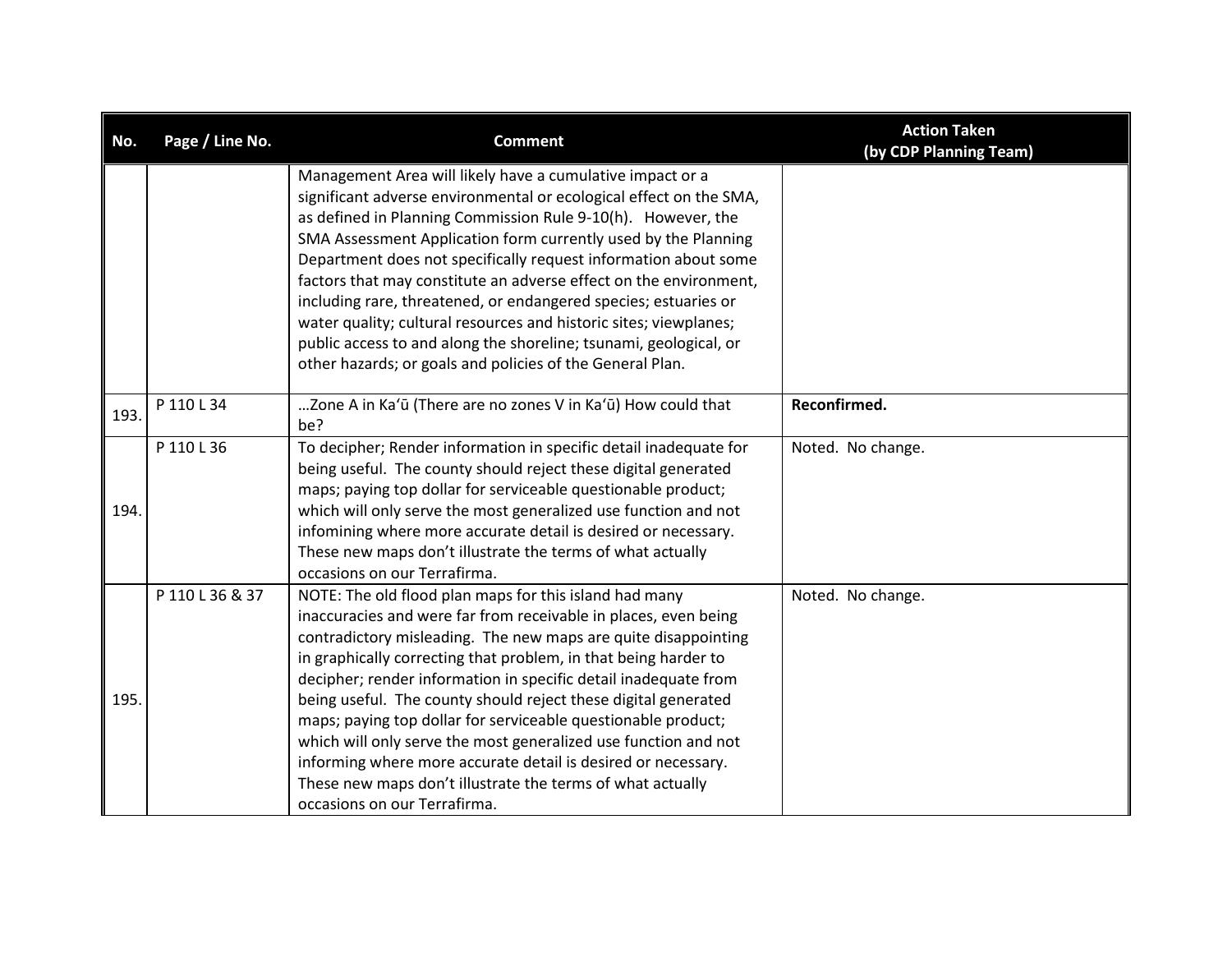| No.  | Page / Line No. | <b>Comment</b>                                                                                                                     | <b>Action Taken</b><br>(by CDP Planning Team) |
|------|-----------------|------------------------------------------------------------------------------------------------------------------------------------|-----------------------------------------------|
|      |                 | Management Area will likely have a cumulative impact or a                                                                          |                                               |
|      |                 | significant adverse environmental or ecological effect on the SMA,<br>as defined in Planning Commission Rule 9-10(h). However, the |                                               |
|      |                 | SMA Assessment Application form currently used by the Planning                                                                     |                                               |
|      |                 | Department does not specifically request information about some                                                                    |                                               |
|      |                 | factors that may constitute an adverse effect on the environment,                                                                  |                                               |
|      |                 | including rare, threatened, or endangered species; estuaries or                                                                    |                                               |
|      |                 | water quality; cultural resources and historic sites; viewplanes;                                                                  |                                               |
|      |                 | public access to and along the shoreline; tsunami, geological, or                                                                  |                                               |
|      |                 | other hazards; or goals and policies of the General Plan.                                                                          |                                               |
|      |                 |                                                                                                                                    |                                               |
| 193. | P 110 L 34      | Zone A in Ka'ū (There are no zones V in Ka'ū) How could that                                                                       | Reconfirmed.                                  |
|      |                 | be?                                                                                                                                |                                               |
|      | P 110 L 36      | To decipher; Render information in specific detail inadequate for                                                                  | Noted. No change.                             |
|      |                 | being useful. The county should reject these digital generated                                                                     |                                               |
|      |                 | maps; paying top dollar for serviceable questionable product;                                                                      |                                               |
| 194. |                 | which will only serve the most generalized use function and not                                                                    |                                               |
|      |                 | infomining where more accurate detail is desired or necessary.<br>These new maps don't illustrate the terms of what actually       |                                               |
|      |                 | occasions on our Terrafirma.                                                                                                       |                                               |
|      | P 110 L 36 & 37 | NOTE: The old flood plan maps for this island had many                                                                             | Noted. No change.                             |
|      |                 | inaccuracies and were far from receivable in places, even being                                                                    |                                               |
|      |                 | contradictory misleading. The new maps are quite disappointing                                                                     |                                               |
|      |                 | in graphically correcting that problem, in that being harder to                                                                    |                                               |
|      |                 | decipher; render information in specific detail inadequate from                                                                    |                                               |
| 195  |                 | being useful. The county should reject these digital generated                                                                     |                                               |
|      |                 | maps; paying top dollar for serviceable questionable product;                                                                      |                                               |
|      |                 | which will only serve the most generalized use function and not                                                                    |                                               |
|      |                 | informing where more accurate detail is desired or necessary.                                                                      |                                               |
|      |                 | These new maps don't illustrate the terms of what actually                                                                         |                                               |
|      |                 | occasions on our Terrafirma.                                                                                                       |                                               |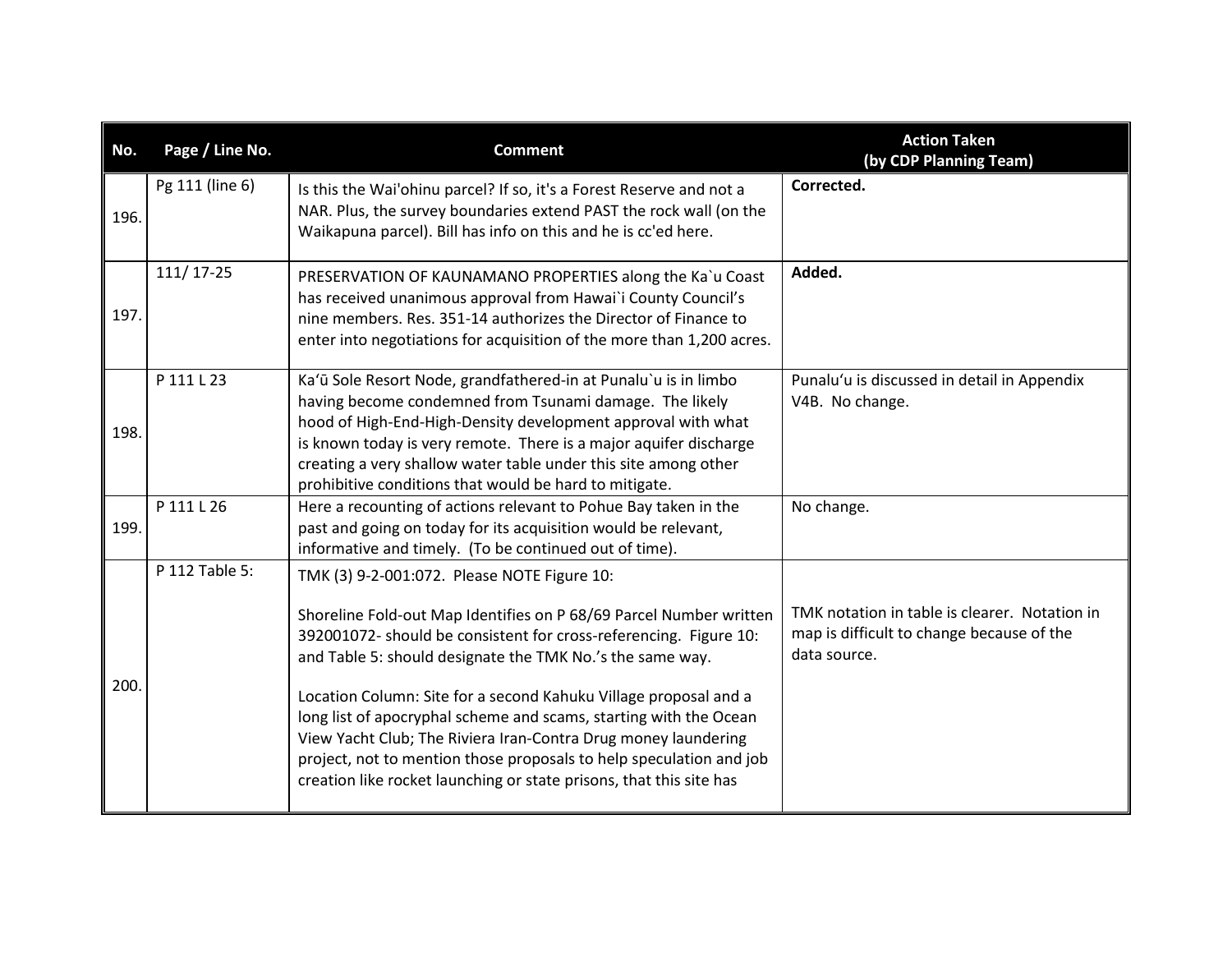| No.  | Page / Line No. | <b>Comment</b>                                                                                                                                                                                                                                                                                                                                                                                                                                                                                                                                                                                               | <b>Action Taken</b><br>(by CDP Planning Team)                                                              |
|------|-----------------|--------------------------------------------------------------------------------------------------------------------------------------------------------------------------------------------------------------------------------------------------------------------------------------------------------------------------------------------------------------------------------------------------------------------------------------------------------------------------------------------------------------------------------------------------------------------------------------------------------------|------------------------------------------------------------------------------------------------------------|
| 196. | Pg 111 (line 6) | Is this the Wai'ohinu parcel? If so, it's a Forest Reserve and not a<br>NAR. Plus, the survey boundaries extend PAST the rock wall (on the<br>Waikapuna parcel). Bill has info on this and he is cc'ed here.                                                                                                                                                                                                                                                                                                                                                                                                 | Corrected.                                                                                                 |
| 197. | 111/17-25       | PRESERVATION OF KAUNAMANO PROPERTIES along the Ka`u Coast<br>has received unanimous approval from Hawai'i County Council's<br>nine members. Res. 351-14 authorizes the Director of Finance to<br>enter into negotiations for acquisition of the more than 1,200 acres.                                                                                                                                                                                                                                                                                                                                       | Added.                                                                                                     |
| 198. | P 111 L 23      | Ka'ū Sole Resort Node, grandfathered-in at Punalu'u is in limbo<br>having become condemned from Tsunami damage. The likely<br>hood of High-End-High-Density development approval with what<br>is known today is very remote. There is a major aquifer discharge<br>creating a very shallow water table under this site among other<br>prohibitive conditions that would be hard to mitigate.                                                                                                                                                                                                                 | Punalu'u is discussed in detail in Appendix<br>V4B. No change.                                             |
| 199. | P 111 L 26      | Here a recounting of actions relevant to Pohue Bay taken in the<br>past and going on today for its acquisition would be relevant,<br>informative and timely. (To be continued out of time).                                                                                                                                                                                                                                                                                                                                                                                                                  | No change.                                                                                                 |
| 200. | P 112 Table 5:  | TMK (3) 9-2-001:072. Please NOTE Figure 10:<br>Shoreline Fold-out Map Identifies on P 68/69 Parcel Number written<br>392001072- should be consistent for cross-referencing. Figure 10:<br>and Table 5: should designate the TMK No.'s the same way.<br>Location Column: Site for a second Kahuku Village proposal and a<br>long list of apocryphal scheme and scams, starting with the Ocean<br>View Yacht Club; The Riviera Iran-Contra Drug money laundering<br>project, not to mention those proposals to help speculation and job<br>creation like rocket launching or state prisons, that this site has | TMK notation in table is clearer. Notation in<br>map is difficult to change because of the<br>data source. |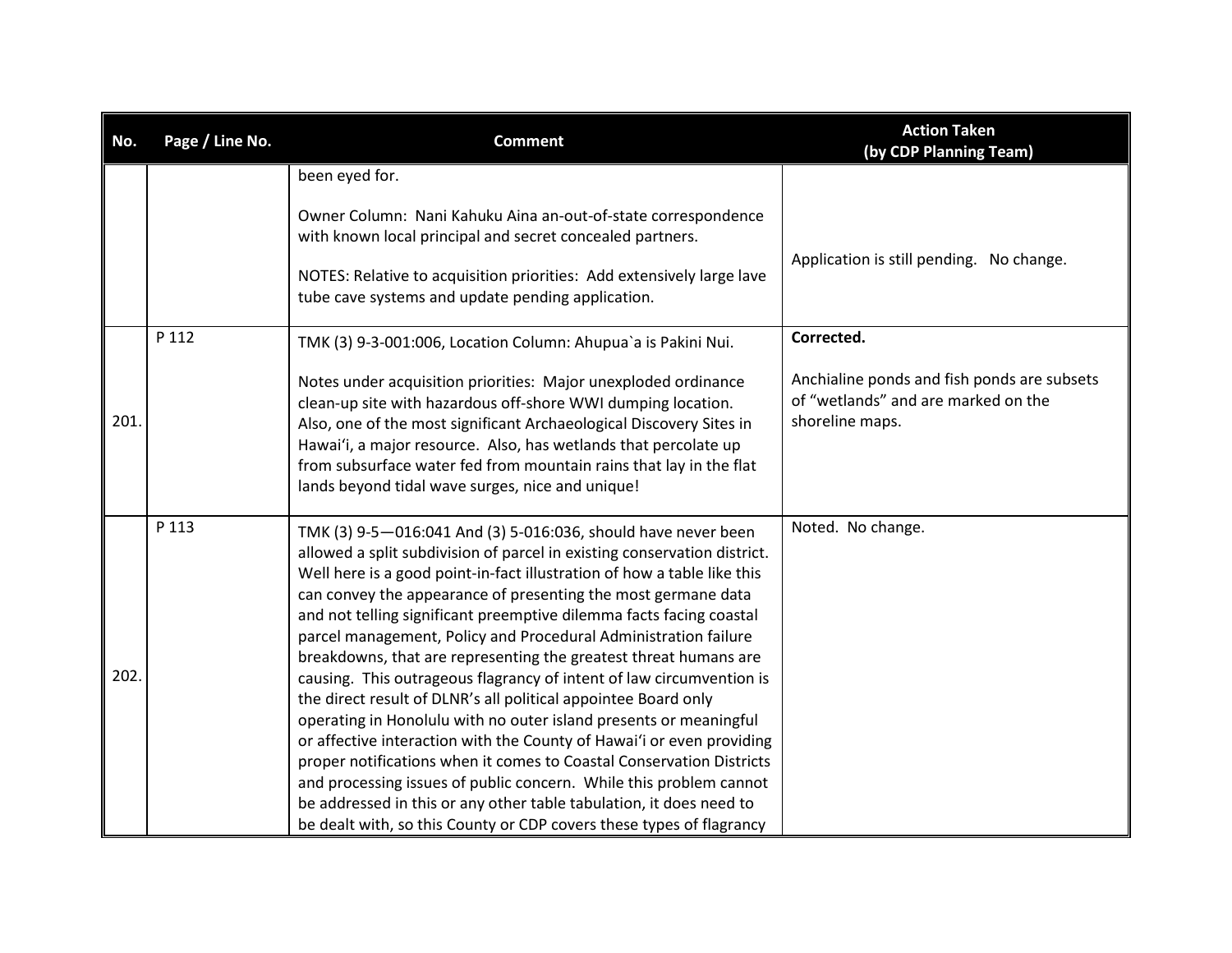| No.  | Page / Line No. | <b>Comment</b>                                                                                                                                                                                                                                                                                                                                                                                                                                                                                                                                                                                                                                                                                                                                                                                                                                                                                                                                                                                                                                                                           | <b>Action Taken</b><br>(by CDP Planning Team)                                                                       |
|------|-----------------|------------------------------------------------------------------------------------------------------------------------------------------------------------------------------------------------------------------------------------------------------------------------------------------------------------------------------------------------------------------------------------------------------------------------------------------------------------------------------------------------------------------------------------------------------------------------------------------------------------------------------------------------------------------------------------------------------------------------------------------------------------------------------------------------------------------------------------------------------------------------------------------------------------------------------------------------------------------------------------------------------------------------------------------------------------------------------------------|---------------------------------------------------------------------------------------------------------------------|
|      |                 | been eyed for.<br>Owner Column: Nani Kahuku Aina an-out-of-state correspondence<br>with known local principal and secret concealed partners.<br>NOTES: Relative to acquisition priorities: Add extensively large lave<br>tube cave systems and update pending application.                                                                                                                                                                                                                                                                                                                                                                                                                                                                                                                                                                                                                                                                                                                                                                                                               | Application is still pending. No change.                                                                            |
| 201. | P 112           | TMK (3) 9-3-001:006, Location Column: Ahupua'a is Pakini Nui.<br>Notes under acquisition priorities: Major unexploded ordinance<br>clean-up site with hazardous off-shore WWI dumping location.<br>Also, one of the most significant Archaeological Discovery Sites in<br>Hawai'i, a major resource. Also, has wetlands that percolate up<br>from subsurface water fed from mountain rains that lay in the flat<br>lands beyond tidal wave surges, nice and unique!                                                                                                                                                                                                                                                                                                                                                                                                                                                                                                                                                                                                                      | Corrected.<br>Anchialine ponds and fish ponds are subsets<br>of "wetlands" and are marked on the<br>shoreline maps. |
| 202. | P 113           | TMK (3) 9-5-016:041 And (3) 5-016:036, should have never been<br>allowed a split subdivision of parcel in existing conservation district.<br>Well here is a good point-in-fact illustration of how a table like this<br>can convey the appearance of presenting the most germane data<br>and not telling significant preemptive dilemma facts facing coastal<br>parcel management, Policy and Procedural Administration failure<br>breakdowns, that are representing the greatest threat humans are<br>causing. This outrageous flagrancy of intent of law circumvention is<br>the direct result of DLNR's all political appointee Board only<br>operating in Honolulu with no outer island presents or meaningful<br>or affective interaction with the County of Hawai'i or even providing<br>proper notifications when it comes to Coastal Conservation Districts<br>and processing issues of public concern. While this problem cannot<br>be addressed in this or any other table tabulation, it does need to<br>be dealt with, so this County or CDP covers these types of flagrancy | Noted. No change.                                                                                                   |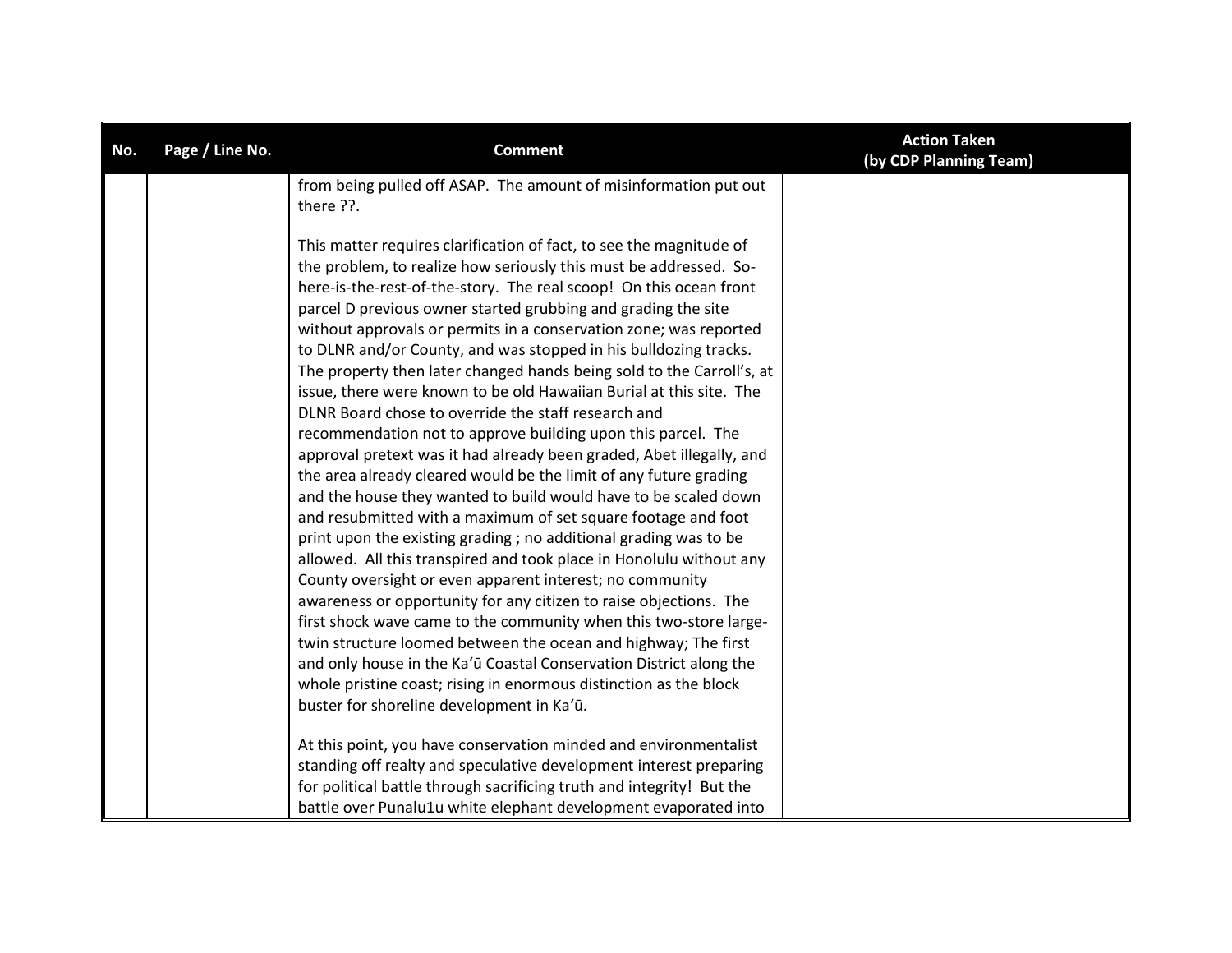| No. | Page / Line No. | <b>Comment</b>                                                                                                                                                                                                                                                                                                                                                                                                                                                                                                                                                                                                                                                                                                                                                                                                                                                                                                                                                                                                                                                                                                                                                                                                                                                                                                                                                                                                                                                                                                                                 | <b>Action Taken</b><br>(by CDP Planning Team) |
|-----|-----------------|------------------------------------------------------------------------------------------------------------------------------------------------------------------------------------------------------------------------------------------------------------------------------------------------------------------------------------------------------------------------------------------------------------------------------------------------------------------------------------------------------------------------------------------------------------------------------------------------------------------------------------------------------------------------------------------------------------------------------------------------------------------------------------------------------------------------------------------------------------------------------------------------------------------------------------------------------------------------------------------------------------------------------------------------------------------------------------------------------------------------------------------------------------------------------------------------------------------------------------------------------------------------------------------------------------------------------------------------------------------------------------------------------------------------------------------------------------------------------------------------------------------------------------------------|-----------------------------------------------|
|     |                 | from being pulled off ASAP. The amount of misinformation put out<br>there ??.                                                                                                                                                                                                                                                                                                                                                                                                                                                                                                                                                                                                                                                                                                                                                                                                                                                                                                                                                                                                                                                                                                                                                                                                                                                                                                                                                                                                                                                                  |                                               |
|     |                 | This matter requires clarification of fact, to see the magnitude of<br>the problem, to realize how seriously this must be addressed. So-<br>here-is-the-rest-of-the-story. The real scoop! On this ocean front<br>parcel D previous owner started grubbing and grading the site<br>without approvals or permits in a conservation zone; was reported<br>to DLNR and/or County, and was stopped in his bulldozing tracks.<br>The property then later changed hands being sold to the Carroll's, at<br>issue, there were known to be old Hawaiian Burial at this site. The<br>DLNR Board chose to override the staff research and<br>recommendation not to approve building upon this parcel. The<br>approval pretext was it had already been graded, Abet illegally, and<br>the area already cleared would be the limit of any future grading<br>and the house they wanted to build would have to be scaled down<br>and resubmitted with a maximum of set square footage and foot<br>print upon the existing grading; no additional grading was to be<br>allowed. All this transpired and took place in Honolulu without any<br>County oversight or even apparent interest; no community<br>awareness or opportunity for any citizen to raise objections. The<br>first shock wave came to the community when this two-store large-<br>twin structure loomed between the ocean and highway; The first<br>and only house in the Ka'ū Coastal Conservation District along the<br>whole pristine coast; rising in enormous distinction as the block |                                               |
|     |                 | buster for shoreline development in Ka'ū.<br>At this point, you have conservation minded and environmentalist<br>standing off realty and speculative development interest preparing<br>for political battle through sacrificing truth and integrity! But the<br>battle over Punalu1u white elephant development evaporated into                                                                                                                                                                                                                                                                                                                                                                                                                                                                                                                                                                                                                                                                                                                                                                                                                                                                                                                                                                                                                                                                                                                                                                                                                |                                               |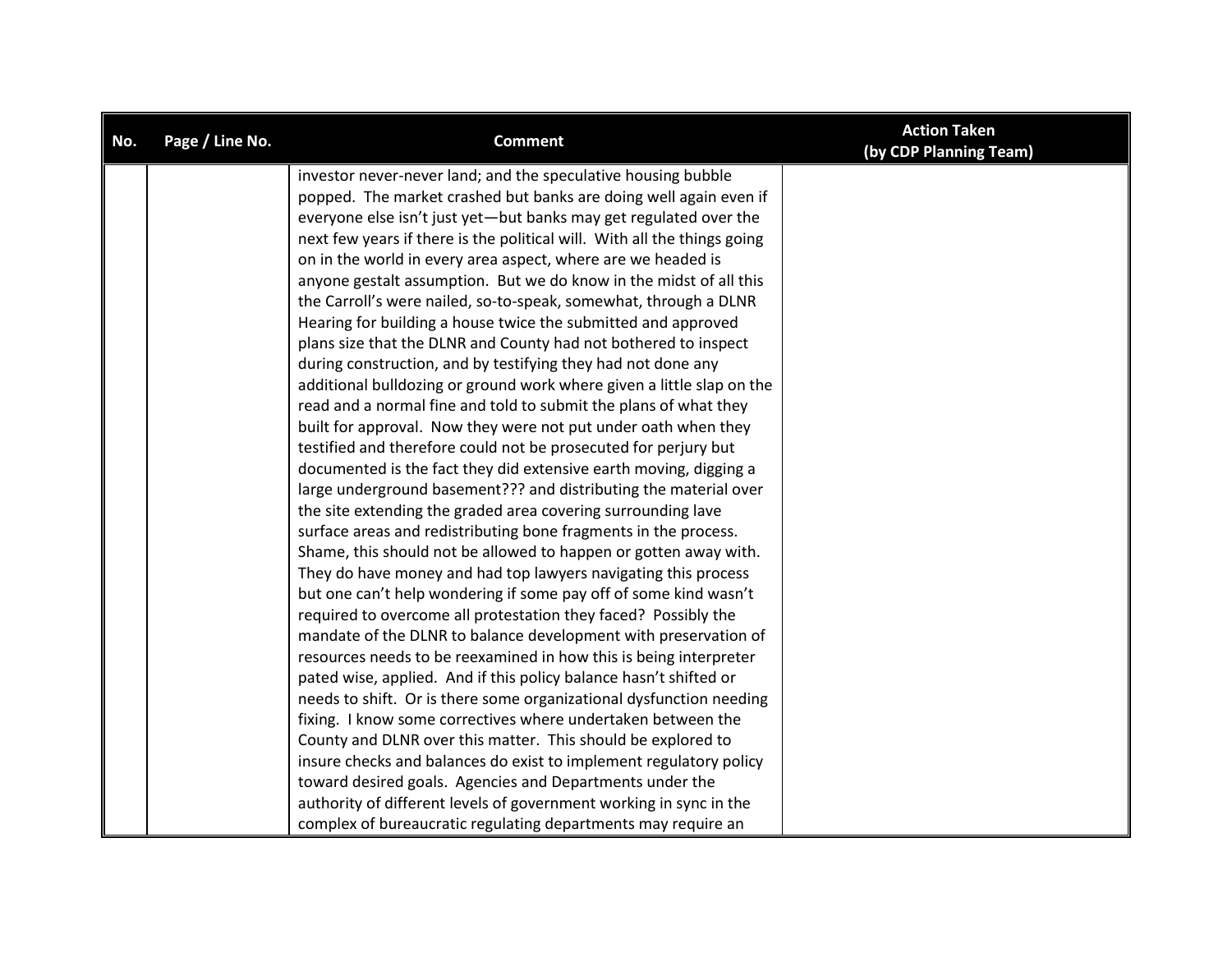| No. | Page / Line No. | <b>Comment</b>                                                           | <b>Action Taken</b><br>(by CDP Planning Team) |
|-----|-----------------|--------------------------------------------------------------------------|-----------------------------------------------|
|     |                 | investor never-never land; and the speculative housing bubble            |                                               |
|     |                 | popped. The market crashed but banks are doing well again even if        |                                               |
|     |                 | everyone else isn't just yet-but banks may get regulated over the        |                                               |
|     |                 | next few years if there is the political will. With all the things going |                                               |
|     |                 | on in the world in every area aspect, where are we headed is             |                                               |
|     |                 | anyone gestalt assumption. But we do know in the midst of all this       |                                               |
|     |                 | the Carroll's were nailed, so-to-speak, somewhat, through a DLNR         |                                               |
|     |                 | Hearing for building a house twice the submitted and approved            |                                               |
|     |                 | plans size that the DLNR and County had not bothered to inspect          |                                               |
|     |                 | during construction, and by testifying they had not done any             |                                               |
|     |                 | additional bulldozing or ground work where given a little slap on the    |                                               |
|     |                 | read and a normal fine and told to submit the plans of what they         |                                               |
|     |                 | built for approval. Now they were not put under oath when they           |                                               |
|     |                 | testified and therefore could not be prosecuted for perjury but          |                                               |
|     |                 | documented is the fact they did extensive earth moving, digging a        |                                               |
|     |                 | large underground basement??? and distributing the material over         |                                               |
|     |                 | the site extending the graded area covering surrounding lave             |                                               |
|     |                 | surface areas and redistributing bone fragments in the process.          |                                               |
|     |                 | Shame, this should not be allowed to happen or gotten away with.         |                                               |
|     |                 | They do have money and had top lawyers navigating this process           |                                               |
|     |                 | but one can't help wondering if some pay off of some kind wasn't         |                                               |
|     |                 | required to overcome all protestation they faced? Possibly the           |                                               |
|     |                 | mandate of the DLNR to balance development with preservation of          |                                               |
|     |                 | resources needs to be reexamined in how this is being interpreter        |                                               |
|     |                 | pated wise, applied. And if this policy balance hasn't shifted or        |                                               |
|     |                 | needs to shift. Or is there some organizational dysfunction needing      |                                               |
|     |                 | fixing. I know some correctives where undertaken between the             |                                               |
|     |                 | County and DLNR over this matter. This should be explored to             |                                               |
|     |                 | insure checks and balances do exist to implement regulatory policy       |                                               |
|     |                 | toward desired goals. Agencies and Departments under the                 |                                               |
|     |                 | authority of different levels of government working in sync in the       |                                               |
|     |                 | complex of bureaucratic regulating departments may require an            |                                               |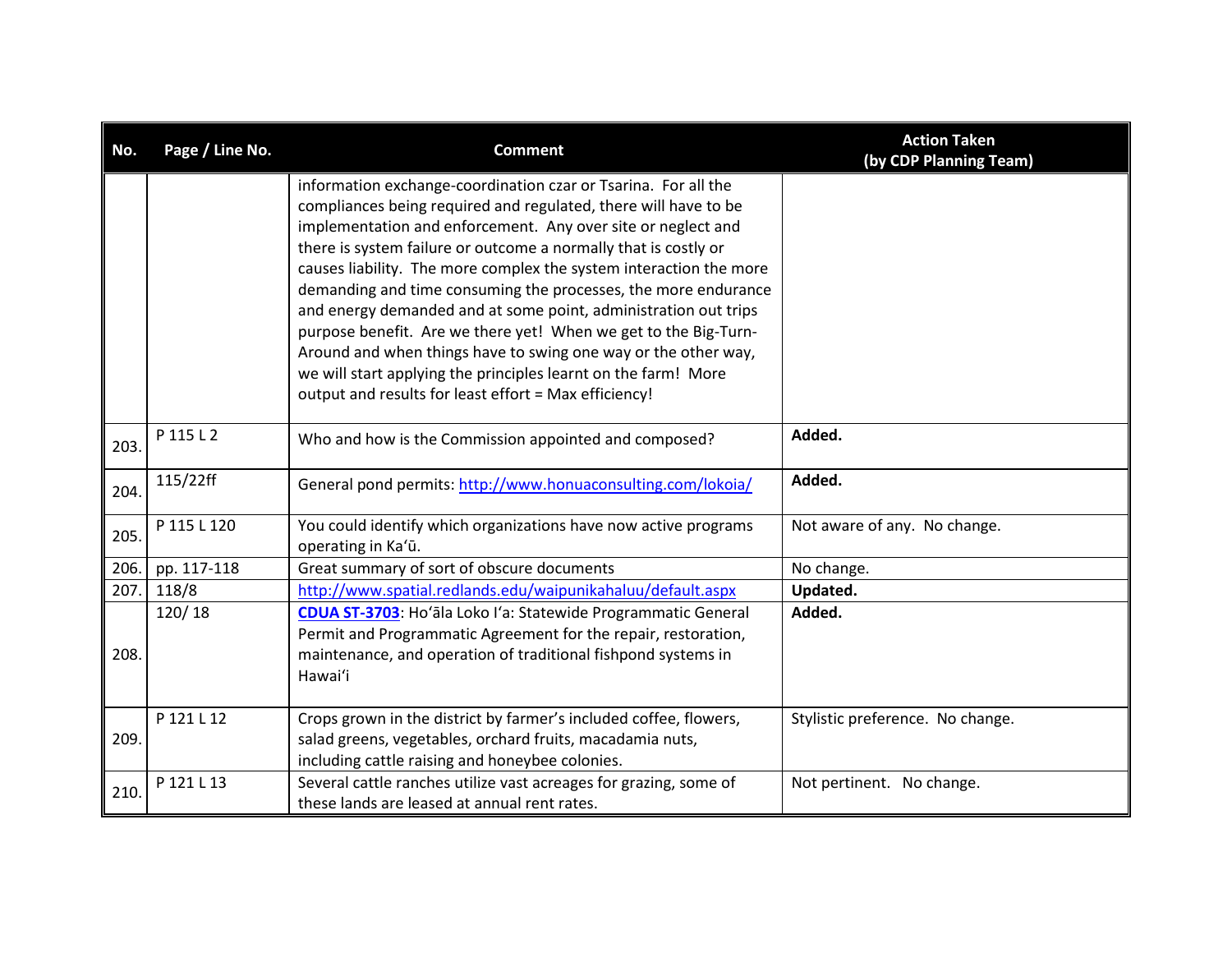| No.  | Page / Line No. | <b>Comment</b>                                                                                                                                                                                                                                                                                                                                                                                                                                                                                                                                                                                                                                                                                                                                  | <b>Action Taken</b><br>(by CDP Planning Team) |
|------|-----------------|-------------------------------------------------------------------------------------------------------------------------------------------------------------------------------------------------------------------------------------------------------------------------------------------------------------------------------------------------------------------------------------------------------------------------------------------------------------------------------------------------------------------------------------------------------------------------------------------------------------------------------------------------------------------------------------------------------------------------------------------------|-----------------------------------------------|
|      |                 | information exchange-coordination czar or Tsarina. For all the<br>compliances being required and regulated, there will have to be<br>implementation and enforcement. Any over site or neglect and<br>there is system failure or outcome a normally that is costly or<br>causes liability. The more complex the system interaction the more<br>demanding and time consuming the processes, the more endurance<br>and energy demanded and at some point, administration out trips<br>purpose benefit. Are we there yet! When we get to the Big-Turn-<br>Around and when things have to swing one way or the other way,<br>we will start applying the principles learnt on the farm! More<br>output and results for least effort = Max efficiency! |                                               |
| 203  | P 115 L 2       | Who and how is the Commission appointed and composed?                                                                                                                                                                                                                                                                                                                                                                                                                                                                                                                                                                                                                                                                                           | Added.                                        |
| 204. | 115/22ff        | General pond permits: http://www.honuaconsulting.com/lokoia/                                                                                                                                                                                                                                                                                                                                                                                                                                                                                                                                                                                                                                                                                    | Added.                                        |
| 205. | P 115 L 120     | You could identify which organizations have now active programs<br>operating in Ka'ū.                                                                                                                                                                                                                                                                                                                                                                                                                                                                                                                                                                                                                                                           | Not aware of any. No change.                  |
| 206. | pp. 117-118     | Great summary of sort of obscure documents                                                                                                                                                                                                                                                                                                                                                                                                                                                                                                                                                                                                                                                                                                      | No change.                                    |
| 207. | 118/8           | http://www.spatial.redlands.edu/waipunikahaluu/default.aspx                                                                                                                                                                                                                                                                                                                                                                                                                                                                                                                                                                                                                                                                                     | Updated.                                      |
| 208. | 120/18          | CDUA ST-3703: Ho'ala Loko I'a: Statewide Programmatic General<br>Permit and Programmatic Agreement for the repair, restoration,<br>maintenance, and operation of traditional fishpond systems in<br>Hawai'i                                                                                                                                                                                                                                                                                                                                                                                                                                                                                                                                     | Added.                                        |
| 209. | P 121 L 12      | Crops grown in the district by farmer's included coffee, flowers,<br>salad greens, vegetables, orchard fruits, macadamia nuts,<br>including cattle raising and honeybee colonies.                                                                                                                                                                                                                                                                                                                                                                                                                                                                                                                                                               | Stylistic preference. No change.              |
| 210. | P 121 L 13      | Several cattle ranches utilize vast acreages for grazing, some of<br>these lands are leased at annual rent rates.                                                                                                                                                                                                                                                                                                                                                                                                                                                                                                                                                                                                                               | Not pertinent. No change.                     |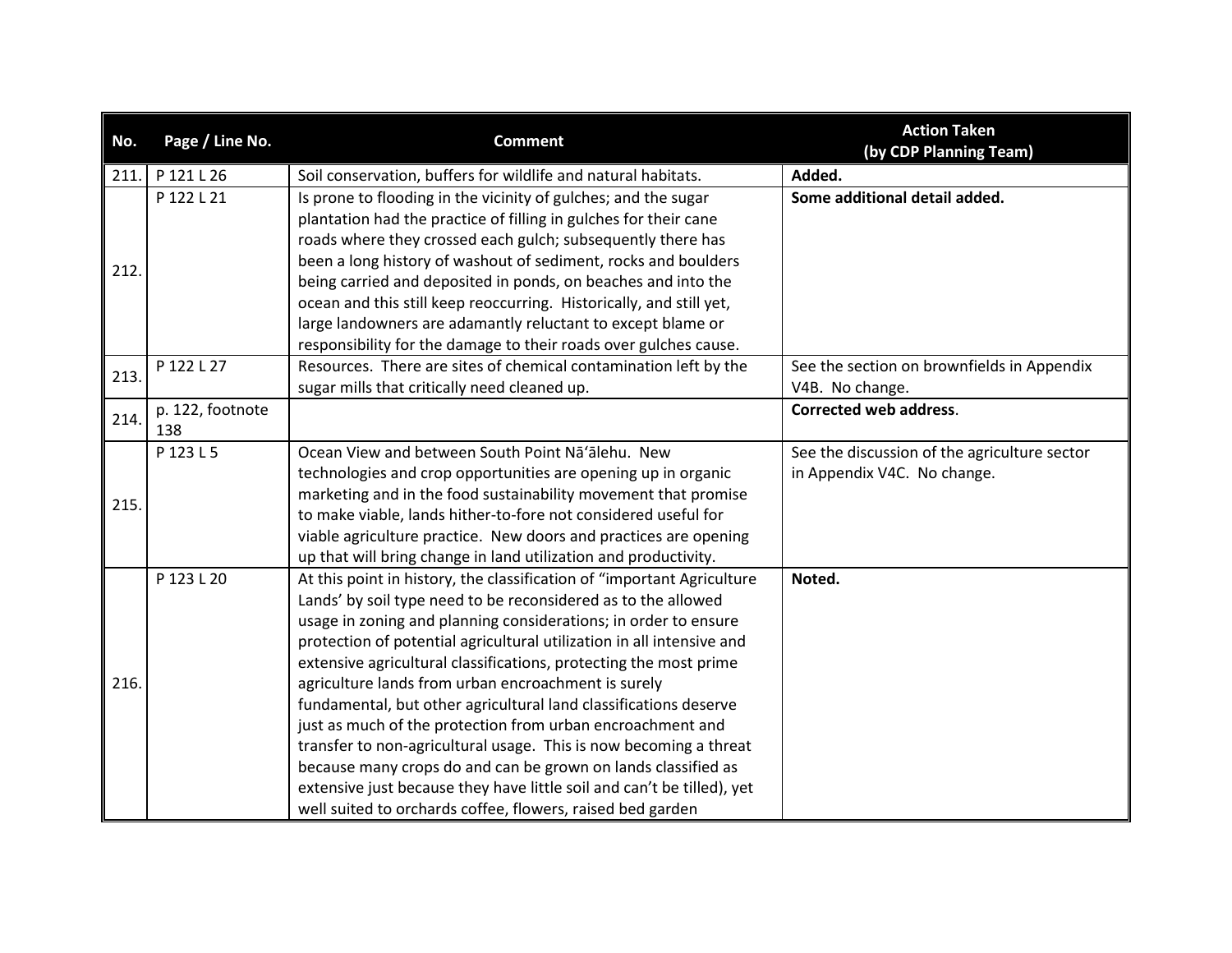| No.  | Page / Line No.         | <b>Comment</b>                                                                                                          | <b>Action Taken</b><br>(by CDP Planning Team)    |
|------|-------------------------|-------------------------------------------------------------------------------------------------------------------------|--------------------------------------------------|
| 211. | P 121 L 26              | Soil conservation, buffers for wildlife and natural habitats.                                                           | Added.                                           |
|      | P 122 L 21              | Is prone to flooding in the vicinity of gulches; and the sugar                                                          | Some additional detail added.                    |
|      |                         | plantation had the practice of filling in gulches for their cane                                                        |                                                  |
|      |                         | roads where they crossed each gulch; subsequently there has                                                             |                                                  |
| 212. |                         | been a long history of washout of sediment, rocks and boulders                                                          |                                                  |
|      |                         | being carried and deposited in ponds, on beaches and into the                                                           |                                                  |
|      |                         | ocean and this still keep reoccurring. Historically, and still yet,                                                     |                                                  |
|      |                         | large landowners are adamantly reluctant to except blame or                                                             |                                                  |
|      |                         | responsibility for the damage to their roads over gulches cause.                                                        |                                                  |
| 213. | P 122 L 27              | Resources. There are sites of chemical contamination left by the                                                        | See the section on brownfields in Appendix       |
|      |                         | sugar mills that critically need cleaned up.                                                                            | V4B. No change.<br><b>Corrected web address.</b> |
| 214. | p. 122, footnote<br>138 |                                                                                                                         |                                                  |
|      | P 123 L 5               | Ocean View and between South Point Na'alehu. New                                                                        | See the discussion of the agriculture sector     |
|      |                         | technologies and crop opportunities are opening up in organic                                                           | in Appendix V4C. No change.                      |
| 215. |                         | marketing and in the food sustainability movement that promise                                                          |                                                  |
|      |                         | to make viable, lands hither-to-fore not considered useful for                                                          |                                                  |
|      |                         | viable agriculture practice. New doors and practices are opening                                                        |                                                  |
|      |                         | up that will bring change in land utilization and productivity.                                                         |                                                  |
|      | P 123 L 20              | At this point in history, the classification of "important Agriculture                                                  | Noted.                                           |
|      |                         | Lands' by soil type need to be reconsidered as to the allowed                                                           |                                                  |
|      |                         | usage in zoning and planning considerations; in order to ensure                                                         |                                                  |
|      |                         | protection of potential agricultural utilization in all intensive and                                                   |                                                  |
| 216. |                         | extensive agricultural classifications, protecting the most prime                                                       |                                                  |
|      |                         | agriculture lands from urban encroachment is surely<br>fundamental, but other agricultural land classifications deserve |                                                  |
|      |                         | just as much of the protection from urban encroachment and                                                              |                                                  |
|      |                         | transfer to non-agricultural usage. This is now becoming a threat                                                       |                                                  |
|      |                         | because many crops do and can be grown on lands classified as                                                           |                                                  |
|      |                         | extensive just because they have little soil and can't be tilled), yet                                                  |                                                  |
|      |                         | well suited to orchards coffee, flowers, raised bed garden                                                              |                                                  |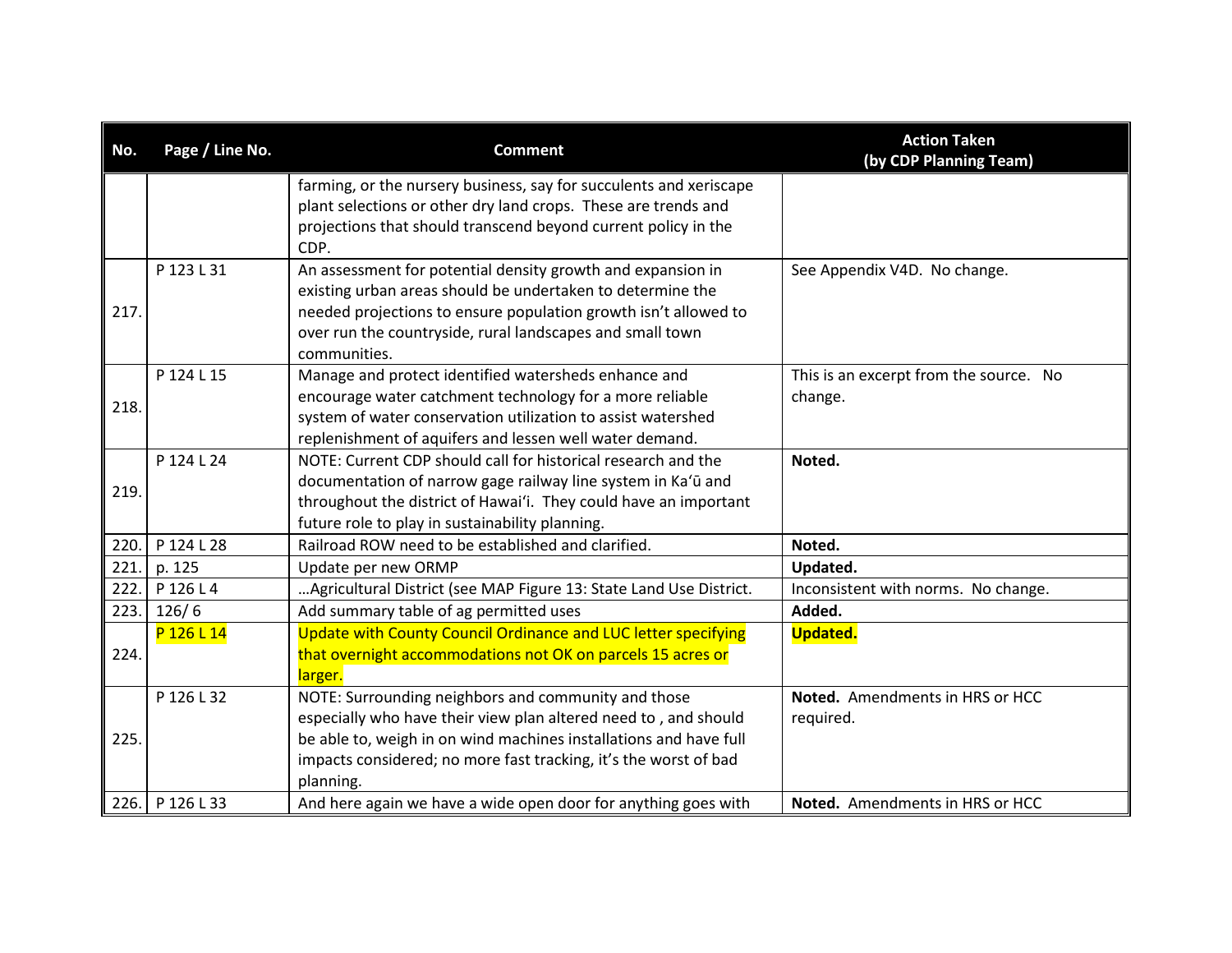| No.  | Page / Line No. | <b>Comment</b>                                                         | <b>Action Taken</b><br>(by CDP Planning Team) |
|------|-----------------|------------------------------------------------------------------------|-----------------------------------------------|
|      |                 | farming, or the nursery business, say for succulents and xeriscape     |                                               |
|      |                 | plant selections or other dry land crops. These are trends and         |                                               |
|      |                 | projections that should transcend beyond current policy in the<br>CDP. |                                               |
|      | P 123 L 31      | An assessment for potential density growth and expansion in            | See Appendix V4D. No change.                  |
|      |                 | existing urban areas should be undertaken to determine the             |                                               |
| 217. |                 | needed projections to ensure population growth isn't allowed to        |                                               |
|      |                 | over run the countryside, rural landscapes and small town              |                                               |
|      |                 | communities.                                                           |                                               |
|      | P 124 L 15      | Manage and protect identified watersheds enhance and                   | This is an excerpt from the source. No        |
| 218. |                 | encourage water catchment technology for a more reliable               | change.                                       |
|      |                 | system of water conservation utilization to assist watershed           |                                               |
|      |                 | replenishment of aquifers and lessen well water demand.                |                                               |
|      | P 124 L 24      | NOTE: Current CDP should call for historical research and the          | Noted.                                        |
| 219. |                 | documentation of narrow gage railway line system in Ka'ū and           |                                               |
|      |                 | throughout the district of Hawai'i. They could have an important       |                                               |
|      |                 | future role to play in sustainability planning.                        |                                               |
| 220. | P 124 L 28      | Railroad ROW need to be established and clarified.                     | Noted.                                        |
| 221  | p. 125          | Update per new ORMP                                                    | Updated.                                      |
| 222. | P 126 L 4       | Agricultural District (see MAP Figure 13: State Land Use District.     | Inconsistent with norms. No change.           |
| 223. | 126/6           | Add summary table of ag permitted uses                                 | Added.                                        |
|      | P 126 L 14      | Update with County Council Ordinance and LUC letter specifying         | <b>Updated.</b>                               |
| 224. |                 | that overnight accommodations not OK on parcels 15 acres or            |                                               |
|      |                 | larger.                                                                |                                               |
|      | P 126 L 32      | NOTE: Surrounding neighbors and community and those                    | Noted. Amendments in HRS or HCC               |
|      |                 | especially who have their view plan altered need to, and should        | required.                                     |
| 225. |                 | be able to, weigh in on wind machines installations and have full      |                                               |
|      |                 | impacts considered; no more fast tracking, it's the worst of bad       |                                               |
|      |                 | planning.                                                              |                                               |
|      | 226. P 126 L 33 | And here again we have a wide open door for anything goes with         | Noted. Amendments in HRS or HCC               |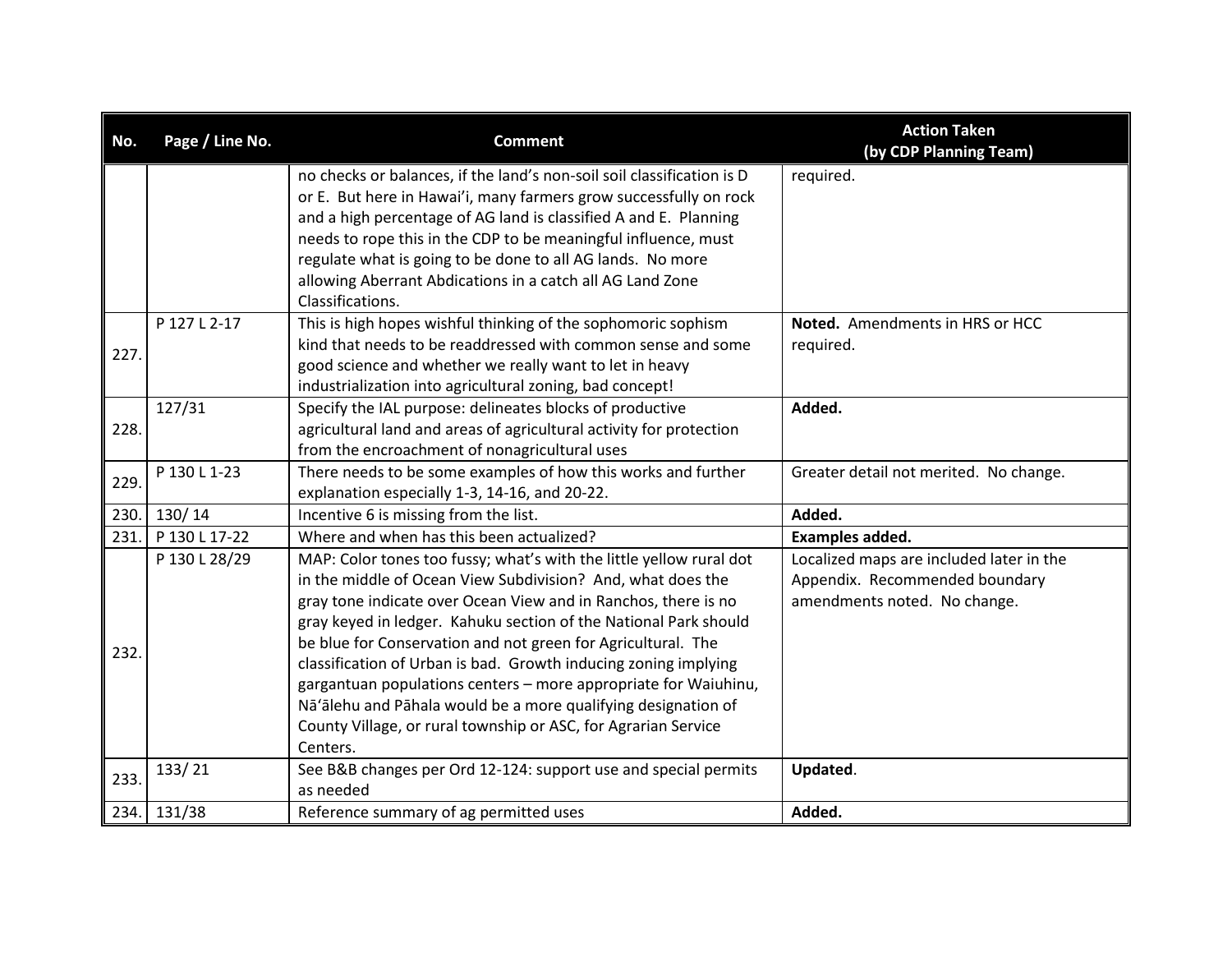| No.  | Page / Line No. | <b>Comment</b>                                                                                                                                                                                                                                                                                                                                                                                                                                                                                                                                                                                                                | <b>Action Taken</b><br>(by CDP Planning Team)                                                              |
|------|-----------------|-------------------------------------------------------------------------------------------------------------------------------------------------------------------------------------------------------------------------------------------------------------------------------------------------------------------------------------------------------------------------------------------------------------------------------------------------------------------------------------------------------------------------------------------------------------------------------------------------------------------------------|------------------------------------------------------------------------------------------------------------|
|      |                 | no checks or balances, if the land's non-soil soil classification is D<br>or E. But here in Hawai'i, many farmers grow successfully on rock<br>and a high percentage of AG land is classified A and E. Planning<br>needs to rope this in the CDP to be meaningful influence, must<br>regulate what is going to be done to all AG lands. No more<br>allowing Aberrant Abdications in a catch all AG Land Zone<br>Classifications.                                                                                                                                                                                              | required.                                                                                                  |
| 227. | P 127 L 2-17    | This is high hopes wishful thinking of the sophomoric sophism<br>kind that needs to be readdressed with common sense and some<br>good science and whether we really want to let in heavy<br>industrialization into agricultural zoning, bad concept!                                                                                                                                                                                                                                                                                                                                                                          | Noted. Amendments in HRS or HCC<br>required.                                                               |
| 228. | 127/31          | Specify the IAL purpose: delineates blocks of productive<br>agricultural land and areas of agricultural activity for protection<br>from the encroachment of nonagricultural uses                                                                                                                                                                                                                                                                                                                                                                                                                                              | Added.                                                                                                     |
| 229. | P 130 L 1-23    | There needs to be some examples of how this works and further<br>explanation especially 1-3, 14-16, and 20-22.                                                                                                                                                                                                                                                                                                                                                                                                                                                                                                                | Greater detail not merited. No change.                                                                     |
| 230. | 130/14          | Incentive 6 is missing from the list.                                                                                                                                                                                                                                                                                                                                                                                                                                                                                                                                                                                         | Added.                                                                                                     |
| 231. | P 130 L 17-22   | Where and when has this been actualized?                                                                                                                                                                                                                                                                                                                                                                                                                                                                                                                                                                                      | Examples added.                                                                                            |
| 232. | P 130 L 28/29   | MAP: Color tones too fussy; what's with the little yellow rural dot<br>in the middle of Ocean View Subdivision? And, what does the<br>gray tone indicate over Ocean View and in Ranchos, there is no<br>gray keyed in ledger. Kahuku section of the National Park should<br>be blue for Conservation and not green for Agricultural. The<br>classification of Urban is bad. Growth inducing zoning implying<br>gargantuan populations centers - more appropriate for Waiuhinu,<br>Nā'ālehu and Pāhala would be a more qualifying designation of<br>County Village, or rural township or ASC, for Agrarian Service<br>Centers. | Localized maps are included later in the<br>Appendix. Recommended boundary<br>amendments noted. No change. |
| 233. | 133/21          | See B&B changes per Ord 12-124: support use and special permits<br>as needed                                                                                                                                                                                                                                                                                                                                                                                                                                                                                                                                                  | Updated.                                                                                                   |
| 234. | 131/38          | Reference summary of ag permitted uses                                                                                                                                                                                                                                                                                                                                                                                                                                                                                                                                                                                        | Added.                                                                                                     |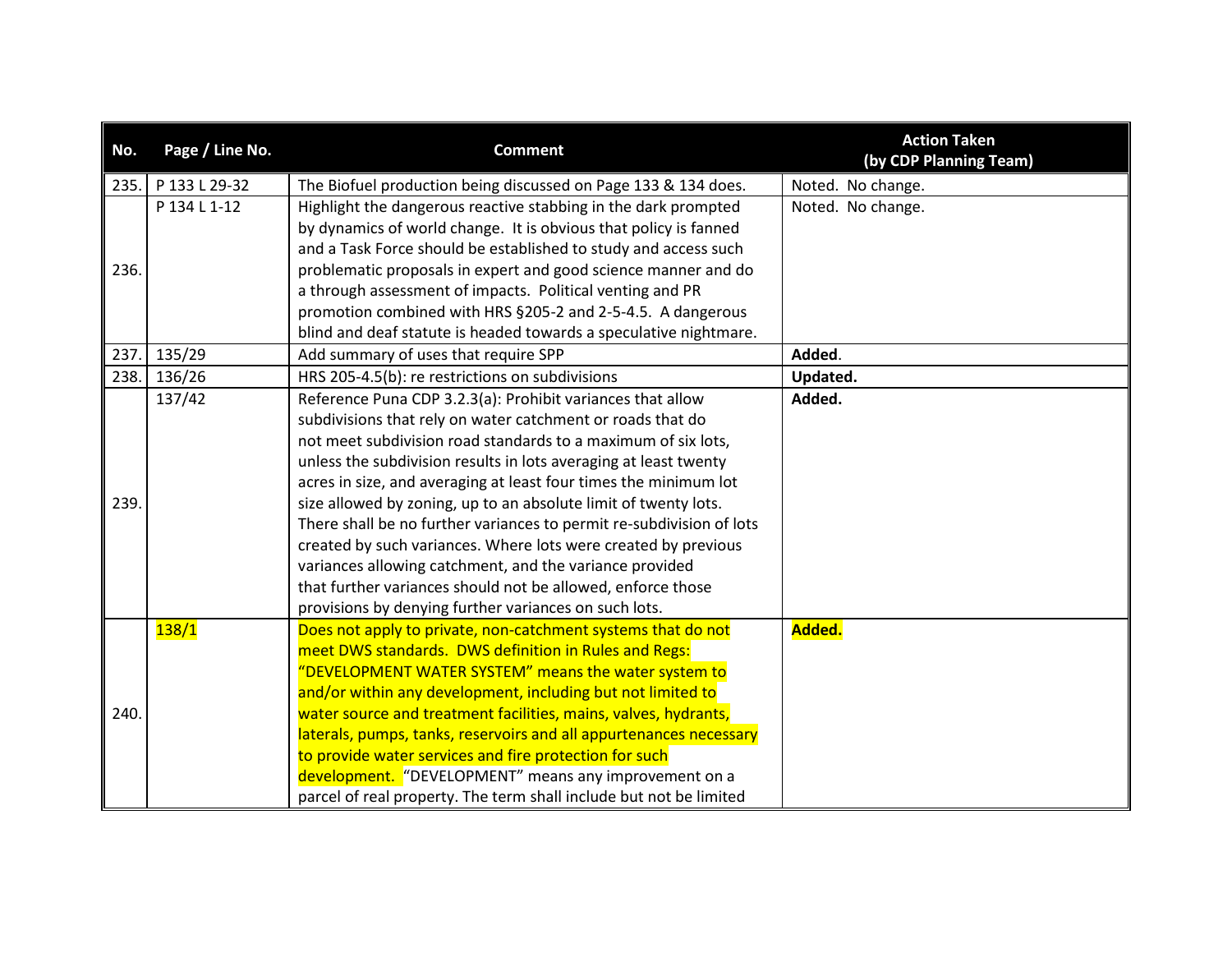| No.  | Page / Line No. | <b>Comment</b>                                                       | <b>Action Taken</b><br>(by CDP Planning Team) |
|------|-----------------|----------------------------------------------------------------------|-----------------------------------------------|
| 235. | P 133 L 29-32   | The Biofuel production being discussed on Page 133 & 134 does.       | Noted. No change.                             |
|      | P 134 L 1-12    | Highlight the dangerous reactive stabbing in the dark prompted       | Noted. No change.                             |
|      |                 | by dynamics of world change. It is obvious that policy is fanned     |                                               |
|      |                 | and a Task Force should be established to study and access such      |                                               |
| 236. |                 | problematic proposals in expert and good science manner and do       |                                               |
|      |                 | a through assessment of impacts. Political venting and PR            |                                               |
|      |                 | promotion combined with HRS §205-2 and 2-5-4.5. A dangerous          |                                               |
|      |                 | blind and deaf statute is headed towards a speculative nightmare.    |                                               |
| 237. | 135/29          | Add summary of uses that require SPP                                 | Added.                                        |
| 238. | 136/26          | HRS 205-4.5(b): re restrictions on subdivisions                      | Updated.                                      |
|      | 137/42          | Reference Puna CDP 3.2.3(a): Prohibit variances that allow           | Added.                                        |
|      |                 | subdivisions that rely on water catchment or roads that do           |                                               |
|      |                 | not meet subdivision road standards to a maximum of six lots,        |                                               |
|      |                 | unless the subdivision results in lots averaging at least twenty     |                                               |
|      |                 | acres in size, and averaging at least four times the minimum lot     |                                               |
| 239. |                 | size allowed by zoning, up to an absolute limit of twenty lots.      |                                               |
|      |                 | There shall be no further variances to permit re-subdivision of lots |                                               |
|      |                 | created by such variances. Where lots were created by previous       |                                               |
|      |                 | variances allowing catchment, and the variance provided              |                                               |
|      |                 | that further variances should not be allowed, enforce those          |                                               |
|      |                 | provisions by denying further variances on such lots.                |                                               |
|      | 138/1           | Does not apply to private, non-catchment systems that do not         | Added.                                        |
|      |                 | meet DWS standards. DWS definition in Rules and Regs:                |                                               |
|      |                 | "DEVELOPMENT WATER SYSTEM" means the water system to                 |                                               |
|      |                 | and/or within any development, including but not limited to          |                                               |
| 240. |                 | water source and treatment facilities, mains, valves, hydrants,      |                                               |
|      |                 | laterals, pumps, tanks, reservoirs and all appurtenances necessary   |                                               |
|      |                 | to provide water services and fire protection for such               |                                               |
|      |                 | development. "DEVELOPMENT" means any improvement on a                |                                               |
|      |                 | parcel of real property. The term shall include but not be limited   |                                               |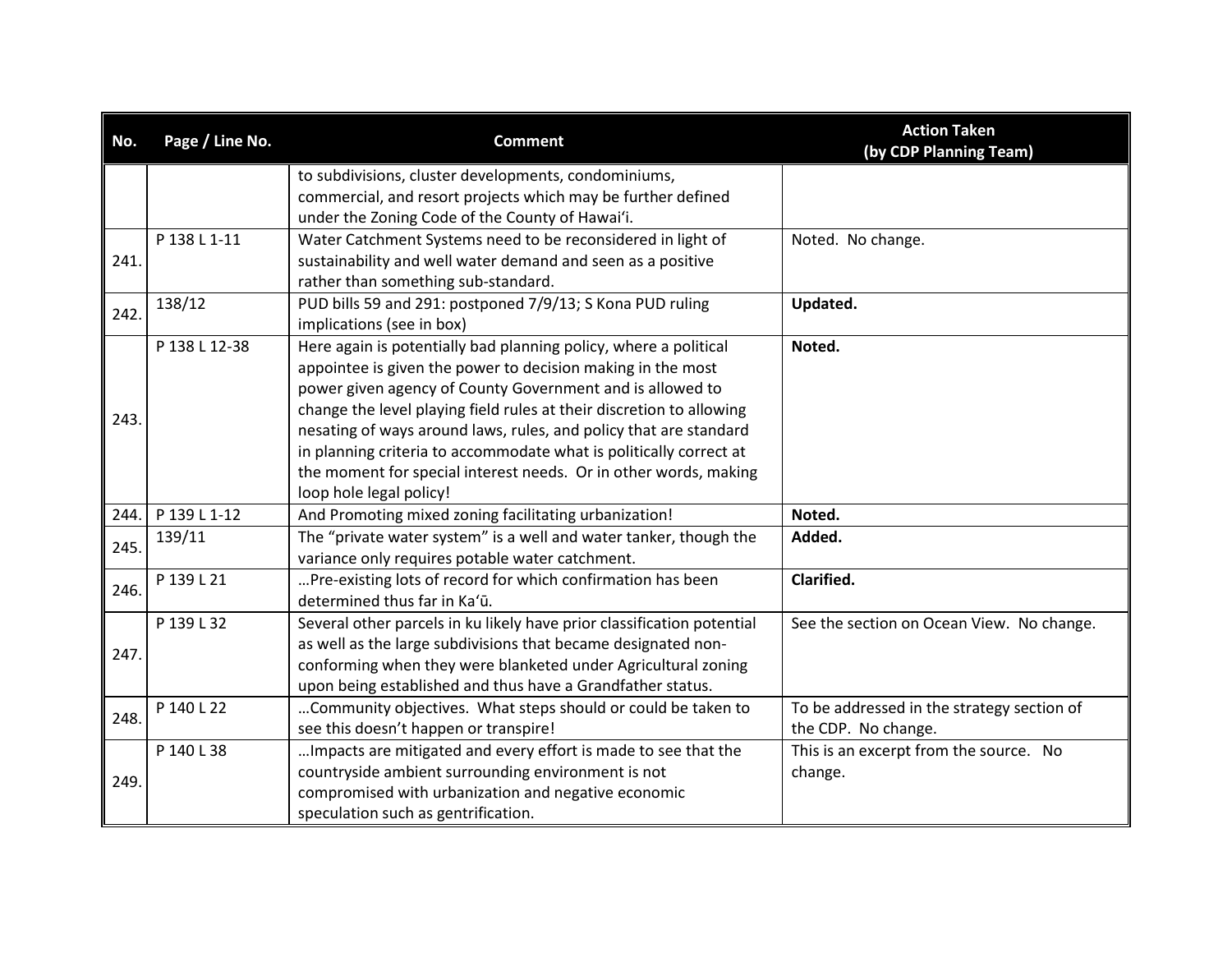| No.  | Page / Line No. | <b>Comment</b>                                                         | <b>Action Taken</b><br>(by CDP Planning Team) |
|------|-----------------|------------------------------------------------------------------------|-----------------------------------------------|
|      |                 | to subdivisions, cluster developments, condominiums,                   |                                               |
|      |                 | commercial, and resort projects which may be further defined           |                                               |
|      |                 | under the Zoning Code of the County of Hawai'i.                        |                                               |
|      | P 138 L 1-11    | Water Catchment Systems need to be reconsidered in light of            | Noted. No change.                             |
| 241. |                 | sustainability and well water demand and seen as a positive            |                                               |
|      |                 | rather than something sub-standard.                                    |                                               |
| 242. | 138/12          | PUD bills 59 and 291: postponed 7/9/13; S Kona PUD ruling              | Updated.                                      |
|      |                 | implications (see in box)                                              |                                               |
|      | P 138 L 12-38   | Here again is potentially bad planning policy, where a political       | Noted.                                        |
|      |                 | appointee is given the power to decision making in the most            |                                               |
|      |                 | power given agency of County Government and is allowed to              |                                               |
| 243. |                 | change the level playing field rules at their discretion to allowing   |                                               |
|      |                 | nesating of ways around laws, rules, and policy that are standard      |                                               |
|      |                 | in planning criteria to accommodate what is politically correct at     |                                               |
|      |                 | the moment for special interest needs. Or in other words, making       |                                               |
|      |                 | loop hole legal policy!                                                |                                               |
| 244. | P 139 L 1-12    | And Promoting mixed zoning facilitating urbanization!                  | Noted.                                        |
| 245. | 139/11          | The "private water system" is a well and water tanker, though the      | Added.                                        |
|      |                 | variance only requires potable water catchment.                        |                                               |
| 246. | P 139 L 21      | Pre-existing lots of record for which confirmation has been            | Clarified.                                    |
|      |                 | determined thus far in Ka'ū.                                           |                                               |
|      | P 139 L 32      | Several other parcels in ku likely have prior classification potential | See the section on Ocean View. No change.     |
|      |                 | as well as the large subdivisions that became designated non-          |                                               |
| 247. |                 | conforming when they were blanketed under Agricultural zoning          |                                               |
|      |                 | upon being established and thus have a Grandfather status.             |                                               |
|      | P 140 L 22      | Community objectives. What steps should or could be taken to           | To be addressed in the strategy section of    |
| 248. |                 | see this doesn't happen or transpire!                                  | the CDP. No change.                           |
|      | P 140 L 38      | Impacts are mitigated and every effort is made to see that the         | This is an excerpt from the source. No        |
|      |                 | countryside ambient surrounding environment is not                     | change.                                       |
| 249. |                 | compromised with urbanization and negative economic                    |                                               |
|      |                 | speculation such as gentrification.                                    |                                               |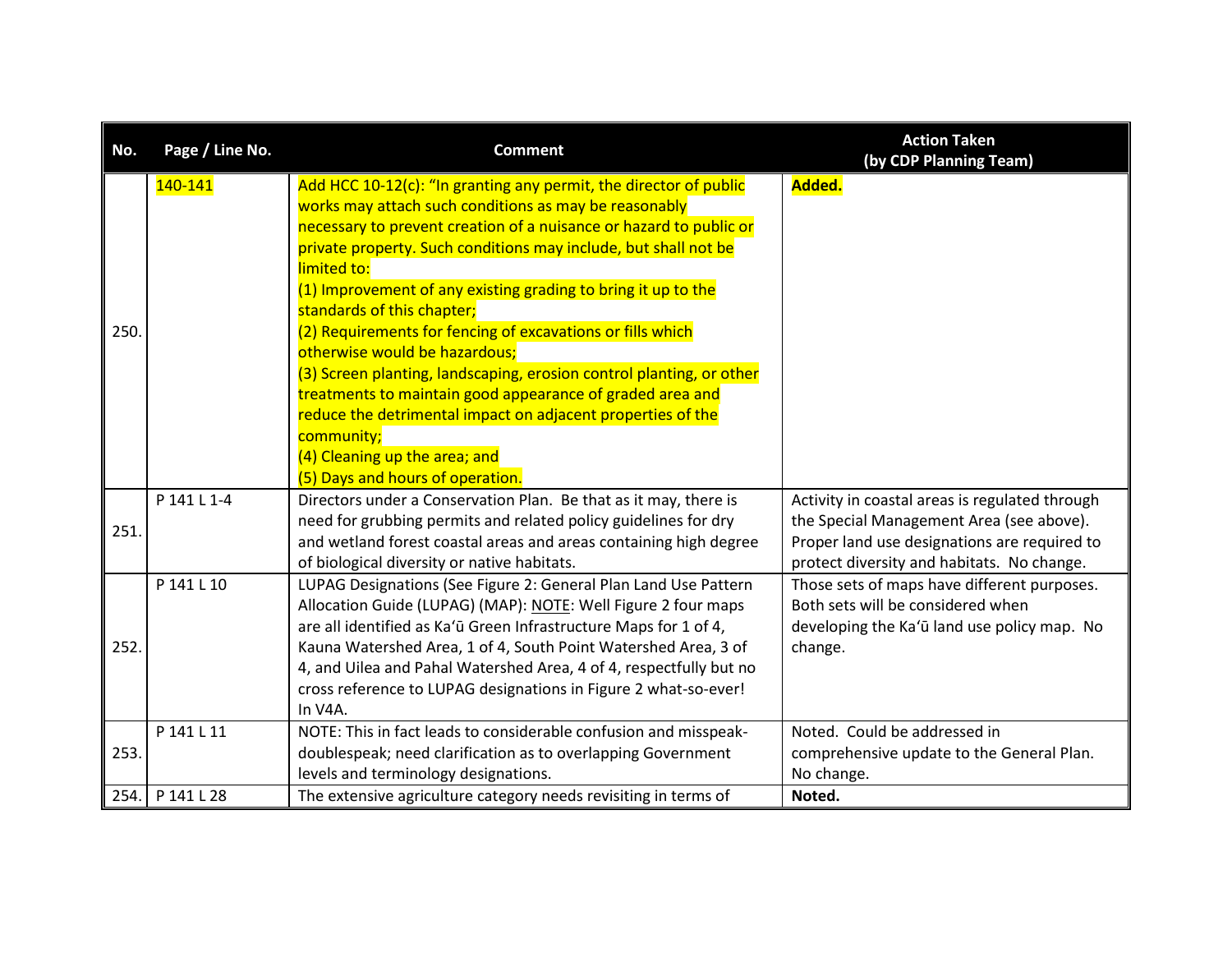| No.  | Page / Line No. | <b>Comment</b>                                                                                                                                                                                                                                                                                                                                                                                                                                                                                                                                                                                                                                                                                                                                                          | <b>Action Taken</b><br>(by CDP Planning Team)                                                                                                                                            |
|------|-----------------|-------------------------------------------------------------------------------------------------------------------------------------------------------------------------------------------------------------------------------------------------------------------------------------------------------------------------------------------------------------------------------------------------------------------------------------------------------------------------------------------------------------------------------------------------------------------------------------------------------------------------------------------------------------------------------------------------------------------------------------------------------------------------|------------------------------------------------------------------------------------------------------------------------------------------------------------------------------------------|
| 250. | 140-141         | Add HCC 10-12(c): "In granting any permit, the director of public<br>works may attach such conditions as may be reasonably<br>necessary to prevent creation of a nuisance or hazard to public or<br>private property. Such conditions may include, but shall not be<br>limited to:<br>(1) Improvement of any existing grading to bring it up to the<br>standards of this chapter;<br>(2) Requirements for fencing of excavations or fills which<br>otherwise would be hazardous;<br>(3) Screen planting, landscaping, erosion control planting, or other<br>treatments to maintain good appearance of graded area and<br>reduce the detrimental impact on adjacent properties of the<br>community;<br>(4) Cleaning up the area; and<br>(5) Days and hours of operation. | Added.                                                                                                                                                                                   |
| 251. | P 141 L 1-4     | Directors under a Conservation Plan. Be that as it may, there is<br>need for grubbing permits and related policy guidelines for dry<br>and wetland forest coastal areas and areas containing high degree<br>of biological diversity or native habitats.                                                                                                                                                                                                                                                                                                                                                                                                                                                                                                                 | Activity in coastal areas is regulated through<br>the Special Management Area (see above).<br>Proper land use designations are required to<br>protect diversity and habitats. No change. |
| 252. | P 141 L 10      | LUPAG Designations (See Figure 2: General Plan Land Use Pattern<br>Allocation Guide (LUPAG) (MAP): NOTE: Well Figure 2 four maps<br>are all identified as Ka'ū Green Infrastructure Maps for 1 of 4,<br>Kauna Watershed Area, 1 of 4, South Point Watershed Area, 3 of<br>4, and Uilea and Pahal Watershed Area, 4 of 4, respectfully but no<br>cross reference to LUPAG designations in Figure 2 what-so-ever!<br>In V4A.                                                                                                                                                                                                                                                                                                                                              | Those sets of maps have different purposes.<br>Both sets will be considered when<br>developing the Ka'ū land use policy map. No<br>change.                                               |
| 253. | P 141 L 11      | NOTE: This in fact leads to considerable confusion and misspeak-<br>doublespeak; need clarification as to overlapping Government<br>levels and terminology designations.                                                                                                                                                                                                                                                                                                                                                                                                                                                                                                                                                                                                | Noted. Could be addressed in<br>comprehensive update to the General Plan.<br>No change.                                                                                                  |
| 254. | P 141 L 28      | The extensive agriculture category needs revisiting in terms of                                                                                                                                                                                                                                                                                                                                                                                                                                                                                                                                                                                                                                                                                                         | Noted.                                                                                                                                                                                   |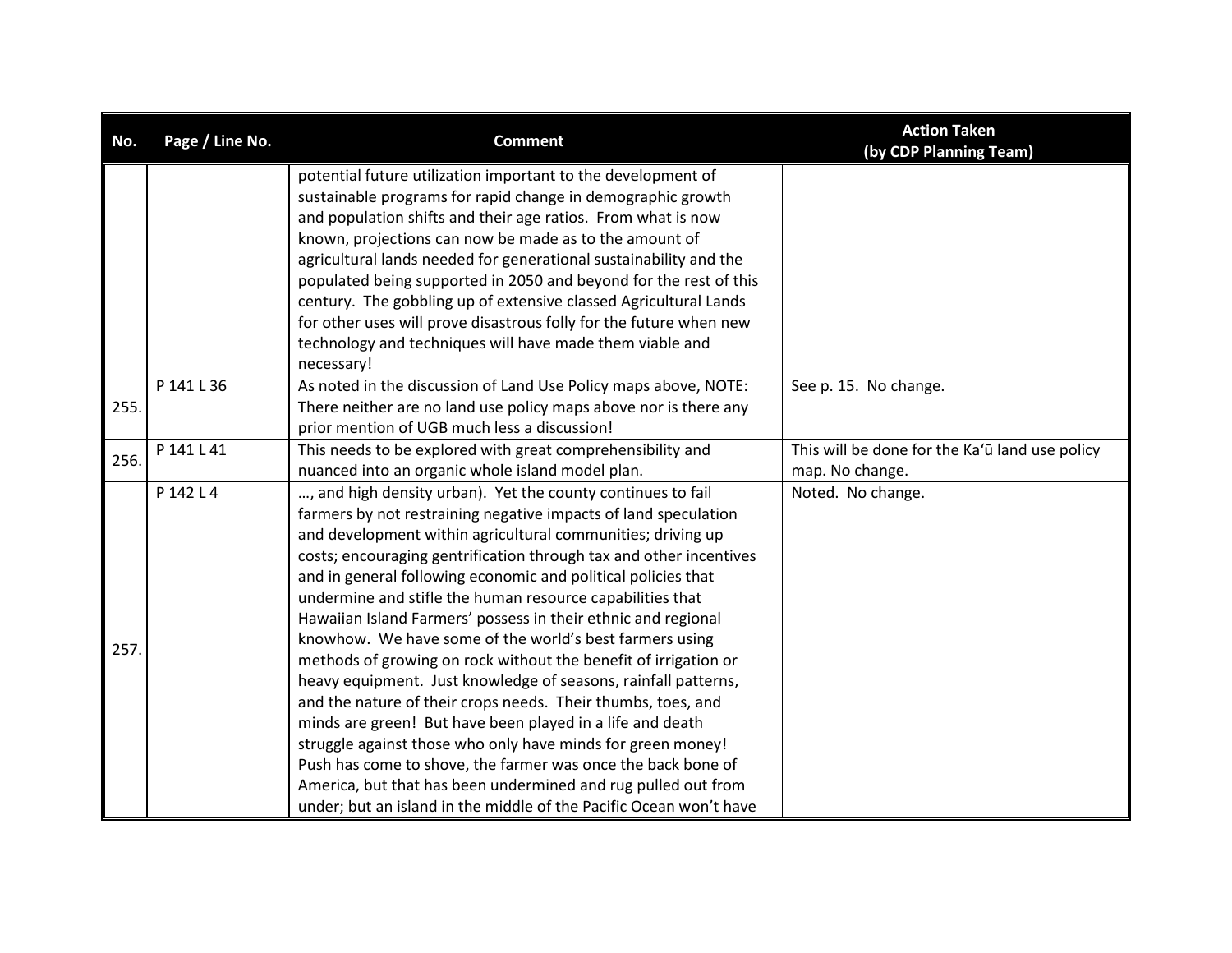| No.  | Page / Line No. | <b>Comment</b>                                                     | <b>Action Taken</b><br>(by CDP Planning Team)  |
|------|-----------------|--------------------------------------------------------------------|------------------------------------------------|
|      |                 | potential future utilization important to the development of       |                                                |
|      |                 | sustainable programs for rapid change in demographic growth        |                                                |
|      |                 | and population shifts and their age ratios. From what is now       |                                                |
|      |                 | known, projections can now be made as to the amount of             |                                                |
|      |                 | agricultural lands needed for generational sustainability and the  |                                                |
|      |                 | populated being supported in 2050 and beyond for the rest of this  |                                                |
|      |                 | century. The gobbling up of extensive classed Agricultural Lands   |                                                |
|      |                 | for other uses will prove disastrous folly for the future when new |                                                |
|      |                 | technology and techniques will have made them viable and           |                                                |
|      |                 | necessary!                                                         |                                                |
|      | P 141 L 36      | As noted in the discussion of Land Use Policy maps above, NOTE:    | See p. 15. No change.                          |
| 255. |                 | There neither are no land use policy maps above nor is there any   |                                                |
|      |                 | prior mention of UGB much less a discussion!                       |                                                |
| 256. | P 141 L 41      | This needs to be explored with great comprehensibility and         | This will be done for the Ka'ū land use policy |
|      |                 | nuanced into an organic whole island model plan.                   | map. No change.                                |
|      | P 142 L 4       | , and high density urban). Yet the county continues to fail        | Noted. No change.                              |
|      |                 | farmers by not restraining negative impacts of land speculation    |                                                |
|      |                 | and development within agricultural communities; driving up        |                                                |
|      |                 | costs; encouraging gentrification through tax and other incentives |                                                |
|      |                 | and in general following economic and political policies that      |                                                |
|      |                 | undermine and stifle the human resource capabilities that          |                                                |
|      |                 | Hawaiian Island Farmers' possess in their ethnic and regional      |                                                |
| 257. |                 | knowhow. We have some of the world's best farmers using            |                                                |
|      |                 | methods of growing on rock without the benefit of irrigation or    |                                                |
|      |                 | heavy equipment. Just knowledge of seasons, rainfall patterns,     |                                                |
|      |                 | and the nature of their crops needs. Their thumbs, toes, and       |                                                |
|      |                 | minds are green! But have been played in a life and death          |                                                |
|      |                 | struggle against those who only have minds for green money!        |                                                |
|      |                 | Push has come to shove, the farmer was once the back bone of       |                                                |
|      |                 | America, but that has been undermined and rug pulled out from      |                                                |
|      |                 | under; but an island in the middle of the Pacific Ocean won't have |                                                |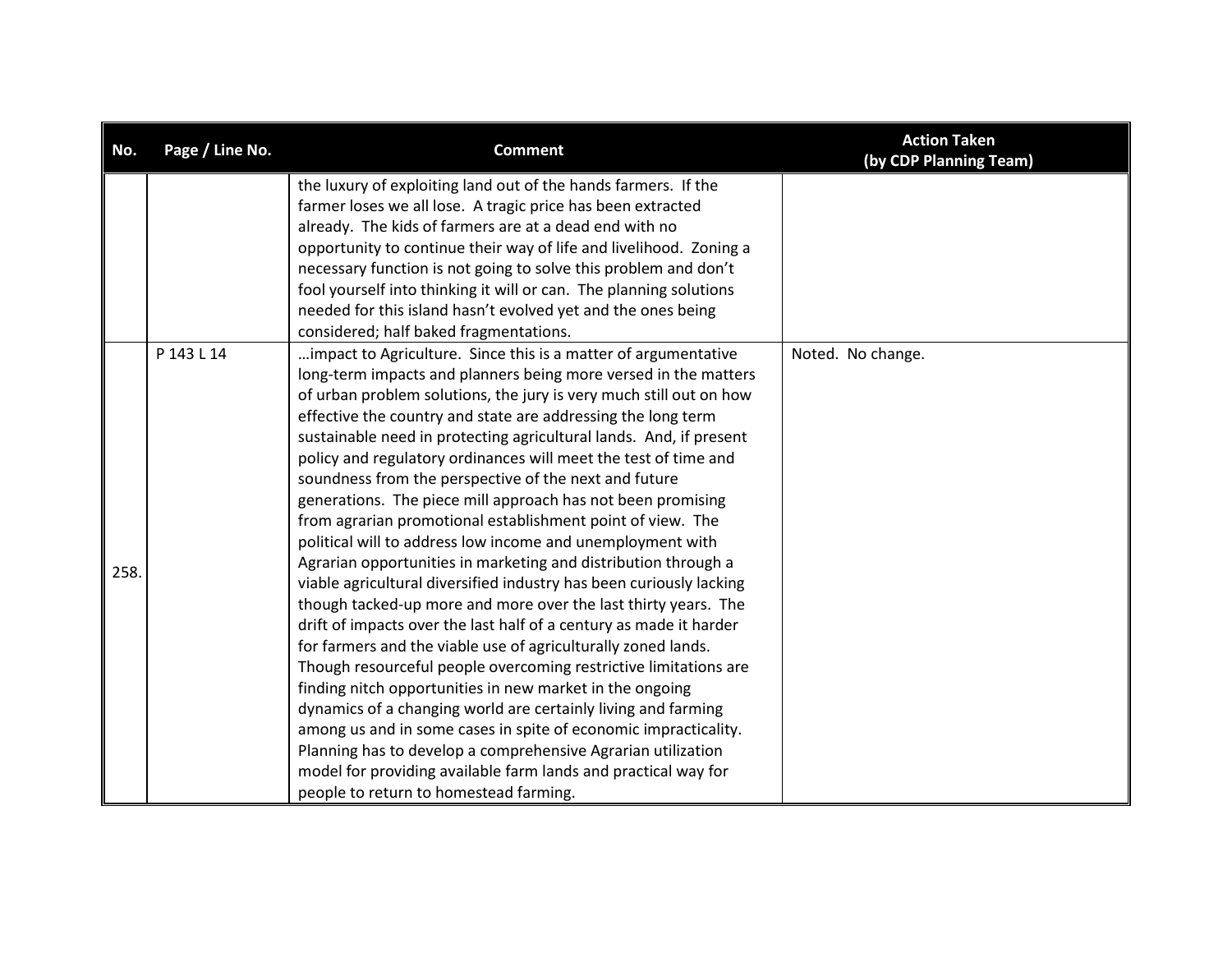| No.  | Page / Line No. | <b>Comment</b>                                                                                                                      | <b>Action Taken</b><br>(by CDP Planning Team) |
|------|-----------------|-------------------------------------------------------------------------------------------------------------------------------------|-----------------------------------------------|
|      |                 | the luxury of exploiting land out of the hands farmers. If the                                                                      |                                               |
|      |                 | farmer loses we all lose. A tragic price has been extracted<br>already. The kids of farmers are at a dead end with no               |                                               |
|      |                 | opportunity to continue their way of life and livelihood. Zoning a                                                                  |                                               |
|      |                 | necessary function is not going to solve this problem and don't                                                                     |                                               |
|      |                 | fool yourself into thinking it will or can. The planning solutions                                                                  |                                               |
|      |                 | needed for this island hasn't evolved yet and the ones being                                                                        |                                               |
|      |                 | considered; half baked fragmentations.                                                                                              |                                               |
|      | P 143 L 14      | impact to Agriculture. Since this is a matter of argumentative                                                                      | Noted. No change.                             |
|      |                 | long-term impacts and planners being more versed in the matters                                                                     |                                               |
|      |                 | of urban problem solutions, the jury is very much still out on how                                                                  |                                               |
|      |                 | effective the country and state are addressing the long term                                                                        |                                               |
|      |                 | sustainable need in protecting agricultural lands. And, if present                                                                  |                                               |
|      |                 | policy and regulatory ordinances will meet the test of time and                                                                     |                                               |
|      |                 | soundness from the perspective of the next and future                                                                               |                                               |
|      |                 | generations. The piece mill approach has not been promising                                                                         |                                               |
|      |                 | from agrarian promotional establishment point of view. The                                                                          |                                               |
|      |                 | political will to address low income and unemployment with                                                                          |                                               |
| 258. |                 | Agrarian opportunities in marketing and distribution through a                                                                      |                                               |
|      |                 | viable agricultural diversified industry has been curiously lacking                                                                 |                                               |
|      |                 | though tacked-up more and more over the last thirty years. The                                                                      |                                               |
|      |                 | drift of impacts over the last half of a century as made it harder<br>for farmers and the viable use of agriculturally zoned lands. |                                               |
|      |                 | Though resourceful people overcoming restrictive limitations are                                                                    |                                               |
|      |                 | finding nitch opportunities in new market in the ongoing                                                                            |                                               |
|      |                 | dynamics of a changing world are certainly living and farming                                                                       |                                               |
|      |                 | among us and in some cases in spite of economic impracticality.                                                                     |                                               |
|      |                 | Planning has to develop a comprehensive Agrarian utilization                                                                        |                                               |
|      |                 | model for providing available farm lands and practical way for                                                                      |                                               |
|      |                 | people to return to homestead farming.                                                                                              |                                               |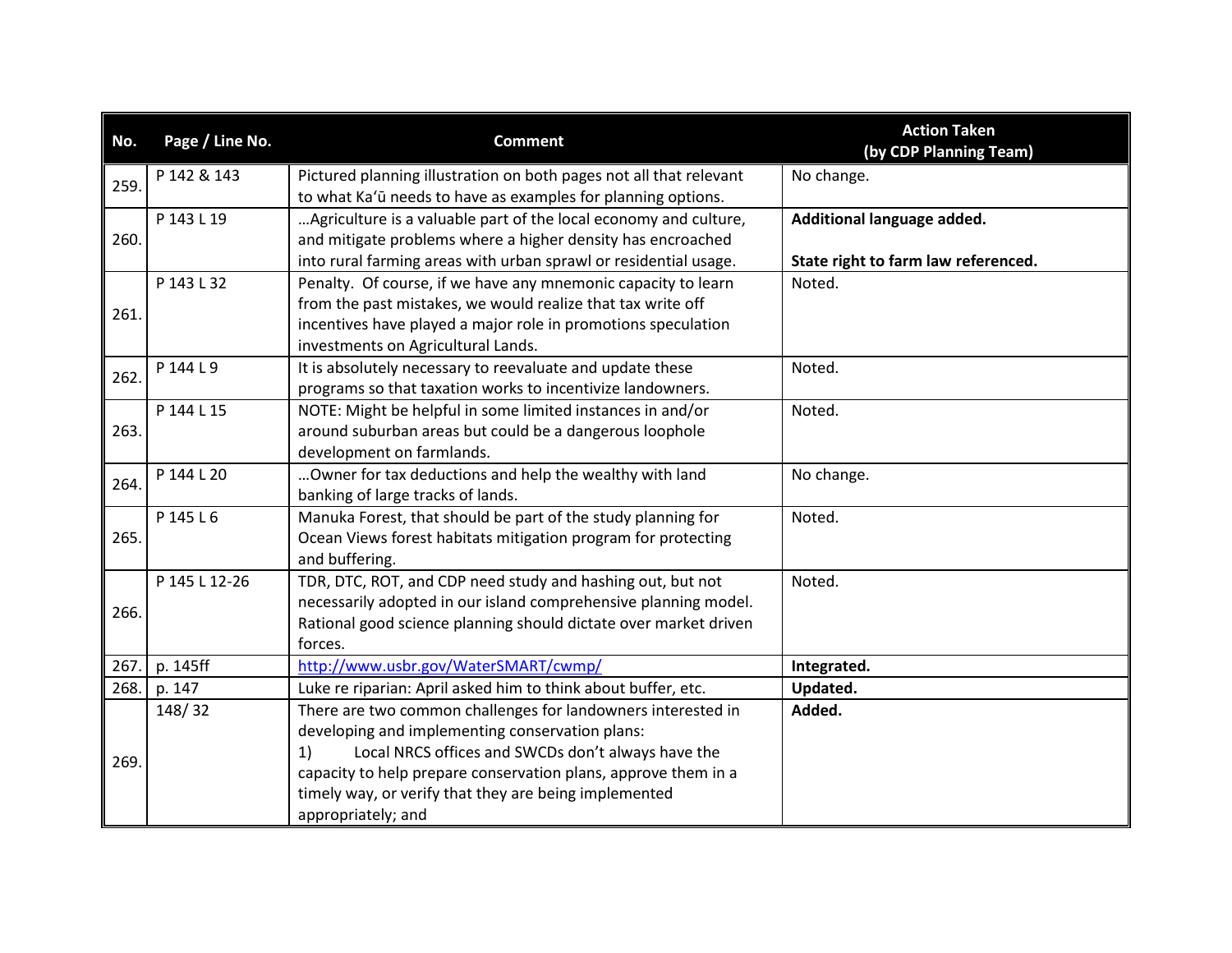| No.  | Page / Line No. | <b>Comment</b>                                                     | <b>Action Taken</b><br>(by CDP Planning Team) |
|------|-----------------|--------------------------------------------------------------------|-----------------------------------------------|
| 259. | P 142 & 143     | Pictured planning illustration on both pages not all that relevant | No change.                                    |
|      |                 | to what Ka'ū needs to have as examples for planning options.       |                                               |
|      | P 143 L 19      | Agriculture is a valuable part of the local economy and culture,   | Additional language added.                    |
| 260. |                 | and mitigate problems where a higher density has encroached        |                                               |
|      |                 | into rural farming areas with urban sprawl or residential usage.   | State right to farm law referenced.           |
|      | P 143 L 32      | Penalty. Of course, if we have any mnemonic capacity to learn      | Noted.                                        |
| 261. |                 | from the past mistakes, we would realize that tax write off        |                                               |
|      |                 | incentives have played a major role in promotions speculation      |                                               |
|      |                 | investments on Agricultural Lands.                                 |                                               |
| 262. | P 144 L 9       | It is absolutely necessary to reevaluate and update these          | Noted.                                        |
|      |                 | programs so that taxation works to incentivize landowners.         |                                               |
|      | P 144 L 15      | NOTE: Might be helpful in some limited instances in and/or         | Noted.                                        |
| 263. |                 | around suburban areas but could be a dangerous loophole            |                                               |
|      |                 | development on farmlands.                                          |                                               |
| 264. | P 144 L 20      | Owner for tax deductions and help the wealthy with land            | No change.                                    |
|      |                 | banking of large tracks of lands.                                  |                                               |
|      | P 145 L 6       | Manuka Forest, that should be part of the study planning for       | Noted.                                        |
| 265. |                 | Ocean Views forest habitats mitigation program for protecting      |                                               |
|      |                 | and buffering.                                                     |                                               |
|      | P 145 L 12-26   | TDR, DTC, ROT, and CDP need study and hashing out, but not         | Noted.                                        |
|      |                 | necessarily adopted in our island comprehensive planning model.    |                                               |
| 266. |                 | Rational good science planning should dictate over market driven   |                                               |
|      |                 | forces.                                                            |                                               |
| 267. | p. 145ff        | http://www.usbr.gov/WaterSMART/cwmp/                               | Integrated.                                   |
| 268. | p. 147          | Luke re riparian: April asked him to think about buffer, etc.      | Updated.                                      |
|      | 148/32          | There are two common challenges for landowners interested in       | Added.                                        |
|      |                 | developing and implementing conservation plans:                    |                                               |
| 269. |                 | Local NRCS offices and SWCDs don't always have the<br>1)           |                                               |
|      |                 | capacity to help prepare conservation plans, approve them in a     |                                               |
|      |                 | timely way, or verify that they are being implemented              |                                               |
|      |                 | appropriately; and                                                 |                                               |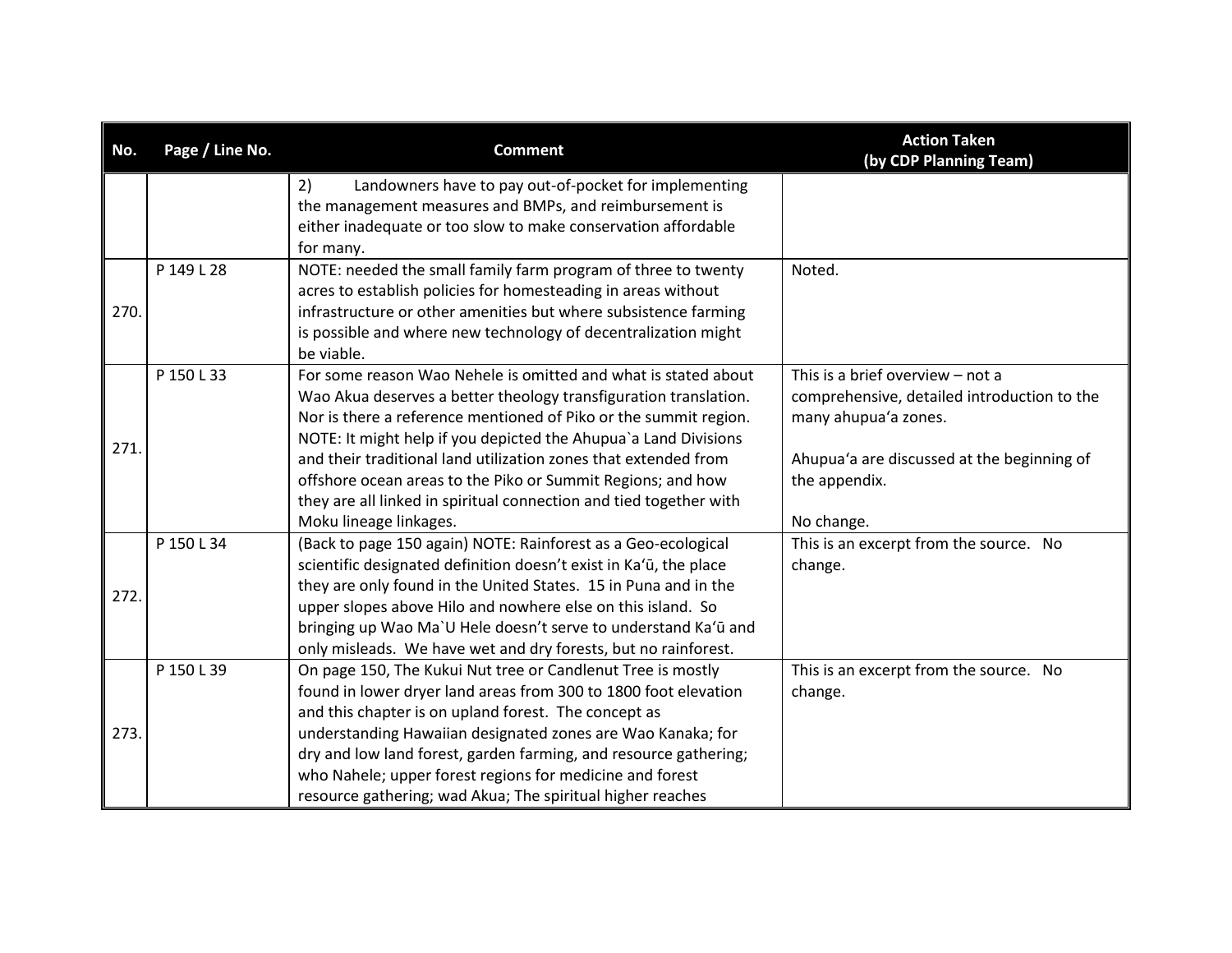| No.  | Page / Line No. | <b>Comment</b>                                                                                                                 | <b>Action Taken</b><br>(by CDP Planning Team) |
|------|-----------------|--------------------------------------------------------------------------------------------------------------------------------|-----------------------------------------------|
|      |                 | 2)<br>Landowners have to pay out-of-pocket for implementing<br>the management measures and BMPs, and reimbursement is          |                                               |
|      |                 | either inadequate or too slow to make conservation affordable                                                                  |                                               |
|      |                 | for many.                                                                                                                      |                                               |
|      | P 149 L 28      | NOTE: needed the small family farm program of three to twenty<br>acres to establish policies for homesteading in areas without | Noted.                                        |
| 270. |                 | infrastructure or other amenities but where subsistence farming                                                                |                                               |
|      |                 | is possible and where new technology of decentralization might                                                                 |                                               |
|      |                 | be viable.                                                                                                                     |                                               |
|      | P 150 L 33      | For some reason Wao Nehele is omitted and what is stated about                                                                 | This is a brief overview $-$ not a            |
|      |                 | Wao Akua deserves a better theology transfiguration translation.                                                               | comprehensive, detailed introduction to the   |
|      |                 | Nor is there a reference mentioned of Piko or the summit region.                                                               | many ahupua'a zones.                          |
| 271. |                 | NOTE: It might help if you depicted the Ahupua'a Land Divisions                                                                |                                               |
|      |                 | and their traditional land utilization zones that extended from                                                                | Ahupua'a are discussed at the beginning of    |
|      |                 | offshore ocean areas to the Piko or Summit Regions; and how                                                                    | the appendix.                                 |
|      |                 | they are all linked in spiritual connection and tied together with                                                             |                                               |
|      |                 | Moku lineage linkages.                                                                                                         | No change.                                    |
|      | P 150 L 34      | (Back to page 150 again) NOTE: Rainforest as a Geo-ecological                                                                  | This is an excerpt from the source. No        |
|      |                 | scientific designated definition doesn't exist in Ka'ū, the place                                                              | change.                                       |
| 272. |                 | they are only found in the United States. 15 in Puna and in the                                                                |                                               |
|      |                 | upper slopes above Hilo and nowhere else on this island. So                                                                    |                                               |
|      |                 | bringing up Wao Ma'U Hele doesn't serve to understand Ka'ū and                                                                 |                                               |
|      |                 | only misleads. We have wet and dry forests, but no rainforest.                                                                 |                                               |
|      | P 150 L 39      | On page 150, The Kukui Nut tree or Candlenut Tree is mostly                                                                    | This is an excerpt from the source. No        |
|      |                 | found in lower dryer land areas from 300 to 1800 foot elevation                                                                | change.                                       |
|      |                 | and this chapter is on upland forest. The concept as                                                                           |                                               |
| 273. |                 | understanding Hawaiian designated zones are Wao Kanaka; for                                                                    |                                               |
|      |                 | dry and low land forest, garden farming, and resource gathering;                                                               |                                               |
|      |                 | who Nahele; upper forest regions for medicine and forest                                                                       |                                               |
|      |                 | resource gathering; wad Akua; The spiritual higher reaches                                                                     |                                               |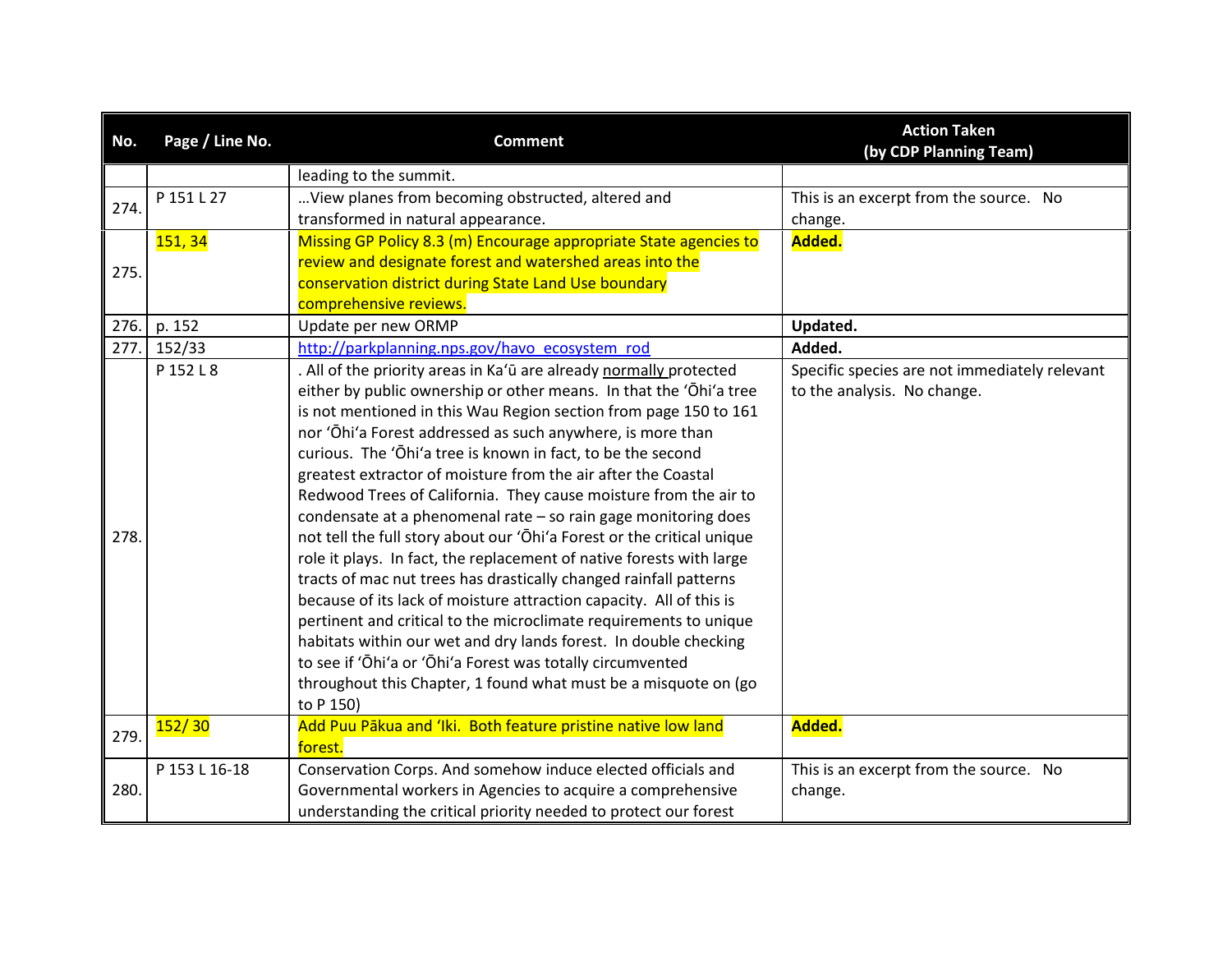| No.  | Page / Line No. | <b>Comment</b>                                                         | <b>Action Taken</b><br>(by CDP Planning Team) |
|------|-----------------|------------------------------------------------------------------------|-----------------------------------------------|
|      |                 | leading to the summit.                                                 |                                               |
| 274. | P 151 L 27      | View planes from becoming obstructed, altered and                      | This is an excerpt from the source. No        |
|      |                 | transformed in natural appearance.                                     | change.                                       |
|      | <b>151, 34</b>  | Missing GP Policy 8.3 (m) Encourage appropriate State agencies to      | Added.                                        |
| 275. |                 | review and designate forest and watershed areas into the               |                                               |
|      |                 | conservation district during State Land Use boundary                   |                                               |
|      |                 | comprehensive reviews.                                                 |                                               |
| 276. | p. 152          | Update per new ORMP                                                    | Updated.                                      |
| 277. | 152/33          | http://parkplanning.nps.gov/havo ecosystem rod                         | Added.                                        |
|      | P 152 L 8       | . All of the priority areas in Ka'ū are already normally protected     | Specific species are not immediately relevant |
|      |                 | either by public ownership or other means. In that the 'Ohi'a tree     | to the analysis. No change.                   |
|      |                 | is not mentioned in this Wau Region section from page 150 to 161       |                                               |
|      |                 | nor 'Ōhi'a Forest addressed as such anywhere, is more than             |                                               |
|      |                 | curious. The 'Ōhi'a tree is known in fact, to be the second            |                                               |
|      |                 | greatest extractor of moisture from the air after the Coastal          |                                               |
|      |                 | Redwood Trees of California. They cause moisture from the air to       |                                               |
|      |                 | condensate at a phenomenal rate - so rain gage monitoring does         |                                               |
| 278. |                 | not tell the full story about our 'Ohi'a Forest or the critical unique |                                               |
|      |                 | role it plays. In fact, the replacement of native forests with large   |                                               |
|      |                 | tracts of mac nut trees has drastically changed rainfall patterns      |                                               |
|      |                 | because of its lack of moisture attraction capacity. All of this is    |                                               |
|      |                 | pertinent and critical to the microclimate requirements to unique      |                                               |
|      |                 | habitats within our wet and dry lands forest. In double checking       |                                               |
|      |                 | to see if 'Ōhi'a or 'Ōhi'a Forest was totally circumvented             |                                               |
|      |                 | throughout this Chapter, 1 found what must be a misquote on (go        |                                               |
|      |                 | to P 150)                                                              |                                               |
| 279. | 152/30          | Add Puu Pākua and 'Iki. Both feature pristine native low land          | Added.                                        |
|      |                 | forest.                                                                |                                               |
|      | P 153 L 16-18   | Conservation Corps. And somehow induce elected officials and           | This is an excerpt from the source. No        |
| 280. |                 | Governmental workers in Agencies to acquire a comprehensive            | change.                                       |
|      |                 | understanding the critical priority needed to protect our forest       |                                               |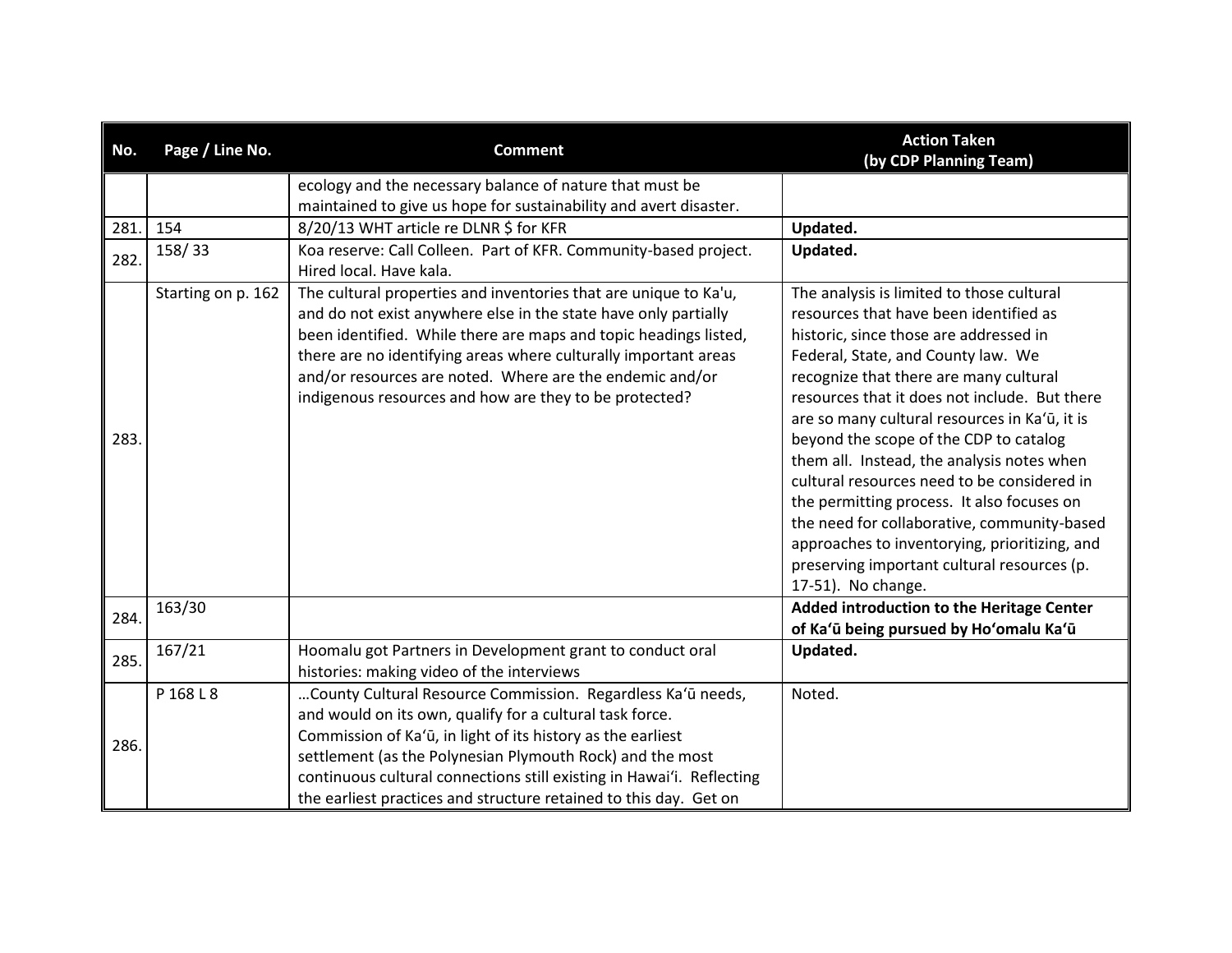| No.  | Page / Line No.    | <b>Comment</b>                                                                                                                                                                                                                                                                                                                                                                                    | <b>Action Taken</b><br>(by CDP Planning Team)                                                                                                                                                                                                                                                                                                          |
|------|--------------------|---------------------------------------------------------------------------------------------------------------------------------------------------------------------------------------------------------------------------------------------------------------------------------------------------------------------------------------------------------------------------------------------------|--------------------------------------------------------------------------------------------------------------------------------------------------------------------------------------------------------------------------------------------------------------------------------------------------------------------------------------------------------|
|      |                    | ecology and the necessary balance of nature that must be                                                                                                                                                                                                                                                                                                                                          |                                                                                                                                                                                                                                                                                                                                                        |
|      |                    | maintained to give us hope for sustainability and avert disaster.                                                                                                                                                                                                                                                                                                                                 |                                                                                                                                                                                                                                                                                                                                                        |
| 281. | 154                | 8/20/13 WHT article re DLNR \$ for KFR                                                                                                                                                                                                                                                                                                                                                            | Updated.                                                                                                                                                                                                                                                                                                                                               |
| 282. | 158/33             | Koa reserve: Call Colleen. Part of KFR. Community-based project.<br>Hired local. Have kala.                                                                                                                                                                                                                                                                                                       | Updated.                                                                                                                                                                                                                                                                                                                                               |
|      | Starting on p. 162 | The cultural properties and inventories that are unique to Ka'u,<br>and do not exist anywhere else in the state have only partially<br>been identified. While there are maps and topic headings listed,<br>there are no identifying areas where culturally important areas<br>and/or resources are noted. Where are the endemic and/or<br>indigenous resources and how are they to be protected?  | The analysis is limited to those cultural<br>resources that have been identified as<br>historic, since those are addressed in<br>Federal, State, and County law. We<br>recognize that there are many cultural<br>resources that it does not include. But there<br>are so many cultural resources in Ka'ū, it is                                        |
| 283. |                    |                                                                                                                                                                                                                                                                                                                                                                                                   | beyond the scope of the CDP to catalog<br>them all. Instead, the analysis notes when<br>cultural resources need to be considered in<br>the permitting process. It also focuses on<br>the need for collaborative, community-based<br>approaches to inventorying, prioritizing, and<br>preserving important cultural resources (p.<br>17-51). No change. |
| 284. | 163/30             |                                                                                                                                                                                                                                                                                                                                                                                                   | Added introduction to the Heritage Center<br>of Ka'ū being pursued by Ho'omalu Ka'ū                                                                                                                                                                                                                                                                    |
| 285. | 167/21             | Hoomalu got Partners in Development grant to conduct oral<br>histories: making video of the interviews                                                                                                                                                                                                                                                                                            | Updated.                                                                                                                                                                                                                                                                                                                                               |
| 286. | P 168 L 8          | County Cultural Resource Commission. Regardless Ka'ū needs,<br>and would on its own, qualify for a cultural task force.<br>Commission of Ka'ū, in light of its history as the earliest<br>settlement (as the Polynesian Plymouth Rock) and the most<br>continuous cultural connections still existing in Hawai'i. Reflecting<br>the earliest practices and structure retained to this day. Get on | Noted.                                                                                                                                                                                                                                                                                                                                                 |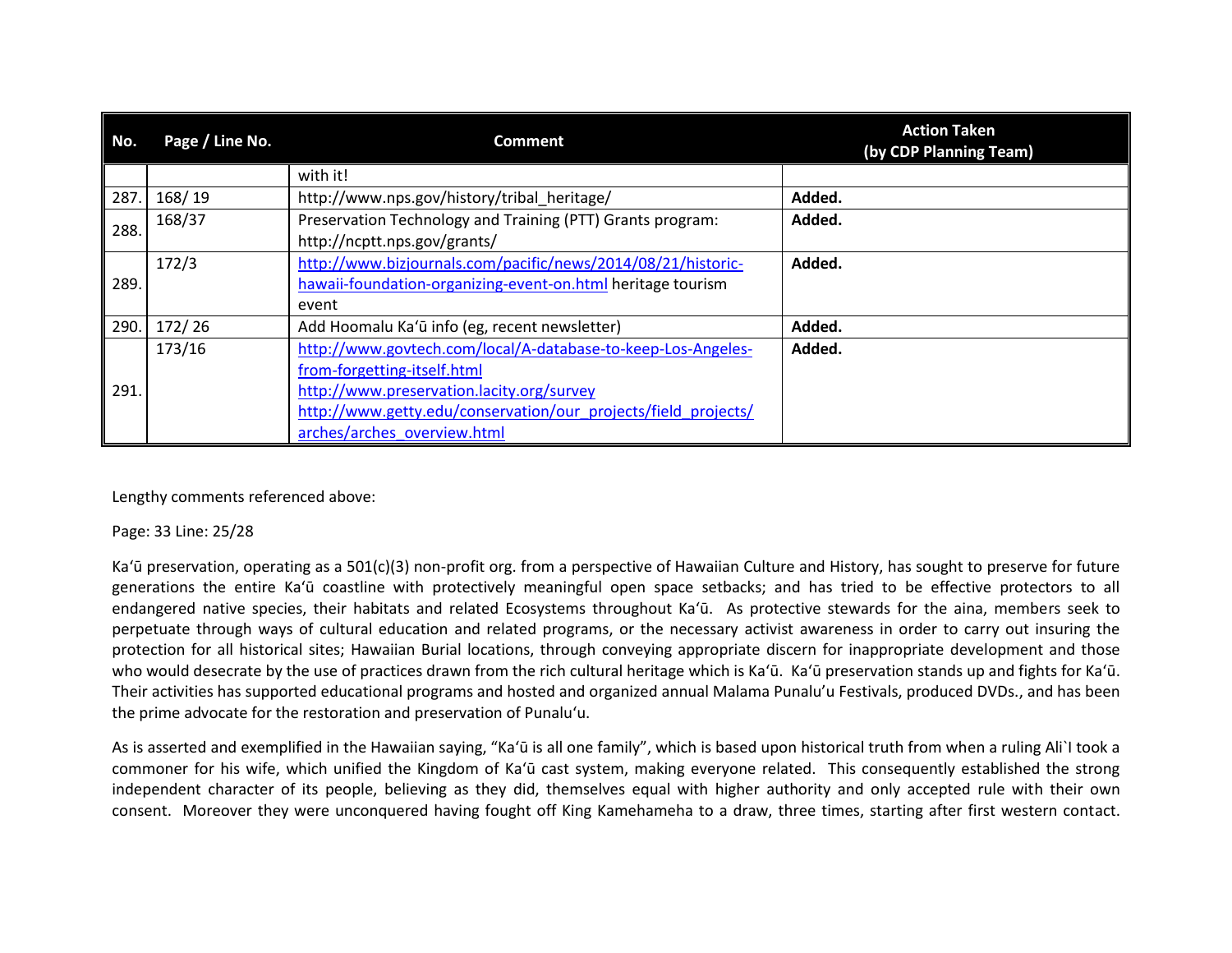| No.  | Page / Line No. | <b>Comment</b>                                                                                                                                                                                                                            | <b>Action Taken</b><br>(by CDP Planning Team) |
|------|-----------------|-------------------------------------------------------------------------------------------------------------------------------------------------------------------------------------------------------------------------------------------|-----------------------------------------------|
|      |                 | with it!                                                                                                                                                                                                                                  |                                               |
| 287. | 168/19          | http://www.nps.gov/history/tribal heritage/                                                                                                                                                                                               | Added.                                        |
| 288. | 168/37          | Preservation Technology and Training (PTT) Grants program:<br>http://ncptt.nps.gov/grants/                                                                                                                                                | Added.                                        |
| 289. | 172/3           | http://www.bizjournals.com/pacific/news/2014/08/21/historic-<br>hawaii-foundation-organizing-event-on.html heritage tourism<br>event                                                                                                      | Added.                                        |
| 290. | 172/26          | Add Hoomalu Ka'ū info (eg, recent newsletter)                                                                                                                                                                                             | Added.                                        |
| 291. | 173/16          | http://www.govtech.com/local/A-database-to-keep-Los-Angeles-<br>from-forgetting-itself.html<br>http://www.preservation.lacity.org/survey<br>http://www.getty.edu/conservation/our_projects/field_projects/<br>arches/arches overview.html | Added.                                        |

Lengthy comments referenced above:

## Page: 33 Line: 25/28

Ka'ū preservation, operating as a 501(c)(3) non-profit org. from a perspective of Hawaiian Culture and History, has sought to preserve for future generations the entire Ka'ū coastline with protectively meaningful open space setbacks; and has tried to be effective protectors to all endangered native species, their habitats and related Ecosystems throughout Ka'ū. As protective stewards for the aina, members seek to perpetuate through ways of cultural education and related programs, or the necessary activist awareness in order to carry out insuring the protection for all historical sites; Hawaiian Burial locations, through conveying appropriate discern for inappropriate development and those who would desecrate by the use of practices drawn from the rich cultural heritage which is Ka'ū. Ka'ū preservation stands up and fights for Ka'ū. Their activities has supported educational programs and hosted and organized annual Malama Punalu'u Festivals, produced DVDs., and has been the prime advocate for the restoration and preservation of Punalu'u.

As is asserted and exemplified in the Hawaiian saying, "Ka'ū is all one family", which is based upon historical truth from when a ruling Ali`I took a commoner for his wife, which unified the Kingdom of Ka'ū cast system, making everyone related. This consequently established the strong independent character of its people, believing as they did, themselves equal with higher authority and only accepted rule with their own consent. Moreover they were unconquered having fought off King Kamehameha to a draw, three times, starting after first western contact.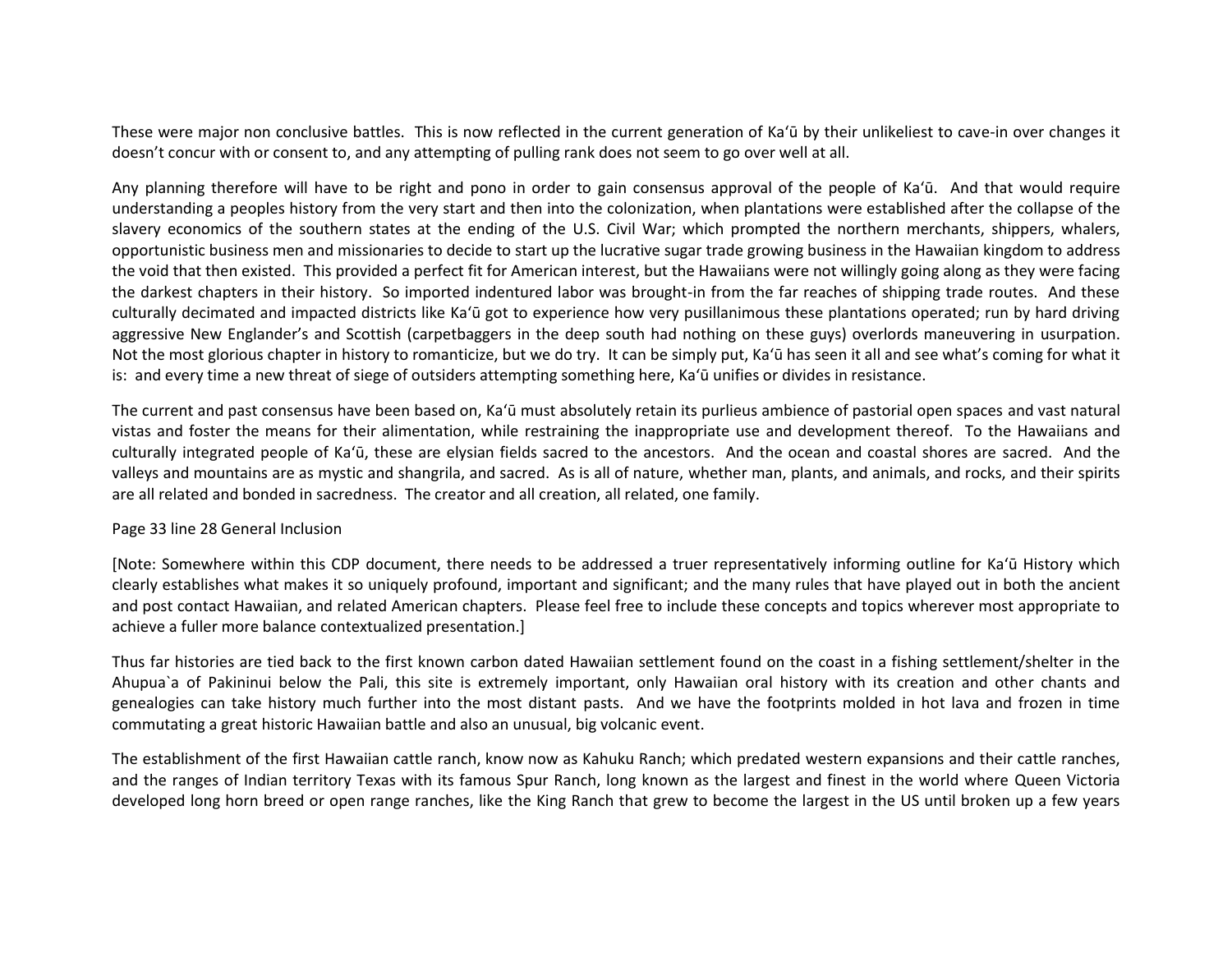These were major non conclusive battles. This is now reflected in the current generation of Ka'ū by their unlikeliest to cave-in over changes it doesn't concur with or consent to, and any attempting of pulling rank does not seem to go over well at all.

Any planning therefore will have to be right and pono in order to gain consensus approval of the people of Ka'ū. And that would require understanding a peoples history from the very start and then into the colonization, when plantations were established after the collapse of the slavery economics of the southern states at the ending of the U.S. Civil War; which prompted the northern merchants, shippers, whalers, opportunistic business men and missionaries to decide to start up the lucrative sugar trade growing business in the Hawaiian kingdom to address the void that then existed. This provided a perfect fit for American interest, but the Hawaiians were not willingly going along as they were facing the darkest chapters in their history. So imported indentured labor was brought-in from the far reaches of shipping trade routes. And these culturally decimated and impacted districts like Ka'ū got to experience how very pusillanimous these plantations operated; run by hard driving aggressive New Englander's and Scottish (carpetbaggers in the deep south had nothing on these guys) overlords maneuvering in usurpation. Not the most glorious chapter in history to romanticize, but we do try. It can be simply put, Ka'ū has seen it all and see what's coming for what it is: and every time a new threat of siege of outsiders attempting something here, Ka'ū unifies or divides in resistance.

The current and past consensus have been based on, Ka'ū must absolutely retain its purlieus ambience of pastorial open spaces and vast natural vistas and foster the means for their alimentation, while restraining the inappropriate use and development thereof. To the Hawaiians and culturally integrated people of Ka'ū, these are elysian fields sacred to the ancestors. And the ocean and coastal shores are sacred. And the valleys and mountains are as mystic and shangrila, and sacred. As is all of nature, whether man, plants, and animals, and rocks, and their spirits are all related and bonded in sacredness. The creator and all creation, all related, one family.

### Page 33 line 28 General Inclusion

[Note: Somewhere within this CDP document, there needs to be addressed a truer representatively informing outline for Ka'ū History which clearly establishes what makes it so uniquely profound, important and significant; and the many rules that have played out in both the ancient and post contact Hawaiian, and related American chapters. Please feel free to include these concepts and topics wherever most appropriate to achieve a fuller more balance contextualized presentation.]

Thus far histories are tied back to the first known carbon dated Hawaiian settlement found on the coast in a fishing settlement/shelter in the Ahupua`a of Pakininui below the Pali, this site is extremely important, only Hawaiian oral history with its creation and other chants and genealogies can take history much further into the most distant pasts. And we have the footprints molded in hot lava and frozen in time commutating a great historic Hawaiian battle and also an unusual, big volcanic event.

The establishment of the first Hawaiian cattle ranch, know now as Kahuku Ranch; which predated western expansions and their cattle ranches, and the ranges of Indian territory Texas with its famous Spur Ranch, long known as the largest and finest in the world where Queen Victoria developed long horn breed or open range ranches, like the King Ranch that grew to become the largest in the US until broken up a few years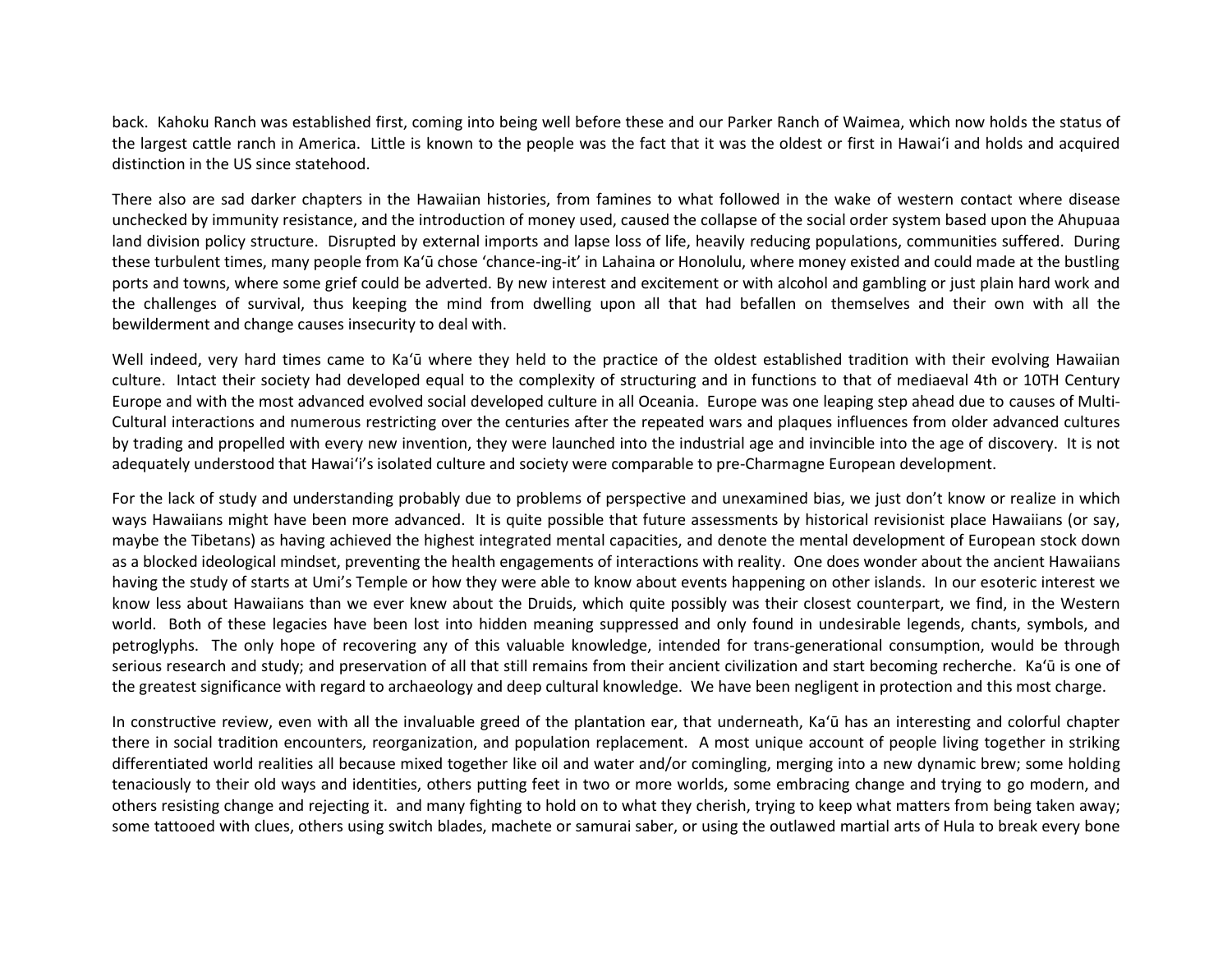back. Kahoku Ranch was established first, coming into being well before these and our Parker Ranch of Waimea, which now holds the status of the largest cattle ranch in America. Little is known to the people was the fact that it was the oldest or first in Hawai'i and holds and acquired distinction in the US since statehood.

There also are sad darker chapters in the Hawaiian histories, from famines to what followed in the wake of western contact where disease unchecked by immunity resistance, and the introduction of money used, caused the collapse of the social order system based upon the Ahupuaa land division policy structure. Disrupted by external imports and lapse loss of life, heavily reducing populations, communities suffered. During these turbulent times, many people from Ka'ū chose 'chance-ing-it' in Lahaina or Honolulu, where money existed and could made at the bustling ports and towns, where some grief could be adverted. By new interest and excitement or with alcohol and gambling or just plain hard work and the challenges of survival, thus keeping the mind from dwelling upon all that had befallen on themselves and their own with all the bewilderment and change causes insecurity to deal with.

Well indeed, very hard times came to Ka'ū where they held to the practice of the oldest established tradition with their evolving Hawaiian culture. Intact their society had developed equal to the complexity of structuring and in functions to that of mediaeval 4th or 10TH Century Europe and with the most advanced evolved social developed culture in all Oceania. Europe was one leaping step ahead due to causes of Multi-Cultural interactions and numerous restricting over the centuries after the repeated wars and plaques influences from older advanced cultures by trading and propelled with every new invention, they were launched into the industrial age and invincible into the age of discovery. It is not adequately understood that Hawai'i's isolated culture and society were comparable to pre-Charmagne European development.

For the lack of study and understanding probably due to problems of perspective and unexamined bias, we just don't know or realize in which ways Hawaiians might have been more advanced. It is quite possible that future assessments by historical revisionist place Hawaiians (or say, maybe the Tibetans) as having achieved the highest integrated mental capacities, and denote the mental development of European stock down as a blocked ideological mindset, preventing the health engagements of interactions with reality. One does wonder about the ancient Hawaiians having the study of starts at Umi's Temple or how they were able to know about events happening on other islands. In our esoteric interest we know less about Hawaiians than we ever knew about the Druids, which quite possibly was their closest counterpart, we find, in the Western world. Both of these legacies have been lost into hidden meaning suppressed and only found in undesirable legends, chants, symbols, and petroglyphs. The only hope of recovering any of this valuable knowledge, intended for trans-generational consumption, would be through serious research and study; and preservation of all that still remains from their ancient civilization and start becoming recherche. Ka'ū is one of the greatest significance with regard to archaeology and deep cultural knowledge. We have been negligent in protection and this most charge.

In constructive review, even with all the invaluable greed of the plantation ear, that underneath, Ka'ū has an interesting and colorful chapter there in social tradition encounters, reorganization, and population replacement. A most unique account of people living together in striking differentiated world realities all because mixed together like oil and water and/or comingling, merging into a new dynamic brew; some holding tenaciously to their old ways and identities, others putting feet in two or more worlds, some embracing change and trying to go modern, and others resisting change and rejecting it. and many fighting to hold on to what they cherish, trying to keep what matters from being taken away; some tattooed with clues, others using switch blades, machete or samurai saber, or using the outlawed martial arts of Hula to break every bone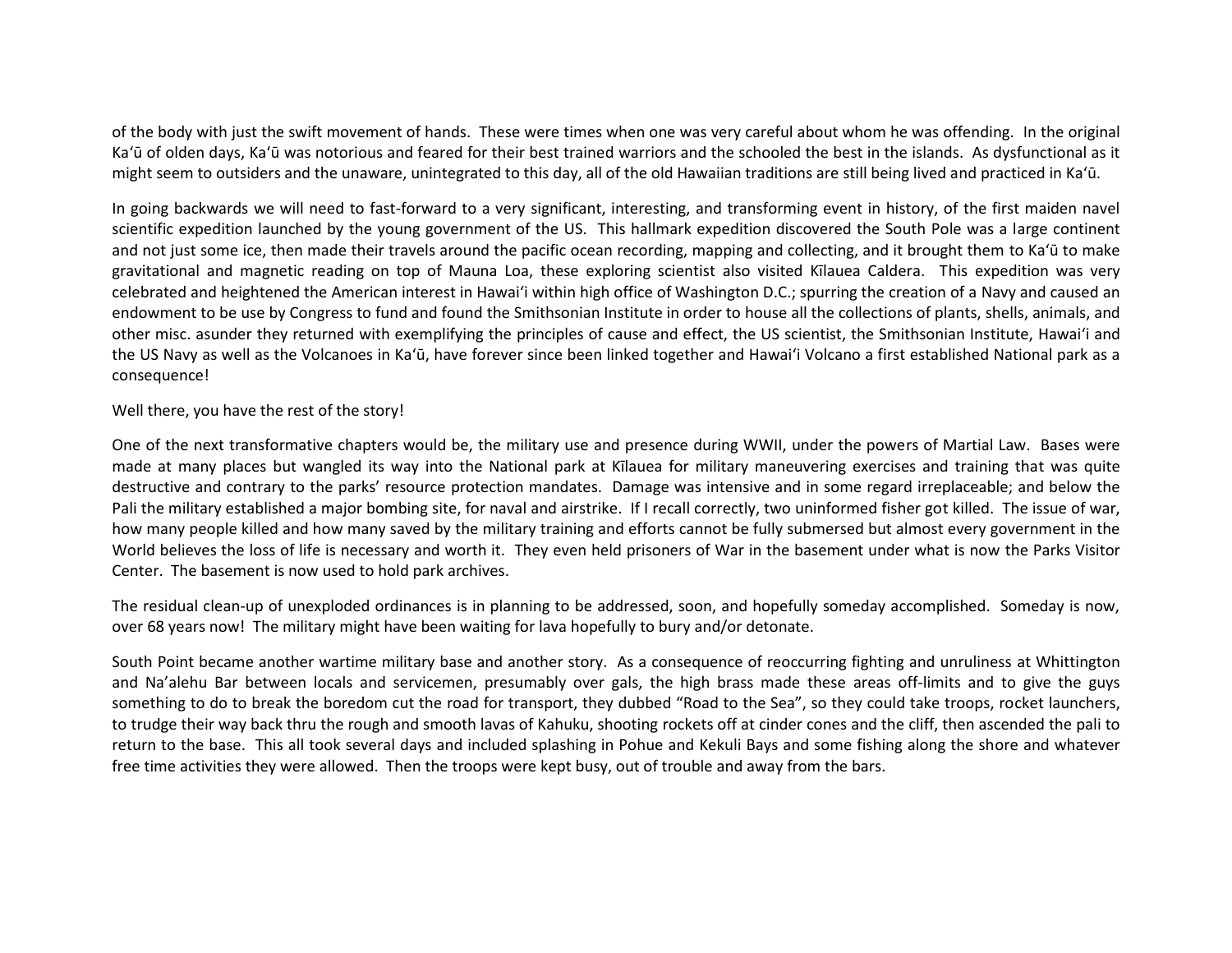of the body with just the swift movement of hands. These were times when one was very careful about whom he was offending. In the original Ka'ū of olden days, Ka'ū was notorious and feared for their best trained warriors and the schooled the best in the islands. As dysfunctional as it might seem to outsiders and the unaware, unintegrated to this day, all of the old Hawaiian traditions are still being lived and practiced in Ka'ū.

In going backwards we will need to fast-forward to a very significant, interesting, and transforming event in history, of the first maiden navel scientific expedition launched by the young government of the US. This hallmark expedition discovered the South Pole was a large continent and not just some ice, then made their travels around the pacific ocean recording, mapping and collecting, and it brought them to Ka'ū to make gravitational and magnetic reading on top of Mauna Loa, these exploring scientist also visited Kīlauea Caldera. This expedition was very celebrated and heightened the American interest in Hawai'i within high office of Washington D.C.; spurring the creation of a Navy and caused an endowment to be use by Congress to fund and found the Smithsonian Institute in order to house all the collections of plants, shells, animals, and other misc. asunder they returned with exemplifying the principles of cause and effect, the US scientist, the Smithsonian Institute, Hawai'i and the US Navy as well as the Volcanoes in Ka'ū, have forever since been linked together and Hawai'i Volcano a first established National park as a consequence!

## Well there, you have the rest of the story!

One of the next transformative chapters would be, the military use and presence during WWII, under the powers of Martial Law. Bases were made at many places but wangled its way into the National park at Kīlauea for military maneuvering exercises and training that was quite destructive and contrary to the parks' resource protection mandates. Damage was intensive and in some regard irreplaceable; and below the Pali the military established a major bombing site, for naval and airstrike. If I recall correctly, two uninformed fisher got killed. The issue of war, how many people killed and how many saved by the military training and efforts cannot be fully submersed but almost every government in the World believes the loss of life is necessary and worth it. They even held prisoners of War in the basement under what is now the Parks Visitor Center. The basement is now used to hold park archives.

The residual clean-up of unexploded ordinances is in planning to be addressed, soon, and hopefully someday accomplished. Someday is now, over 68 years now! The military might have been waiting for lava hopefully to bury and/or detonate.

South Point became another wartime military base and another story. As a consequence of reoccurring fighting and unruliness at Whittington and Na'alehu Bar between locals and servicemen, presumably over gals, the high brass made these areas off-limits and to give the guys something to do to break the boredom cut the road for transport, they dubbed "Road to the Sea", so they could take troops, rocket launchers, to trudge their way back thru the rough and smooth lavas of Kahuku, shooting rockets off at cinder cones and the cliff, then ascended the pali to return to the base. This all took several days and included splashing in Pohue and Kekuli Bays and some fishing along the shore and whatever free time activities they were allowed. Then the troops were kept busy, out of trouble and away from the bars.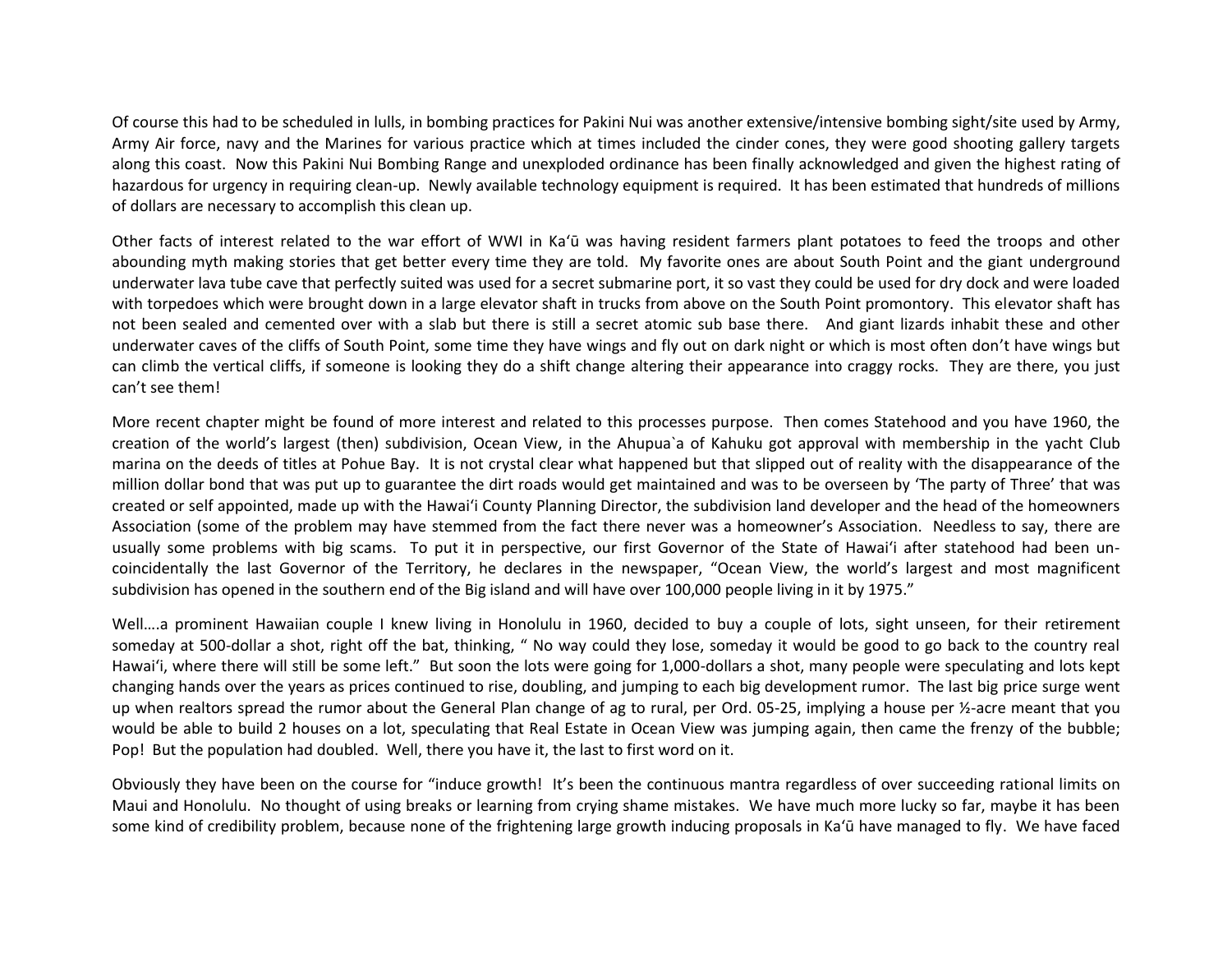Of course this had to be scheduled in lulls, in bombing practices for Pakini Nui was another extensive/intensive bombing sight/site used by Army, Army Air force, navy and the Marines for various practice which at times included the cinder cones, they were good shooting gallery targets along this coast. Now this Pakini Nui Bombing Range and unexploded ordinance has been finally acknowledged and given the highest rating of hazardous for urgency in requiring clean-up. Newly available technology equipment is required. It has been estimated that hundreds of millions of dollars are necessary to accomplish this clean up.

Other facts of interest related to the war effort of WWI in Ka'ū was having resident farmers plant potatoes to feed the troops and other abounding myth making stories that get better every time they are told. My favorite ones are about South Point and the giant underground underwater lava tube cave that perfectly suited was used for a secret submarine port, it so vast they could be used for dry dock and were loaded with torpedoes which were brought down in a large elevator shaft in trucks from above on the South Point promontory. This elevator shaft has not been sealed and cemented over with a slab but there is still a secret atomic sub base there. And giant lizards inhabit these and other underwater caves of the cliffs of South Point, some time they have wings and fly out on dark night or which is most often don't have wings but can climb the vertical cliffs, if someone is looking they do a shift change altering their appearance into craggy rocks. They are there, you just can't see them!

More recent chapter might be found of more interest and related to this processes purpose. Then comes Statehood and you have 1960, the creation of the world's largest (then) subdivision, Ocean View, in the Ahupua`a of Kahuku got approval with membership in the yacht Club marina on the deeds of titles at Pohue Bay. It is not crystal clear what happened but that slipped out of reality with the disappearance of the million dollar bond that was put up to guarantee the dirt roads would get maintained and was to be overseen by 'The party of Three' that was created or self appointed, made up with the Hawai'i County Planning Director, the subdivision land developer and the head of the homeowners Association (some of the problem may have stemmed from the fact there never was a homeowner's Association. Needless to say, there are usually some problems with big scams. To put it in perspective, our first Governor of the State of Hawai'i after statehood had been uncoincidentally the last Governor of the Territory, he declares in the newspaper, "Ocean View, the world's largest and most magnificent subdivision has opened in the southern end of the Big island and will have over 100,000 people living in it by 1975."

Well....a prominent Hawaiian couple I knew living in Honolulu in 1960, decided to buy a couple of lots, sight unseen, for their retirement someday at 500-dollar a shot, right off the bat, thinking, " No way could they lose, someday it would be good to go back to the country real Hawai'i, where there will still be some left." But soon the lots were going for 1,000-dollars a shot, many people were speculating and lots kept changing hands over the years as prices continued to rise, doubling, and jumping to each big development rumor. The last big price surge went up when realtors spread the rumor about the General Plan change of ag to rural, per Ord. 05-25, implying a house per ½-acre meant that you would be able to build 2 houses on a lot, speculating that Real Estate in Ocean View was jumping again, then came the frenzy of the bubble; Pop! But the population had doubled. Well, there you have it, the last to first word on it.

Obviously they have been on the course for "induce growth! It's been the continuous mantra regardless of over succeeding rational limits on Maui and Honolulu. No thought of using breaks or learning from crying shame mistakes. We have much more lucky so far, maybe it has been some kind of credibility problem, because none of the frightening large growth inducing proposals in Ka'ū have managed to fly. We have faced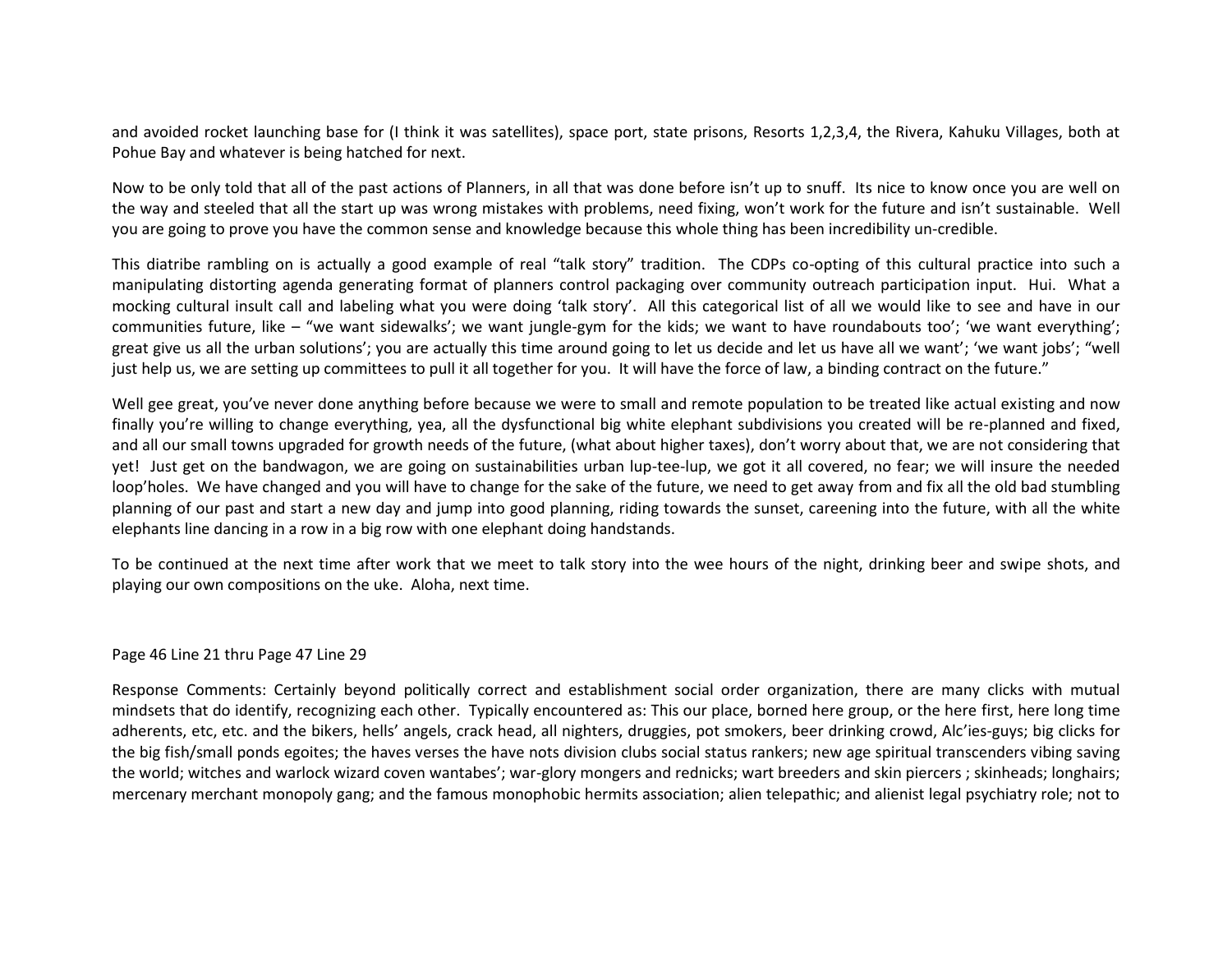and avoided rocket launching base for (I think it was satellites), space port, state prisons, Resorts 1,2,3,4, the Rivera, Kahuku Villages, both at Pohue Bay and whatever is being hatched for next.

Now to be only told that all of the past actions of Planners, in all that was done before isn't up to snuff. Its nice to know once you are well on the way and steeled that all the start up was wrong mistakes with problems, need fixing, won't work for the future and isn't sustainable. Well you are going to prove you have the common sense and knowledge because this whole thing has been incredibility un-credible.

This diatribe rambling on is actually a good example of real "talk story" tradition. The CDPs co-opting of this cultural practice into such a manipulating distorting agenda generating format of planners control packaging over community outreach participation input. Hui. What a mocking cultural insult call and labeling what you were doing 'talk story'. All this categorical list of all we would like to see and have in our communities future, like – "we want sidewalks'; we want jungle-gym for the kids; we want to have roundabouts too'; 'we want everything'; great give us all the urban solutions'; you are actually this time around going to let us decide and let us have all we want'; 'we want jobs'; "well just help us, we are setting up committees to pull it all together for you. It will have the force of law, a binding contract on the future."

Well gee great, you've never done anything before because we were to small and remote population to be treated like actual existing and now finally you're willing to change everything, yea, all the dysfunctional big white elephant subdivisions you created will be re-planned and fixed, and all our small towns upgraded for growth needs of the future, (what about higher taxes), don't worry about that, we are not considering that yet! Just get on the bandwagon, we are going on sustainabilities urban lup-tee-lup, we got it all covered, no fear; we will insure the needed loop'holes. We have changed and you will have to change for the sake of the future, we need to get away from and fix all the old bad stumbling planning of our past and start a new day and jump into good planning, riding towards the sunset, careening into the future, with all the white elephants line dancing in a row in a big row with one elephant doing handstands.

To be continued at the next time after work that we meet to talk story into the wee hours of the night, drinking beer and swipe shots, and playing our own compositions on the uke. Aloha, next time.

### Page 46 Line 21 thru Page 47 Line 29

Response Comments: Certainly beyond politically correct and establishment social order organization, there are many clicks with mutual mindsets that do identify, recognizing each other. Typically encountered as: This our place, borned here group, or the here first, here long time adherents, etc, etc. and the bikers, hells' angels, crack head, all nighters, druggies, pot smokers, beer drinking crowd, Alc'ies-guys; big clicks for the big fish/small ponds egoites; the haves verses the have nots division clubs social status rankers; new age spiritual transcenders vibing saving the world; witches and warlock wizard coven wantabes'; war-glory mongers and rednicks; wart breeders and skin piercers ; skinheads; longhairs; mercenary merchant monopoly gang; and the famous monophobic hermits association; alien telepathic; and alienist legal psychiatry role; not to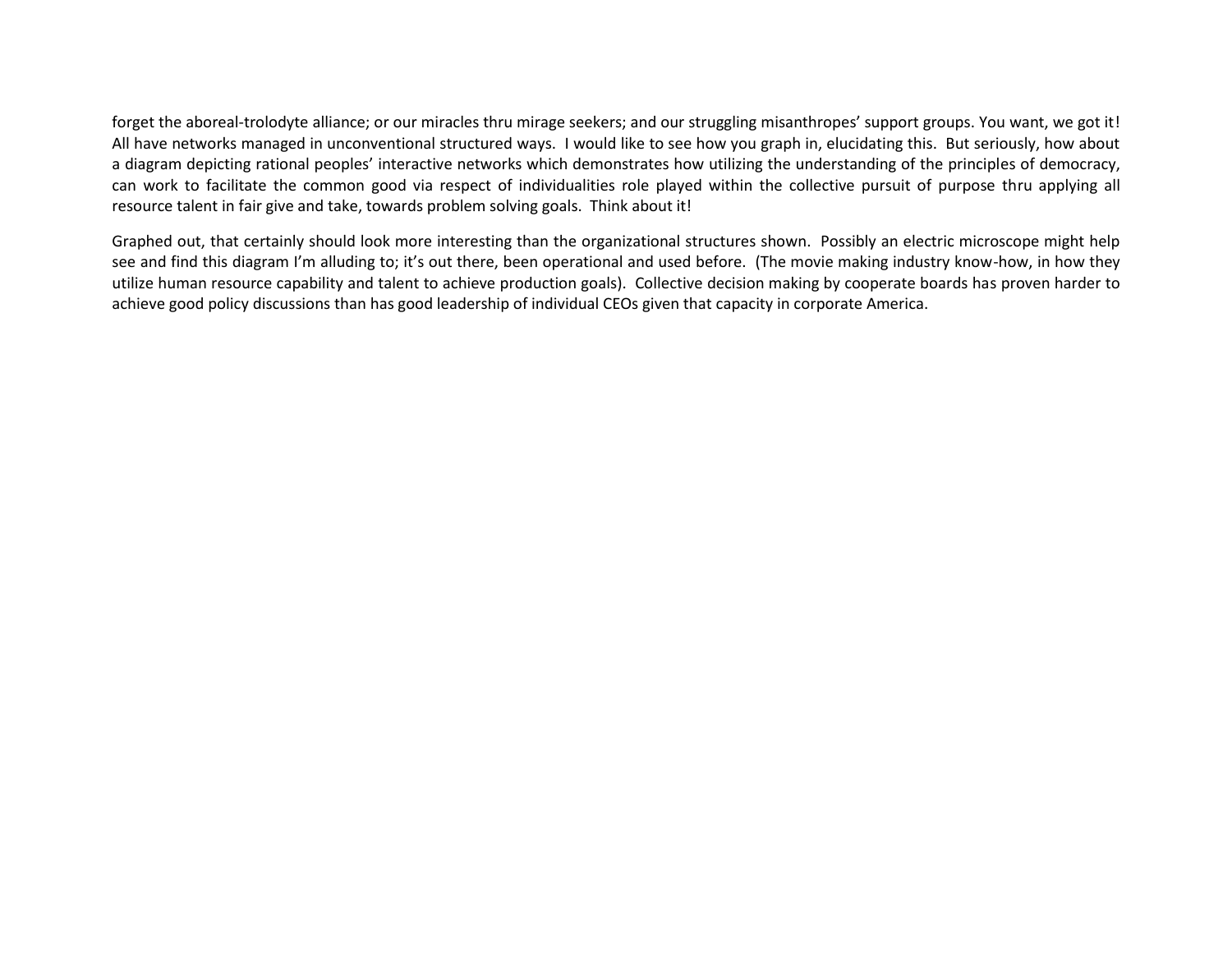forget the aboreal-trolodyte alliance; or our miracles thru mirage seekers; and our struggling misanthropes' support groups. You want, we got it! All have networks managed in unconventional structured ways. I would like to see how you graph in, elucidating this. But seriously, how about a diagram depicting rational peoples' interactive networks which demonstrates how utilizing the understanding of the principles of democracy, can work to facilitate the common good via respect of individualities role played within the collective pursuit of purpose thru applying all resource talent in fair give and take, towards problem solving goals. Think about it!

Graphed out, that certainly should look more interesting than the organizational structures shown. Possibly an electric microscope might help see and find this diagram I'm alluding to; it's out there, been operational and used before. (The movie making industry know-how, in how they utilize human resource capability and talent to achieve production goals). Collective decision making by cooperate boards has proven harder to achieve good policy discussions than has good leadership of individual CEOs given that capacity in corporate America.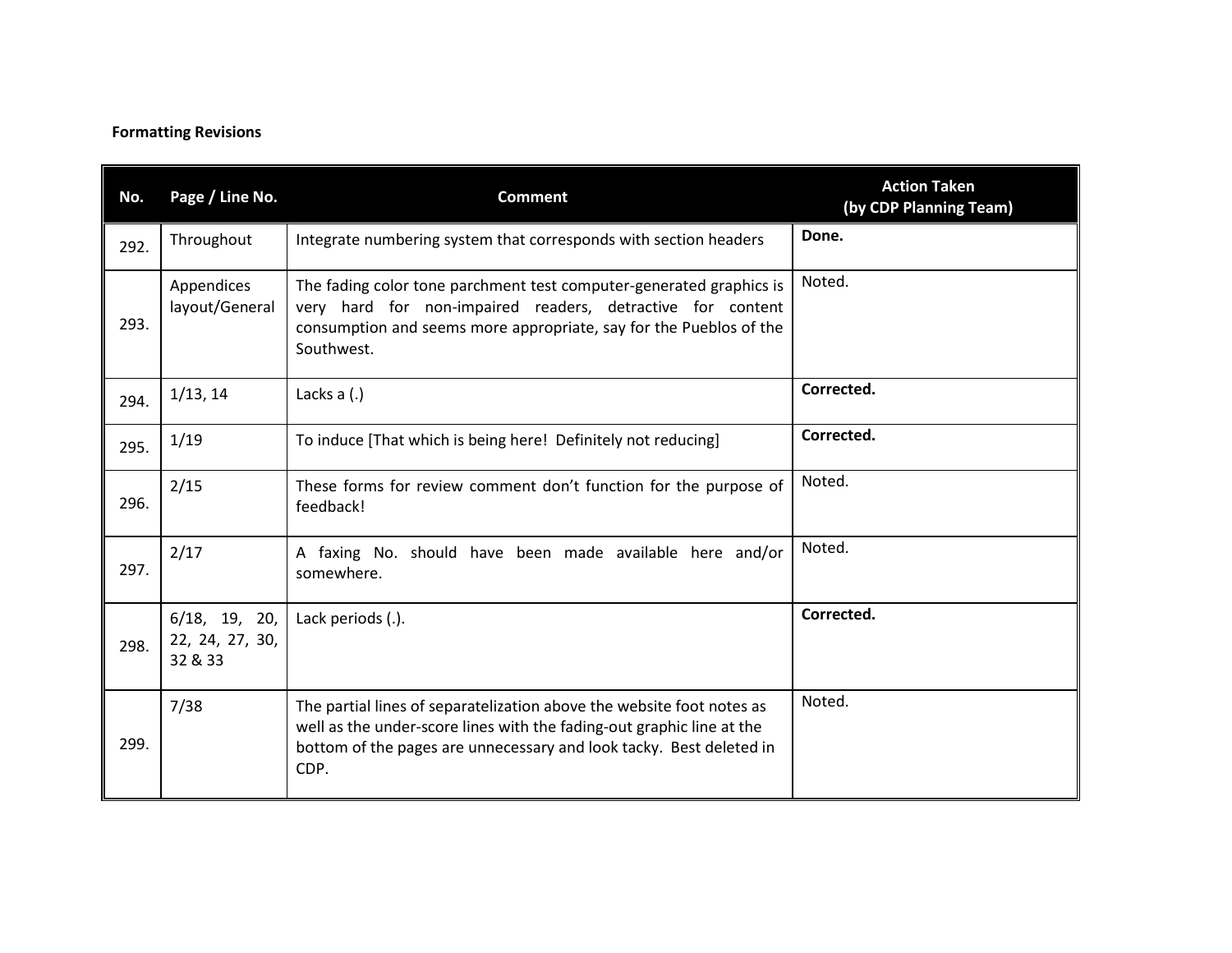# **Formatting Revisions**

| No.  | Page / Line No.                                | <b>Comment</b>                                                                                                                                                                                                                | <b>Action Taken</b><br>(by CDP Planning Team) |
|------|------------------------------------------------|-------------------------------------------------------------------------------------------------------------------------------------------------------------------------------------------------------------------------------|-----------------------------------------------|
| 292. | Throughout                                     | Integrate numbering system that corresponds with section headers                                                                                                                                                              | Done.                                         |
| 293. | Appendices<br>layout/General                   | The fading color tone parchment test computer-generated graphics is<br>very hard for non-impaired readers, detractive for content<br>consumption and seems more appropriate, say for the Pueblos of the<br>Southwest.         | Noted.                                        |
| 294. | 1/13, 14                                       | Lacks $a(.)$                                                                                                                                                                                                                  | Corrected.                                    |
| 295. | 1/19                                           | To induce [That which is being here! Definitely not reducing]                                                                                                                                                                 | Corrected.                                    |
| 296. | 2/15                                           | These forms for review comment don't function for the purpose of<br>feedback!                                                                                                                                                 | Noted.                                        |
| 297. | 2/17                                           | A faxing No. should have been made available here and/or<br>somewhere.                                                                                                                                                        | Noted.                                        |
| 298. | $6/18$ , 19, 20,<br>22, 24, 27, 30,<br>32 & 33 | Lack periods (.).                                                                                                                                                                                                             | Corrected.                                    |
| 299. | 7/38                                           | The partial lines of separatelization above the website foot notes as<br>well as the under-score lines with the fading-out graphic line at the<br>bottom of the pages are unnecessary and look tacky. Best deleted in<br>CDP. | Noted.                                        |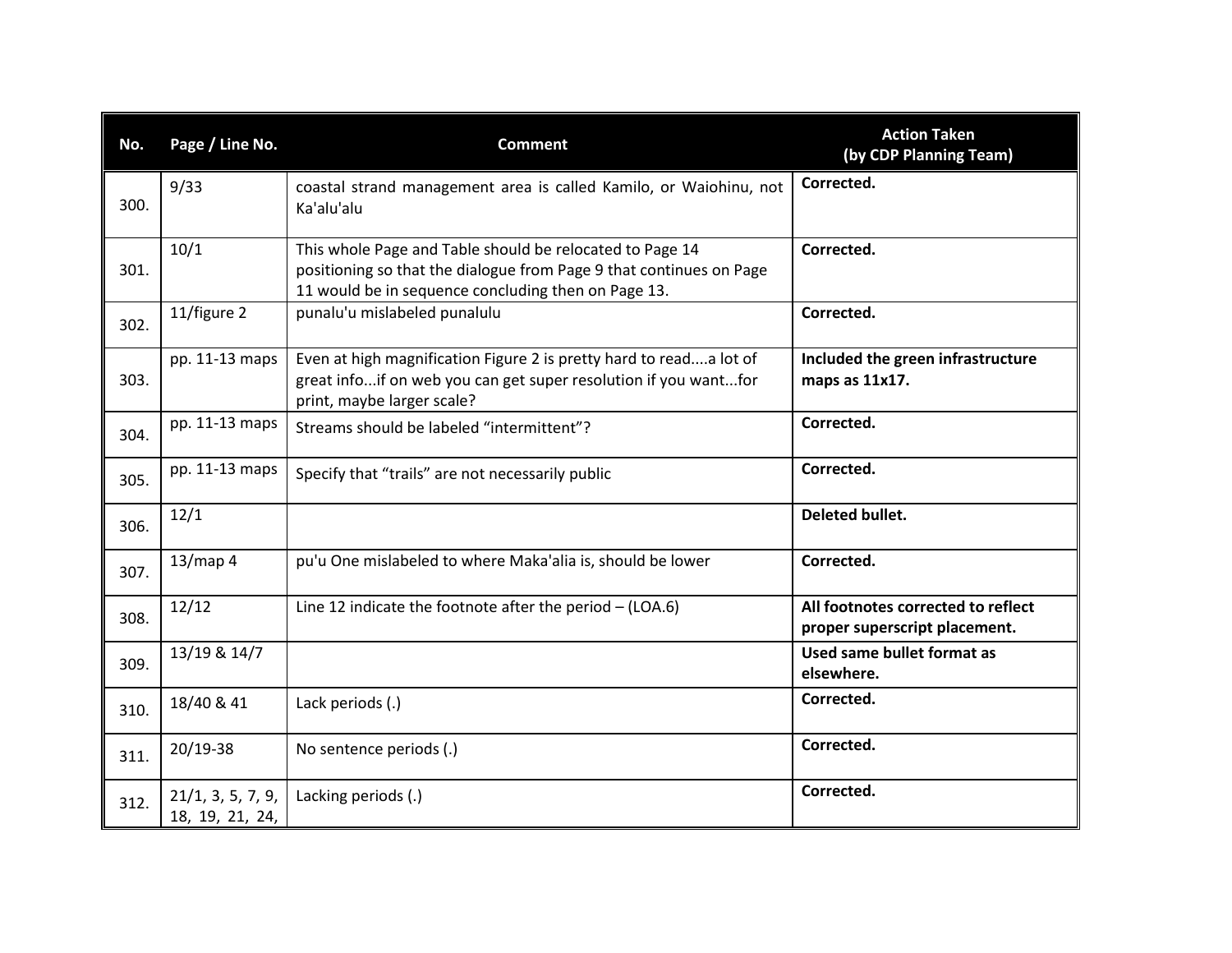| No.  | Page / Line No.                      | <b>Comment</b>                                                                                                                                                                         | <b>Action Taken</b><br>(by CDP Planning Team)                       |
|------|--------------------------------------|----------------------------------------------------------------------------------------------------------------------------------------------------------------------------------------|---------------------------------------------------------------------|
| 300. | 9/33                                 | coastal strand management area is called Kamilo, or Waiohinu, not<br>Ka'alu'alu                                                                                                        | Corrected.                                                          |
| 301. | 10/1                                 | This whole Page and Table should be relocated to Page 14<br>positioning so that the dialogue from Page 9 that continues on Page<br>11 would be in sequence concluding then on Page 13. | Corrected.                                                          |
| 302. | 11/figure 2                          | punalu'u mislabeled punalulu                                                                                                                                                           | Corrected.                                                          |
| 303. | pp. 11-13 maps                       | Even at high magnification Figure 2 is pretty hard to reada lot of<br>great infoif on web you can get super resolution if you wantfor<br>print, maybe larger scale?                    | Included the green infrastructure<br>maps as 11x17.                 |
| 304. | pp. 11-13 maps                       | Streams should be labeled "intermittent"?                                                                                                                                              | Corrected.                                                          |
| 305. | pp. 11-13 maps                       | Specify that "trails" are not necessarily public                                                                                                                                       | Corrected.                                                          |
| 306. | 12/1                                 |                                                                                                                                                                                        | Deleted bullet.                                                     |
| 307. | 13/map 4                             | pu'u One mislabeled to where Maka'alia is, should be lower                                                                                                                             | Corrected.                                                          |
| 308. | 12/12                                | Line 12 indicate the footnote after the period $-$ (LOA.6)                                                                                                                             | All footnotes corrected to reflect<br>proper superscript placement. |
| 309. | 13/19 & 14/7                         |                                                                                                                                                                                        | Used same bullet format as<br>elsewhere.                            |
| 310. | 18/40 & 41                           | Lack periods (.)                                                                                                                                                                       | Corrected.                                                          |
| 311. | $20/19-38$                           | No sentence periods (.)                                                                                                                                                                | Corrected.                                                          |
| 312. | 21/1, 3, 5, 7, 9,<br>18, 19, 21, 24, | Lacking periods (.)                                                                                                                                                                    | Corrected.                                                          |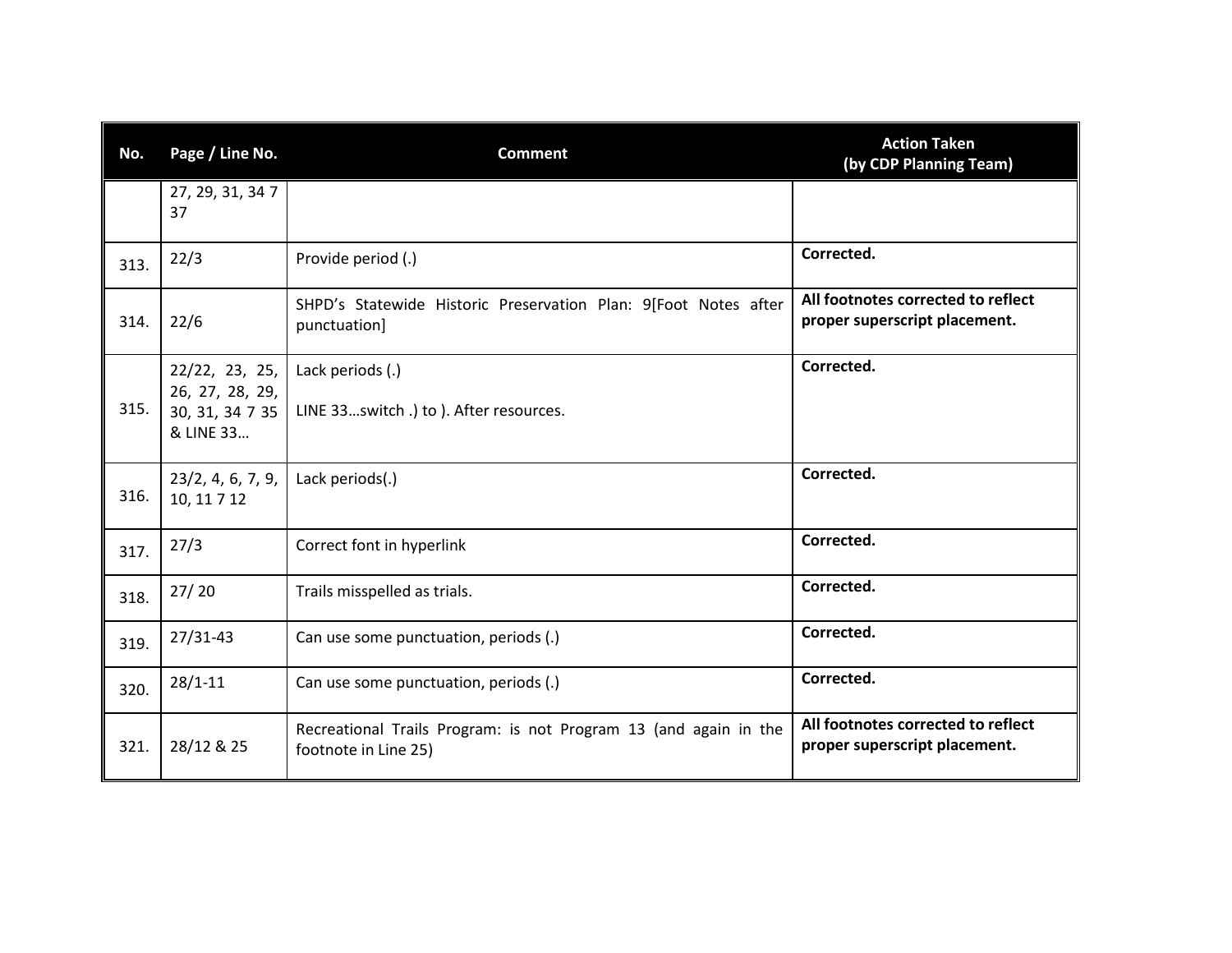| No.  | Page / Line No.                                                   | <b>Comment</b>                                                                           | <b>Action Taken</b><br>(by CDP Planning Team)                       |
|------|-------------------------------------------------------------------|------------------------------------------------------------------------------------------|---------------------------------------------------------------------|
|      | 27, 29, 31, 34 7<br>37                                            |                                                                                          |                                                                     |
| 313. | 22/3                                                              | Provide period (.)                                                                       | Corrected.                                                          |
| 314. | 22/6                                                              | SHPD's Statewide Historic Preservation Plan: 9[Foot Notes after<br>punctuation]          | All footnotes corrected to reflect<br>proper superscript placement. |
| 315. | 22/22, 23, 25,<br>26, 27, 28, 29,<br>30, 31, 34 7 35<br>& LINE 33 | Lack periods (.)<br>LINE 33switch .) to ). After resources.                              | Corrected.                                                          |
| 316. | 23/2, 4, 6, 7, 9,<br>10, 11 7 12                                  | Lack periods(.)                                                                          | Corrected.                                                          |
| 317. | 27/3                                                              | Correct font in hyperlink                                                                | Corrected.                                                          |
| 318. | 27/20                                                             | Trails misspelled as trials.                                                             | Corrected.                                                          |
| 319. | 27/31-43                                                          | Can use some punctuation, periods (.)                                                    | Corrected.                                                          |
| 320. | $28/1 - 11$                                                       | Can use some punctuation, periods (.)                                                    | Corrected.                                                          |
| 321. | 28/12 & 25                                                        | Recreational Trails Program: is not Program 13 (and again in the<br>footnote in Line 25) | All footnotes corrected to reflect<br>proper superscript placement. |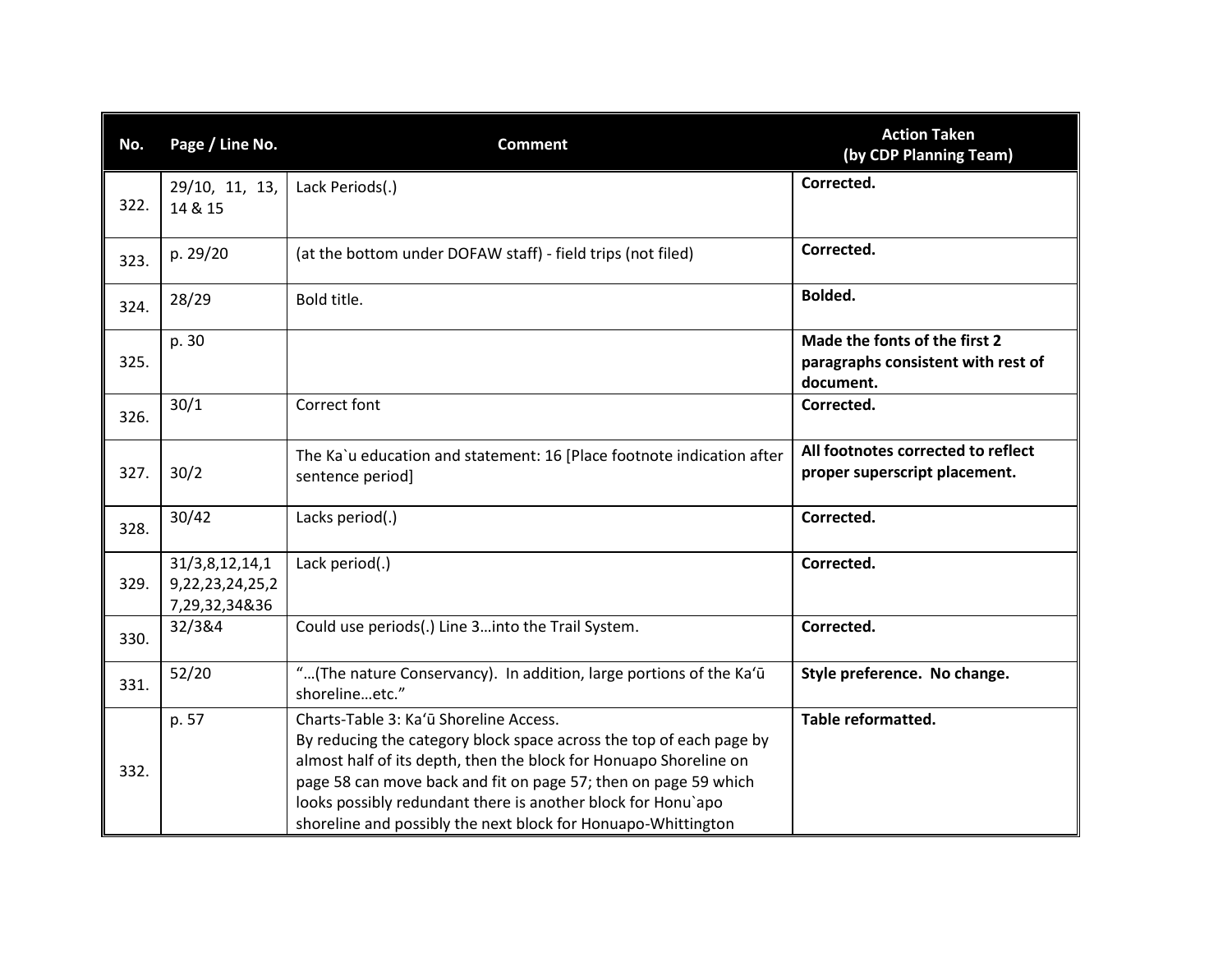| No.  | Page / Line No.                                         | <b>Comment</b>                                                                                                                                                                                                                                                                                                                                                                         | <b>Action Taken</b><br>(by CDP Planning Team)                                    |
|------|---------------------------------------------------------|----------------------------------------------------------------------------------------------------------------------------------------------------------------------------------------------------------------------------------------------------------------------------------------------------------------------------------------------------------------------------------------|----------------------------------------------------------------------------------|
| 322. | 29/10, 11, 13,<br>14 & 15                               | Lack Periods(.)                                                                                                                                                                                                                                                                                                                                                                        | Corrected.                                                                       |
| 323. | p. 29/20                                                | (at the bottom under DOFAW staff) - field trips (not filed)                                                                                                                                                                                                                                                                                                                            | Corrected.                                                                       |
| 324. | 28/29                                                   | Bold title.                                                                                                                                                                                                                                                                                                                                                                            | Bolded.                                                                          |
| 325. | p. 30                                                   |                                                                                                                                                                                                                                                                                                                                                                                        | Made the fonts of the first 2<br>paragraphs consistent with rest of<br>document. |
| 326. | 30/1                                                    | Correct font                                                                                                                                                                                                                                                                                                                                                                           | Corrected.                                                                       |
| 327. | 30/2                                                    | The Ka`u education and statement: 16 [Place footnote indication after<br>sentence period]                                                                                                                                                                                                                                                                                              | All footnotes corrected to reflect<br>proper superscript placement.              |
| 328. | 30/42                                                   | Lacks period(.)                                                                                                                                                                                                                                                                                                                                                                        | Corrected.                                                                       |
| 329. | 31/3,8,12,14,1<br>9, 22, 23, 24, 25, 2<br>7,29,32,34&36 | Lack period(.)                                                                                                                                                                                                                                                                                                                                                                         | Corrected.                                                                       |
| 330. | 32/3&4                                                  | Could use periods(.) Line 3into the Trail System.                                                                                                                                                                                                                                                                                                                                      | Corrected.                                                                       |
| 331. | 52/20                                                   | "(The nature Conservancy). In addition, large portions of the Ka'ū<br>shorelineetc."                                                                                                                                                                                                                                                                                                   | Style preference. No change.                                                     |
| 332. | p. 57                                                   | Charts-Table 3: Ka'ū Shoreline Access.<br>By reducing the category block space across the top of each page by<br>almost half of its depth, then the block for Honuapo Shoreline on<br>page 58 can move back and fit on page 57; then on page 59 which<br>looks possibly redundant there is another block for Honu'apo<br>shoreline and possibly the next block for Honuapo-Whittington | <b>Table reformatted.</b>                                                        |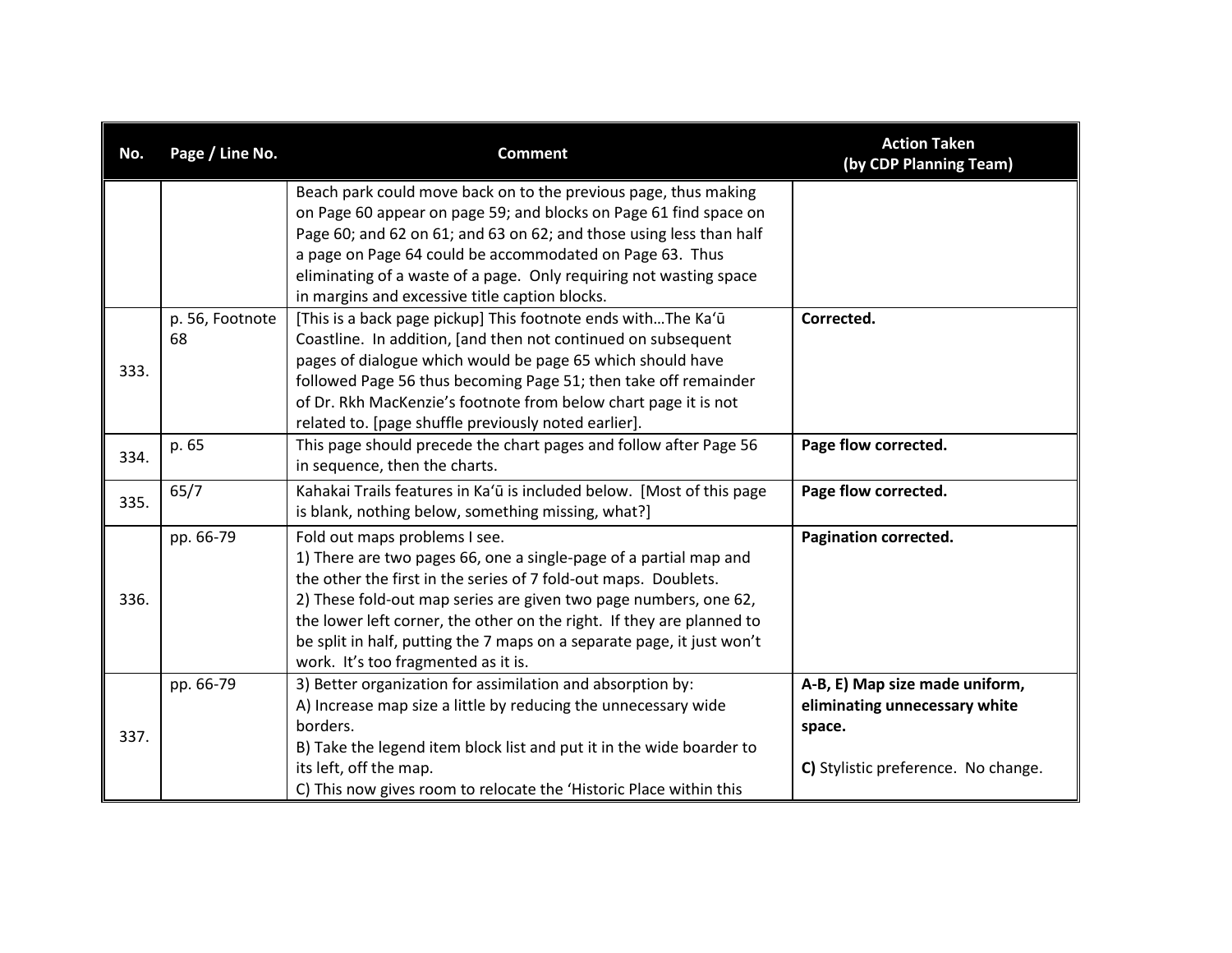| No.  | Page / Line No.       | <b>Comment</b>                                                                                                                                                                                                                                                                                                                                                                                                                      | <b>Action Taken</b><br>(by CDP Planning Team)                                                                    |
|------|-----------------------|-------------------------------------------------------------------------------------------------------------------------------------------------------------------------------------------------------------------------------------------------------------------------------------------------------------------------------------------------------------------------------------------------------------------------------------|------------------------------------------------------------------------------------------------------------------|
|      |                       | Beach park could move back on to the previous page, thus making<br>on Page 60 appear on page 59; and blocks on Page 61 find space on<br>Page 60; and 62 on 61; and 63 on 62; and those using less than half<br>a page on Page 64 could be accommodated on Page 63. Thus<br>eliminating of a waste of a page. Only requiring not wasting space<br>in margins and excessive title caption blocks.                                     |                                                                                                                  |
| 333. | p. 56, Footnote<br>68 | [This is a back page pickup] This footnote ends withThe Ka'ū<br>Coastline. In addition, [and then not continued on subsequent<br>pages of dialogue which would be page 65 which should have<br>followed Page 56 thus becoming Page 51; then take off remainder<br>of Dr. Rkh MacKenzie's footnote from below chart page it is not<br>related to. [page shuffle previously noted earlier].                                           | Corrected.                                                                                                       |
| 334. | p. 65                 | This page should precede the chart pages and follow after Page 56<br>in sequence, then the charts.                                                                                                                                                                                                                                                                                                                                  | Page flow corrected.                                                                                             |
| 335. | 65/7                  | Kahakai Trails features in Ka'ū is included below. [Most of this page<br>is blank, nothing below, something missing, what?]                                                                                                                                                                                                                                                                                                         | Page flow corrected.                                                                                             |
| 336. | pp. 66-79             | Fold out maps problems I see.<br>1) There are two pages 66, one a single-page of a partial map and<br>the other the first in the series of 7 fold-out maps. Doublets.<br>2) These fold-out map series are given two page numbers, one 62,<br>the lower left corner, the other on the right. If they are planned to<br>be split in half, putting the 7 maps on a separate page, it just won't<br>work. It's too fragmented as it is. | Pagination corrected.                                                                                            |
| 337. | pp. 66-79             | 3) Better organization for assimilation and absorption by:<br>A) Increase map size a little by reducing the unnecessary wide<br>borders.<br>B) Take the legend item block list and put it in the wide boarder to<br>its left, off the map.<br>C) This now gives room to relocate the 'Historic Place within this                                                                                                                    | A-B, E) Map size made uniform,<br>eliminating unnecessary white<br>space.<br>C) Stylistic preference. No change. |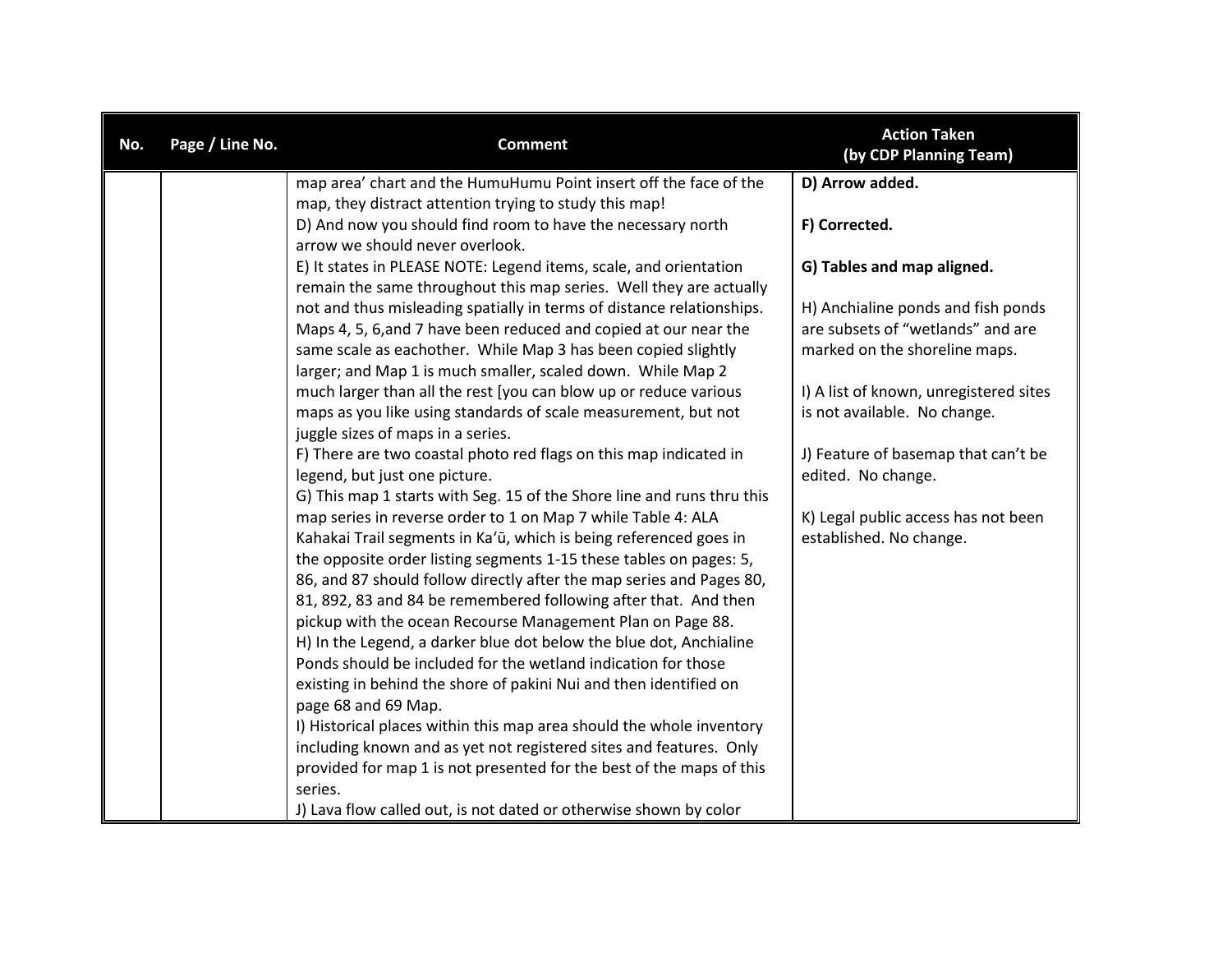| No. | Page / Line No. | <b>Comment</b>                                                                                                                          | <b>Action Taken</b><br>(by CDP Planning Team)                  |
|-----|-----------------|-----------------------------------------------------------------------------------------------------------------------------------------|----------------------------------------------------------------|
|     |                 | map area' chart and the HumuHumu Point insert off the face of the                                                                       | D) Arrow added.                                                |
|     |                 | map, they distract attention trying to study this map!                                                                                  |                                                                |
|     |                 | D) And now you should find room to have the necessary north                                                                             | F) Corrected.                                                  |
|     |                 | arrow we should never overlook.                                                                                                         |                                                                |
|     |                 | E) It states in PLEASE NOTE: Legend items, scale, and orientation<br>remain the same throughout this map series. Well they are actually | G) Tables and map aligned.                                     |
|     |                 | not and thus misleading spatially in terms of distance relationships.                                                                   | H) Anchialine ponds and fish ponds                             |
|     |                 | Maps 4, 5, 6, and 7 have been reduced and copied at our near the                                                                        | are subsets of "wetlands" and are                              |
|     |                 | same scale as eachother. While Map 3 has been copied slightly                                                                           | marked on the shoreline maps.                                  |
|     |                 | larger; and Map 1 is much smaller, scaled down. While Map 2                                                                             |                                                                |
|     |                 | much larger than all the rest [you can blow up or reduce various                                                                        | I) A list of known, unregistered sites                         |
|     |                 | maps as you like using standards of scale measurement, but not                                                                          | is not available. No change.                                   |
|     |                 | juggle sizes of maps in a series.                                                                                                       |                                                                |
|     |                 | F) There are two coastal photo red flags on this map indicated in                                                                       | J) Feature of basemap that can't be                            |
|     |                 | legend, but just one picture.                                                                                                           | edited. No change.                                             |
|     |                 | G) This map 1 starts with Seg. 15 of the Shore line and runs thru this                                                                  |                                                                |
|     |                 | map series in reverse order to 1 on Map 7 while Table 4: ALA<br>Kahakai Trail segments in Ka'ū, which is being referenced goes in       | K) Legal public access has not been<br>established. No change. |
|     |                 | the opposite order listing segments 1-15 these tables on pages: 5,                                                                      |                                                                |
|     |                 | 86, and 87 should follow directly after the map series and Pages 80,                                                                    |                                                                |
|     |                 | 81, 892, 83 and 84 be remembered following after that. And then                                                                         |                                                                |
|     |                 | pickup with the ocean Recourse Management Plan on Page 88.                                                                              |                                                                |
|     |                 | H) In the Legend, a darker blue dot below the blue dot, Anchialine                                                                      |                                                                |
|     |                 | Ponds should be included for the wetland indication for those                                                                           |                                                                |
|     |                 | existing in behind the shore of pakini Nui and then identified on                                                                       |                                                                |
|     |                 | page 68 and 69 Map.                                                                                                                     |                                                                |
|     |                 | I) Historical places within this map area should the whole inventory                                                                    |                                                                |
|     |                 | including known and as yet not registered sites and features. Only                                                                      |                                                                |
|     |                 | provided for map 1 is not presented for the best of the maps of this                                                                    |                                                                |
|     |                 | series.                                                                                                                                 |                                                                |
|     |                 | J) Lava flow called out, is not dated or otherwise shown by color                                                                       |                                                                |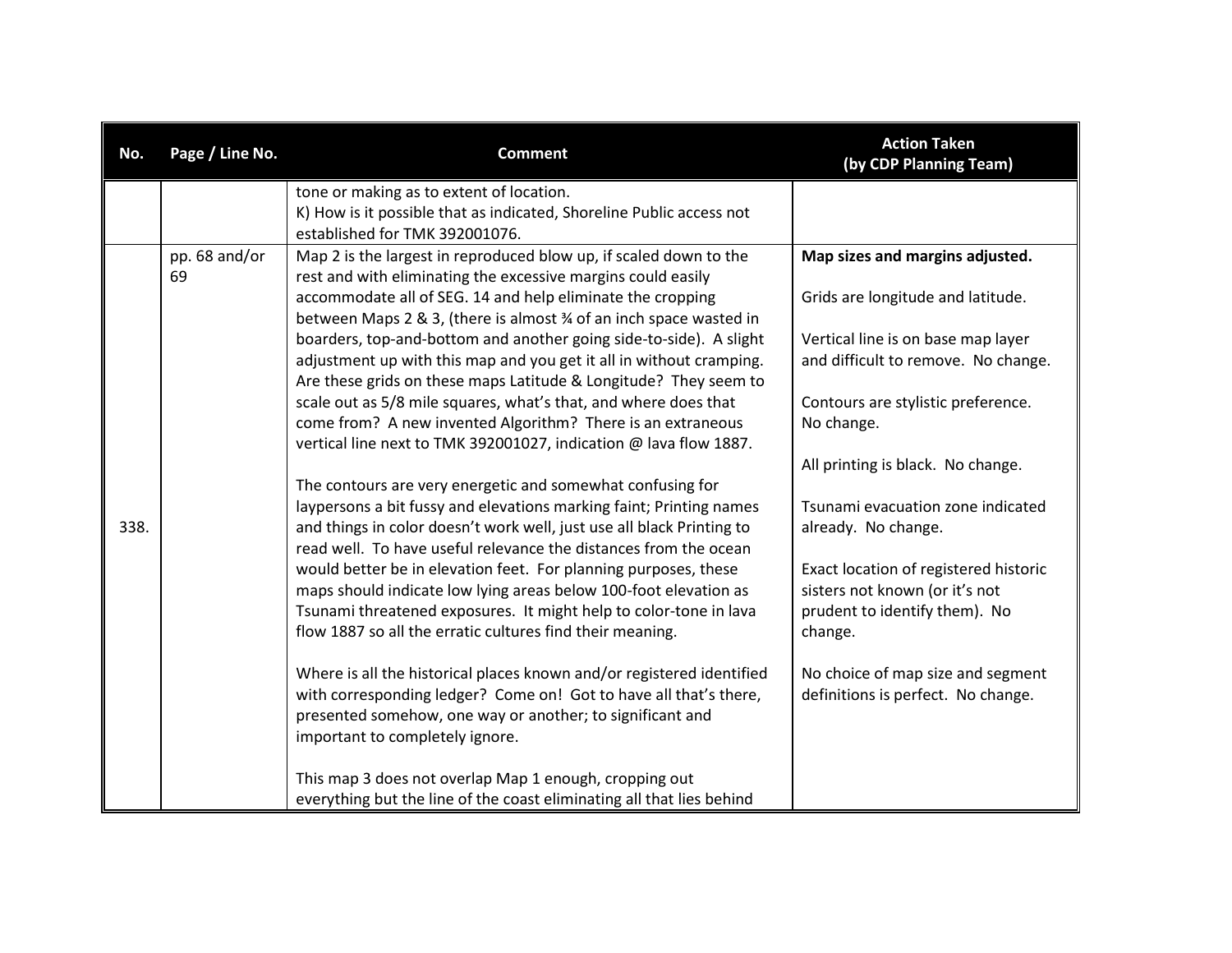| No.  | Page / Line No. | <b>Comment</b>                                                        | <b>Action Taken</b><br>(by CDP Planning Team) |
|------|-----------------|-----------------------------------------------------------------------|-----------------------------------------------|
|      |                 | tone or making as to extent of location.                              |                                               |
|      |                 | K) How is it possible that as indicated, Shoreline Public access not  |                                               |
|      |                 | established for TMK 392001076.                                        |                                               |
|      | pp. 68 and/or   | Map 2 is the largest in reproduced blow up, if scaled down to the     | Map sizes and margins adjusted.               |
|      | 69              | rest and with eliminating the excessive margins could easily          |                                               |
|      |                 | accommodate all of SEG. 14 and help eliminate the cropping            | Grids are longitude and latitude.             |
|      |                 | between Maps 2 & 3, (there is almost % of an inch space wasted in     |                                               |
|      |                 | boarders, top-and-bottom and another going side-to-side). A slight    | Vertical line is on base map layer            |
|      |                 | adjustment up with this map and you get it all in without cramping.   | and difficult to remove. No change.           |
|      |                 | Are these grids on these maps Latitude & Longitude? They seem to      |                                               |
|      |                 | scale out as 5/8 mile squares, what's that, and where does that       | Contours are stylistic preference.            |
|      |                 | come from? A new invented Algorithm? There is an extraneous           | No change.                                    |
|      |                 | vertical line next to TMK 392001027, indication @ lava flow 1887.     | All printing is black. No change.             |
|      |                 | The contours are very energetic and somewhat confusing for            |                                               |
|      |                 | laypersons a bit fussy and elevations marking faint; Printing names   | Tsunami evacuation zone indicated             |
| 338. |                 | and things in color doesn't work well, just use all black Printing to | already. No change.                           |
|      |                 | read well. To have useful relevance the distances from the ocean      |                                               |
|      |                 | would better be in elevation feet. For planning purposes, these       | Exact location of registered historic         |
|      |                 | maps should indicate low lying areas below 100-foot elevation as      | sisters not known (or it's not                |
|      |                 | Tsunami threatened exposures. It might help to color-tone in lava     | prudent to identify them). No                 |
|      |                 | flow 1887 so all the erratic cultures find their meaning.             | change.                                       |
|      |                 |                                                                       |                                               |
|      |                 | Where is all the historical places known and/or registered identified | No choice of map size and segment             |
|      |                 | with corresponding ledger? Come on! Got to have all that's there,     | definitions is perfect. No change.            |
|      |                 | presented somehow, one way or another; to significant and             |                                               |
|      |                 | important to completely ignore.                                       |                                               |
|      |                 |                                                                       |                                               |
|      |                 | This map 3 does not overlap Map 1 enough, cropping out                |                                               |
|      |                 | everything but the line of the coast eliminating all that lies behind |                                               |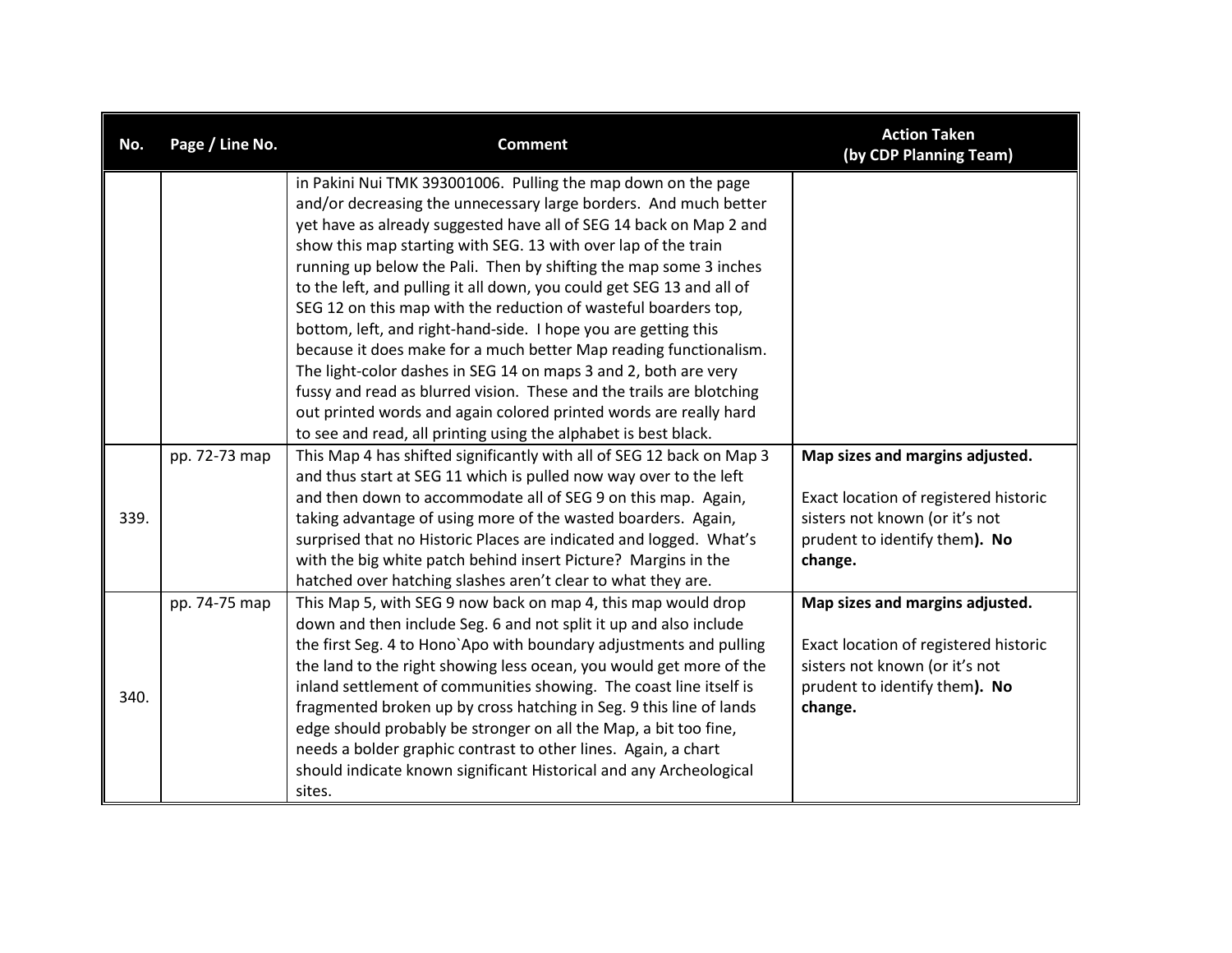| No.  | Page / Line No. | <b>Comment</b>                                                                                                                                                                                                                                                                                                                                                                                                                                                                                                                                                                                                                                                                                                                                                                                                                                    | <b>Action Taken</b><br>(by CDP Planning Team)                                                                                                          |
|------|-----------------|---------------------------------------------------------------------------------------------------------------------------------------------------------------------------------------------------------------------------------------------------------------------------------------------------------------------------------------------------------------------------------------------------------------------------------------------------------------------------------------------------------------------------------------------------------------------------------------------------------------------------------------------------------------------------------------------------------------------------------------------------------------------------------------------------------------------------------------------------|--------------------------------------------------------------------------------------------------------------------------------------------------------|
|      |                 | in Pakini Nui TMK 393001006. Pulling the map down on the page<br>and/or decreasing the unnecessary large borders. And much better<br>yet have as already suggested have all of SEG 14 back on Map 2 and<br>show this map starting with SEG. 13 with over lap of the train<br>running up below the Pali. Then by shifting the map some 3 inches<br>to the left, and pulling it all down, you could get SEG 13 and all of<br>SEG 12 on this map with the reduction of wasteful boarders top,<br>bottom, left, and right-hand-side. I hope you are getting this<br>because it does make for a much better Map reading functionalism.<br>The light-color dashes in SEG 14 on maps 3 and 2, both are very<br>fussy and read as blurred vision. These and the trails are blotching<br>out printed words and again colored printed words are really hard |                                                                                                                                                        |
| 339. | pp. 72-73 map   | to see and read, all printing using the alphabet is best black.<br>This Map 4 has shifted significantly with all of SEG 12 back on Map 3<br>and thus start at SEG 11 which is pulled now way over to the left<br>and then down to accommodate all of SEG 9 on this map. Again,<br>taking advantage of using more of the wasted boarders. Again,<br>surprised that no Historic Places are indicated and logged. What's<br>with the big white patch behind insert Picture? Margins in the<br>hatched over hatching slashes aren't clear to what they are.                                                                                                                                                                                                                                                                                           | Map sizes and margins adjusted.<br>Exact location of registered historic<br>sisters not known (or it's not<br>prudent to identify them). No<br>change. |
| 340. | pp. 74-75 map   | This Map 5, with SEG 9 now back on map 4, this map would drop<br>down and then include Seg. 6 and not split it up and also include<br>the first Seg. 4 to Hono'Apo with boundary adjustments and pulling<br>the land to the right showing less ocean, you would get more of the<br>inland settlement of communities showing. The coast line itself is<br>fragmented broken up by cross hatching in Seg. 9 this line of lands<br>edge should probably be stronger on all the Map, a bit too fine,<br>needs a bolder graphic contrast to other lines. Again, a chart<br>should indicate known significant Historical and any Archeological<br>sites.                                                                                                                                                                                                | Map sizes and margins adjusted.<br>Exact location of registered historic<br>sisters not known (or it's not<br>prudent to identify them). No<br>change. |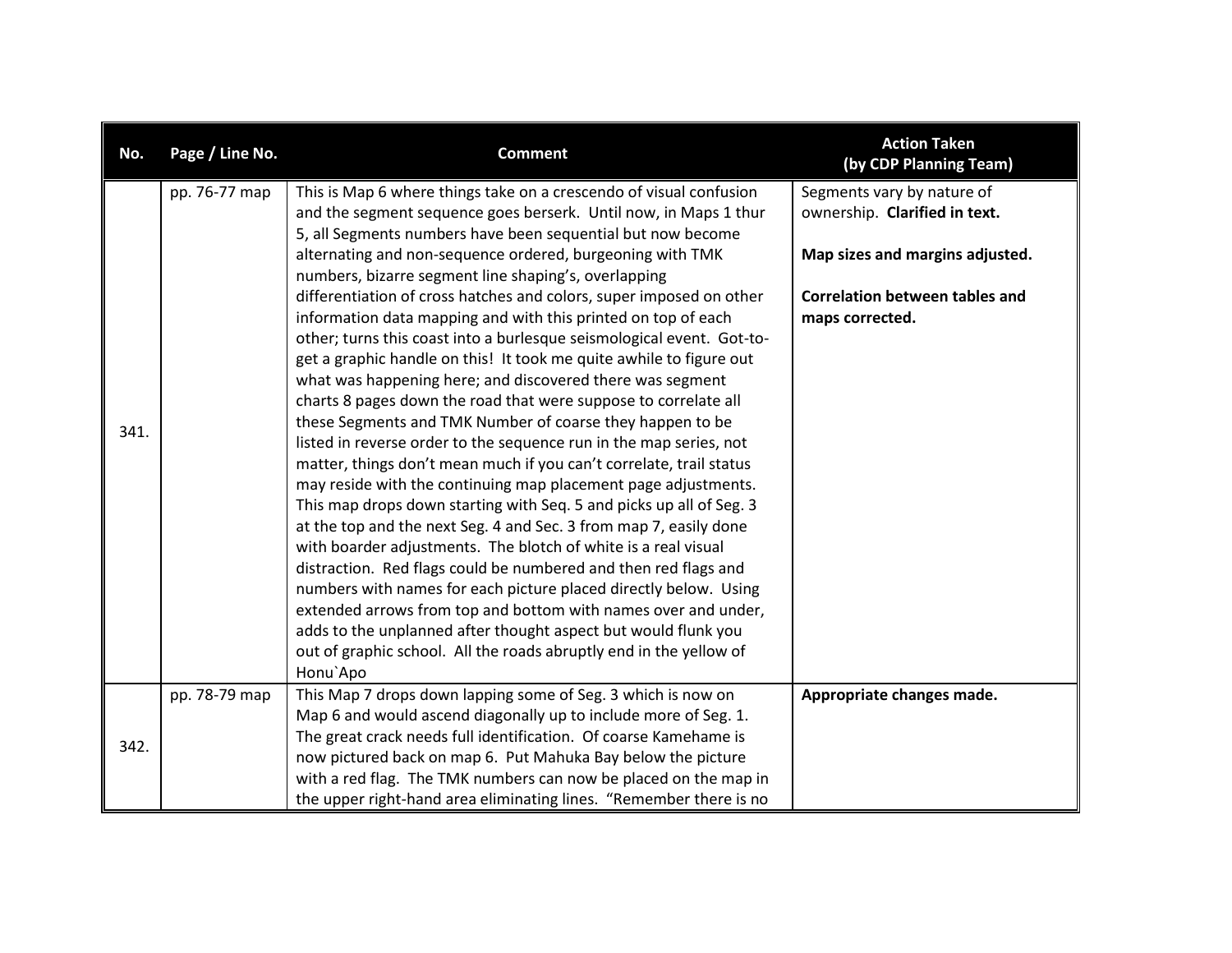| No.  | Page / Line No. | <b>Comment</b>                                                                                                                                                                                                                                                                                                                                                                                                                                                                                                                                                                                                                                                                                                                                                                                                                                                                                                                                                                                                                                                                                                                                                                                                                                                                                                                                                                                                                                                                                                                                                                                | <b>Action Taken</b><br>(by CDP Planning Team)                                                                                                              |
|------|-----------------|-----------------------------------------------------------------------------------------------------------------------------------------------------------------------------------------------------------------------------------------------------------------------------------------------------------------------------------------------------------------------------------------------------------------------------------------------------------------------------------------------------------------------------------------------------------------------------------------------------------------------------------------------------------------------------------------------------------------------------------------------------------------------------------------------------------------------------------------------------------------------------------------------------------------------------------------------------------------------------------------------------------------------------------------------------------------------------------------------------------------------------------------------------------------------------------------------------------------------------------------------------------------------------------------------------------------------------------------------------------------------------------------------------------------------------------------------------------------------------------------------------------------------------------------------------------------------------------------------|------------------------------------------------------------------------------------------------------------------------------------------------------------|
| 341. | pp. 76-77 map   | This is Map 6 where things take on a crescendo of visual confusion<br>and the segment sequence goes berserk. Until now, in Maps 1 thur<br>5, all Segments numbers have been sequential but now become<br>alternating and non-sequence ordered, burgeoning with TMK<br>numbers, bizarre segment line shaping's, overlapping<br>differentiation of cross hatches and colors, super imposed on other<br>information data mapping and with this printed on top of each<br>other; turns this coast into a burlesque seismological event. Got-to-<br>get a graphic handle on this! It took me quite awhile to figure out<br>what was happening here; and discovered there was segment<br>charts 8 pages down the road that were suppose to correlate all<br>these Segments and TMK Number of coarse they happen to be<br>listed in reverse order to the sequence run in the map series, not<br>matter, things don't mean much if you can't correlate, trail status<br>may reside with the continuing map placement page adjustments.<br>This map drops down starting with Seq. 5 and picks up all of Seg. 3<br>at the top and the next Seg. 4 and Sec. 3 from map 7, easily done<br>with boarder adjustments. The blotch of white is a real visual<br>distraction. Red flags could be numbered and then red flags and<br>numbers with names for each picture placed directly below. Using<br>extended arrows from top and bottom with names over and under,<br>adds to the unplanned after thought aspect but would flunk you<br>out of graphic school. All the roads abruptly end in the yellow of | Segments vary by nature of<br>ownership. Clarified in text.<br>Map sizes and margins adjusted.<br><b>Correlation between tables and</b><br>maps corrected. |
|      |                 | Honu`Apo                                                                                                                                                                                                                                                                                                                                                                                                                                                                                                                                                                                                                                                                                                                                                                                                                                                                                                                                                                                                                                                                                                                                                                                                                                                                                                                                                                                                                                                                                                                                                                                      |                                                                                                                                                            |
| 342. | pp. 78-79 map   | This Map 7 drops down lapping some of Seg. 3 which is now on<br>Map 6 and would ascend diagonally up to include more of Seg. 1.<br>The great crack needs full identification. Of coarse Kamehame is<br>now pictured back on map 6. Put Mahuka Bay below the picture<br>with a red flag. The TMK numbers can now be placed on the map in<br>the upper right-hand area eliminating lines. "Remember there is no                                                                                                                                                                                                                                                                                                                                                                                                                                                                                                                                                                                                                                                                                                                                                                                                                                                                                                                                                                                                                                                                                                                                                                                 | Appropriate changes made.                                                                                                                                  |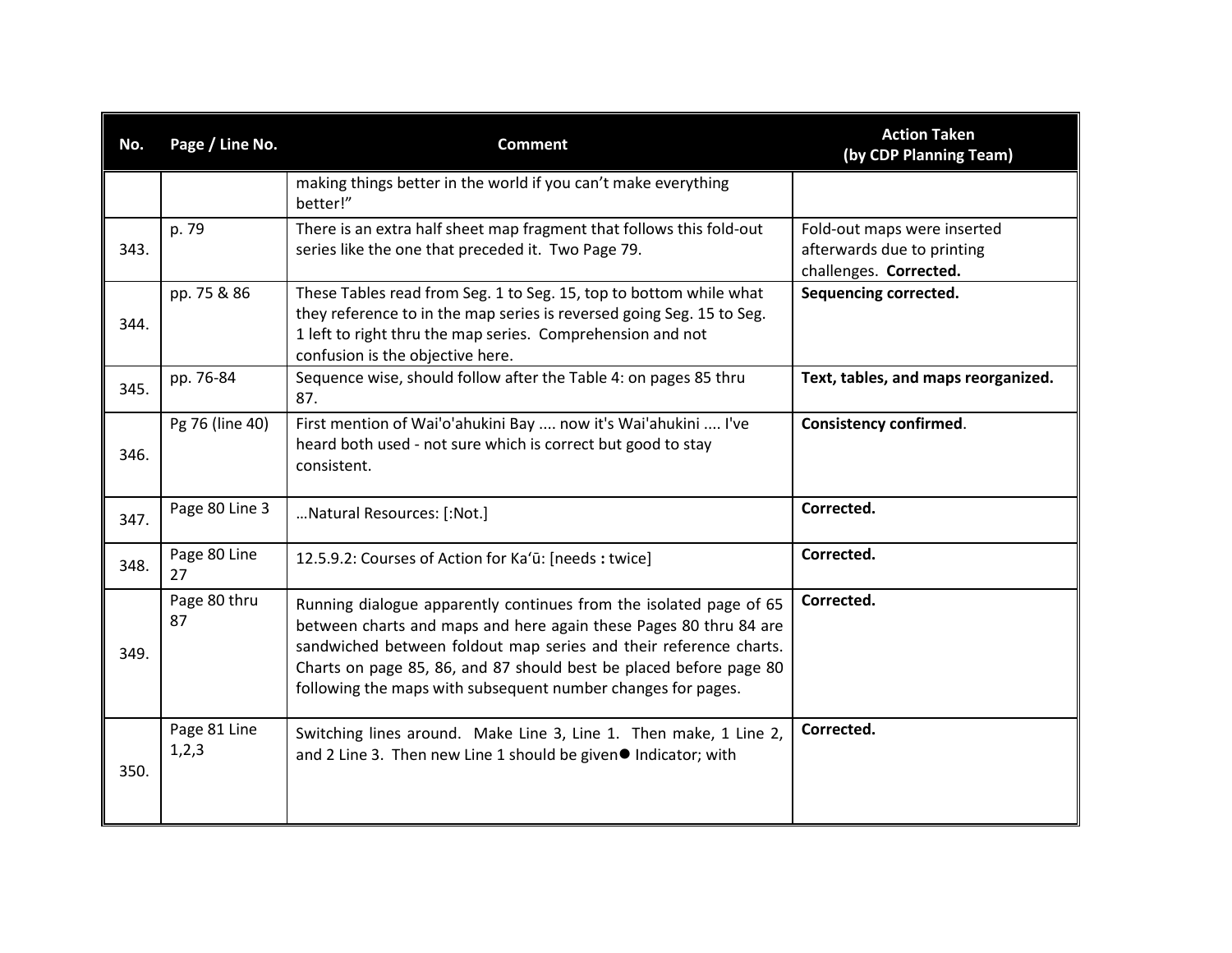| No.  | Page / Line No.       | <b>Comment</b>                                                                                                                                                                                                                                                                                                                                     | <b>Action Taken</b><br>(by CDP Planning Team)                                       |
|------|-----------------------|----------------------------------------------------------------------------------------------------------------------------------------------------------------------------------------------------------------------------------------------------------------------------------------------------------------------------------------------------|-------------------------------------------------------------------------------------|
|      |                       | making things better in the world if you can't make everything<br>better!"                                                                                                                                                                                                                                                                         |                                                                                     |
| 343. | p. 79                 | There is an extra half sheet map fragment that follows this fold-out<br>series like the one that preceded it. Two Page 79.                                                                                                                                                                                                                         | Fold-out maps were inserted<br>afterwards due to printing<br>challenges. Corrected. |
| 344. | pp. 75 & 86           | These Tables read from Seg. 1 to Seg. 15, top to bottom while what<br>they reference to in the map series is reversed going Seg. 15 to Seg.<br>1 left to right thru the map series. Comprehension and not<br>confusion is the objective here.                                                                                                      | Sequencing corrected.                                                               |
| 345. | pp. 76-84             | Sequence wise, should follow after the Table 4: on pages 85 thru<br>87.                                                                                                                                                                                                                                                                            | Text, tables, and maps reorganized.                                                 |
| 346. | Pg 76 (line 40)       | First mention of Wai'o'ahukini Bay  now it's Wai'ahukini  I've<br>heard both used - not sure which is correct but good to stay<br>consistent.                                                                                                                                                                                                      | <b>Consistency confirmed.</b>                                                       |
| 347. | Page 80 Line 3        | Natural Resources: [:Not.]                                                                                                                                                                                                                                                                                                                         | Corrected.                                                                          |
| 348. | Page 80 Line<br>27    | 12.5.9.2: Courses of Action for Ka'ū: [needs : twice]                                                                                                                                                                                                                                                                                              | Corrected.                                                                          |
| 349. | Page 80 thru<br>87    | Running dialogue apparently continues from the isolated page of 65<br>between charts and maps and here again these Pages 80 thru 84 are<br>sandwiched between foldout map series and their reference charts.<br>Charts on page 85, 86, and 87 should best be placed before page 80<br>following the maps with subsequent number changes for pages. | Corrected.                                                                          |
| 350. | Page 81 Line<br>1,2,3 | Switching lines around. Make Line 3, Line 1. Then make, 1 Line 2,<br>and 2 Line 3. Then new Line 1 should be given● Indicator; with                                                                                                                                                                                                                | Corrected.                                                                          |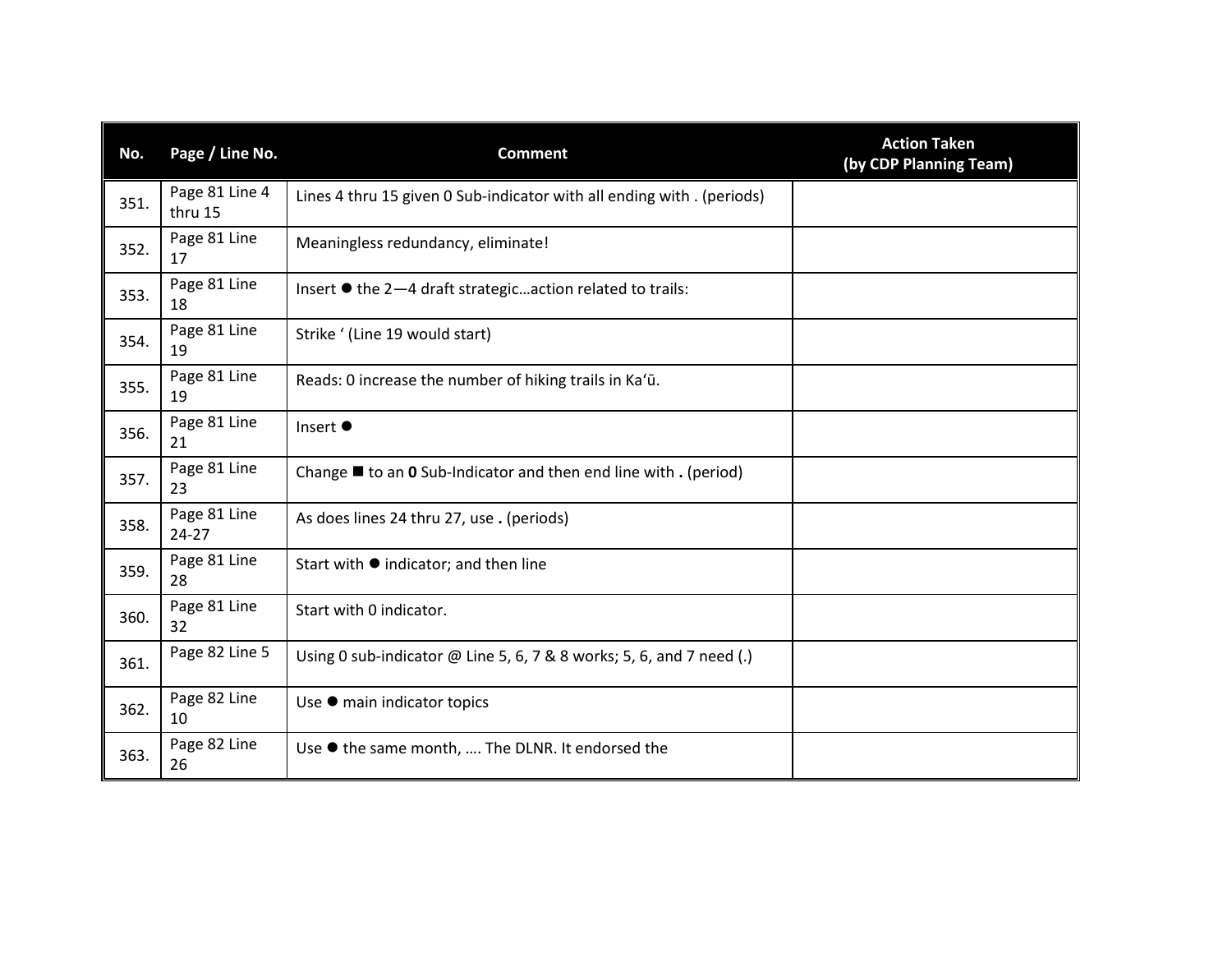| No.  | Page / Line No.           | <b>Comment</b>                                                                | <b>Action Taken</b><br>(by CDP Planning Team) |
|------|---------------------------|-------------------------------------------------------------------------------|-----------------------------------------------|
| 351. | Page 81 Line 4<br>thru 15 | Lines 4 thru 15 given 0 Sub-indicator with all ending with . (periods)        |                                               |
| 352. | Page 81 Line<br>17        | Meaningless redundancy, eliminate!                                            |                                               |
| 353. | Page 81 Line<br>18        | Insert ● the 2-4 draft strategicaction related to trails:                     |                                               |
| 354. | Page 81 Line<br>19        | Strike ' (Line 19 would start)                                                |                                               |
| 355. | Page 81 Line<br>19        | Reads: 0 increase the number of hiking trails in Ka'ū.                        |                                               |
| 356. | Page 81 Line<br>21        | Insert ●                                                                      |                                               |
| 357. | Page 81 Line<br>23        | Change $\blacksquare$ to an 0 Sub-Indicator and then end line with . (period) |                                               |
| 358. | Page 81 Line<br>$24 - 27$ | As does lines 24 thru 27, use . (periods)                                     |                                               |
| 359. | Page 81 Line<br>28        | Start with ● indicator; and then line                                         |                                               |
| 360. | Page 81 Line<br>32        | Start with 0 indicator.                                                       |                                               |
| 361. | Page 82 Line 5            | Using 0 sub-indicator @ Line 5, 6, 7 & 8 works; 5, 6, and 7 need (.)          |                                               |
| 362. | Page 82 Line<br>10        | Use ● main indicator topics                                                   |                                               |
| 363. | Page 82 Line<br>26        | Use ● the same month,  The DLNR. It endorsed the                              |                                               |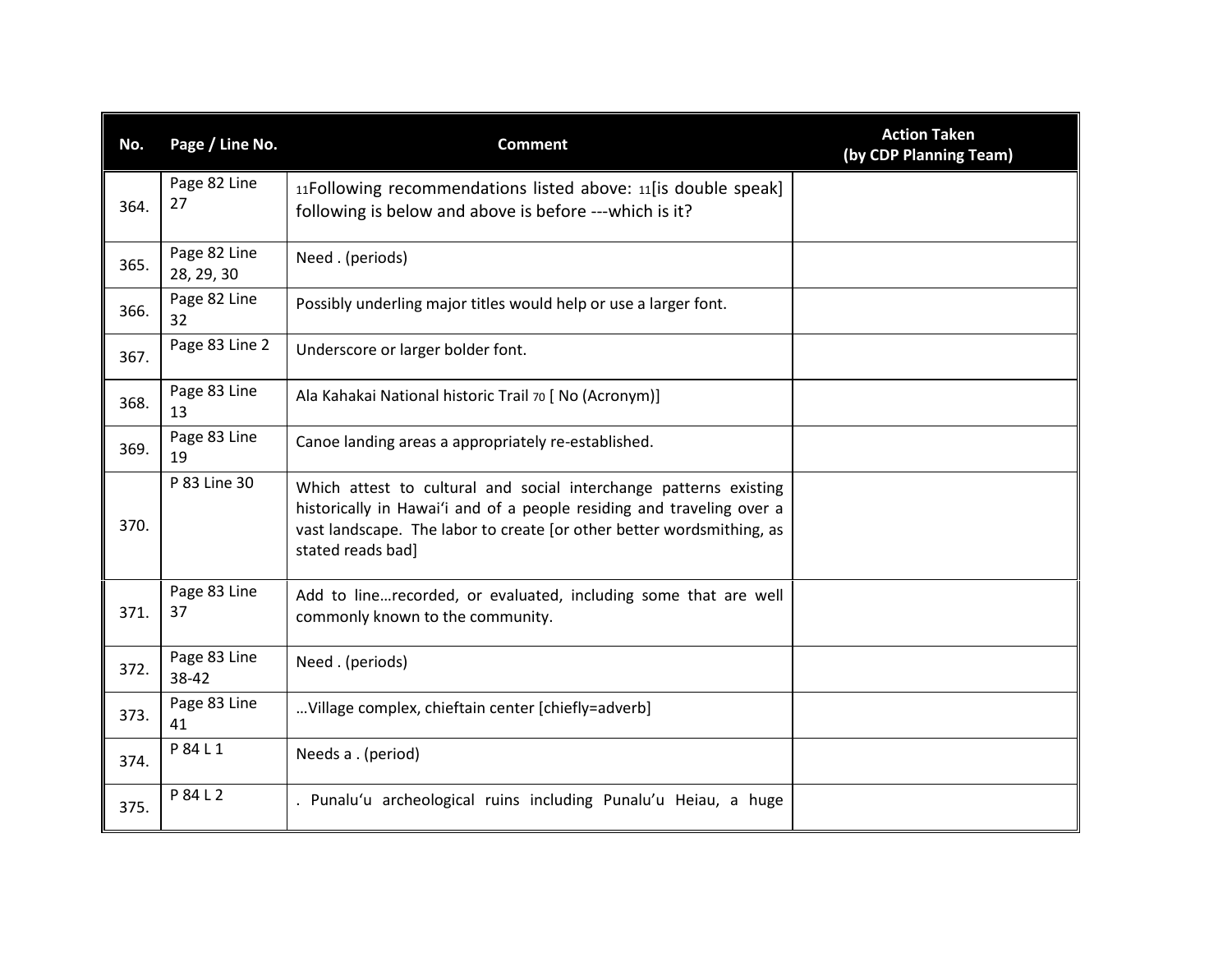| No.  | Page / Line No.            | <b>Comment</b>                                                                                                                                                                                                                           | <b>Action Taken</b><br>(by CDP Planning Team) |
|------|----------------------------|------------------------------------------------------------------------------------------------------------------------------------------------------------------------------------------------------------------------------------------|-----------------------------------------------|
| 364. | Page 82 Line<br>27         | 11Following recommendations listed above: 11[is double speak]<br>following is below and above is before ---which is it?                                                                                                                  |                                               |
| 365. | Page 82 Line<br>28, 29, 30 | Need. (periods)                                                                                                                                                                                                                          |                                               |
| 366. | Page 82 Line<br>32         | Possibly underling major titles would help or use a larger font.                                                                                                                                                                         |                                               |
| 367. | Page 83 Line 2             | Underscore or larger bolder font.                                                                                                                                                                                                        |                                               |
| 368. | Page 83 Line<br>13         | Ala Kahakai National historic Trail 70 [ No (Acronym)]                                                                                                                                                                                   |                                               |
| 369. | Page 83 Line<br>19         | Canoe landing areas a appropriately re-established.                                                                                                                                                                                      |                                               |
| 370. | P 83 Line 30               | Which attest to cultural and social interchange patterns existing<br>historically in Hawai'i and of a people residing and traveling over a<br>vast landscape. The labor to create [or other better wordsmithing, as<br>stated reads bad] |                                               |
| 371. | Page 83 Line<br>37         | Add to linerecorded, or evaluated, including some that are well<br>commonly known to the community.                                                                                                                                      |                                               |
| 372. | Page 83 Line<br>38-42      | Need. (periods)                                                                                                                                                                                                                          |                                               |
| 373. | Page 83 Line<br>41         | Village complex, chieftain center [chiefly=adverb]                                                                                                                                                                                       |                                               |
| 374. | P 84 L 1                   | Needs a . (period)                                                                                                                                                                                                                       |                                               |
| 375. | P 84 L 2                   | . Punalu'u archeological ruins including Punalu'u Heiau, a huge                                                                                                                                                                          |                                               |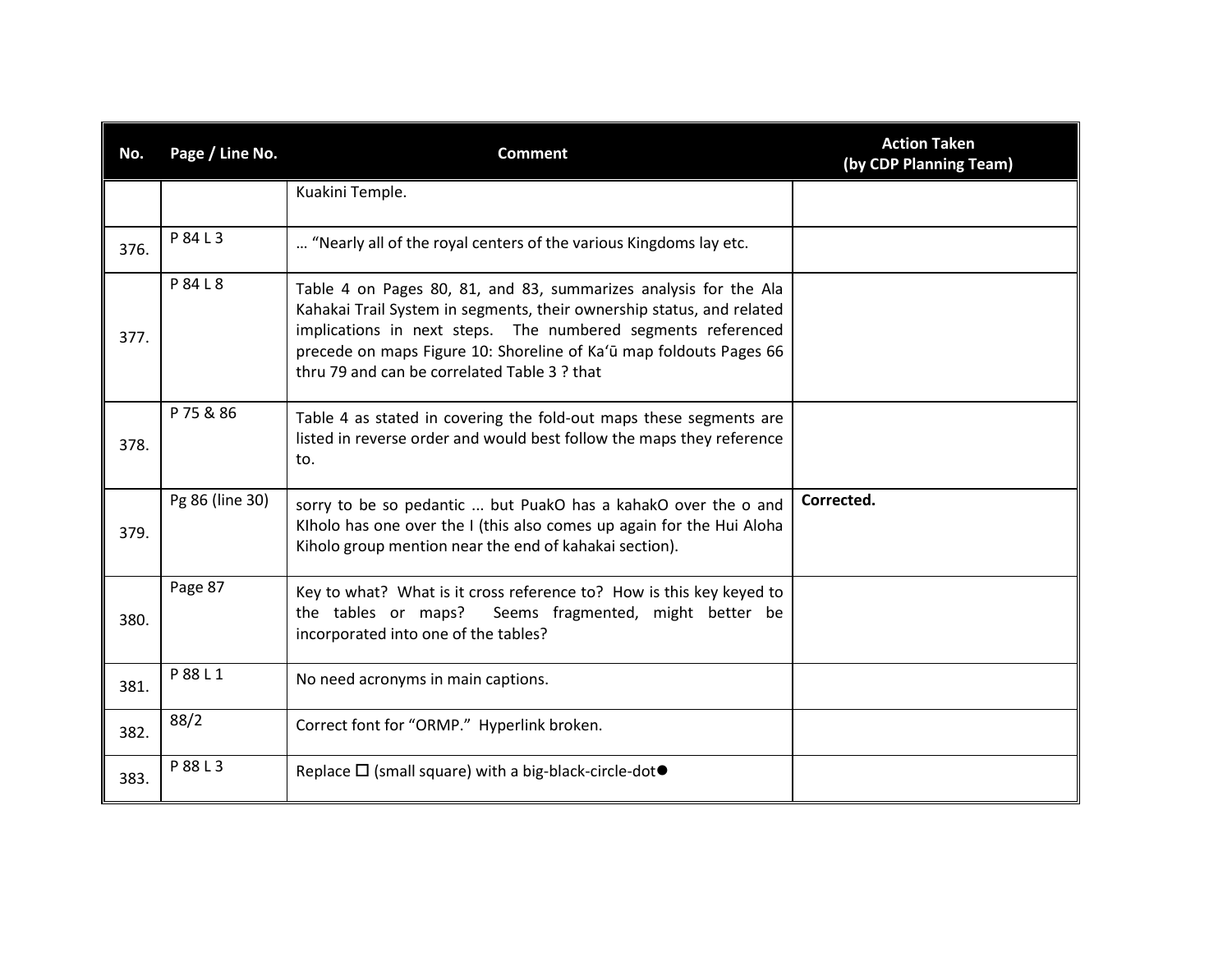| No.  | Page / Line No. | <b>Comment</b>                                                                                                                                                                                                                                                                                                                  | <b>Action Taken</b><br>(by CDP Planning Team) |
|------|-----------------|---------------------------------------------------------------------------------------------------------------------------------------------------------------------------------------------------------------------------------------------------------------------------------------------------------------------------------|-----------------------------------------------|
|      |                 | Kuakini Temple.                                                                                                                                                                                                                                                                                                                 |                                               |
| 376. | P 84 L 3        | "Nearly all of the royal centers of the various Kingdoms lay etc.                                                                                                                                                                                                                                                               |                                               |
| 377. | P 84 L 8        | Table 4 on Pages 80, 81, and 83, summarizes analysis for the Ala<br>Kahakai Trail System in segments, their ownership status, and related<br>implications in next steps. The numbered segments referenced<br>precede on maps Figure 10: Shoreline of Ka'ū map foldouts Pages 66<br>thru 79 and can be correlated Table 3 ? that |                                               |
| 378. | P 75 & 86       | Table 4 as stated in covering the fold-out maps these segments are<br>listed in reverse order and would best follow the maps they reference<br>to.                                                                                                                                                                              |                                               |
| 379. | Pg 86 (line 30) | sorry to be so pedantic  but PuakO has a kahakO over the o and<br>Klholo has one over the I (this also comes up again for the Hui Aloha<br>Kiholo group mention near the end of kahakai section).                                                                                                                               | Corrected.                                    |
| 380. | Page 87         | Key to what? What is it cross reference to? How is this key keyed to<br>the tables or maps?<br>Seems fragmented, might better be<br>incorporated into one of the tables?                                                                                                                                                        |                                               |
| 381. | P 88 L 1        | No need acronyms in main captions.                                                                                                                                                                                                                                                                                              |                                               |
| 382. | 88/2            | Correct font for "ORMP." Hyperlink broken.                                                                                                                                                                                                                                                                                      |                                               |
| 383. | P 88 L 3        | Replace $\Box$ (small square) with a big-black-circle-dot $\bullet$                                                                                                                                                                                                                                                             |                                               |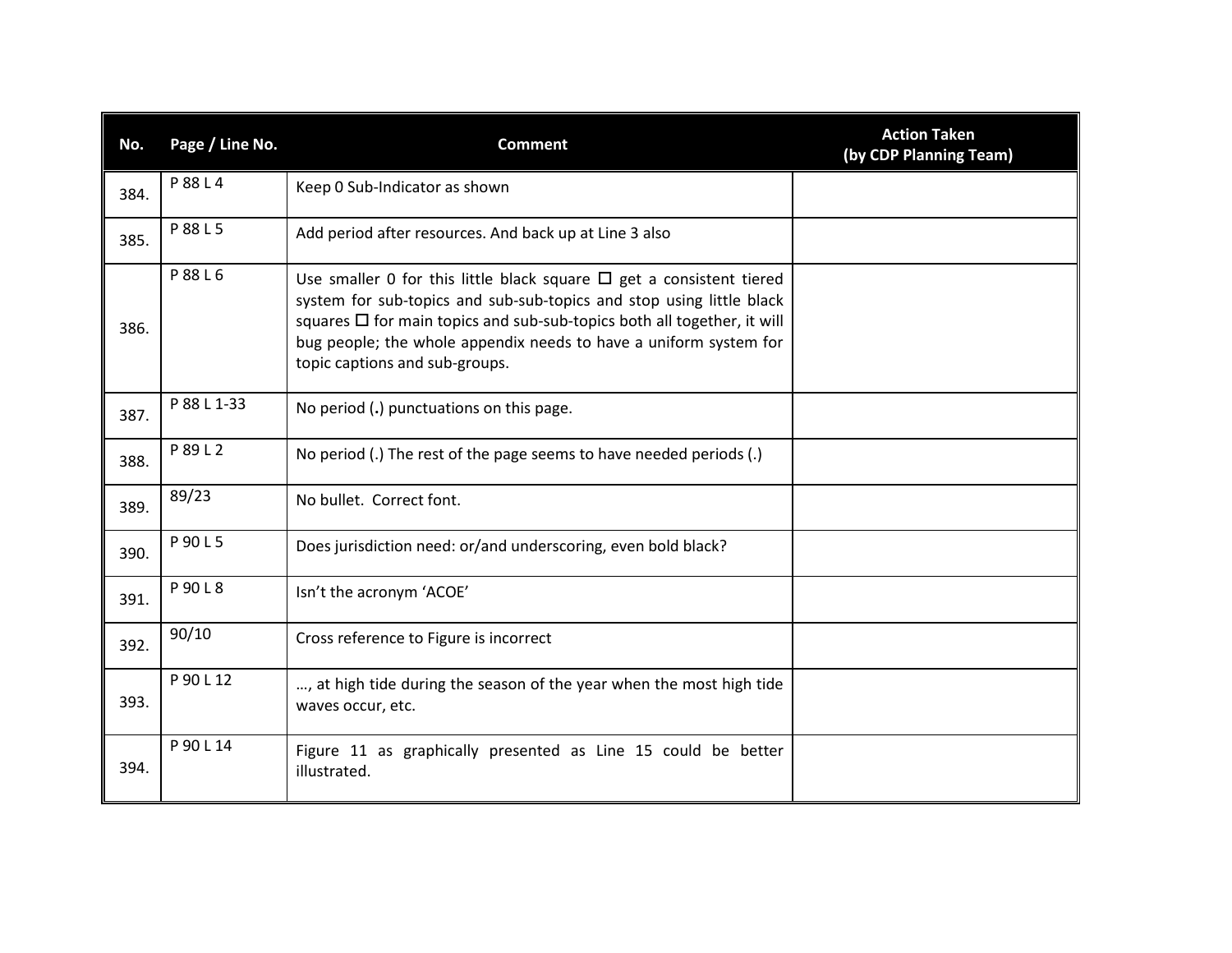| No.  | Page / Line No. | <b>Comment</b>                                                                                                                                                                                                                                                                                                                           | <b>Action Taken</b><br>(by CDP Planning Team) |
|------|-----------------|------------------------------------------------------------------------------------------------------------------------------------------------------------------------------------------------------------------------------------------------------------------------------------------------------------------------------------------|-----------------------------------------------|
| 384. | P 88 L 4        | Keep 0 Sub-Indicator as shown                                                                                                                                                                                                                                                                                                            |                                               |
| 385. | P 88 L 5        | Add period after resources. And back up at Line 3 also                                                                                                                                                                                                                                                                                   |                                               |
| 386. | P 88 L 6        | Use smaller 0 for this little black square $\Box$ get a consistent tiered<br>system for sub-topics and sub-sub-topics and stop using little black<br>squares $\Box$ for main topics and sub-sub-topics both all together, it will<br>bug people; the whole appendix needs to have a uniform system for<br>topic captions and sub-groups. |                                               |
| 387. | P 88 L 1-33     | No period (.) punctuations on this page.                                                                                                                                                                                                                                                                                                 |                                               |
| 388. | P 89 L 2        | No period (.) The rest of the page seems to have needed periods (.)                                                                                                                                                                                                                                                                      |                                               |
| 389. | 89/23           | No bullet. Correct font.                                                                                                                                                                                                                                                                                                                 |                                               |
| 390. | P 90 L 5        | Does jurisdiction need: or/and underscoring, even bold black?                                                                                                                                                                                                                                                                            |                                               |
| 391. | P 90 L 8        | Isn't the acronym 'ACOE'                                                                                                                                                                                                                                                                                                                 |                                               |
| 392. | 90/10           | Cross reference to Figure is incorrect                                                                                                                                                                                                                                                                                                   |                                               |
| 393. | P 90 L 12       | , at high tide during the season of the year when the most high tide<br>waves occur, etc.                                                                                                                                                                                                                                                |                                               |
| 394. | P 90 L 14       | Figure 11 as graphically presented as Line 15 could be better<br>illustrated.                                                                                                                                                                                                                                                            |                                               |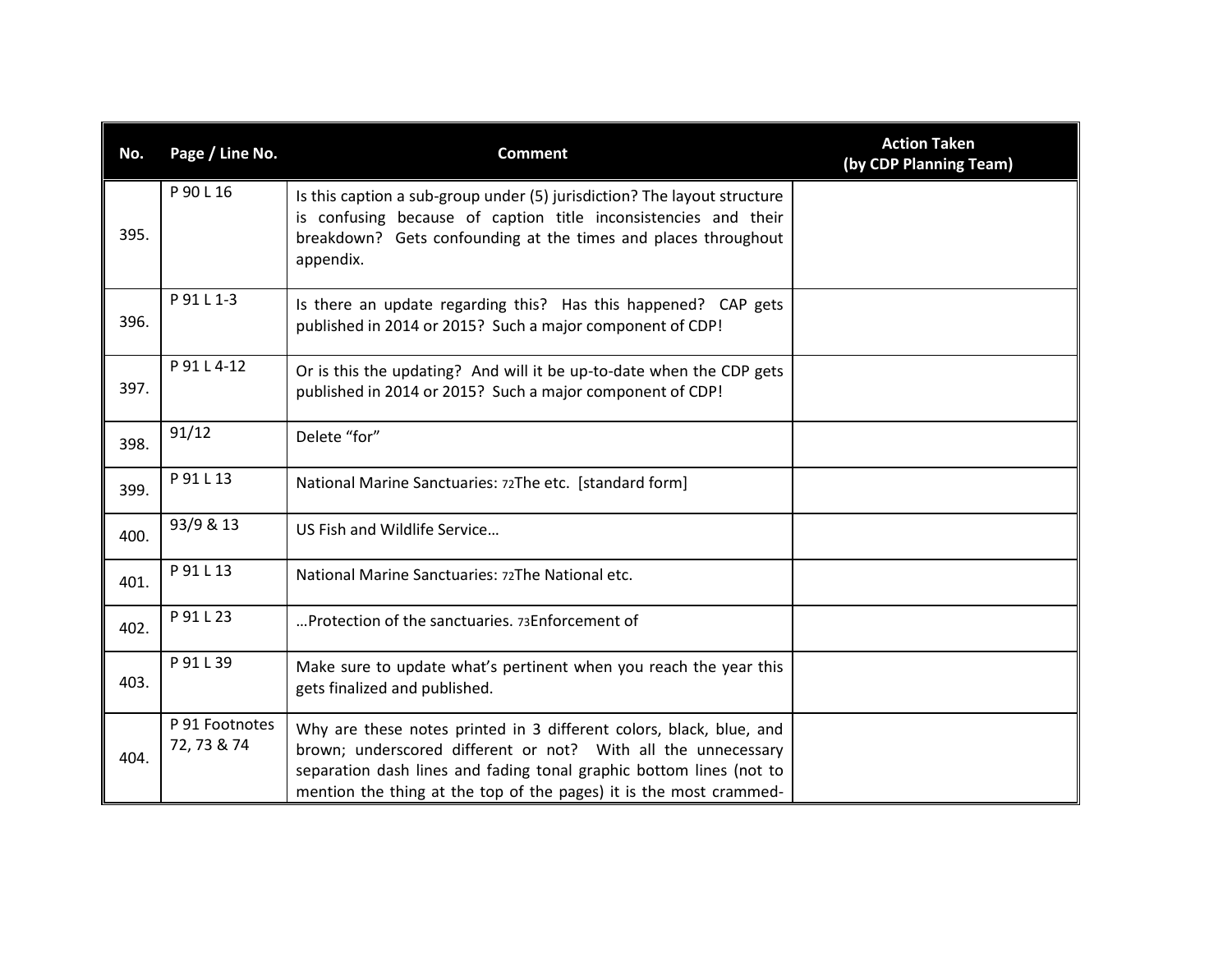| No.  | Page / Line No.               | <b>Comment</b>                                                                                                                                                                                                                                                                    | <b>Action Taken</b><br>(by CDP Planning Team) |
|------|-------------------------------|-----------------------------------------------------------------------------------------------------------------------------------------------------------------------------------------------------------------------------------------------------------------------------------|-----------------------------------------------|
| 395. | P 90 L 16                     | Is this caption a sub-group under (5) jurisdiction? The layout structure<br>is confusing because of caption title inconsistencies and their<br>breakdown? Gets confounding at the times and places throughout<br>appendix.                                                        |                                               |
| 396. | P 91 L 1-3                    | Is there an update regarding this? Has this happened? CAP gets<br>published in 2014 or 2015? Such a major component of CDP!                                                                                                                                                       |                                               |
| 397. | P 91 L 4-12                   | Or is this the updating? And will it be up-to-date when the CDP gets<br>published in 2014 or 2015? Such a major component of CDP!                                                                                                                                                 |                                               |
| 398. | 91/12                         | Delete "for"                                                                                                                                                                                                                                                                      |                                               |
| 399. | P 91 L 13                     | National Marine Sanctuaries: 72The etc. [standard form]                                                                                                                                                                                                                           |                                               |
| 400. | 93/9 & 13                     | US Fish and Wildlife Service                                                                                                                                                                                                                                                      |                                               |
| 401. | P 91 L 13                     | National Marine Sanctuaries: 72The National etc.                                                                                                                                                                                                                                  |                                               |
| 402. | P 91 L 23                     | Protection of the sanctuaries. 73Enforcement of                                                                                                                                                                                                                                   |                                               |
| 403. | P 91 L 39                     | Make sure to update what's pertinent when you reach the year this<br>gets finalized and published.                                                                                                                                                                                |                                               |
| 404. | P 91 Footnotes<br>72, 73 & 74 | Why are these notes printed in 3 different colors, black, blue, and<br>brown; underscored different or not? With all the unnecessary<br>separation dash lines and fading tonal graphic bottom lines (not to<br>mention the thing at the top of the pages) it is the most crammed- |                                               |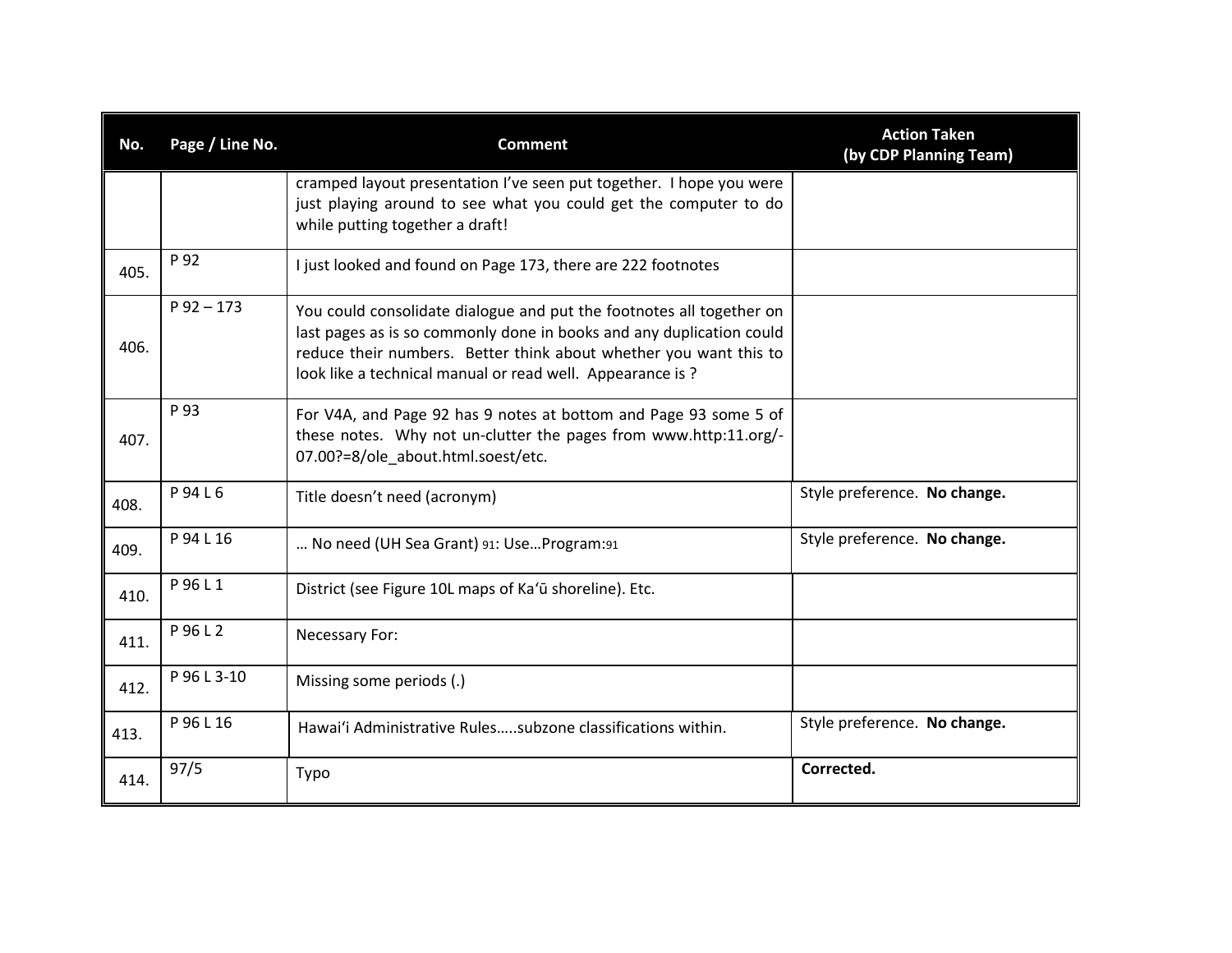| No.  | Page / Line No. | <b>Comment</b>                                                                                                                                                                                                                                                                 | <b>Action Taken</b><br>(by CDP Planning Team) |
|------|-----------------|--------------------------------------------------------------------------------------------------------------------------------------------------------------------------------------------------------------------------------------------------------------------------------|-----------------------------------------------|
|      |                 | cramped layout presentation I've seen put together. I hope you were<br>just playing around to see what you could get the computer to do<br>while putting together a draft!                                                                                                     |                                               |
| 405. | P 92            | I just looked and found on Page 173, there are 222 footnotes                                                                                                                                                                                                                   |                                               |
| 406. | $P$ 92 - 173    | You could consolidate dialogue and put the footnotes all together on<br>last pages as is so commonly done in books and any duplication could<br>reduce their numbers. Better think about whether you want this to<br>look like a technical manual or read well. Appearance is? |                                               |
| 407. | P 93            | For V4A, and Page 92 has 9 notes at bottom and Page 93 some 5 of<br>these notes. Why not un-clutter the pages from www.http:11.org/-<br>07.00?=8/ole about.html.soest/etc.                                                                                                     |                                               |
| 408. | P94L6           | Title doesn't need (acronym)                                                                                                                                                                                                                                                   | Style preference. No change.                  |
| 409. | P 94 L 16       | No need (UH Sea Grant) 91: UseProgram:91                                                                                                                                                                                                                                       | Style preference. No change.                  |
| 410. | P 96 L 1        | District (see Figure 10L maps of Ka'ū shoreline). Etc.                                                                                                                                                                                                                         |                                               |
| 411. | P 96 L 2        | Necessary For:                                                                                                                                                                                                                                                                 |                                               |
| 412. | P 96 L 3-10     | Missing some periods (.)                                                                                                                                                                                                                                                       |                                               |
| 413. | P 96 L 16       | Hawai'i Administrative Rulessubzone classifications within.                                                                                                                                                                                                                    | Style preference. No change.                  |
| 414. | 97/5            | Typo                                                                                                                                                                                                                                                                           | Corrected.                                    |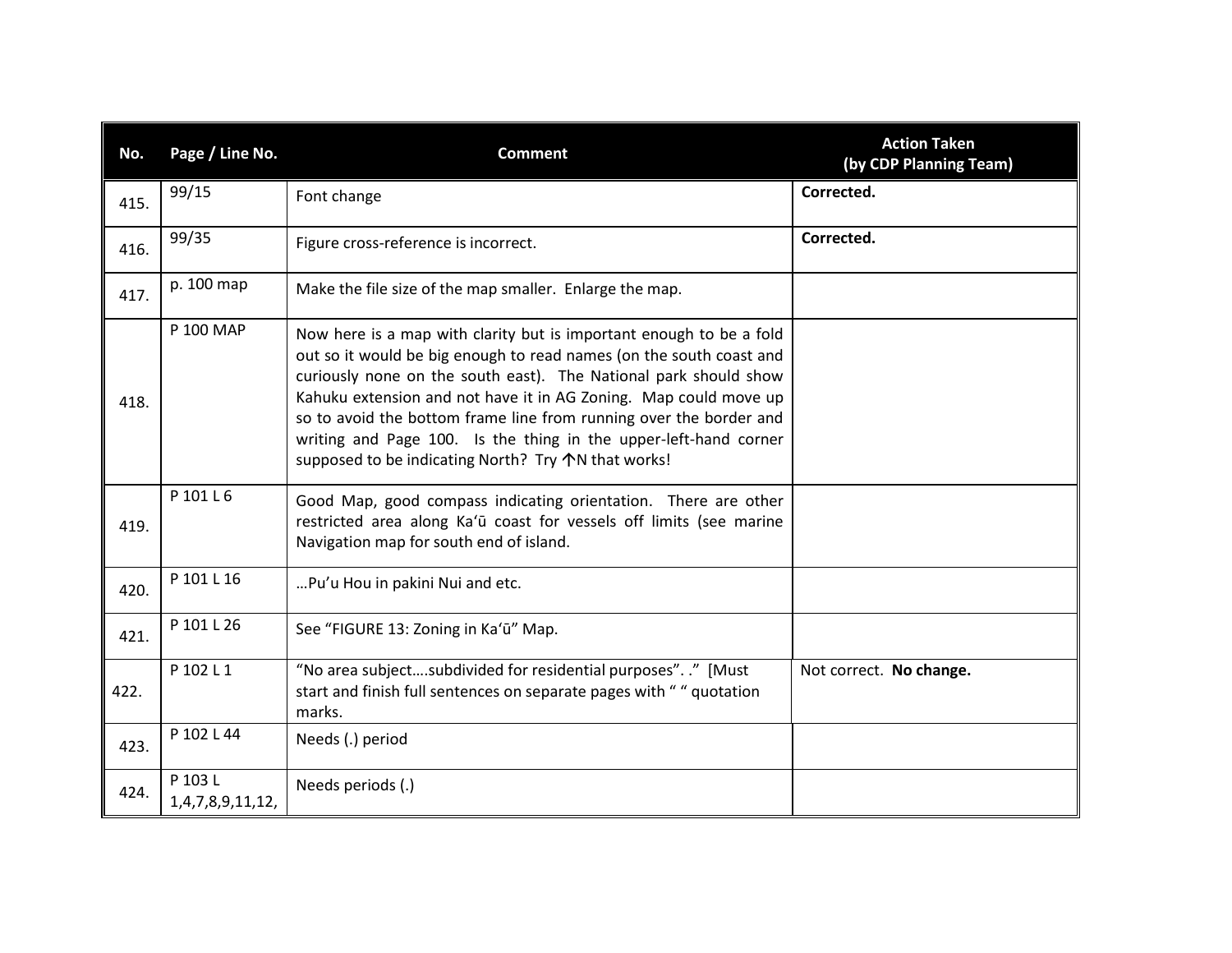| No.  | Page / Line No.             | <b>Comment</b>                                                                                                                                                                                                                                                                                                                                                                                                                                                                                 | <b>Action Taken</b><br>(by CDP Planning Team) |
|------|-----------------------------|------------------------------------------------------------------------------------------------------------------------------------------------------------------------------------------------------------------------------------------------------------------------------------------------------------------------------------------------------------------------------------------------------------------------------------------------------------------------------------------------|-----------------------------------------------|
| 415. | 99/15                       | Font change                                                                                                                                                                                                                                                                                                                                                                                                                                                                                    | Corrected.                                    |
| 416. | 99/35                       | Figure cross-reference is incorrect.                                                                                                                                                                                                                                                                                                                                                                                                                                                           | Corrected.                                    |
| 417. | p. 100 map                  | Make the file size of the map smaller. Enlarge the map.                                                                                                                                                                                                                                                                                                                                                                                                                                        |                                               |
| 418. | P 100 MAP                   | Now here is a map with clarity but is important enough to be a fold<br>out so it would be big enough to read names (on the south coast and<br>curiously none on the south east). The National park should show<br>Kahuku extension and not have it in AG Zoning. Map could move up<br>so to avoid the bottom frame line from running over the border and<br>writing and Page 100. Is the thing in the upper-left-hand corner<br>supposed to be indicating North? Try $\bigwedge N$ that works! |                                               |
| 419. | P 101 L 6                   | Good Map, good compass indicating orientation. There are other<br>restricted area along Ka'ū coast for vessels off limits (see marine<br>Navigation map for south end of island.                                                                                                                                                                                                                                                                                                               |                                               |
| 420. | P 101 L 16                  | Pu'u Hou in pakini Nui and etc.                                                                                                                                                                                                                                                                                                                                                                                                                                                                |                                               |
| 421. | P 101 L 26                  | See "FIGURE 13: Zoning in Ka'ū" Map.                                                                                                                                                                                                                                                                                                                                                                                                                                                           |                                               |
| 422. | P 102 L 1                   | "No area subjectsubdivided for residential purposes". ." [Must<br>start and finish full sentences on separate pages with "" quotation<br>marks.                                                                                                                                                                                                                                                                                                                                                | Not correct. No change.                       |
| 423. | P 102 L 44                  | Needs (.) period                                                                                                                                                                                                                                                                                                                                                                                                                                                                               |                                               |
| 424. | P 103 L<br>1,4,7,8,9,11,12, | Needs periods (.)                                                                                                                                                                                                                                                                                                                                                                                                                                                                              |                                               |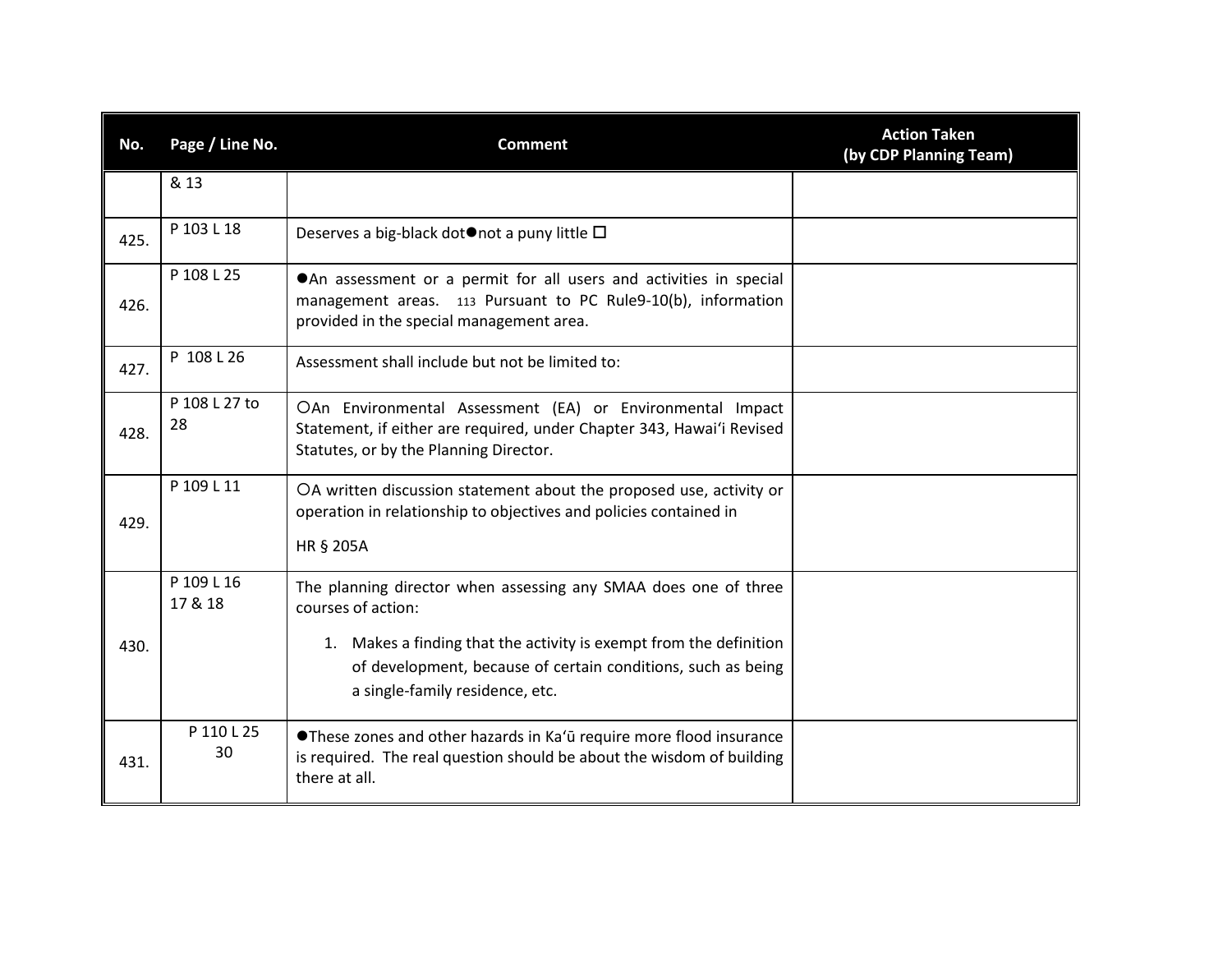| No.  | Page / Line No.       | <b>Comment</b>                                                                                                                                                                                                                                                 | <b>Action Taken</b><br>(by CDP Planning Team) |
|------|-----------------------|----------------------------------------------------------------------------------------------------------------------------------------------------------------------------------------------------------------------------------------------------------------|-----------------------------------------------|
|      | & 13                  |                                                                                                                                                                                                                                                                |                                               |
| 425. | P 103 L 18            | Deserves a big-black dot $\bullet$ not a puny little $\Box$                                                                                                                                                                                                    |                                               |
| 426. | P 108 L 25            | An assessment or a permit for all users and activities in special<br>management areas. 113 Pursuant to PC Rule9-10(b), information<br>provided in the special management area.                                                                                 |                                               |
| 427. | P 108 L 26            | Assessment shall include but not be limited to:                                                                                                                                                                                                                |                                               |
| 428. | P 108 L 27 to<br>28   | OAn Environmental Assessment (EA) or Environmental Impact<br>Statement, if either are required, under Chapter 343, Hawai'i Revised<br>Statutes, or by the Planning Director.                                                                                   |                                               |
| 429. | P 109 L 11            | OA written discussion statement about the proposed use, activity or<br>operation in relationship to objectives and policies contained in<br>HR § 205A                                                                                                          |                                               |
| 430. | P 109 L 16<br>17 & 18 | The planning director when assessing any SMAA does one of three<br>courses of action:<br>1. Makes a finding that the activity is exempt from the definition<br>of development, because of certain conditions, such as being<br>a single-family residence, etc. |                                               |
| 431. | P 110 L 25<br>30      | <b>OThese zones and other hazards in Ka'ū require more flood insurance</b><br>is required. The real question should be about the wisdom of building<br>there at all.                                                                                           |                                               |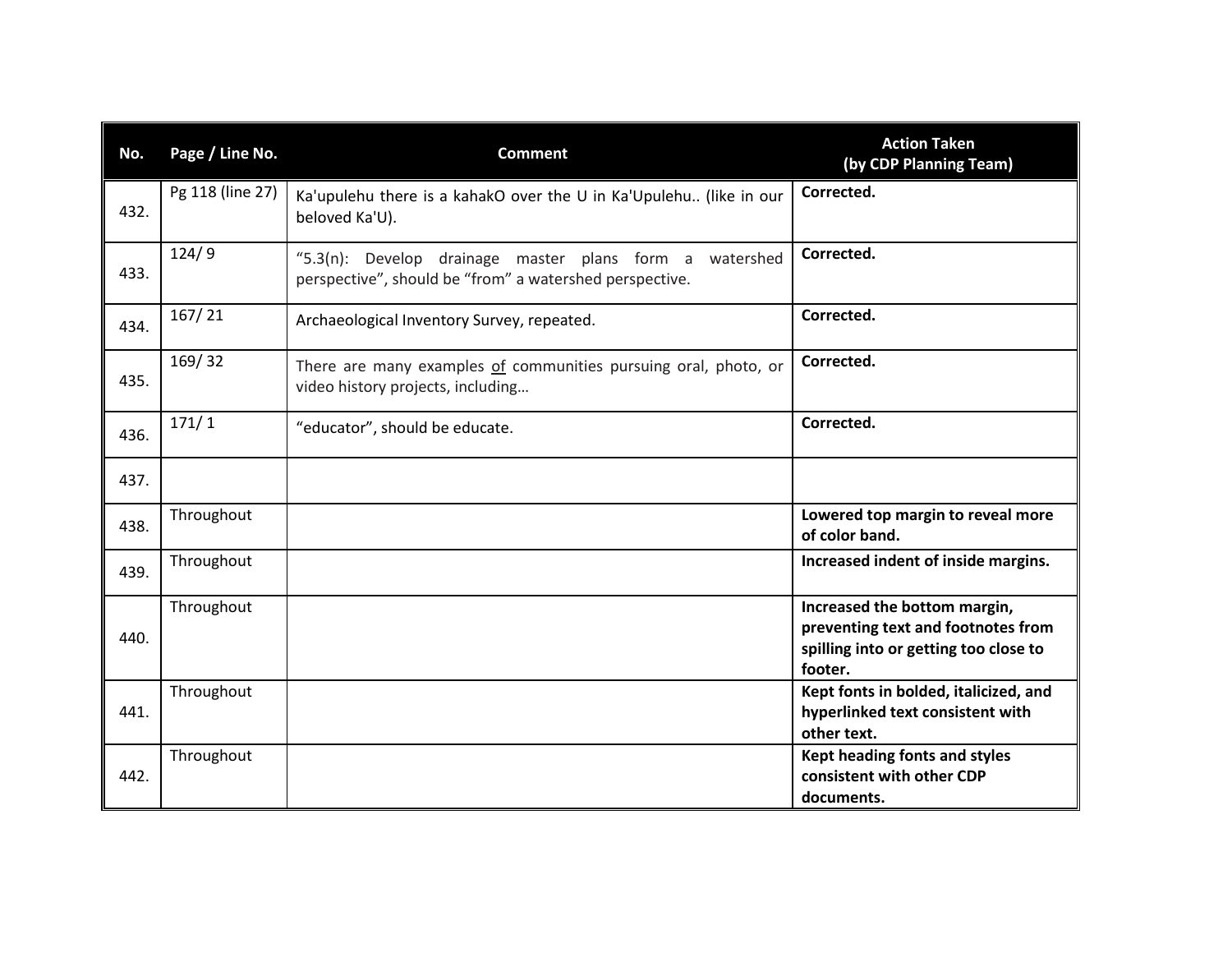| No.  | Page / Line No.  | <b>Comment</b>                                                                                                        | <b>Action Taken</b><br>(by CDP Planning Team)                                                                          |
|------|------------------|-----------------------------------------------------------------------------------------------------------------------|------------------------------------------------------------------------------------------------------------------------|
| 432. | Pg 118 (line 27) | Ka'upulehu there is a kahakO over the U in Ka'Upulehu (like in our<br>beloved Ka'U).                                  | Corrected.                                                                                                             |
| 433. | 124/9            | "5.3(n): Develop drainage master plans form a<br>watershed<br>perspective", should be "from" a watershed perspective. | Corrected.                                                                                                             |
| 434. | 167/21           | Archaeological Inventory Survey, repeated.                                                                            | Corrected.                                                                                                             |
| 435. | 169/32           | There are many examples of communities pursuing oral, photo, or<br>video history projects, including                  | Corrected.                                                                                                             |
| 436. | 171/1            | "educator", should be educate.                                                                                        | Corrected.                                                                                                             |
| 437. |                  |                                                                                                                       |                                                                                                                        |
| 438. | Throughout       |                                                                                                                       | Lowered top margin to reveal more<br>of color band.                                                                    |
| 439. | Throughout       |                                                                                                                       | Increased indent of inside margins.                                                                                    |
| 440. | Throughout       |                                                                                                                       | Increased the bottom margin,<br>preventing text and footnotes from<br>spilling into or getting too close to<br>footer. |
| 441. | Throughout       |                                                                                                                       | Kept fonts in bolded, italicized, and<br>hyperlinked text consistent with<br>other text.                               |
| 442. | Throughout       |                                                                                                                       | Kept heading fonts and styles<br>consistent with other CDP<br>documents.                                               |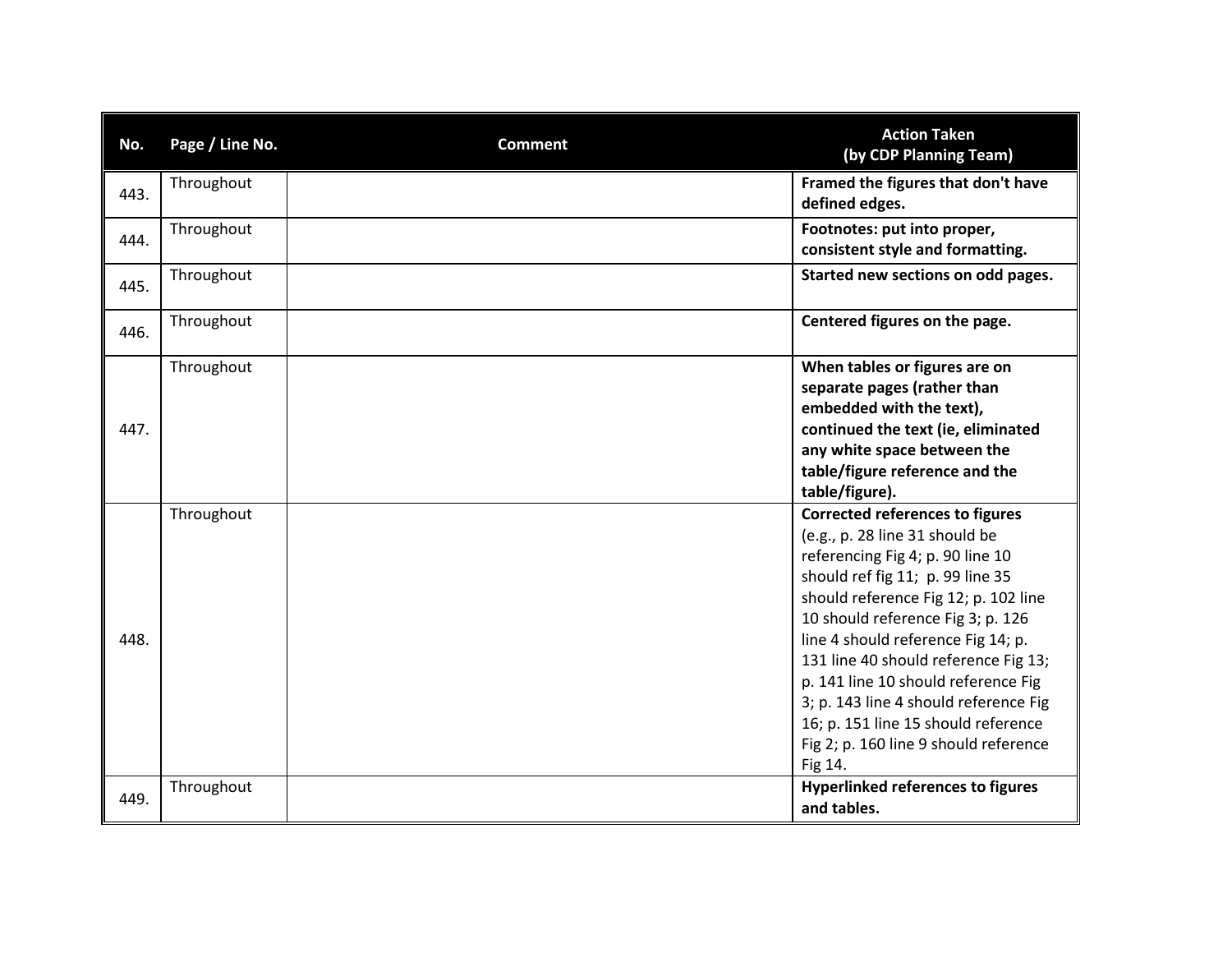| No.  | Page / Line No. | <b>Comment</b> | <b>Action Taken</b><br>(by CDP Planning Team)                                                                                                                                                                                                                                                                                                                                                                                                                                          |
|------|-----------------|----------------|----------------------------------------------------------------------------------------------------------------------------------------------------------------------------------------------------------------------------------------------------------------------------------------------------------------------------------------------------------------------------------------------------------------------------------------------------------------------------------------|
| 443. | Throughout      |                | Framed the figures that don't have<br>defined edges.                                                                                                                                                                                                                                                                                                                                                                                                                                   |
| 444. | Throughout      |                | Footnotes: put into proper,<br>consistent style and formatting.                                                                                                                                                                                                                                                                                                                                                                                                                        |
| 445. | Throughout      |                | Started new sections on odd pages.                                                                                                                                                                                                                                                                                                                                                                                                                                                     |
| 446. | Throughout      |                | Centered figures on the page.                                                                                                                                                                                                                                                                                                                                                                                                                                                          |
| 447. | Throughout      |                | When tables or figures are on<br>separate pages (rather than<br>embedded with the text),<br>continued the text (ie, eliminated<br>any white space between the<br>table/figure reference and the<br>table/figure).                                                                                                                                                                                                                                                                      |
| 448. | Throughout      |                | <b>Corrected references to figures</b><br>(e.g., p. 28 line 31 should be<br>referencing Fig 4; p. 90 line 10<br>should ref fig 11; p. 99 line 35<br>should reference Fig 12; p. 102 line<br>10 should reference Fig 3; p. 126<br>line 4 should reference Fig 14; p.<br>131 line 40 should reference Fig 13;<br>p. 141 line 10 should reference Fig<br>3; p. 143 line 4 should reference Fig<br>16; p. 151 line 15 should reference<br>Fig 2; p. 160 line 9 should reference<br>Fig 14. |
| 449. | Throughout      |                | <b>Hyperlinked references to figures</b><br>and tables.                                                                                                                                                                                                                                                                                                                                                                                                                                |